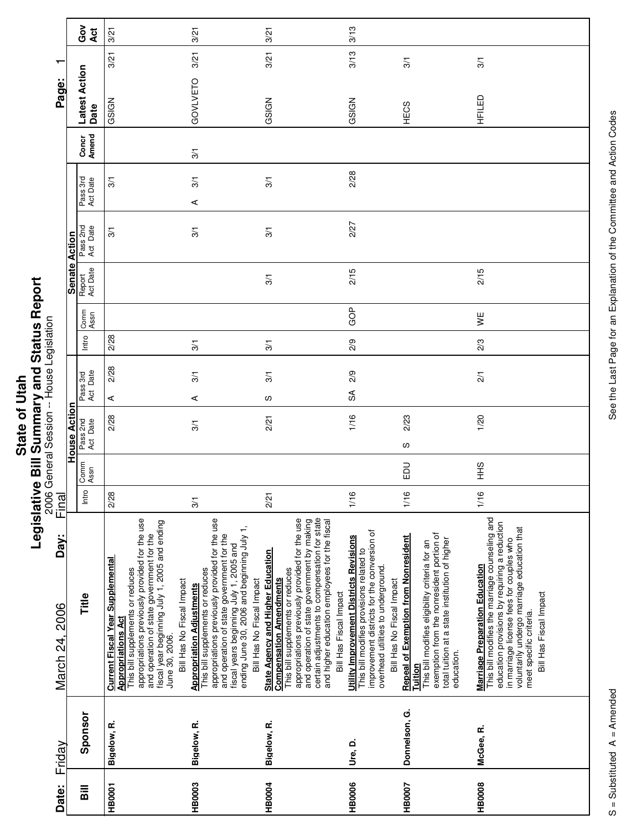**Legislative Bill Summary and Status Report** 2006 General Session -- House Legislation

|                        |                     | ဝိ<br>ပိ<br><b>Act</b> | 3/21                                                                                                                                                                                                                                                                                                    | 3/21                                                                                                                                                                                                                                                                                      | 3/21                                                                                                                                                                                                                                                                                                                                        | 3/13                                                                                                                                                                                                         |                                                                                                                                                                                                                       |                                                                                                                                                                                                                                                                                          |
|------------------------|---------------------|------------------------|---------------------------------------------------------------------------------------------------------------------------------------------------------------------------------------------------------------------------------------------------------------------------------------------------------|-------------------------------------------------------------------------------------------------------------------------------------------------------------------------------------------------------------------------------------------------------------------------------------------|---------------------------------------------------------------------------------------------------------------------------------------------------------------------------------------------------------------------------------------------------------------------------------------------------------------------------------------------|--------------------------------------------------------------------------------------------------------------------------------------------------------------------------------------------------------------|-----------------------------------------------------------------------------------------------------------------------------------------------------------------------------------------------------------------------|------------------------------------------------------------------------------------------------------------------------------------------------------------------------------------------------------------------------------------------------------------------------------------------|
| $\blacksquare$         |                     |                        | 3/21                                                                                                                                                                                                                                                                                                    | 3/21                                                                                                                                                                                                                                                                                      | 3/21                                                                                                                                                                                                                                                                                                                                        | 3/13                                                                                                                                                                                                         | 3/1                                                                                                                                                                                                                   | 3/1                                                                                                                                                                                                                                                                                      |
| Page:                  |                     | Latest Action<br>Date  | GSIGN                                                                                                                                                                                                                                                                                                   | GOVLVETO                                                                                                                                                                                                                                                                                  | GSIGN                                                                                                                                                                                                                                                                                                                                       | GSIGN                                                                                                                                                                                                        | HECS                                                                                                                                                                                                                  | HFILED                                                                                                                                                                                                                                                                                   |
|                        |                     | Amend<br>Concr         |                                                                                                                                                                                                                                                                                                         | 3/1                                                                                                                                                                                                                                                                                       |                                                                                                                                                                                                                                                                                                                                             |                                                                                                                                                                                                              |                                                                                                                                                                                                                       |                                                                                                                                                                                                                                                                                          |
|                        |                     | Pass 3rd<br>Act Date   | 3/1                                                                                                                                                                                                                                                                                                     | $\frac{5}{10}$<br>⋖                                                                                                                                                                                                                                                                       | $\overline{3}$                                                                                                                                                                                                                                                                                                                              | 2/28                                                                                                                                                                                                         |                                                                                                                                                                                                                       |                                                                                                                                                                                                                                                                                          |
|                        |                     | Pass 2nd<br>Act Date   | 3/1                                                                                                                                                                                                                                                                                                     | $\overline{3}$                                                                                                                                                                                                                                                                            | $\overline{3}$                                                                                                                                                                                                                                                                                                                              | 2/27                                                                                                                                                                                                         |                                                                                                                                                                                                                       |                                                                                                                                                                                                                                                                                          |
|                        | Senate Action       | Report<br>Act Date     |                                                                                                                                                                                                                                                                                                         |                                                                                                                                                                                                                                                                                           | 3/1                                                                                                                                                                                                                                                                                                                                         | 2/15                                                                                                                                                                                                         |                                                                                                                                                                                                                       | 2/15                                                                                                                                                                                                                                                                                     |
|                        |                     | Comm<br>Assn           |                                                                                                                                                                                                                                                                                                         |                                                                                                                                                                                                                                                                                           |                                                                                                                                                                                                                                                                                                                                             | GOP                                                                                                                                                                                                          |                                                                                                                                                                                                                       | ¥                                                                                                                                                                                                                                                                                        |
|                        |                     | Intro                  | 2/28                                                                                                                                                                                                                                                                                                    | $\frac{5}{2}$                                                                                                                                                                                                                                                                             | $\overline{3}$                                                                                                                                                                                                                                                                                                                              | 2/9                                                                                                                                                                                                          |                                                                                                                                                                                                                       | 2/3                                                                                                                                                                                                                                                                                      |
|                        |                     | Pass 3rd<br>Act Date   | 2/28<br>⋖                                                                                                                                                                                                                                                                                               | $\frac{5}{10}$<br>⋖                                                                                                                                                                                                                                                                       | 3/1<br>လ                                                                                                                                                                                                                                                                                                                                    | 2/9<br>SÃ                                                                                                                                                                                                    |                                                                                                                                                                                                                       | 2/1                                                                                                                                                                                                                                                                                      |
|                        | <b>House Action</b> | Pass 2nd<br>Act Date   | 2/28                                                                                                                                                                                                                                                                                                    | 3/1                                                                                                                                                                                                                                                                                       | 2/21                                                                                                                                                                                                                                                                                                                                        | 1/16                                                                                                                                                                                                         | 2/23<br>w                                                                                                                                                                                                             | 1/20                                                                                                                                                                                                                                                                                     |
|                        |                     | Comm<br>Assn           |                                                                                                                                                                                                                                                                                                         |                                                                                                                                                                                                                                                                                           |                                                                                                                                                                                                                                                                                                                                             |                                                                                                                                                                                                              | 品                                                                                                                                                                                                                     | $rac{9}{1}$                                                                                                                                                                                                                                                                              |
| Final                  |                     | Intro                  | 2/28                                                                                                                                                                                                                                                                                                    | 3/1                                                                                                                                                                                                                                                                                       | 2/21                                                                                                                                                                                                                                                                                                                                        | 1/16                                                                                                                                                                                                         | 1/16                                                                                                                                                                                                                  | 1/16                                                                                                                                                                                                                                                                                     |
| Day:<br>March 24, 2006 |                     | Title                  | appropriations previously provided for the use<br>fiscal year beginning July 1, 2005 and ending<br>June 30, 2006.<br>and operation of state government for the<br><b>Current Fiscal Year Supplemental</b><br>This bill supplements or reduces<br>Bill Has No Fiscal Impact<br><b>Appropriations Act</b> | appropriations previously provided for the use<br>fiscal years beginning July 1, 2005 and<br>ending June 30, 2006 and beginning July 1,<br>and operation of state government for the<br>This bill supplements or reduces<br>Bill Has No Fiscal Impact<br><b>Appropriation Adjustments</b> | certain adjustments to compensation for state<br>appropriations previously provided for the use<br>and operation of state government by making<br>and higher education employees for the fiscal<br><b>State Agency and Higher Education</b><br>This bill supplements or reduces<br><b>Compensation Amendments</b><br>Bill Has Fiscal Impact | improvement districts for the conversion of<br><b>Utility Improvement Districts Revisions</b><br>This bill modifies provisions related to<br>overhead utilities to underground.<br>Bill Has No Fiscal Impact | exemption from the nonresident portion of<br><b>Repeal of Exemption from Nonresident</b><br>total tuition at a state institution of higher<br>This bill modifies eligibility criteria for an<br>education.<br>Tuition | This bill modifies the marriage counseling and<br>education provisions by requiring a reduction<br>voluntarily undergo marriage education that<br>in marriage license fees for couples who<br><b>Marriage Preparation Education</b><br>Bill Has Fiscal Impact<br>meet specific criteria. |
| Friday                 |                     | Sponsor                | Bigelow, R.                                                                                                                                                                                                                                                                                             | Bigelow, R.                                                                                                                                                                                                                                                                               | Bigelow, R.                                                                                                                                                                                                                                                                                                                                 | Ure, D.                                                                                                                                                                                                      | Donnelson, G.                                                                                                                                                                                                         | McGee, R.                                                                                                                                                                                                                                                                                |
| Date:                  |                     | Bill                   | <b>HB0001</b>                                                                                                                                                                                                                                                                                           | HB0003                                                                                                                                                                                                                                                                                    | <b>HB0004</b>                                                                                                                                                                                                                                                                                                                               | <b>HB0006</b>                                                                                                                                                                                                | HB0007                                                                                                                                                                                                                | HB0008                                                                                                                                                                                                                                                                                   |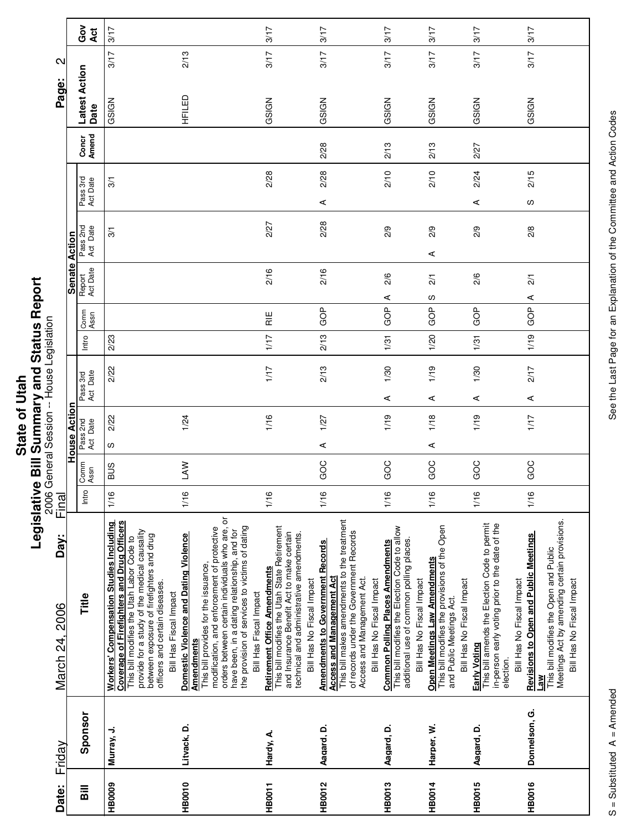|                       | 2                     |
|-----------------------|-----------------------|
| Ο<br>٩<br><b>Stat</b> | ł<br>i<br>Ü<br>ī<br>I |
|                       |                       |

|                                           |                      | Ğ<br>O<br>Act         | 3/17                                                                                                                                                                                                                                                                                               |                                                                                                                                                                                                                                                                                                                                 | 3/17                                                                                                                                                                                                      | 3/17                                                                                                                                                                                                                             | 3/17                                                                                                                                                             | 3/17                                                                                                                                   | 3/17                                                                                                                         | 3/17                                                                                                                                                                                             |
|-------------------------------------------|----------------------|-----------------------|----------------------------------------------------------------------------------------------------------------------------------------------------------------------------------------------------------------------------------------------------------------------------------------------------|---------------------------------------------------------------------------------------------------------------------------------------------------------------------------------------------------------------------------------------------------------------------------------------------------------------------------------|-----------------------------------------------------------------------------------------------------------------------------------------------------------------------------------------------------------|----------------------------------------------------------------------------------------------------------------------------------------------------------------------------------------------------------------------------------|------------------------------------------------------------------------------------------------------------------------------------------------------------------|----------------------------------------------------------------------------------------------------------------------------------------|------------------------------------------------------------------------------------------------------------------------------|--------------------------------------------------------------------------------------------------------------------------------------------------------------------------------------------------|
| $\mathbf{\Omega}$<br>Page:                |                      |                       | 3/17                                                                                                                                                                                                                                                                                               | 2/13                                                                                                                                                                                                                                                                                                                            | 3/17                                                                                                                                                                                                      | 3/17                                                                                                                                                                                                                             | 3/17                                                                                                                                                             | 3/17                                                                                                                                   | 3/17                                                                                                                         | 3/17                                                                                                                                                                                             |
|                                           |                      | Latest Action<br>Date | GSIGN                                                                                                                                                                                                                                                                                              | HFILED                                                                                                                                                                                                                                                                                                                          | GSIGN                                                                                                                                                                                                     | GSIGN                                                                                                                                                                                                                            | GSIGN                                                                                                                                                            | GSIGN                                                                                                                                  | GSIGN                                                                                                                        | GSIGN                                                                                                                                                                                            |
|                                           |                      | Concr<br>Amend        |                                                                                                                                                                                                                                                                                                    |                                                                                                                                                                                                                                                                                                                                 |                                                                                                                                                                                                           | 2/28                                                                                                                                                                                                                             | 2/13                                                                                                                                                             | 2/13                                                                                                                                   | 2/27                                                                                                                         |                                                                                                                                                                                                  |
|                                           |                      | Pass 3rd<br>Act Date  | 3/1                                                                                                                                                                                                                                                                                                |                                                                                                                                                                                                                                                                                                                                 | 2/28                                                                                                                                                                                                      | 2/28                                                                                                                                                                                                                             | 2/10                                                                                                                                                             | 2/10                                                                                                                                   | 2/24                                                                                                                         | 2/15                                                                                                                                                                                             |
|                                           |                      |                       |                                                                                                                                                                                                                                                                                                    |                                                                                                                                                                                                                                                                                                                                 |                                                                                                                                                                                                           | $\prec$                                                                                                                                                                                                                          |                                                                                                                                                                  |                                                                                                                                        | ⋖                                                                                                                            | လ                                                                                                                                                                                                |
|                                           | <b>Senate Action</b> | Pass 2nd<br>Act Date  | 3/1                                                                                                                                                                                                                                                                                                |                                                                                                                                                                                                                                                                                                                                 | 2/27                                                                                                                                                                                                      | 2/28                                                                                                                                                                                                                             | 2/9                                                                                                                                                              | 2/9<br>⋖                                                                                                                               | 2/9                                                                                                                          | 2/8                                                                                                                                                                                              |
|                                           |                      |                       |                                                                                                                                                                                                                                                                                                    |                                                                                                                                                                                                                                                                                                                                 |                                                                                                                                                                                                           |                                                                                                                                                                                                                                  |                                                                                                                                                                  |                                                                                                                                        |                                                                                                                              |                                                                                                                                                                                                  |
|                                           |                      | Report<br>Act Date    |                                                                                                                                                                                                                                                                                                    |                                                                                                                                                                                                                                                                                                                                 | 2/16                                                                                                                                                                                                      | 2/16                                                                                                                                                                                                                             | 2/6                                                                                                                                                              | $\frac{2}{1}$                                                                                                                          | 2/6                                                                                                                          | $\frac{2}{1}$                                                                                                                                                                                    |
|                                           |                      |                       |                                                                                                                                                                                                                                                                                                    |                                                                                                                                                                                                                                                                                                                                 |                                                                                                                                                                                                           |                                                                                                                                                                                                                                  | ⋖                                                                                                                                                                | w                                                                                                                                      |                                                                                                                              | ⋖                                                                                                                                                                                                |
|                                           |                      | Comm<br>Assn          |                                                                                                                                                                                                                                                                                                    |                                                                                                                                                                                                                                                                                                                                 | $\frac{11}{11}$                                                                                                                                                                                           | GOP                                                                                                                                                                                                                              | GOP                                                                                                                                                              | GOP                                                                                                                                    | GOP                                                                                                                          | GOP                                                                                                                                                                                              |
|                                           |                      | Intro                 | 2/23                                                                                                                                                                                                                                                                                               |                                                                                                                                                                                                                                                                                                                                 | 1/17                                                                                                                                                                                                      | 2/13                                                                                                                                                                                                                             | 1/31                                                                                                                                                             | 1/20                                                                                                                                   | 1/31                                                                                                                         | 1/19                                                                                                                                                                                             |
| 2006 General Session -- House Legislation |                      | Pass 3rd<br>Act Date  | 2/22                                                                                                                                                                                                                                                                                               |                                                                                                                                                                                                                                                                                                                                 | 1/17                                                                                                                                                                                                      | 2/13                                                                                                                                                                                                                             | 1/30                                                                                                                                                             | 1/19                                                                                                                                   | 1/30                                                                                                                         | 2/17                                                                                                                                                                                             |
|                                           |                      |                       |                                                                                                                                                                                                                                                                                                    |                                                                                                                                                                                                                                                                                                                                 |                                                                                                                                                                                                           |                                                                                                                                                                                                                                  | ⋖                                                                                                                                                                | ⋖                                                                                                                                      | ⋖                                                                                                                            | ⋖                                                                                                                                                                                                |
|                                           | House Actior         | Pass 2nd<br>Act Date  | 2/22<br>w                                                                                                                                                                                                                                                                                          | 1/24                                                                                                                                                                                                                                                                                                                            | 1/16                                                                                                                                                                                                      | 1/27<br>$\prec$                                                                                                                                                                                                                  | 1/19                                                                                                                                                             | 1/18<br>⋖                                                                                                                              | 1/19                                                                                                                         | 1/17                                                                                                                                                                                             |
|                                           |                      |                       |                                                                                                                                                                                                                                                                                                    |                                                                                                                                                                                                                                                                                                                                 |                                                                                                                                                                                                           |                                                                                                                                                                                                                                  |                                                                                                                                                                  |                                                                                                                                        |                                                                                                                              |                                                                                                                                                                                                  |
|                                           |                      | Comm<br>Assn          | SUS                                                                                                                                                                                                                                                                                                | <b>NV</b>                                                                                                                                                                                                                                                                                                                       |                                                                                                                                                                                                           | GOC                                                                                                                                                                                                                              | GOC                                                                                                                                                              | GOC                                                                                                                                    | GOC                                                                                                                          | GOC                                                                                                                                                                                              |
| Final                                     |                      | Intro                 | 1/16                                                                                                                                                                                                                                                                                               | 1/16                                                                                                                                                                                                                                                                                                                            | 1/16                                                                                                                                                                                                      | 1/16                                                                                                                                                                                                                             | 1/16                                                                                                                                                             | 1/16                                                                                                                                   | 1/16                                                                                                                         | 1/16                                                                                                                                                                                             |
| Day:<br>March 24, 2006                    |                      | Title                 | Coverage of Firefighters and Drug Officers<br><b>Workers' Compensation Studies Including</b><br>provide for a study of the medical causality<br>between exposure of firefighters and drug<br>This bill modifies the Utah Labor Code to<br>officers and certain diseases.<br>Bill Has Fiscal Impact | orders between certain individuals who are, or<br>the provision of services to victims of dating<br>modification, and enforcement of protective<br>have been, in a dating relationship, and for<br>Domestic Violence and Dating Violence<br>This bill provides for the issuance,<br>Bill Has Fiscal Impact<br><b>Amendments</b> | This bill modifies the Utah State Retirement<br>and Insurance Benefit Act to make certain<br>technical and administrative amendments.<br><b>Retirement Office Amendments</b><br>Bill Has No Fiscal Impact | This bill makes amendments to the treatment<br>of records under the Government Records<br><b>Amendments to Government Records</b><br><b>Access and Management Act</b><br>Access and Management Act.<br>Bill Has No Fiscal Impact | This bill modifies the Election Code to allow<br>additional use of common polling places<br><b>Common Polling Places Amendments</b><br>Bill Has No Fiscal Impact | This bill modifies the provisions of the Open<br>Open Meetings Law Amendments<br>Bill Has No Fiscal Impact<br>and Public Meetings Act. | This bill amends the Election Code to permit<br>in-person early voting prior to the date of the<br>Early Voting<br>election. | Meetings Act by amending certain provisions.<br><b>Revisions to Open and Public Meetings</b><br>This bill modifies the Open and Public<br>Bill Has No Fiscal Impact<br>Bill Has No Fiscal Impact |
| Friday                                    |                      | Sponsor               | Murray, J.                                                                                                                                                                                                                                                                                         | Litvack, D.                                                                                                                                                                                                                                                                                                                     | Hardy, A.                                                                                                                                                                                                 | Aagard, D.                                                                                                                                                                                                                       | Aagard, D.                                                                                                                                                       | Harper, W.                                                                                                                             | Aagard, D.                                                                                                                   | Donnelson, G.                                                                                                                                                                                    |
| Date:                                     |                      | $\overline{B}$        | <b>HB0009</b>                                                                                                                                                                                                                                                                                      | HB0010                                                                                                                                                                                                                                                                                                                          | <b>HB0011</b>                                                                                                                                                                                             | <b>HB0012</b>                                                                                                                                                                                                                    | <b>HB0013</b>                                                                                                                                                    | <b>HB0014</b>                                                                                                                          | <b>HB0015</b>                                                                                                                | <b>HB0016</b>                                                                                                                                                                                    |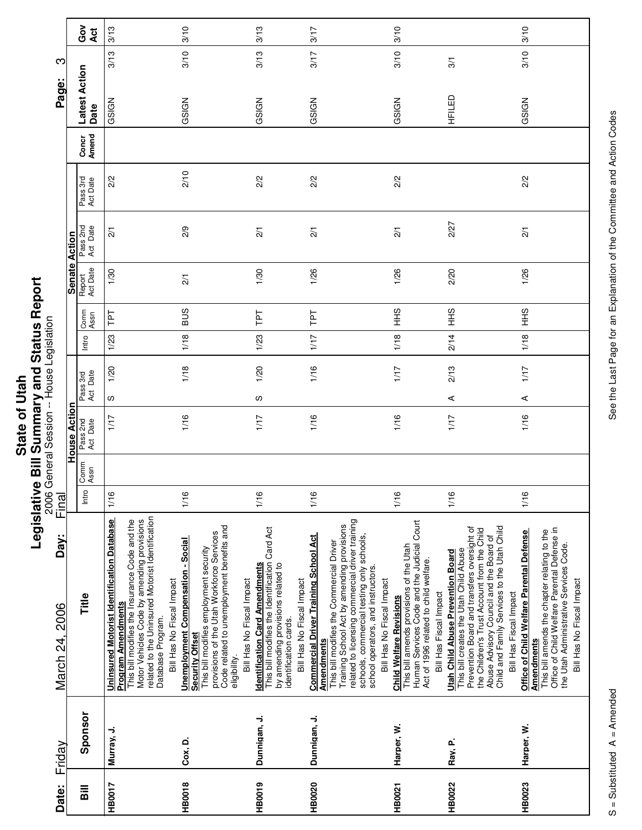|      | :<br>ī           |
|------|------------------|
|      |                  |
|      | Ī                |
|      | ç<br>۱<br>t      |
| Stat | ì<br>Ē<br>7<br>ı |
|      | Ì                |
|      | ž                |
|      | ī                |

|                        |                      | ဝိ<br>ဝိ<br>ă         | 3/13                                                                                                                                                                                                                                            | 3/10                                                                                                                                                                                                                                 | 3/13                                                                                                                                                                                               | 3/17                                                                                                                                                                                                                                                                                                                                                        | 3/10                                                                                                                                                                                       |                                                                                                                                                                                                                                                                                                      | 3/10                                                                                                                                                                                                                                |
|------------------------|----------------------|-----------------------|-------------------------------------------------------------------------------------------------------------------------------------------------------------------------------------------------------------------------------------------------|--------------------------------------------------------------------------------------------------------------------------------------------------------------------------------------------------------------------------------------|----------------------------------------------------------------------------------------------------------------------------------------------------------------------------------------------------|-------------------------------------------------------------------------------------------------------------------------------------------------------------------------------------------------------------------------------------------------------------------------------------------------------------------------------------------------------------|--------------------------------------------------------------------------------------------------------------------------------------------------------------------------------------------|------------------------------------------------------------------------------------------------------------------------------------------------------------------------------------------------------------------------------------------------------------------------------------------------------|-------------------------------------------------------------------------------------------------------------------------------------------------------------------------------------------------------------------------------------|
| S                      |                      |                       | 3/13                                                                                                                                                                                                                                            | 3/10                                                                                                                                                                                                                                 | 3/13                                                                                                                                                                                               | 3/17                                                                                                                                                                                                                                                                                                                                                        | 3/10                                                                                                                                                                                       | 3/1                                                                                                                                                                                                                                                                                                  | 3/10                                                                                                                                                                                                                                |
| Page:                  |                      | Latest Action<br>Date | GSIGN                                                                                                                                                                                                                                           | GSIGN                                                                                                                                                                                                                                | GSIGN                                                                                                                                                                                              | GSIGN                                                                                                                                                                                                                                                                                                                                                       | GSIGN                                                                                                                                                                                      | HFILED<br>H                                                                                                                                                                                                                                                                                          | GSIGN                                                                                                                                                                                                                               |
|                        |                      | Amend<br>Concr        |                                                                                                                                                                                                                                                 |                                                                                                                                                                                                                                      |                                                                                                                                                                                                    |                                                                                                                                                                                                                                                                                                                                                             |                                                                                                                                                                                            |                                                                                                                                                                                                                                                                                                      |                                                                                                                                                                                                                                     |
|                        |                      | Pass 3rd<br>Act Date  | 2/2                                                                                                                                                                                                                                             | 2/10                                                                                                                                                                                                                                 | 2/2                                                                                                                                                                                                | 2/2                                                                                                                                                                                                                                                                                                                                                         | 2/2                                                                                                                                                                                        |                                                                                                                                                                                                                                                                                                      | 2/2                                                                                                                                                                                                                                 |
|                        |                      | Pass 2nd<br>Act Date  | $\overline{21}$                                                                                                                                                                                                                                 | 2/9                                                                                                                                                                                                                                  | $\frac{2}{1}$                                                                                                                                                                                      | $\overline{21}$                                                                                                                                                                                                                                                                                                                                             | $\frac{2}{1}$                                                                                                                                                                              | 2/27                                                                                                                                                                                                                                                                                                 | $\overline{2}$                                                                                                                                                                                                                      |
|                        | <b>Senate Action</b> | Act Date<br>Report    | 1/30                                                                                                                                                                                                                                            | $\frac{2}{1}$                                                                                                                                                                                                                        | 1/30                                                                                                                                                                                               | 1/26                                                                                                                                                                                                                                                                                                                                                        | 1/26                                                                                                                                                                                       | 2/20                                                                                                                                                                                                                                                                                                 | 1/26                                                                                                                                                                                                                                |
|                        |                      | Comm<br>Assn          | Ιd                                                                                                                                                                                                                                              | <b>BUS</b>                                                                                                                                                                                                                           | Ιd1                                                                                                                                                                                                | ΓPΤ                                                                                                                                                                                                                                                                                                                                                         | $rac{9}{5}$                                                                                                                                                                                | $rac{9}{5}$                                                                                                                                                                                                                                                                                          | $rac{9}{5}$                                                                                                                                                                                                                         |
|                        |                      | Intro                 | 1/23                                                                                                                                                                                                                                            | 1/18                                                                                                                                                                                                                                 | 1/23                                                                                                                                                                                               | 1/17                                                                                                                                                                                                                                                                                                                                                        | 1/18                                                                                                                                                                                       | 2/14                                                                                                                                                                                                                                                                                                 | 1/18                                                                                                                                                                                                                                |
|                        |                      | Act Date<br>Pass 3rd  | 1/20                                                                                                                                                                                                                                            | 1/18                                                                                                                                                                                                                                 | 1/20                                                                                                                                                                                               | 1/16                                                                                                                                                                                                                                                                                                                                                        | 1/17                                                                                                                                                                                       | 2/13                                                                                                                                                                                                                                                                                                 | 1/17                                                                                                                                                                                                                                |
|                        |                      |                       | w<br>1/17                                                                                                                                                                                                                                       | 1/16                                                                                                                                                                                                                                 | w<br>1/17                                                                                                                                                                                          | 1/16                                                                                                                                                                                                                                                                                                                                                        | 1/16                                                                                                                                                                                       | ⋖<br>1/17                                                                                                                                                                                                                                                                                            | ⋖<br>1/16                                                                                                                                                                                                                           |
|                        | House Action         | Pass 2nd<br>Act Date  |                                                                                                                                                                                                                                                 |                                                                                                                                                                                                                                      |                                                                                                                                                                                                    |                                                                                                                                                                                                                                                                                                                                                             |                                                                                                                                                                                            |                                                                                                                                                                                                                                                                                                      |                                                                                                                                                                                                                                     |
|                        |                      | Comm<br>Assn          |                                                                                                                                                                                                                                                 |                                                                                                                                                                                                                                      |                                                                                                                                                                                                    |                                                                                                                                                                                                                                                                                                                                                             |                                                                                                                                                                                            |                                                                                                                                                                                                                                                                                                      |                                                                                                                                                                                                                                     |
| Final                  |                      | Intro                 | 1/16                                                                                                                                                                                                                                            | 1/16                                                                                                                                                                                                                                 | 1/16                                                                                                                                                                                               | 1/16                                                                                                                                                                                                                                                                                                                                                        | 1/16                                                                                                                                                                                       | 1/16                                                                                                                                                                                                                                                                                                 | 1/16                                                                                                                                                                                                                                |
| Day:<br>March 24, 2006 |                      | Title                 | related to the Uninsured Motorist Identification<br><b>Uninsured Motorist Identification Database</b><br>This bill modifies the Insurance Code and the<br>Motor Vehicles Code by amending provisions<br>Program Amendments<br>Database Program. | Code related to unemployment benefits and<br>provisions of the Utah Workforce Services<br><b>Unemployment Compensation - Social</b><br>This bill modifies employment security<br>Bill Has No Fiscal Impact<br><b>Security Offset</b> | <b>Identification Card Amendments</b><br>This bill modifies the Identification Card Act<br>by amending provisions related to<br>Bill Has No Fiscal Impact<br>identification cards.<br>eligibility. | related to licensing commercial driver training<br>Training School Act by amending provisions<br><b>Commercial Driver Training School Act</b><br>schools, commercial testing only schools,<br>This bill modifies the Commercial Driver<br>school operators, and instructors.<br>Bill Has No Fiscal Impact<br>Bill Has No Fiscal Impact<br><b>Amendments</b> | Human Services Code and the Judicial Court<br>This bill amends provisions of the Utah<br>Act of 1996 related to child welfare.<br>Bill Has Fiscal Impact<br><b>Child Welfare Revisions</b> | Child and Family Services to the Utah Child<br>Prevention Board and transfers oversight of<br>the Children's Trust Account from the Child<br>Abuse Advisory Council and the Board of<br>This bill creates the Utah Child Abuse<br><b>Utah Child Abuse Prevention Board</b><br>Bill Has Fiscal Impact | Office of Child Welfare Parental Defense in<br>Office of Child Welfare Parental Defense<br>This bill amends the chapter relating to the<br>the Utah Administrative Services Code.<br>Bill Has No Fiscal Impact<br><b>Amendments</b> |
| Friday                 |                      | Sponsor               | Murray, J.                                                                                                                                                                                                                                      | Cox, D.                                                                                                                                                                                                                              | Dunnigan, J.                                                                                                                                                                                       | Dunnigan, J.                                                                                                                                                                                                                                                                                                                                                | Harper, W.                                                                                                                                                                                 | Ray, P.                                                                                                                                                                                                                                                                                              | Harper, W.                                                                                                                                                                                                                          |
| Date:                  |                      | $\overline{a}$        | <b>HB0017</b>                                                                                                                                                                                                                                   | <b>HB0018</b>                                                                                                                                                                                                                        | HB0019                                                                                                                                                                                             | <b>HB0020</b>                                                                                                                                                                                                                                                                                                                                               | HB0021                                                                                                                                                                                     | <b>HB0022</b>                                                                                                                                                                                                                                                                                        | HB0023                                                                                                                                                                                                                              |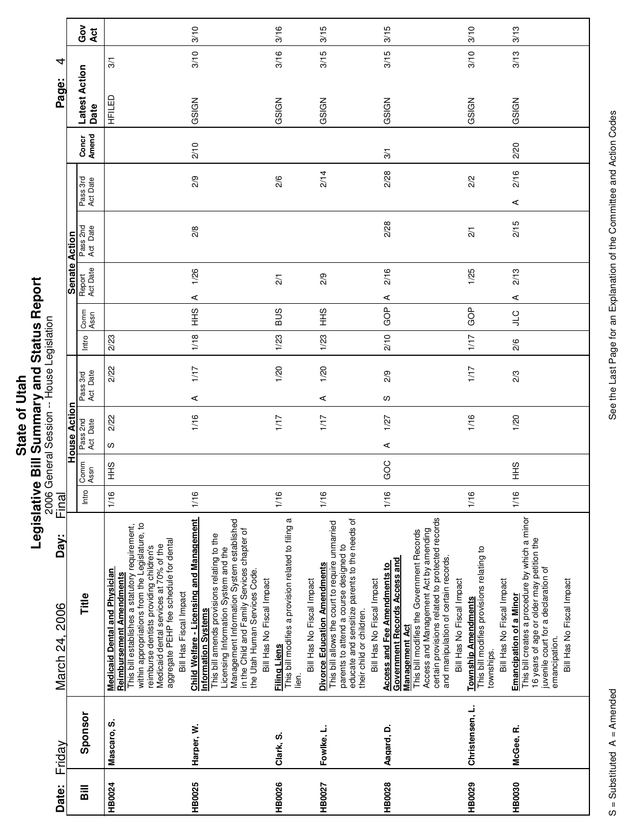|      | Ū      |
|------|--------|
|      |        |
|      |        |
| ŗ    | ና<br>የ |
|      |        |
| Ξ    |        |
|      |        |
|      |        |
|      |        |
|      | Į      |
|      |        |
|      |        |
| Stat |        |
|      |        |
|      | Ē      |
|      | ١      |
|      |        |
|      |        |
|      |        |
|      |        |

|                                      |                      | Got<br>Act            |                                                                                                                                                                                                                                                                                                                               | 3/10                                                                                                                                                                                                                                                                                                                    | 3/16                                                                        | 3/15                                                                                                                                                                                                                                                                    | 3/15                                                                                                                                                                                                                                                                                                        | 3/10                                                                                                        | 3/13                                                                                                                                                                                                               |
|--------------------------------------|----------------------|-----------------------|-------------------------------------------------------------------------------------------------------------------------------------------------------------------------------------------------------------------------------------------------------------------------------------------------------------------------------|-------------------------------------------------------------------------------------------------------------------------------------------------------------------------------------------------------------------------------------------------------------------------------------------------------------------------|-----------------------------------------------------------------------------|-------------------------------------------------------------------------------------------------------------------------------------------------------------------------------------------------------------------------------------------------------------------------|-------------------------------------------------------------------------------------------------------------------------------------------------------------------------------------------------------------------------------------------------------------------------------------------------------------|-------------------------------------------------------------------------------------------------------------|--------------------------------------------------------------------------------------------------------------------------------------------------------------------------------------------------------------------|
| 4                                    |                      |                       | $\overline{3}$                                                                                                                                                                                                                                                                                                                | 3/10                                                                                                                                                                                                                                                                                                                    | 3/16                                                                        | 3/15                                                                                                                                                                                                                                                                    | 3/15                                                                                                                                                                                                                                                                                                        | 3/10                                                                                                        | 3/13                                                                                                                                                                                                               |
| Page:                                |                      | Latest Action<br>Date | HFILED                                                                                                                                                                                                                                                                                                                        | GSIGN                                                                                                                                                                                                                                                                                                                   | GSIGN                                                                       | GSIGN                                                                                                                                                                                                                                                                   | GSIGN                                                                                                                                                                                                                                                                                                       | GSIGN                                                                                                       | GSIGN                                                                                                                                                                                                              |
|                                      |                      | Concr<br>Amend        |                                                                                                                                                                                                                                                                                                                               | 2/10                                                                                                                                                                                                                                                                                                                    |                                                                             |                                                                                                                                                                                                                                                                         | $\overline{3}$                                                                                                                                                                                                                                                                                              |                                                                                                             | 2/20                                                                                                                                                                                                               |
|                                      |                      | Pass 3rd<br>Act Date  |                                                                                                                                                                                                                                                                                                                               | 2/9                                                                                                                                                                                                                                                                                                                     | 2/6                                                                         | 2/14                                                                                                                                                                                                                                                                    | 2/28                                                                                                                                                                                                                                                                                                        | 2/2                                                                                                         | 2/16<br>⋖                                                                                                                                                                                                          |
|                                      |                      | Pass 2nd<br>Act Date  |                                                                                                                                                                                                                                                                                                                               | 2/8                                                                                                                                                                                                                                                                                                                     |                                                                             |                                                                                                                                                                                                                                                                         | 2/28                                                                                                                                                                                                                                                                                                        | $\frac{2}{1}$                                                                                               | 2/15                                                                                                                                                                                                               |
|                                      | <b>Senate Action</b> | Report<br>Act Date    |                                                                                                                                                                                                                                                                                                                               | 1/26<br>⋖                                                                                                                                                                                                                                                                                                               | $\overline{21}$                                                             | 2/9                                                                                                                                                                                                                                                                     | 2/16<br>⋖                                                                                                                                                                                                                                                                                                   | 1/25                                                                                                        | 2/13<br>⋖                                                                                                                                                                                                          |
|                                      |                      | Comm<br>Assn          |                                                                                                                                                                                                                                                                                                                               | $\frac{6}{3}$                                                                                                                                                                                                                                                                                                           | <b>BUS</b>                                                                  | $rac{9}{5}$                                                                                                                                                                                                                                                             | GOP                                                                                                                                                                                                                                                                                                         | GOP                                                                                                         | $rac{C}{\pi}$                                                                                                                                                                                                      |
|                                      |                      | Intro                 | 2/23                                                                                                                                                                                                                                                                                                                          | 1/18                                                                                                                                                                                                                                                                                                                    | 1/23                                                                        | 1/23                                                                                                                                                                                                                                                                    | 2/10                                                                                                                                                                                                                                                                                                        | 1/17                                                                                                        | 2/6                                                                                                                                                                                                                |
|                                      |                      | Pass 3rd<br>Act Date  | 2/22                                                                                                                                                                                                                                                                                                                          | 1/17<br>⋖                                                                                                                                                                                                                                                                                                               | 1/20                                                                        | 1/20<br>⋖                                                                                                                                                                                                                                                               | 2/9<br>လ                                                                                                                                                                                                                                                                                                    | 1/17                                                                                                        | 2/3                                                                                                                                                                                                                |
| General Session -- House Legislation | 등<br>House Acti      | Pass 2nd<br>Act Date  | 2/22<br>ഗ                                                                                                                                                                                                                                                                                                                     | 1/16                                                                                                                                                                                                                                                                                                                    | 1/17                                                                        | 1/17                                                                                                                                                                                                                                                                    | 1/27<br>⋖                                                                                                                                                                                                                                                                                                   | 1/16                                                                                                        | 1/20                                                                                                                                                                                                               |
|                                      |                      | Comm<br>Assn          | SHH                                                                                                                                                                                                                                                                                                                           |                                                                                                                                                                                                                                                                                                                         |                                                                             |                                                                                                                                                                                                                                                                         | GOC                                                                                                                                                                                                                                                                                                         |                                                                                                             | $rac{6}{5}$                                                                                                                                                                                                        |
| 2006<br>200<br>Final                 |                      | Intro                 | 1/16                                                                                                                                                                                                                                                                                                                          | 1/16                                                                                                                                                                                                                                                                                                                    | 1/16                                                                        | 1/16                                                                                                                                                                                                                                                                    | 1/16                                                                                                                                                                                                                                                                                                        | 1/16                                                                                                        | 1/16                                                                                                                                                                                                               |
| Day:<br>March 24, 2006               |                      | Title                 | within appropriations from the Legislature, to<br>reimburse dentists providing children's<br>This bill establishes a statutory requirement,<br>aggregate PEHP fee schedule for dental<br>Medicaid dental services at 70% of the<br><b>Medicaid Dental and Physician</b><br>Reimbursement Amendments<br>Bill Has Fiscal Impact | Child Welfare - Licensing and Management<br>Management Information System established<br>in the Child and Family Services chapter of<br>This bill amends provisions relating to the<br>Licensing Information System and the<br>the Utah Human Services Code.<br>Bill Has No Fiscal Impact<br><b>Information Systems</b> | This bill modifies a provision related to filing a<br>Filing Liens<br>lien. | parents to attend a course designed to<br>educate and sensitize parents to the needs of<br>This bill allows the court to require unmarried<br><b>Divorce Education Amendments</b><br>Bill Has No Fiscal Impact<br>Bill Has No Fiscal Impact<br>their child or children. | certain provisions related to protected records<br>Access and Management Act by amending<br>This bill modifies the Government Records<br>and manipulation of certain records.<br><b>Access and Fee Amendments to</b><br>Government Records Access and<br><u>Management Act</u><br>Bill Has No Fiscal Impact | This bill modifies provisions relating to<br>Bill Has No Fiscal Impact<br>Township Amendments<br>townships. | This bill creates a procedure by which a minor<br>16 years of age or older may petition the<br>juvenile court for a declaration of<br>Bill Has No Fiscal Impact<br><b>Emancipation of a Minor</b><br>emancipation. |
| Friday                               |                      | Sponsor               | Mascaro, S.                                                                                                                                                                                                                                                                                                                   | Harper, W.                                                                                                                                                                                                                                                                                                              | Clark, S.                                                                   | Fowlke, L.                                                                                                                                                                                                                                                              | Aagard, D.                                                                                                                                                                                                                                                                                                  | Christensen, L.                                                                                             | McGee, R.                                                                                                                                                                                                          |
| Date:                                |                      | Bill                  | <b>HB0024</b>                                                                                                                                                                                                                                                                                                                 | HB0025                                                                                                                                                                                                                                                                                                                  | <b>HB0026</b>                                                               | <b>HB0027</b>                                                                                                                                                                                                                                                           | <b>HB0028</b>                                                                                                                                                                                                                                                                                               | HB0029                                                                                                      | <b>HB0030</b>                                                                                                                                                                                                      |

See the Last Page for an Explanation of the Committee and Action Codes S = Substituted A = Amended A = Amendes See the Last Page for an Explanation of the Committee and Action Codes

 $\overline{\phantom{a}}$ 

г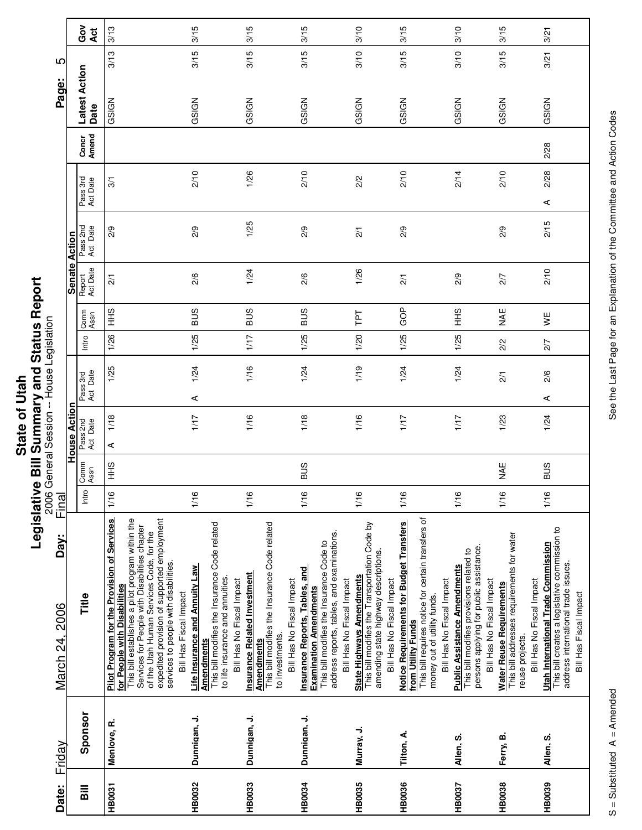|        | ţ              |
|--------|----------------|
|        | i              |
| Q      |                |
| $-10+$ |                |
| ō      |                |
|        | יש הים היים בי |
|        |                |
| State  |                |
|        |                |
|        | j              |
|        | Ξ<br>I         |
|        |                |
|        |                |

|                                           |                      | Gov<br>Act            | 3/13                                                                                                                                                                                                                                                                                                                                           | 3/15                                                                                                                                                                  | 3/15                                                                                                                                                     | 3/15                                                                                                                                                                                   | 3/10                                                                                                                                                   | 3/15                                                                                                                                                                             | 3/10                                                                                                                                                    | 3/15                                                                                                                          | 3/21                                                                                                                                                         |
|-------------------------------------------|----------------------|-----------------------|------------------------------------------------------------------------------------------------------------------------------------------------------------------------------------------------------------------------------------------------------------------------------------------------------------------------------------------------|-----------------------------------------------------------------------------------------------------------------------------------------------------------------------|----------------------------------------------------------------------------------------------------------------------------------------------------------|----------------------------------------------------------------------------------------------------------------------------------------------------------------------------------------|--------------------------------------------------------------------------------------------------------------------------------------------------------|----------------------------------------------------------------------------------------------------------------------------------------------------------------------------------|---------------------------------------------------------------------------------------------------------------------------------------------------------|-------------------------------------------------------------------------------------------------------------------------------|--------------------------------------------------------------------------------------------------------------------------------------------------------------|
| 5                                         |                      |                       | 3/13                                                                                                                                                                                                                                                                                                                                           | 3/15                                                                                                                                                                  | 3/15                                                                                                                                                     | 3/15                                                                                                                                                                                   | 3/10                                                                                                                                                   | 3/15                                                                                                                                                                             | 3/10                                                                                                                                                    | 3/15                                                                                                                          | 3/21                                                                                                                                                         |
| Page:                                     |                      | Latest Action<br>Date | GSIGN                                                                                                                                                                                                                                                                                                                                          | GSIGN                                                                                                                                                                 | GSIGN                                                                                                                                                    | GSIGN                                                                                                                                                                                  | GSIGN                                                                                                                                                  | GSIGN                                                                                                                                                                            | GSIGN                                                                                                                                                   | GSIGN                                                                                                                         | GSIGN                                                                                                                                                        |
|                                           |                      | Concr<br>Amend        |                                                                                                                                                                                                                                                                                                                                                |                                                                                                                                                                       |                                                                                                                                                          |                                                                                                                                                                                        |                                                                                                                                                        |                                                                                                                                                                                  |                                                                                                                                                         |                                                                                                                               | 2/28                                                                                                                                                         |
|                                           |                      | Pass 3rd<br>Act Date  | 3/1                                                                                                                                                                                                                                                                                                                                            | 2/10                                                                                                                                                                  | 1/26                                                                                                                                                     | 2/10                                                                                                                                                                                   | 2/2                                                                                                                                                    | 2/10                                                                                                                                                                             | 2/14                                                                                                                                                    | 2/10                                                                                                                          | 2/28<br>⋖                                                                                                                                                    |
|                                           |                      | Pass 2nd<br>Act Date  | 2/9                                                                                                                                                                                                                                                                                                                                            | 2/9                                                                                                                                                                   | 1/25                                                                                                                                                     | 2/9                                                                                                                                                                                    | $\overline{21}$                                                                                                                                        | 2/9                                                                                                                                                                              |                                                                                                                                                         | 2/9                                                                                                                           | 2/15                                                                                                                                                         |
|                                           | <b>Senate Action</b> | Report<br>Act Date    | $\frac{2}{1}$                                                                                                                                                                                                                                                                                                                                  | 2/6                                                                                                                                                                   | 1/24                                                                                                                                                     | 2/6                                                                                                                                                                                    | 1/26                                                                                                                                                   | $\frac{2}{1}$                                                                                                                                                                    | 2/9                                                                                                                                                     | 2/7                                                                                                                           | 2/10                                                                                                                                                         |
|                                           |                      | Comm<br>Assn          | $rac{6}{5}$                                                                                                                                                                                                                                                                                                                                    | <b>BUS</b>                                                                                                                                                            | SUS                                                                                                                                                      | <b>SUS</b>                                                                                                                                                                             | ΓPΤ                                                                                                                                                    | GOP                                                                                                                                                                              | $rac{9}{5}$                                                                                                                                             | ¥¥                                                                                                                            | VË                                                                                                                                                           |
|                                           |                      | Intro                 | 1/26                                                                                                                                                                                                                                                                                                                                           | 1/25                                                                                                                                                                  | 1/17                                                                                                                                                     | 1/25                                                                                                                                                                                   | 1/20                                                                                                                                                   | 1/25                                                                                                                                                                             | 1/25                                                                                                                                                    | 2/2                                                                                                                           | 2/7                                                                                                                                                          |
|                                           |                      | Pass 3rd<br>Act Date  | 1/25                                                                                                                                                                                                                                                                                                                                           | 1/24<br>⋖                                                                                                                                                             | 1/16                                                                                                                                                     | 1/24                                                                                                                                                                                   | 1/19                                                                                                                                                   | 1/24                                                                                                                                                                             | 1/24                                                                                                                                                    | $\overline{21}$                                                                                                               | 2/6<br>⋖                                                                                                                                                     |
| 2006 General Session -- House Legislation | House Action         | Pass 2nd<br>Act Date  | 1/18<br>⋖                                                                                                                                                                                                                                                                                                                                      | 1/17                                                                                                                                                                  | 1/16                                                                                                                                                     | 1/18                                                                                                                                                                                   | 1/16                                                                                                                                                   | 1/17                                                                                                                                                                             | 1/17                                                                                                                                                    | 1/23                                                                                                                          | 1/24                                                                                                                                                         |
|                                           |                      | Comm<br>Assn          | $rac{9}{5}$                                                                                                                                                                                                                                                                                                                                    |                                                                                                                                                                       |                                                                                                                                                          | <b>SUS</b>                                                                                                                                                                             |                                                                                                                                                        |                                                                                                                                                                                  |                                                                                                                                                         | WHE                                                                                                                           | <b>SUS</b>                                                                                                                                                   |
| Final                                     |                      | Intro                 | 1/16                                                                                                                                                                                                                                                                                                                                           | 1/16                                                                                                                                                                  | 1/16                                                                                                                                                     | 1/16                                                                                                                                                                                   | 1/16                                                                                                                                                   | 1/16                                                                                                                                                                             | 1/16                                                                                                                                                    | 1/16                                                                                                                          | 1/16                                                                                                                                                         |
| Day:<br>March 24, 2006                    |                      | Title                 | expedited provision of supported employment<br>This bill establishes a pilot program within the<br>Pilot Program for the Provision of Services<br>Services for People with Disabilities chapter<br>of the Utah Human Services Code, for the<br>services to people with disabilities.<br>for People with Disabilities<br>Bill Has Fiscal Impact | This bill modifies the Insurance Code related<br>Life Insurance and Annuity Law<br>to life insurance and annuities.<br>Bill Has No Fiscal Impact<br><b>Amendments</b> | This bill modifies the Insurance Code related<br><b>Insurance Related Investment</b><br>Bill Has No Fiscal Impact<br>to investments<br><b>Amendments</b> | address reports, tables, and examinations.<br>This bill modifies the Insurance Code to<br>Insurance Reports, Tables, and<br>Bill Has No Fiscal Impact<br><b>Examination Amendments</b> | This bill modifies the Transportation Code by<br>amending state highway descriptions.<br><b>State Highways Amendments</b><br>Bill Has No Fiscal Impact | This bill requires notice for certain transfers of<br>Notice Requirements for Budget Transfers<br>Bill Has No Fiscal Impact<br>money out of utility funds.<br>from Utility Funds | persons applying for public assistance.<br>This bill modifies provisions related to<br><b>Public Assistance Amendments</b><br>Bill Has No Fiscal Impact | This bill addresses requirements for water<br>Bill Has No Fiscal Impact<br><b>Water Reuse Requirements</b><br>reuse projects. | This bill creates a legislative commission to<br><b>Utah International Trade Commission</b><br>address international trade issues.<br>Bill Has Fiscal Impact |
| Friday                                    |                      | Sponsor               | Menlove, R.                                                                                                                                                                                                                                                                                                                                    | Dunnigan, J.                                                                                                                                                          | Dunnigan, J.                                                                                                                                             | Dunnigan, J.                                                                                                                                                                           | Murray, J.                                                                                                                                             | Tilton, A.                                                                                                                                                                       | Allen, S.                                                                                                                                               | Ferry, B.                                                                                                                     | Allen, S.                                                                                                                                                    |
| Date:                                     |                      | <b>Bill</b>           | <b>HB0031</b>                                                                                                                                                                                                                                                                                                                                  | <b>HB0032</b>                                                                                                                                                         | <b>HB0033</b>                                                                                                                                            | <b>HB0034</b>                                                                                                                                                                          | HB0035                                                                                                                                                 | <b>HB0036</b>                                                                                                                                                                    | <b>HB0037</b>                                                                                                                                           | HB0038                                                                                                                        | HB0039                                                                                                                                                       |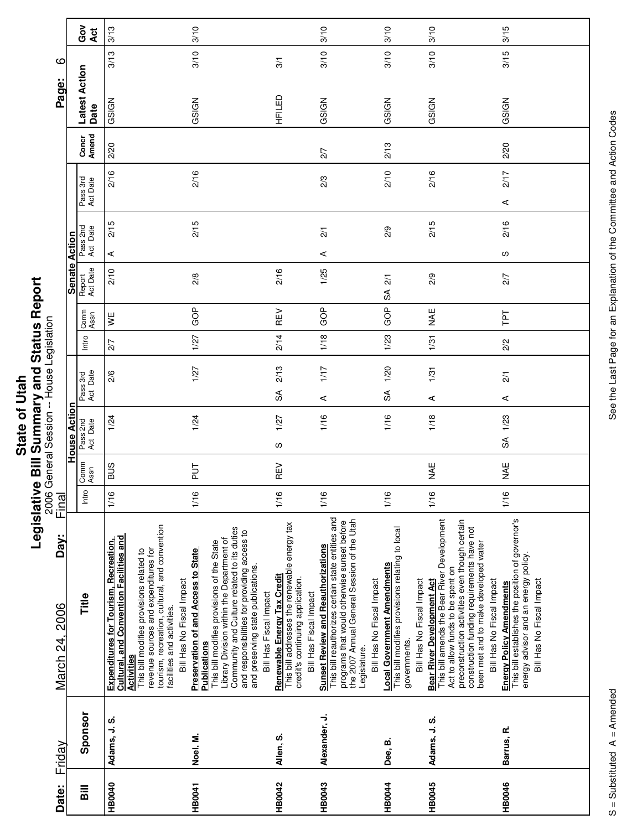|             | U       |
|-------------|---------|
|             |         |
|             | i       |
| <b>ltal</b> |         |
|             |         |
|             |         |
|             |         |
|             |         |
| ì           |         |
|             |         |
| <b>Stat</b> | ā       |
|             |         |
|             | --<br>0 |
|             |         |
|             | ؟       |
|             |         |

|                        |               | ဝီ<br>ပိ<br><b>Act</b> | 3/13                                                                                                                                                                                                                                                                                                         | 3/10                                                                                                                                                                                                                                                                                                                        |                                                                                                                                           | 3/10                                                                                                                                                                                                                                      | 3/10                                                                                                                               | 3/10                                                                                                                                                                                                                                                                                | 3/15                                                                                                                                              |
|------------------------|---------------|------------------------|--------------------------------------------------------------------------------------------------------------------------------------------------------------------------------------------------------------------------------------------------------------------------------------------------------------|-----------------------------------------------------------------------------------------------------------------------------------------------------------------------------------------------------------------------------------------------------------------------------------------------------------------------------|-------------------------------------------------------------------------------------------------------------------------------------------|-------------------------------------------------------------------------------------------------------------------------------------------------------------------------------------------------------------------------------------------|------------------------------------------------------------------------------------------------------------------------------------|-------------------------------------------------------------------------------------------------------------------------------------------------------------------------------------------------------------------------------------------------------------------------------------|---------------------------------------------------------------------------------------------------------------------------------------------------|
| ဖ                      |               |                        | 3/13                                                                                                                                                                                                                                                                                                         | 3/10                                                                                                                                                                                                                                                                                                                        | 3/1                                                                                                                                       | 3/10                                                                                                                                                                                                                                      | 3/10                                                                                                                               | 3/10                                                                                                                                                                                                                                                                                | 3/15                                                                                                                                              |
| Page:                  |               | Latest Action<br>Date  | GSIGN                                                                                                                                                                                                                                                                                                        | GSIGN                                                                                                                                                                                                                                                                                                                       | HFILED                                                                                                                                    | GSIGN                                                                                                                                                                                                                                     | GSIGN                                                                                                                              | GSIGN                                                                                                                                                                                                                                                                               | GSIGN                                                                                                                                             |
|                        |               | Amend<br>Concr         | 2/20                                                                                                                                                                                                                                                                                                         |                                                                                                                                                                                                                                                                                                                             |                                                                                                                                           | 2/7                                                                                                                                                                                                                                       | 2/13                                                                                                                               |                                                                                                                                                                                                                                                                                     | 2/20                                                                                                                                              |
|                        |               | Pass 3rd<br>Act Date   | 2/16                                                                                                                                                                                                                                                                                                         | 2/16                                                                                                                                                                                                                                                                                                                        |                                                                                                                                           | 2/3                                                                                                                                                                                                                                       | 2/10                                                                                                                               | 2/16                                                                                                                                                                                                                                                                                | 2/17<br>$\prec$                                                                                                                                   |
|                        |               | Pass 2nd<br>Act Date   | 2/15<br>⋖                                                                                                                                                                                                                                                                                                    | 2/15                                                                                                                                                                                                                                                                                                                        |                                                                                                                                           | $\overline{2}/1$<br>⋖                                                                                                                                                                                                                     | 2/9                                                                                                                                | 2/15                                                                                                                                                                                                                                                                                | 2/16<br>w                                                                                                                                         |
|                        | Senate Action | Report<br>Act Date     | 2/10                                                                                                                                                                                                                                                                                                         | 2/8                                                                                                                                                                                                                                                                                                                         | 2/16                                                                                                                                      | 1/25                                                                                                                                                                                                                                      | $\frac{2}{1}$<br>S                                                                                                                 | 2/9                                                                                                                                                                                                                                                                                 | 2/7                                                                                                                                               |
|                        |               | Comm<br>Assn           | y≝                                                                                                                                                                                                                                                                                                           | GOP                                                                                                                                                                                                                                                                                                                         | REV                                                                                                                                       | GOP                                                                                                                                                                                                                                       | GOP                                                                                                                                | ¥¥                                                                                                                                                                                                                                                                                  | ΓPΤ                                                                                                                                               |
|                        |               | Intro                  | 2/7                                                                                                                                                                                                                                                                                                          | 1/27                                                                                                                                                                                                                                                                                                                        | 2/14                                                                                                                                      | 1/18                                                                                                                                                                                                                                      | 1/23                                                                                                                               | 1/31                                                                                                                                                                                                                                                                                | 2/2                                                                                                                                               |
|                        |               | Act Date<br>Pass 3rd   | 2/6                                                                                                                                                                                                                                                                                                          | 1/27                                                                                                                                                                                                                                                                                                                        | 2/13<br>$\mathfrak{F}$                                                                                                                    | 1/17<br>⋖                                                                                                                                                                                                                                 | 1/20<br>S                                                                                                                          | 1/31<br>⋖                                                                                                                                                                                                                                                                           | $\frac{2}{1}$<br>⋖                                                                                                                                |
|                        | House Action  | Pass 2nd<br>Act Date   | 1/24                                                                                                                                                                                                                                                                                                         | 1/24                                                                                                                                                                                                                                                                                                                        | 1/27<br>w                                                                                                                                 | 1/16                                                                                                                                                                                                                                      | 1/16                                                                                                                               | 1/18                                                                                                                                                                                                                                                                                | 1/23<br>SA                                                                                                                                        |
|                        |               | Comm<br>Assn           | <b>SUB</b>                                                                                                                                                                                                                                                                                                   | 71a                                                                                                                                                                                                                                                                                                                         | REV                                                                                                                                       |                                                                                                                                                                                                                                           |                                                                                                                                    | ¥¥                                                                                                                                                                                                                                                                                  | ¥¥                                                                                                                                                |
| Final                  |               | Intro                  | 1/16                                                                                                                                                                                                                                                                                                         | 1/16                                                                                                                                                                                                                                                                                                                        | 1/16                                                                                                                                      | 1/16                                                                                                                                                                                                                                      | 1/16                                                                                                                               | 1/16                                                                                                                                                                                                                                                                                | 1/16                                                                                                                                              |
| Day:<br>March 24, 2006 |               | Title                  | tourism, recreation, cultural, and convention<br>Cultural, and Convention Facilities and<br><b>Expenditures for Tourism, Recreation,</b><br>revenue sources and expenditures for<br>This bill modifies provisions related to<br>Bill Has No Fiscal Impact<br>facilities and activities.<br><b>Activities</b> | Community and Culture related to its duties<br>and responsibilities for providing access to<br>Library Division within the Department of<br>This bill modifies provisions of the State<br><b>Preservation of and Access to State</b><br>and preserving state publications.<br>Bill Has Fiscal Impact<br><b>Publications</b> | This bill addresses the renewable energy tax<br>Renewable Energy Tax Credit<br>credit's continuing application.<br>Bill Has Fiscal Impact | This bill reauthorizes certain state entities and<br>the 2007 Annual General Session of the Utah<br>programs that would otherwise sunset before<br><b>Sunset Review and Reauthorizations</b><br>Bill Has No Fiscal Impact<br>Legislature. | This bill modifies provisions relating to local<br><b>Local Government Amendments</b><br>Bill Has No Fiscal Impact<br>governments. | This bill amends the Bear River Development<br>preconstruction activities even though certain<br>construction funding requirements have not<br>been met and to make developed water<br>Act to allow funds to be spent on<br>Bear River Development Act<br>Bill Has No Fiscal Impact | This bill establishes the position of governor's<br>energy advisor and an energy policy.<br>Bill Has No Fiscal Impact<br>Energy Policy Amendments |
| Friday                 |               | Sponsor                | Adams, J.S.                                                                                                                                                                                                                                                                                                  | Noel, M.                                                                                                                                                                                                                                                                                                                    | Allen, S.                                                                                                                                 | Alexander, J.                                                                                                                                                                                                                             | Dee, B.                                                                                                                            | Adams, J.S.                                                                                                                                                                                                                                                                         | Barrus, R.                                                                                                                                        |
| Date:                  |               | Bill                   | HB0040                                                                                                                                                                                                                                                                                                       | <b>HB0041</b>                                                                                                                                                                                                                                                                                                               | <b>HB0042</b>                                                                                                                             | HB0043                                                                                                                                                                                                                                    | <b>HB0044</b>                                                                                                                      | HB0045                                                                                                                                                                                                                                                                              | <b>HB0046</b>                                                                                                                                     |

See the Last Page for an Explanation of the Committee and Action Codes S = Substituted A = Amended A = Amendes See the Last Page for an Explanation of the Committee and Action Codes

 $\overline{\phantom{a}}$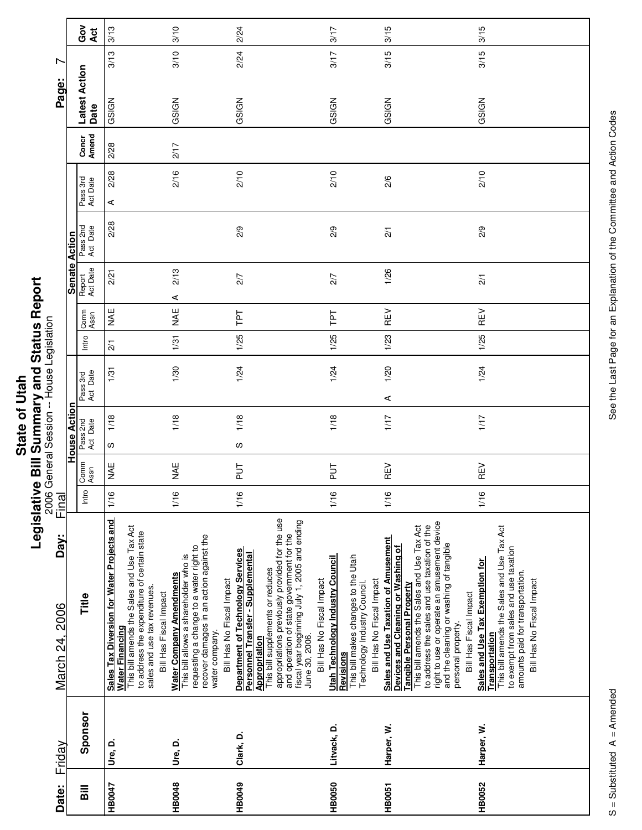|                    | í<br>i                                                                                            |
|--------------------|---------------------------------------------------------------------------------------------------|
|                    | ς<br>ŗ                                                                                            |
|                    |                                                                                                   |
| Ċ<br>Σí<br>י<br>לו | i<br>֖֖֖֖֧֖֧֧֧֧֧֧֧֧֧֧֧֧֧֧֧֚֚֚֚֚֚֚֚֚֚֚֚֚֚֚֚֬֝֓֕֓֡֬֝֬֝֓֝֬֝֓֬֝֓֝֬֓֓֝֓֝֬֓֝֬֝֓֝֬֝֬֝֬֝֓֝֬֝֬֝֬֝֬֝֬֝<br>ı |
|                    | ֠                                                                                                 |
|                    | E                                                                                                 |

|                                      |                      | Got<br>Act              | 3/13                                                                                                                                                                                                                | 3/10                                                                                                                                                                                                           | 2/24                                                                                                                                                                                                                                                                                                                              | 3/17                                                                                                                                              | 3/15                                                                                                                                                                                                                                                                                                                                                   | 3/15                                                                                                                                                                                                             |
|--------------------------------------|----------------------|-------------------------|---------------------------------------------------------------------------------------------------------------------------------------------------------------------------------------------------------------------|----------------------------------------------------------------------------------------------------------------------------------------------------------------------------------------------------------------|-----------------------------------------------------------------------------------------------------------------------------------------------------------------------------------------------------------------------------------------------------------------------------------------------------------------------------------|---------------------------------------------------------------------------------------------------------------------------------------------------|--------------------------------------------------------------------------------------------------------------------------------------------------------------------------------------------------------------------------------------------------------------------------------------------------------------------------------------------------------|------------------------------------------------------------------------------------------------------------------------------------------------------------------------------------------------------------------|
| L                                    |                      |                         | 3/13                                                                                                                                                                                                                | 3/10                                                                                                                                                                                                           | 2/24                                                                                                                                                                                                                                                                                                                              | 3/17                                                                                                                                              | 3/15                                                                                                                                                                                                                                                                                                                                                   | 3/15                                                                                                                                                                                                             |
| Page:                                |                      | Latest Action<br>Date   | GSIGN                                                                                                                                                                                                               | GSIGN                                                                                                                                                                                                          | GSIGN                                                                                                                                                                                                                                                                                                                             | GSIGN                                                                                                                                             | GSIGN                                                                                                                                                                                                                                                                                                                                                  | GSIGN                                                                                                                                                                                                            |
|                                      |                      | Concr<br>Amend          | 2/28                                                                                                                                                                                                                | 2/17                                                                                                                                                                                                           |                                                                                                                                                                                                                                                                                                                                   |                                                                                                                                                   |                                                                                                                                                                                                                                                                                                                                                        |                                                                                                                                                                                                                  |
|                                      |                      | Pass 3rd<br>Act Date    | 2/28<br>⋖                                                                                                                                                                                                           | 2/16                                                                                                                                                                                                           | 2/10                                                                                                                                                                                                                                                                                                                              | 2/10                                                                                                                                              | 2/6                                                                                                                                                                                                                                                                                                                                                    | 2/10                                                                                                                                                                                                             |
|                                      |                      | Pass 2nd<br>Act Date    | 2/28                                                                                                                                                                                                                |                                                                                                                                                                                                                | 2/9                                                                                                                                                                                                                                                                                                                               | 2/9                                                                                                                                               | $\frac{2}{1}$                                                                                                                                                                                                                                                                                                                                          | 2/9                                                                                                                                                                                                              |
|                                      | <b>Senate Action</b> | Report<br>Act Date      | 2/21                                                                                                                                                                                                                | 2/13<br>$\prec$                                                                                                                                                                                                | 2/7                                                                                                                                                                                                                                                                                                                               | 2/7                                                                                                                                               | 1/26                                                                                                                                                                                                                                                                                                                                                   | $\overline{21}$                                                                                                                                                                                                  |
|                                      |                      | Comm<br>Assn            | ¥⊾                                                                                                                                                                                                                  | ¥¥                                                                                                                                                                                                             | Ιd1                                                                                                                                                                                                                                                                                                                               | ΓPΤ                                                                                                                                               | REV                                                                                                                                                                                                                                                                                                                                                    | REV                                                                                                                                                                                                              |
|                                      |                      | Intro                   | $\overline{21}$                                                                                                                                                                                                     | 1/31                                                                                                                                                                                                           | 1/25                                                                                                                                                                                                                                                                                                                              | 1/25                                                                                                                                              | 1/23                                                                                                                                                                                                                                                                                                                                                   | 1/25                                                                                                                                                                                                             |
| General Session -- House Legislation |                      | Pass 3rd<br>Act Date    | 1/31                                                                                                                                                                                                                | 1/30                                                                                                                                                                                                           | 1/24                                                                                                                                                                                                                                                                                                                              | 1/24                                                                                                                                              | 1/20<br>⋖                                                                                                                                                                                                                                                                                                                                              | 1/24                                                                                                                                                                                                             |
|                                      | <b>House Action</b>  | Pass 2nd<br>Act Date    | 1/18<br>S                                                                                                                                                                                                           | 1/18                                                                                                                                                                                                           | 1/18<br>ပ                                                                                                                                                                                                                                                                                                                         | 1/18                                                                                                                                              | 1/17                                                                                                                                                                                                                                                                                                                                                   | 1/17                                                                                                                                                                                                             |
|                                      |                      | Comm<br>Assn            | M<br>AE                                                                                                                                                                                                             | MAE                                                                                                                                                                                                            | $\frac{1}{2}$                                                                                                                                                                                                                                                                                                                     | $\frac{1}{2}$                                                                                                                                     | REV                                                                                                                                                                                                                                                                                                                                                    | REV                                                                                                                                                                                                              |
| 2006<br>Final                        |                      | Intro                   | 1/16                                                                                                                                                                                                                | 1/16                                                                                                                                                                                                           | 1/16                                                                                                                                                                                                                                                                                                                              | 1/16                                                                                                                                              | 1/16                                                                                                                                                                                                                                                                                                                                                   | 1/16                                                                                                                                                                                                             |
| Day:<br>March 24, 2006               |                      | Title                   | Sales Tax Diversion for Water Projects and<br>Water Financing<br>This bill amends the Sales and Use Tax Act<br>to address the expenditure of certain state<br>sales and use tax revenues.<br>Bill Has Fiscal Impact | recover damages in an action against the<br>This bill allows a shareholder who is<br>requesting a change to a water right to<br><b>Water Company Amendments</b><br>Bill Has No Fiscal Impact<br>water company. | appropriations previously provided for the use<br>fiscal year beginning July 1, 2005 and ending<br>June 30, 2006.<br>and operation of state government for the<br><b>Department of Technology Services</b><br>Personnel Transfer - Supplemental<br>This bill supplements or reduces<br>Bill Has No Fiscal Impact<br>Appropriation | This bill makes changes to the Utah<br>Technology Industry Council.<br>Utah Technology Industry Council<br>Bill Has No Fiscal Impact<br>Revisions | right to use or operate an amusement device<br>This bill amends the Sales and Use Tax Act<br>to address the sales and use taxation of the<br>Sales and Use Taxation of Amusement<br>and the cleaning or washing of tangible<br>Devices and Cleaning or Washing of<br><b>Tangible Personal Property</b><br>Bill Has Fiscal Impact<br>personal property. | This bill amends the Sales and Use Tax Act<br>to exempt from sales and use taxation<br>Sales and Use Tax Exemption for<br>amounts paid for transportation.<br>Bill Has No Fiscal Impact<br><b>Transportation</b> |
| Friday                               |                      | Sponsor                 | Ure, D.                                                                                                                                                                                                             | Ure, D.                                                                                                                                                                                                        | Clark, D.                                                                                                                                                                                                                                                                                                                         | Litvack, D.                                                                                                                                       | Harper, W.                                                                                                                                                                                                                                                                                                                                             | Harper, W.                                                                                                                                                                                                       |
| Date:                                |                      | $\overline{\mathsf{B}}$ | HB0047                                                                                                                                                                                                              | HB0048                                                                                                                                                                                                         | HB0049                                                                                                                                                                                                                                                                                                                            | <b>HB0050</b>                                                                                                                                     | <b>HB0051</b>                                                                                                                                                                                                                                                                                                                                          | <b>HB0052</b>                                                                                                                                                                                                    |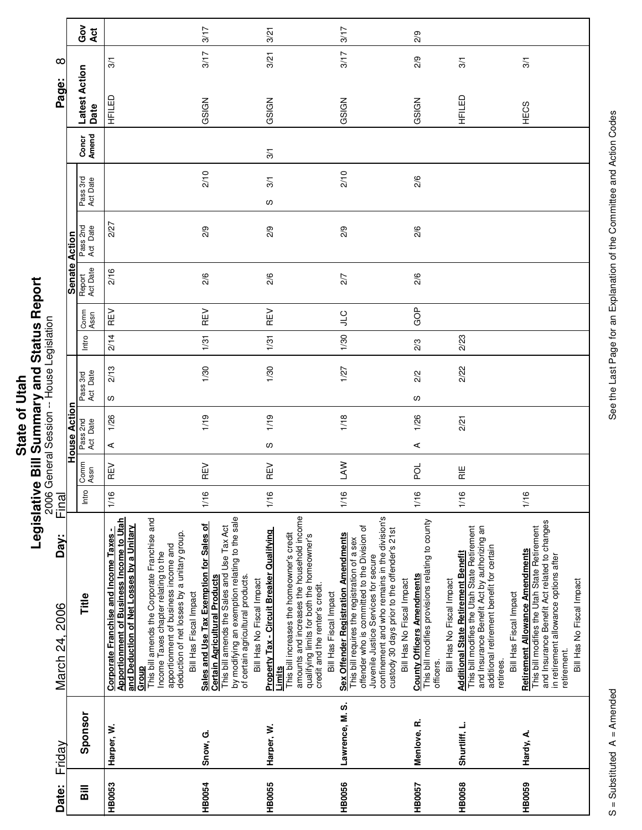|           | ī    |
|-----------|------|
| j,        |      |
|           |      |
|           |      |
| C         |      |
| ر<br>d    |      |
| ธี        |      |
| <u>ನದ</u> | j    |
|           |      |
|           | ֚֚֬֕ |
|           | Ä    |
|           |      |
|           | I    |
|           |      |

| Date:          | Friday          | Day:<br>March 24, 2006                                                                                                                                                                                                                                                                                                 | Final |                 |                      |      |                      |       |              |                    |                      |                      |                | ∞<br>Page:            |                |
|----------------|-----------------|------------------------------------------------------------------------------------------------------------------------------------------------------------------------------------------------------------------------------------------------------------------------------------------------------------------------|-------|-----------------|----------------------|------|----------------------|-------|--------------|--------------------|----------------------|----------------------|----------------|-----------------------|----------------|
|                |                 |                                                                                                                                                                                                                                                                                                                        |       |                 | House Action         |      |                      |       |              |                    | <b>Senate Action</b> |                      |                |                       |                |
| $\overline{B}$ | Sponsor         | Title                                                                                                                                                                                                                                                                                                                  | Intro | Comm<br>Assn    | Pass 2nd<br>Act Date |      | Act Date<br>Pass 3rd | Intro | Comm<br>Assn | Act Date<br>Report | Pass 2nd<br>Act Date | Pass 3rd<br>Act Date | Amend<br>Concr | Latest Action<br>Date | ဝိ<br>ဝ<br>Act |
| <b>HB0053</b>  | Harper, W.      | This bill amends the Corporate Franchise and<br>Apportionment of Business Income to Utah<br>and Deduction of Net Losses by a Unitary<br>Corporate Franchise and Income Taxes -<br>deduction of net losses by a unitary group.<br>apportionment of business income and<br>Income Taxes chapter relating to the<br>Group | 1/16  | REV             | ⋖                    | 1/26 | 2/13<br>လ            | 2/14  | REV          | 2/16               | 2/27                 |                      |                | 3/1<br>品开             |                |
| <b>HB0054</b>  | Snow, G.        | by modifying an exemption relating to the sale<br>Sales and Use Tax Exemption for Sales of<br>This bill amends the Sales and Use Tax Act<br><b>Certain Agricultural Products</b><br>of certain agricultural products.<br>Bill Has Fiscal Impact                                                                        | 1/16  | REV             |                      | 1/19 | 1/30                 | 1/31  | REV          | 2/6                | 2/9                  | 2/10                 |                | 3/17<br>GSIGN         | 3/17           |
| <b>HB0055</b>  | Harper, W.      | amounts and increases the household income<br><b>Property Tax - Circuit Breaker Qualifying</b><br>This bill increases the homeowner's credit<br>qualifying limits for both the homeowner's<br>Bill Has No Fiscal Impact<br>credit and the renter's credit.<br>Bill Has Fiscal Impact<br>Limits                         | 1/16  | REV             | w                    | 1/19 | 1/30                 | 1/31  | REV          | 2/6                | 2/9                  | 3/1<br>လ             | 3/1            | 3/21<br>GSIGN         | 3/21           |
| <b>HB0056</b>  | Lawrence, M. S. | confinement and who remains in the division's<br>offender who is committed to the Division of<br>custody 30 days prior to the offender's 21st<br>Sex Offender Registration Amendments<br>This bill requires the registration of a sex<br>Juvenile Justice Services for secure<br>Bill Has No Fiscal Impact             | 1/16  | <b>NVT</b>      |                      | 1/18 | 1/27                 | 1/30  | CTP          | 2/7                | 2/9                  | 2/10                 |                | 3/17<br>GSIGN         | 3/17           |
| HB0057         | Menlove, R.     | This bill modifies provisions relating to county<br><b>County Officers Amendments</b><br>Bill Has No Fiscal Impact<br>officers                                                                                                                                                                                         | 1/16  | ಕ್ಷ             | ⋖                    | 1/26 | 2/2<br>w             | 2/3   | GOP          | 2/6                | 2/6                  | 2/6                  |                | 2/9<br>GSIGN          | 2/9            |
| <b>HB0058</b>  | Shurtliff, L.   | This bill modifies the Utah State Retirement<br>and Insurance Benefit Act by authorizing an<br>additional retirement benefit for certain<br><b>Additional State Retirement Benefit</b><br>retirees.                                                                                                                    | 1/16  | $\frac{11}{11}$ |                      | 2/21 | 2/22                 | 2/23  |              |                    |                      |                      |                | 3/1<br>HFILED         |                |
| <b>HB0059</b>  | Hardy, A.       | and Insurance Benefit Act related to changes<br>in retirement allowance options after<br>This bill modifies the Utah State Retirement<br>Retirement Allowance Amendments<br>Bill Has No Fiscal Impact<br>Bill Has Fiscal Impact<br>retirement.                                                                         | 1/16  |                 |                      |      |                      |       |              |                    |                      |                      |                | 3/1<br>HECS           |                |

See the Last Page for an Explanation of the Committee and Action Codes S = Substituted A = Amended A = Amendes See the Last Page for an Explanation of the Committee and Action Codes

 $\overline{\phantom{a}}$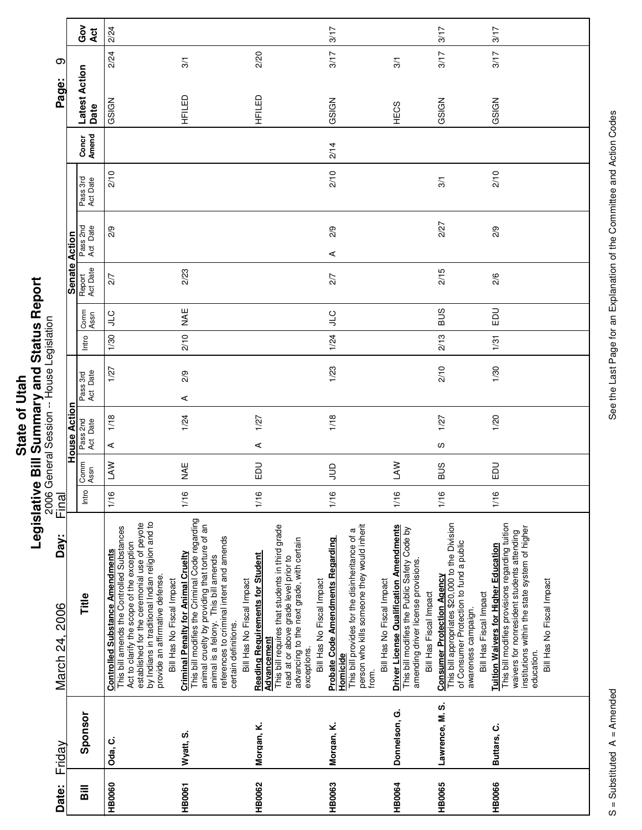|                 | ō                |
|-----------------|------------------|
| C<br><u>ରାସ</u> | ŗ<br>è<br>į<br>Į |

|                        |               | ဝီ<br>ပိ<br><b>Act</b> | 2/24                                                                                                                                                                                                                                                                                                  |                                                                                                                                                                                                                                                                                         |                                                                                                                                                                                                                                             | 3/17                                                                                                                                                                                        |                                                                                                                                                                 | 3/17                                                                                                                                                                             | 3/17                                                                                                                                                                                                                                      |
|------------------------|---------------|------------------------|-------------------------------------------------------------------------------------------------------------------------------------------------------------------------------------------------------------------------------------------------------------------------------------------------------|-----------------------------------------------------------------------------------------------------------------------------------------------------------------------------------------------------------------------------------------------------------------------------------------|---------------------------------------------------------------------------------------------------------------------------------------------------------------------------------------------------------------------------------------------|---------------------------------------------------------------------------------------------------------------------------------------------------------------------------------------------|-----------------------------------------------------------------------------------------------------------------------------------------------------------------|----------------------------------------------------------------------------------------------------------------------------------------------------------------------------------|-------------------------------------------------------------------------------------------------------------------------------------------------------------------------------------------------------------------------------------------|
| တ                      |               |                        | 2/24                                                                                                                                                                                                                                                                                                  | 3/1                                                                                                                                                                                                                                                                                     | 2/20                                                                                                                                                                                                                                        | 3/17                                                                                                                                                                                        | 3/1                                                                                                                                                             | 3/17                                                                                                                                                                             | 3/17                                                                                                                                                                                                                                      |
| Page:                  |               | Latest Action<br>Date  | GSIGN                                                                                                                                                                                                                                                                                                 | HFILED                                                                                                                                                                                                                                                                                  | HFILED                                                                                                                                                                                                                                      | GSIGN                                                                                                                                                                                       | HECS                                                                                                                                                            | GSIGN                                                                                                                                                                            | GSIGN                                                                                                                                                                                                                                     |
|                        |               | Amend<br>Concr         |                                                                                                                                                                                                                                                                                                       |                                                                                                                                                                                                                                                                                         |                                                                                                                                                                                                                                             | 2/14                                                                                                                                                                                        |                                                                                                                                                                 |                                                                                                                                                                                  |                                                                                                                                                                                                                                           |
|                        |               | Pass 3rd<br>Act Date   | 2/10                                                                                                                                                                                                                                                                                                  |                                                                                                                                                                                                                                                                                         |                                                                                                                                                                                                                                             | 2/10                                                                                                                                                                                        |                                                                                                                                                                 | 3/1                                                                                                                                                                              | 2/10                                                                                                                                                                                                                                      |
|                        |               | Pass 2nd<br>Act Date   | 2/9                                                                                                                                                                                                                                                                                                   |                                                                                                                                                                                                                                                                                         |                                                                                                                                                                                                                                             | 2/9<br>⋖                                                                                                                                                                                    |                                                                                                                                                                 | 2/27                                                                                                                                                                             | 2/9                                                                                                                                                                                                                                       |
|                        | Senate Action | Report<br>Act Date     | 2/7                                                                                                                                                                                                                                                                                                   | 2/23                                                                                                                                                                                                                                                                                    |                                                                                                                                                                                                                                             | 2/7                                                                                                                                                                                         |                                                                                                                                                                 | 2/15                                                                                                                                                                             | 2/6                                                                                                                                                                                                                                       |
|                        |               | Comm<br>Assn           | <b>CIL</b>                                                                                                                                                                                                                                                                                            | MAE                                                                                                                                                                                                                                                                                     |                                                                                                                                                                                                                                             | <b>CT</b>                                                                                                                                                                                   |                                                                                                                                                                 | <b>BUS</b>                                                                                                                                                                       | 品                                                                                                                                                                                                                                         |
|                        |               | Intro                  | 1/30                                                                                                                                                                                                                                                                                                  | 2/10                                                                                                                                                                                                                                                                                    |                                                                                                                                                                                                                                             | 1/24                                                                                                                                                                                        |                                                                                                                                                                 | 2/13                                                                                                                                                                             | 1/31                                                                                                                                                                                                                                      |
|                        |               | Act Date<br>Pass 3rd   | 1/27                                                                                                                                                                                                                                                                                                  | 2/9<br>4                                                                                                                                                                                                                                                                                |                                                                                                                                                                                                                                             | 1/23                                                                                                                                                                                        |                                                                                                                                                                 | 2/10                                                                                                                                                                             | 1/30                                                                                                                                                                                                                                      |
|                        | House Action  | Pass 2nd<br>Act Date   | 1/18                                                                                                                                                                                                                                                                                                  | 1/24                                                                                                                                                                                                                                                                                    | 1/27                                                                                                                                                                                                                                        | 1/18                                                                                                                                                                                        |                                                                                                                                                                 | 1/27                                                                                                                                                                             | 1/20                                                                                                                                                                                                                                      |
|                        |               |                        | ⋖                                                                                                                                                                                                                                                                                                     |                                                                                                                                                                                                                                                                                         | $\prec$                                                                                                                                                                                                                                     |                                                                                                                                                                                             |                                                                                                                                                                 | S                                                                                                                                                                                |                                                                                                                                                                                                                                           |
|                        |               | Comm<br>Assn           | LAW                                                                                                                                                                                                                                                                                                   | NAE                                                                                                                                                                                                                                                                                     | 品                                                                                                                                                                                                                                           | $\supseteq$                                                                                                                                                                                 | <b>NYT</b>                                                                                                                                                      | <b>SUS</b>                                                                                                                                                                       | 品                                                                                                                                                                                                                                         |
| Final                  |               | Intro                  | 1/16                                                                                                                                                                                                                                                                                                  | 1/16                                                                                                                                                                                                                                                                                    | 1/16                                                                                                                                                                                                                                        | 1/16                                                                                                                                                                                        | 1/16                                                                                                                                                            | 1/16                                                                                                                                                                             | 1/16                                                                                                                                                                                                                                      |
| Day:<br>March 24, 2006 |               | Title                  | by Indians in traditional Indian religion and to<br>established for the ceremonial use of peyote<br>This bill amends the Controlled Substances<br>Act to clarify the scope of the exception<br><b>Controlled Substance Amendments</b><br>provide an affirmative defense.<br>Bill Has No Fiscal Impact | This bill modifies the Criminal Code regarding<br>animal cruelty by providing that torture of an<br>animal is a felony. This bill amends<br>references to criminal intent and amends<br><b>Criminal Penalty for Animal Cruelty</b><br>Bill Has No Fiscal Impact<br>certain definitions. | This bill requires that students in third grade<br>advancing to the next grade, with certain<br><b>Reading Requirements for Student</b><br>read at or above grade level prior to<br>Bill Has No Fiscal Impact<br>Advancement<br>exceptions. | person who kills someone they would inherit<br>This bill provides for the disinheritance of a<br><b>Probate Code Amendments Regarding</b><br>Bill Has No Fiscal Impact<br>Homicide<br>from. | <b>Driver License Qualification Amendments</b><br>This bill modifies the Public Safety Code by<br>amending driver license provisions.<br>Bill Has Fiscal Impact | This bill appropriates \$20,000 to the Division<br>of Consumer Protection to fund a public<br><b>Consumer Protection Agency</b><br>Bill Has Fiscal Impact<br>awareness campaign. | This bill modifies provisions regarding tuition<br>institutions within the state system of higher<br>waivers for nonresident students attending<br><b>Tuition Waivers for Higher Education</b><br>Bill Has No Fiscal Impact<br>education. |
| Friday                 |               | Sponsor                | Oda, C.                                                                                                                                                                                                                                                                                               | Wyatt, S.                                                                                                                                                                                                                                                                               | Morgan, K.                                                                                                                                                                                                                                  | Morgan, K.                                                                                                                                                                                  | Donnelson, G.                                                                                                                                                   | Lawrence, M. S.                                                                                                                                                                  | Buttars, C.                                                                                                                                                                                                                               |
| Date:                  |               | Bill                   | <b>HB0060</b>                                                                                                                                                                                                                                                                                         | <b>HB0061</b>                                                                                                                                                                                                                                                                           | <b>HB0062</b>                                                                                                                                                                                                                               | HB0063                                                                                                                                                                                      | <b>HB0064</b>                                                                                                                                                   | <b>HB0065</b>                                                                                                                                                                    | <b>HB0066</b>                                                                                                                                                                                                                             |

See the Last Page for an Explanation of the Committee and Action Codes S = Substituted A = Amended A = Amendes See the Last Page for an Explanation of the Committee and Action Codes

Ц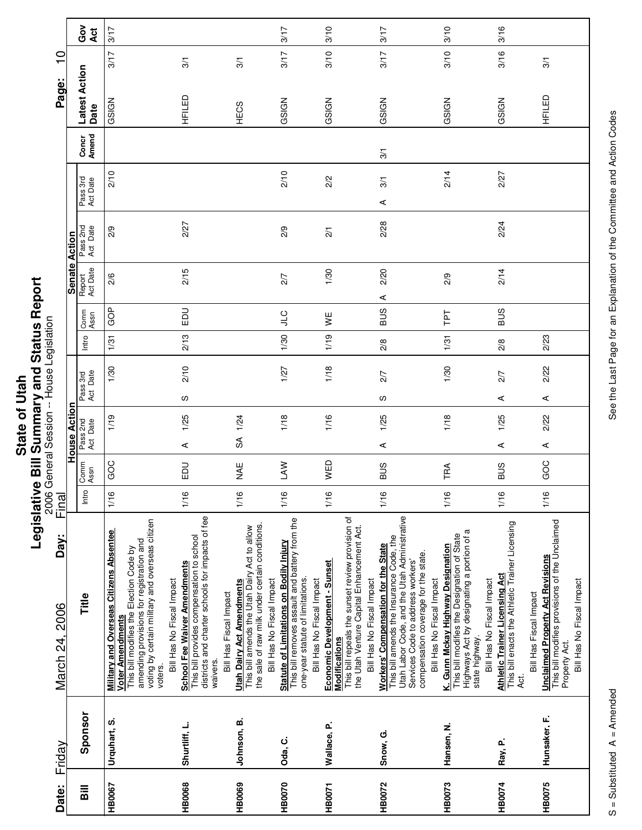|                   | i             |
|-------------------|---------------|
|                   |               |
|                   |               |
| <sup>1</sup> tai. |               |
|                   |               |
| ৳                 |               |
|                   |               |
|                   |               |
|                   |               |
|                   |               |
| State             | i             |
|                   |               |
|                   | $\frac{1}{2}$ |
|                   |               |
|                   |               |
|                   | ĺ             |

| Date:         | Friday        | Day:<br>2006<br>March 24,                                                                                                                                                                                                                       | Final |              |                      |      |                      |               |              |                    |                      |                      |                | Page:                 | $\frac{0}{1}$ |                        |
|---------------|---------------|-------------------------------------------------------------------------------------------------------------------------------------------------------------------------------------------------------------------------------------------------|-------|--------------|----------------------|------|----------------------|---------------|--------------|--------------------|----------------------|----------------------|----------------|-----------------------|---------------|------------------------|
|               |               |                                                                                                                                                                                                                                                 |       |              | <b>House Action</b>  |      |                      |               |              |                    | Senate Action        |                      |                |                       |               |                        |
| <b>Sill</b>   | Sponsor       | Title                                                                                                                                                                                                                                           | Intro | Comm<br>Assn | Pass 2nd<br>Act Date |      | Act Date<br>Pass 3rd | Intro         | Comm<br>Assn | Act Date<br>Report | Pass 2nd<br>Act Date | Pass 3rd<br>Act Date | Amend<br>Concr | Latest Action<br>Date |               | ဝီ<br>ပိ<br><b>Act</b> |
| HB0067        | Urquhart, S.  | voting by certain military and overseas citizen<br><b>Military and Overseas Citizens Absentee</b><br>amending provisions for registration and<br>This bill modifies the Election Code by<br>Voter Amendments<br>voters.                         | 1/16  | GOC          |                      | 1/19 | 1/30                 | 1/31          | GOP          | 2/6                | 2/9                  | 2/10                 |                | GSIGN                 | 3/17          | 3/17                   |
| <b>HB0068</b> | Shurtliff, L. | districts and charter schools for impacts of fee<br>This bill provides compensation to school<br>School Fee Waiver Amendments<br>Bill Has No Fiscal Impact<br>waivers                                                                           | 1/16  | 品            | ⋖                    | 1/25 | 2/10<br>လ            | 2/13          | <b>DU</b>    | 2/15               | 2/27                 |                      |                | HFILED                | 3/1           |                        |
| HB0069        | Johnson, B.   | the sale of raw milk under certain conditions.<br>This bill amends the Utah Dairy Act to allow<br><b>Utah Dairy Act Amendments</b><br>Bill Has Fiscal Impact                                                                                    | 1/16  | <b>MAE</b>   | S                    | 1/24 |                      |               |              |                    |                      |                      |                | <b>HECS</b>           | 3/1           |                        |
| HB0070        | Oda, C.       | This bill removes assault and battery from the<br>Statute of Limitations on Bodily Injury<br>one-year statute of limitations.<br>Bill Has No Fiscal Impact                                                                                      | 1/16  | <b>NV</b>    |                      | 1/18 | 1/27                 | 1/30          | $\cup$       | 2/7                | 2/9                  | 2/10                 |                | GSIGN                 | 3/17          | 3/17                   |
| HB0071        | Wallace, P.   | This bill repeals the sunset review provision of<br>the Utah Venture Capital Enhancement Act.<br>Economic Development - Sunset<br>Bill Has No Fiscal Impact<br><b>Modifications</b>                                                             | 1/16  | WED          |                      | 1/16 | 1/18                 | 1/19          | ¥            | 1/30               | $\overline{21}$      | 2/2                  |                | GSIGN                 | 3/10          | 3/10                   |
| <b>HB0072</b> | Snow, G.      | Utah Labor Code, and the Utah Administrative<br>This bill amends the Insurance Code, the<br><b>Workers' Compensation for the State</b><br>compensation coverage for the state<br>Services Code to address workers'<br>Bill Has No Fiscal Impact | 1/16  | <b>SUS</b>   | ⋖                    | 1/25 | 2/7<br>လ             | 2/8           | <b>SUS</b>   | 2/20<br>⋖          | 2/28                 | 3/1<br>⋖             | 3/1            | GSIGN                 | 3/17          | 3/17                   |
| HB0073        | Hansen, N.    | Highways Act by designating a portion of a<br>This bill modifies the Designation of State<br>K. Gunn Mckay Highway Designation<br>Bill Has No Fiscal Impact<br>state highway.                                                                   | 1/16  | TRA          |                      | 1/18 | 1/30                 | 1/31          | ΓPΤ          | 2/9                |                      | 2/14                 |                | GSIGN                 | 3/10          | 3/10                   |
| <b>HB0074</b> | Ray, P.       | This bill enacts the Athletic Trainer Licensing<br><b>Athletic Trainer Licensing Act</b><br>Bill Has No Fiscal Impact<br>ಕ್ಷ                                                                                                                    | 1/16  | <b>BUS</b>   | ⋖                    | 1/25 | 2/7<br>⋖             | $\frac{2}{8}$ | <b>BUS</b>   | 2/14               | 2/24                 | 2/27                 |                | GSIGN                 | 3/16          | 3/16                   |
| HB0075        | Hunsaker, F.  | <b>Unclaimed Property Act Revisions</b><br>This bill modifies provisions of the Unclaimed<br>Bill Has No Fiscal Impact<br>Bill Has Fiscal Impact<br>Property Act.                                                                               | 1/16  | GOC          | $\prec$              | 2/22 | 2/22<br>⋖            | 2/23          |              |                    |                      |                      |                | HFILED                | 3/1           |                        |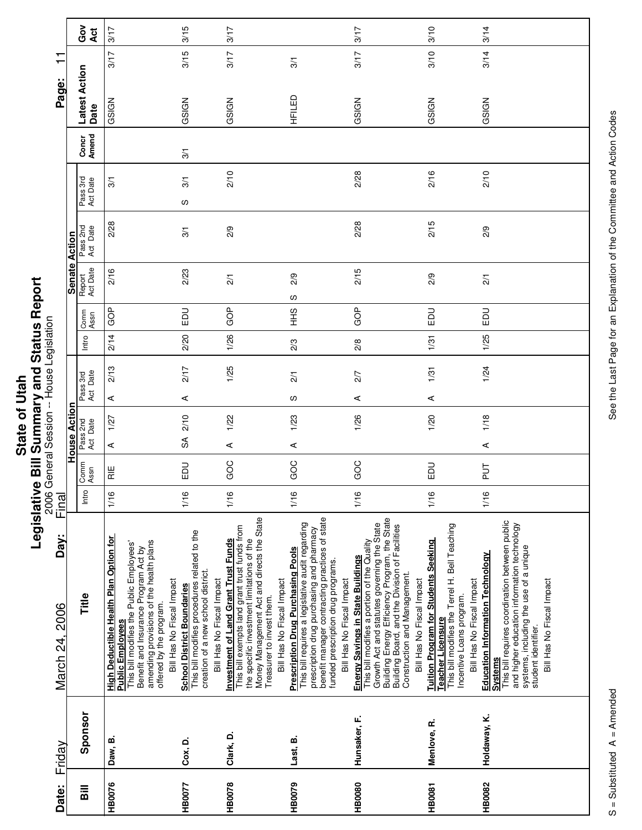| $I$ Itan. | וא או הא האו האו האו |
|-----------|----------------------|
| ഁ         |                      |
|           |                      |
|           |                      |
|           |                      |
|           |                      |
|           | ė                    |
|           |                      |
| State     |                      |
|           |                      |
|           | .<br>0               |
|           |                      |
|           |                      |
|           | י                    |
|           |                      |

|                        |                      | ဝိ<br>ဝိ<br>Act                    | 3/17                                                                                                                                                                                                                                                            | 3/15                                                                                                                                                 | 3/17                                                                                                                                                                                                                                               |                                                                                                                                                                                                                                                                 | 3/17                                                                                                                                                                                                                                                                                            | 3/10                                                                                                                                                                               | 3/14                                                                                                                                                                                                                                                     |
|------------------------|----------------------|------------------------------------|-----------------------------------------------------------------------------------------------------------------------------------------------------------------------------------------------------------------------------------------------------------------|------------------------------------------------------------------------------------------------------------------------------------------------------|----------------------------------------------------------------------------------------------------------------------------------------------------------------------------------------------------------------------------------------------------|-----------------------------------------------------------------------------------------------------------------------------------------------------------------------------------------------------------------------------------------------------------------|-------------------------------------------------------------------------------------------------------------------------------------------------------------------------------------------------------------------------------------------------------------------------------------------------|------------------------------------------------------------------------------------------------------------------------------------------------------------------------------------|----------------------------------------------------------------------------------------------------------------------------------------------------------------------------------------------------------------------------------------------------------|
| ┯<br>$\blacksquare$    |                      |                                    | 3/17                                                                                                                                                                                                                                                            | 3/15                                                                                                                                                 | 3/17                                                                                                                                                                                                                                               | 3/1                                                                                                                                                                                                                                                             | 3/17                                                                                                                                                                                                                                                                                            | 3/10                                                                                                                                                                               | 3/14                                                                                                                                                                                                                                                     |
| Page:                  |                      | Latest Action<br>Date              | GSIGN                                                                                                                                                                                                                                                           | GSIGN                                                                                                                                                | GSIGN                                                                                                                                                                                                                                              | HFILED                                                                                                                                                                                                                                                          | GSIGN                                                                                                                                                                                                                                                                                           | GSIGN                                                                                                                                                                              | GSIGN                                                                                                                                                                                                                                                    |
|                        |                      | Concr<br>Amend                     |                                                                                                                                                                                                                                                                 | 3/1                                                                                                                                                  |                                                                                                                                                                                                                                                    |                                                                                                                                                                                                                                                                 |                                                                                                                                                                                                                                                                                                 |                                                                                                                                                                                    |                                                                                                                                                                                                                                                          |
|                        |                      | Pass 3rd<br>Act Date               | 3/1                                                                                                                                                                                                                                                             | 3/1                                                                                                                                                  | 2/10                                                                                                                                                                                                                                               |                                                                                                                                                                                                                                                                 | 2/28                                                                                                                                                                                                                                                                                            | 2/16                                                                                                                                                                               | 2/10                                                                                                                                                                                                                                                     |
|                        |                      |                                    | 2/28                                                                                                                                                                                                                                                            | ပ                                                                                                                                                    |                                                                                                                                                                                                                                                    |                                                                                                                                                                                                                                                                 | 2/28                                                                                                                                                                                                                                                                                            | 2/15                                                                                                                                                                               |                                                                                                                                                                                                                                                          |
|                        | <b>Senate Action</b> | Act Date<br>Pass 2nd               |                                                                                                                                                                                                                                                                 | 3/1                                                                                                                                                  | 2/9                                                                                                                                                                                                                                                |                                                                                                                                                                                                                                                                 |                                                                                                                                                                                                                                                                                                 |                                                                                                                                                                                    | 2/9                                                                                                                                                                                                                                                      |
|                        |                      | Report<br>Act Date                 | 2/16                                                                                                                                                                                                                                                            | 2/23                                                                                                                                                 | $\overline{2}$                                                                                                                                                                                                                                     | 2/9<br>w                                                                                                                                                                                                                                                        | 2/15                                                                                                                                                                                                                                                                                            | 2/9                                                                                                                                                                                | $\overline{2}/1$                                                                                                                                                                                                                                         |
|                        |                      | Comm<br>Assn                       | GOP                                                                                                                                                                                                                                                             | EDU                                                                                                                                                  | GOP                                                                                                                                                                                                                                                | $rac{2}{3}$                                                                                                                                                                                                                                                     | GOP                                                                                                                                                                                                                                                                                             | $\Xi$                                                                                                                                                                              | $\Xi$                                                                                                                                                                                                                                                    |
|                        |                      | Intro                              | 2/14                                                                                                                                                                                                                                                            | 2/20                                                                                                                                                 | 1/26                                                                                                                                                                                                                                               | 2/3                                                                                                                                                                                                                                                             | $\frac{2}{8}$                                                                                                                                                                                                                                                                                   | 1/31                                                                                                                                                                               | 1/25                                                                                                                                                                                                                                                     |
|                        |                      | Act Date<br>Pass 3rd               | 2/13                                                                                                                                                                                                                                                            | 2/17                                                                                                                                                 | 1/25                                                                                                                                                                                                                                               | $\overline{2}/1$                                                                                                                                                                                                                                                | 2/7                                                                                                                                                                                                                                                                                             | 1/31                                                                                                                                                                               | 1/24                                                                                                                                                                                                                                                     |
|                        |                      |                                    | ⋖                                                                                                                                                                                                                                                               | ⋖                                                                                                                                                    |                                                                                                                                                                                                                                                    | ပ                                                                                                                                                                                                                                                               | ⋖                                                                                                                                                                                                                                                                                               | ⋖                                                                                                                                                                                  |                                                                                                                                                                                                                                                          |
|                        | House Action         | Pass 2nd<br>Act Date               | 1/27<br>$\prec$                                                                                                                                                                                                                                                 | 2/10<br>SÃ                                                                                                                                           | 1/22<br>⋖                                                                                                                                                                                                                                          | 1/23<br>⋖                                                                                                                                                                                                                                                       | 1/26                                                                                                                                                                                                                                                                                            | 1/20                                                                                                                                                                               | 1/18<br>⋖                                                                                                                                                                                                                                                |
|                        |                      | Comm<br>Assn                       | $\frac{11}{10}$                                                                                                                                                                                                                                                 | 品                                                                                                                                                    | GOC                                                                                                                                                                                                                                                | GOC                                                                                                                                                                                                                                                             | GOC                                                                                                                                                                                                                                                                                             | $\Xi$                                                                                                                                                                              | $\frac{1}{2}$                                                                                                                                                                                                                                            |
| Final                  |                      | Intro                              | 1/16                                                                                                                                                                                                                                                            | 1/16                                                                                                                                                 | 1/16                                                                                                                                                                                                                                               | 1/16                                                                                                                                                                                                                                                            | 1/16                                                                                                                                                                                                                                                                                            | 1/16                                                                                                                                                                               | 1/16                                                                                                                                                                                                                                                     |
| Day:<br>March 24, 2006 |                      | Title                              | <b>High Deductible Health Plan Option for</b><br>amending provisions of the health plans<br>This bill modifies the Public Employees'<br>Benefit and Insurance Program Act by<br>Bill Has No Fiscal Impact<br>offered by the program.<br><b>Public Employees</b> | This bill modifies procedures related to the<br>creation of a new school district.<br>Bill Has No Fiscal Impact<br><b>School District Boundaries</b> | Money Management Act and directs the State<br>This bill exempts land grant trust funds from<br><b>Investment of Land Grant Trust Funds</b><br>the specific investment limitations of the<br>Bill Has No Fiscal Impact<br>Treasurer to invest them. | benefit manager contracting practices of state<br>This bill requires a legislative audit regarding<br>prescription drug purchasing and pharmacy<br><b>Prescription Drug Purchasing Pools</b><br>funded prescription drug programs.<br>Bill Has No Fiscal Impact | Building Energy Efficiency Program, the State<br>Growth Act and statutes governing the State<br>Building Board, and the Division of Facilities<br>This bill modifies a portion of the Quality<br>Energy Savings in State Buildings<br>Construction and Management.<br>Bill Has No Fiscal Impact | This bill modifies the Terrel H. Bell Teaching<br><b>Tuition Program for Students Seeking</b><br>Bill Has No Fiscal Impact<br>Incentive Loans program.<br><b>Teacher Licensure</b> | This bill requires coordination between public<br>and higher education information technology<br>systems, including the use of a unique<br><b>Education Information Technology</b><br>Bill Has No Fiscal Impact<br>student identifier.<br><b>Systems</b> |
|                        |                      |                                    |                                                                                                                                                                                                                                                                 |                                                                                                                                                      |                                                                                                                                                                                                                                                    |                                                                                                                                                                                                                                                                 |                                                                                                                                                                                                                                                                                                 |                                                                                                                                                                                    |                                                                                                                                                                                                                                                          |
| Friday                 |                      | Sponsor                            | Daw, B.                                                                                                                                                                                                                                                         | Cox, D.                                                                                                                                              | Clark, D.                                                                                                                                                                                                                                          | Last, B.                                                                                                                                                                                                                                                        | Hunsaker, F.                                                                                                                                                                                                                                                                                    | Menlove, R.                                                                                                                                                                        | Holdaway, K.                                                                                                                                                                                                                                             |
| Date:                  |                      | $\overline{\overline{\mathbf{a}}}$ | HB0076                                                                                                                                                                                                                                                          | HB0077                                                                                                                                               | HB0078                                                                                                                                                                                                                                             | HB0079                                                                                                                                                                                                                                                          | <b>HB0080</b>                                                                                                                                                                                                                                                                                   | <b>HB0081</b>                                                                                                                                                                      | <b>HB0082</b>                                                                                                                                                                                                                                            |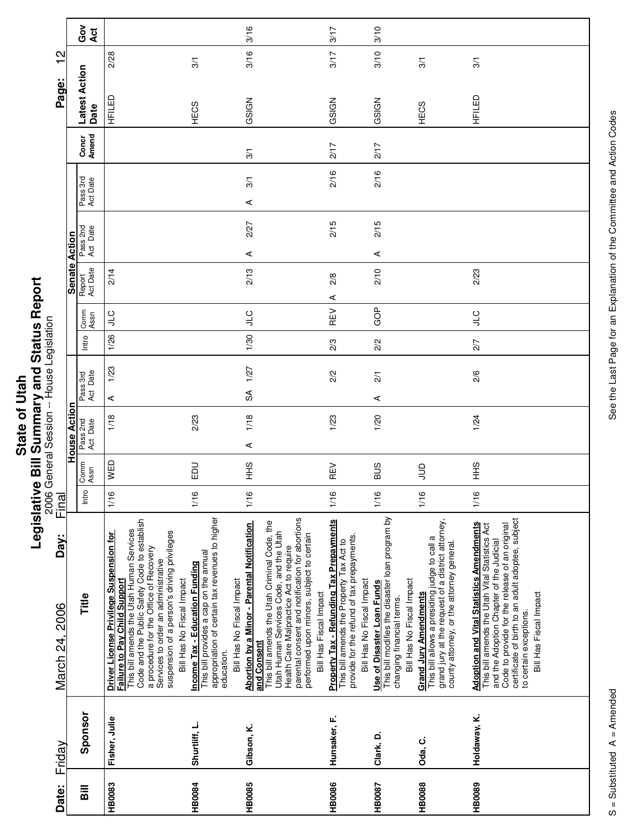| $\mathbf{e}_{11}$<br>d | , |
|------------------------|---|
|                        |   |
|                        |   |
| ā                      |   |
|                        |   |
| φ                      |   |
|                        |   |
|                        |   |
| 5iat                   |   |
|                        |   |
|                        |   |
|                        |   |
|                        |   |
|                        |   |

Г

| Date:         | Friday        | Day:<br>March 24, 2006                                                                                                                                                                                                                                                                                                           | Final |              |                      |                      |            |                       |   |                    |                      |                      |      |                | Page:                 | N<br>┯ |           |
|---------------|---------------|----------------------------------------------------------------------------------------------------------------------------------------------------------------------------------------------------------------------------------------------------------------------------------------------------------------------------------|-------|--------------|----------------------|----------------------|------------|-----------------------|---|--------------------|----------------------|----------------------|------|----------------|-----------------------|--------|-----------|
|               |               |                                                                                                                                                                                                                                                                                                                                  |       |              | House Actio          |                      |            |                       |   | <b>Senate</b>      | Action               |                      |      |                |                       |        |           |
| <b>Sill</b>   | Sponsor       | Title                                                                                                                                                                                                                                                                                                                            | Intro | Comm<br>Assn | Pass 2nd<br>Act Date | Act Date<br>Pass 3rd |            | Comm<br>Assn<br>Intro |   | Act Date<br>Report | Pass 2nd<br>Act Date | Pass 3rd<br>Act Date |      | Concr<br>Amend | Latest Action<br>Date |        | Ğo<br>Act |
| <b>HB0083</b> | Fisher, Julie | Code and the Public Safety Code to establish<br>This bill amends the Utah Human Services<br>suspension of a person's driving privileges<br>Driver License Privilege Suspension for<br>a procedure for the Office of Recovery<br>Services to order an administrative<br>Failure to Pay Child Support<br>Bill Has No Fiscal Impact | 1/16  | WED          | 1/18                 | ⋖                    | 1/23       | <b>CI</b><br>1/26     |   | 2/14               |                      |                      |      |                | 品于                    | 2/28   |           |
| <b>HB0084</b> | Shurtliff, L. | appropriation of certain tax revenues to higher<br>This bill provides a cap on the annual<br>Income Tax - Education Funding<br>Bill Has No Fiscal Impact<br>education.                                                                                                                                                           | 1/16  | <b>DU</b>    | 2/23                 |                      |            |                       |   |                    |                      |                      |      |                | HECS                  | 3/1    |           |
| <b>HB0085</b> | Gibson, K.    | parental consent and notification for abortions<br>This bill amends the Utah Criminal Code, the<br><b>Abortion by a Minor - Parental Notification</b><br>Utah Human Services Code, and the Utah<br>performed upon minors, subject to certain<br>Health Care Malpractice Act to require<br>Bill Has Fiscal Impact<br>and Consent  | 1/16  | $rac{9}{1}$  | 1/18<br>⋖            | $\mathfrak{F}$       | 1/27       | <b>CTC</b><br>1/30    |   | 2/13               | 2/27<br>⋖            | ⋖                    | 3/1  | 3/1            | GSIGN                 | 3/16   | 3/16      |
| <b>HB0086</b> | Hunsaker, F.  | <b>Property Tax - Refunding Tax Prepayments</b><br>provide for the refund of tax prepayments.<br>This bill amends the Property Tax Act to<br>Bill Has No Fiscal Impact                                                                                                                                                           | 1/16  | REV          | 1/23                 |                      | 2/3<br>2/2 | REV                   | ⋖ | 2/8                | 2/15                 |                      | 2/16 | 217            | GSIGN                 | 3/17   | 3/17      |
| <b>HB0087</b> | Clark, D.     | This bill modifies the disaster loan program by<br>Bill Has No Fiscal Impact<br>Use of Disaster Loan Funds<br>changing financial terms.                                                                                                                                                                                          | 1/16  | SUS          | 1/20                 | $\frac{2}{1}$<br>⋖   | 2/2        | GOP                   |   | 2/10               | 2/15<br>⋖            |                      | 2/16 | 217            | GSIGN                 | 3/10   | 3/10      |
| <b>HB0088</b> | Oda, C.       | grand jury at the request of a district attorney,<br>This bill allows a presiding judge to call a<br>county attorney, or the attorney general.<br><b>Grand Jury Amendments</b>                                                                                                                                                   | 1/16  | $\Xi$        |                      |                      |            |                       |   |                    |                      |                      |      |                | HECS                  | 3/1    |           |
| HB0089        | Holdaway, K.  | certificate of birth to an adult adoptee, subject<br><b>Adoption and Vital Statistics Amendments</b><br>This bill amends the Utah Vital Statistics Act<br>Code to provide for the release of an original<br>and the Adoption Chapter of the Judicial<br>Bill Has Fiscal Impact<br>to certain exceptions.                         | 1/16  | $rac{9}{1}$  | 1/24                 |                      | 2/7<br>2/6 | $\frac{1}{2}$         |   | 2/23               |                      |                      |      |                | 品半                    | 3/1    |           |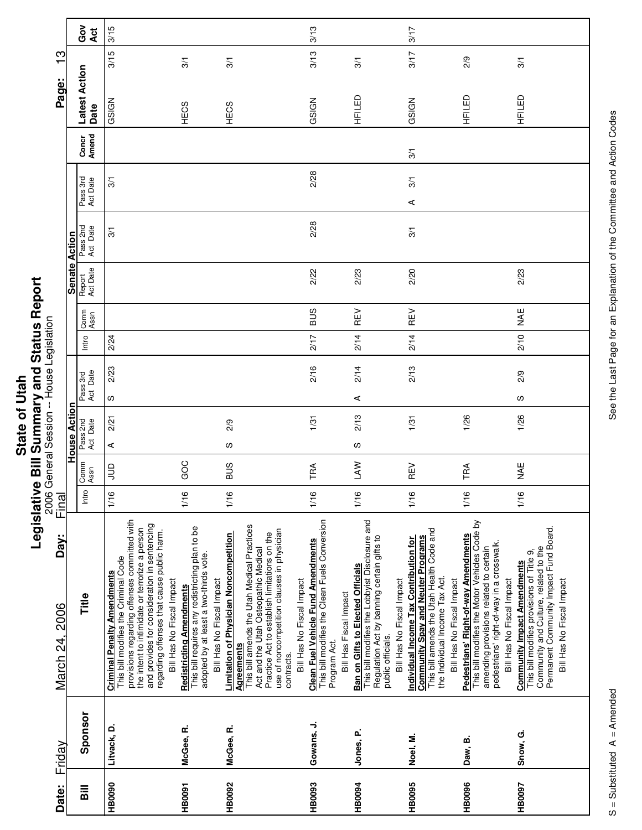|                | z,                              |
|----------------|---------------------------------|
| ٦<br>С<br>Stat | ا<br>ا<br> <br> <br> <br> <br>Í |
|                |                                 |
|                |                                 |
|                |                                 |
|                |                                 |

| Date:         | Friday      | Day:<br>March 24, 2006                                                                                                                                                                                                                                                                                  | Final |              | 2006 General Session -- House Legislation |                      |      |                       |            |                    |                      |                      |                | Page:                 | က္   |            |
|---------------|-------------|---------------------------------------------------------------------------------------------------------------------------------------------------------------------------------------------------------------------------------------------------------------------------------------------------------|-------|--------------|-------------------------------------------|----------------------|------|-----------------------|------------|--------------------|----------------------|----------------------|----------------|-----------------------|------|------------|
|               |             |                                                                                                                                                                                                                                                                                                         |       |              | House Action                              |                      |      |                       |            | Senate Action      |                      |                      |                |                       |      |            |
| Bill          | Sponsor     | Title                                                                                                                                                                                                                                                                                                   | Intro | Comm<br>Assn | Pass 2nd<br>Act Date                      | Pass 3rd<br>Act Date |      | Comm<br>Assn<br>Intro |            | Report<br>Act Date | Pass 2nd<br>Act Date | Pass 3rd<br>Act Date | Concr<br>Amend | Latest Action<br>Date |      | Gov<br>Act |
| <b>HB0090</b> | Litvack, D. | provisions regarding offenses committed with<br>and provides for consideration in sentencing<br>the intent to intimidate or terrorize a person<br>regarding offenses that cause public harm.<br>This bill modifies the Criminal Code<br><b>Criminal Penalty Amendments</b><br>Bill Has No Fiscal Impact | 1/16  | gnr          | 2/21<br>⋖                                 | w                    | 2/23 | 2/24                  |            |                    | 3/1                  | 3/1                  |                | GSIGN                 | 3/15 | 3/15       |
| <b>HB0091</b> | McGee, R.   | This bill requires any redistricting plan to be<br>adopted by at least a two-thirds vote.<br>Bill Has No Fiscal Impact<br>Redistricting Amendments                                                                                                                                                      | 1/16  | GOC          |                                           |                      |      |                       |            |                    |                      |                      |                | HECS                  | 3/1  |            |
| <b>HB0092</b> | McGee, R.   | This bill amends the Utah Medical Practices<br>use of noncompetition clauses in physician<br>Practice Act to establish limitations on the<br>Limitation of Physician Noncompetition<br>Act and the Utah Osteopathic Medical<br><b>Agreements</b><br>contracts.                                          | 1/16  | SUS          | 2/9<br>w                                  |                      |      |                       |            |                    |                      |                      |                | HECS                  | 3/1  |            |
| <b>HB0093</b> | Gowans, J.  | This bill modifies the Clean Fuels Conversion<br><b>Clean Fuel Vehicle Fund Amendments</b><br>Bill Has No Fiscal Impact<br>Bill Has Fiscal Impact<br>Program Act.                                                                                                                                       | 1/16  | TRA          | 1/31                                      |                      | 2/16 | 2/17                  | <b>SUS</b> | 2/22               | 2/28                 | 2/28                 |                | GSIGN                 | 3/13 | 3/13       |
| <b>HB0094</b> | Jones, P.   | This bill modifies the Lobbyist Disclosure and<br>Regulation Act by banning certain gifts to<br><b>Ban on Gifts to Elected Officials</b><br>Bill Has No Fiscal Impact<br>public officials.                                                                                                              | 1/16  | <b>NVT</b>   | 2/13<br>w                                 | ⋖                    | 2/14 | 2/14                  | REV        | 2/23               |                      |                      |                | HFILED                | 3/1  |            |
| HB0095        | Noel, M.    | This bill amends the Utah Health Code and<br><b>Community Spay and Neuter Programs</b><br>Individual Income Tax Contribution for<br>the Individual Income Tax Act.<br>Bill Has No Fiscal Impact                                                                                                         | 1/16  | REV          | 1/31                                      |                      | 2/13 | 2/14                  | REV        | 2/20               | $\overline{3}$       | 3/1<br>⋖             | 3/1            | GSIGN                 | 3/17 | 3/17       |
| <b>HB0096</b> | Daw, B.     | This bill modifies the Motor Vehicles Code by<br>Pedestrians' Right-of-way Amendments<br>pedestrians' right-of-way in a crosswalk.<br>amending provisions related to certain<br>Bill Has No Fiscal Impact                                                                                               | 1/16  | TRA          | 1/26                                      |                      |      |                       |            |                    |                      |                      |                | HFILED                | 2/9  |            |
| HB0097        | Snow, G.    | Permanent Community Impact Fund Board.<br>Community and Culture, related to the<br>This bill modifies provisions of Title 9,<br><b>Community Impact Amendments</b><br>Bill Has No Fiscal Impact                                                                                                         | 1/16  | ¥¥           | 1/26                                      | S                    | 2/9  | 2/10                  | <b>NAE</b> | 2/23               |                      |                      |                | HFILED                | 3/1  |            |

 $\overline{\phantom{a}}$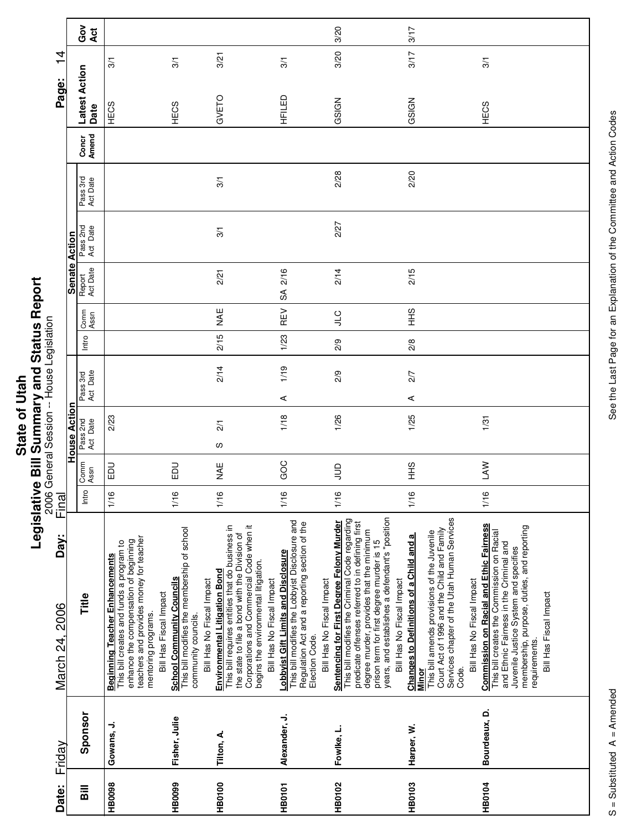|             | ζ                        |
|-------------|--------------------------|
| <b>ital</b> |                          |
|             |                          |
|             |                          |
|             |                          |
|             |                          |
| õ           | אפי השור                 |
|             | Ī                        |
|             |                          |
|             |                          |
| State       | ة                        |
|             |                          |
|             | $\overline{\phantom{a}}$ |
|             | ĺ                        |
|             |                          |

|                               |               | ဝိ<br>ပိ<br>Act       |                                                                                                                                                                                                                        |                                                                                                                                     |                                                                                                                                                                                                                                                    |                                                                                                                                                                                       | 3/20                                                                                                                                                                                                                                                                                                                    | 3/17                                                                                                                                                                                                                               |                                                                                                                                                                                                                                                                           |
|-------------------------------|---------------|-----------------------|------------------------------------------------------------------------------------------------------------------------------------------------------------------------------------------------------------------------|-------------------------------------------------------------------------------------------------------------------------------------|----------------------------------------------------------------------------------------------------------------------------------------------------------------------------------------------------------------------------------------------------|---------------------------------------------------------------------------------------------------------------------------------------------------------------------------------------|-------------------------------------------------------------------------------------------------------------------------------------------------------------------------------------------------------------------------------------------------------------------------------------------------------------------------|------------------------------------------------------------------------------------------------------------------------------------------------------------------------------------------------------------------------------------|---------------------------------------------------------------------------------------------------------------------------------------------------------------------------------------------------------------------------------------------------------------------------|
| 4<br>$\overline{\phantom{0}}$ |               |                       | $\frac{5}{2}$                                                                                                                                                                                                          | $\frac{5}{2}$                                                                                                                       | 3/21                                                                                                                                                                                                                                               | 3/1                                                                                                                                                                                   | 3/20                                                                                                                                                                                                                                                                                                                    | 3/17                                                                                                                                                                                                                               | 3/1                                                                                                                                                                                                                                                                       |
| Page:                         |               | Latest Action<br>Date | HECS                                                                                                                                                                                                                   | <b>HECS</b>                                                                                                                         | GVETO                                                                                                                                                                                                                                              | HFILED                                                                                                                                                                                | GSIGN                                                                                                                                                                                                                                                                                                                   | GSIGN                                                                                                                                                                                                                              | HECS                                                                                                                                                                                                                                                                      |
|                               |               | Concr<br>Amend        |                                                                                                                                                                                                                        |                                                                                                                                     |                                                                                                                                                                                                                                                    |                                                                                                                                                                                       |                                                                                                                                                                                                                                                                                                                         |                                                                                                                                                                                                                                    |                                                                                                                                                                                                                                                                           |
|                               |               | Pass 3rd<br>Act Date  |                                                                                                                                                                                                                        |                                                                                                                                     | 3/1                                                                                                                                                                                                                                                |                                                                                                                                                                                       | 2/28                                                                                                                                                                                                                                                                                                                    | 2/20                                                                                                                                                                                                                               |                                                                                                                                                                                                                                                                           |
|                               |               | Pass 2nd<br>Act Date  |                                                                                                                                                                                                                        |                                                                                                                                     | 3/1                                                                                                                                                                                                                                                |                                                                                                                                                                                       | 2/27                                                                                                                                                                                                                                                                                                                    |                                                                                                                                                                                                                                    |                                                                                                                                                                                                                                                                           |
|                               | Senate Action | Report<br>Act Date    |                                                                                                                                                                                                                        |                                                                                                                                     | 2/21                                                                                                                                                                                                                                               | 2/16<br>S                                                                                                                                                                             | 2/14                                                                                                                                                                                                                                                                                                                    | 2/15                                                                                                                                                                                                                               |                                                                                                                                                                                                                                                                           |
|                               |               | Comm<br>Assn          |                                                                                                                                                                                                                        |                                                                                                                                     | MAE                                                                                                                                                                                                                                                | REV                                                                                                                                                                                   | <b>CTP</b>                                                                                                                                                                                                                                                                                                              | $rac{9}{1}$                                                                                                                                                                                                                        |                                                                                                                                                                                                                                                                           |
|                               |               | Intro                 |                                                                                                                                                                                                                        |                                                                                                                                     | 2/15                                                                                                                                                                                                                                               | 1/23                                                                                                                                                                                  | 2/9                                                                                                                                                                                                                                                                                                                     | 2/8                                                                                                                                                                                                                                |                                                                                                                                                                                                                                                                           |
|                               |               | Act Date<br>Pass 3rd  |                                                                                                                                                                                                                        |                                                                                                                                     | 2/14                                                                                                                                                                                                                                               | 1/19<br>⋖                                                                                                                                                                             | 2/9                                                                                                                                                                                                                                                                                                                     | 2/7<br>⋖                                                                                                                                                                                                                           |                                                                                                                                                                                                                                                                           |
|                               | House Action  | Pass 2nd<br>Act Date  | 2/23                                                                                                                                                                                                                   |                                                                                                                                     | $\overline{21}$<br>w                                                                                                                                                                                                                               | 1/18                                                                                                                                                                                  | 1/26                                                                                                                                                                                                                                                                                                                    | 1/25                                                                                                                                                                                                                               | 1/31                                                                                                                                                                                                                                                                      |
|                               |               | Comm<br>Assn          | <b>DU</b>                                                                                                                                                                                                              | 品                                                                                                                                   | ¥¥                                                                                                                                                                                                                                                 | GOC                                                                                                                                                                                   | $\supseteq$                                                                                                                                                                                                                                                                                                             | $rac{9}{5}$                                                                                                                                                                                                                        | <b>SAN</b>                                                                                                                                                                                                                                                                |
| Final                         |               | Intro                 | 1/16                                                                                                                                                                                                                   | 1/16                                                                                                                                | 1/16                                                                                                                                                                                                                                               | 1/16                                                                                                                                                                                  | 1/16                                                                                                                                                                                                                                                                                                                    | 1/16                                                                                                                                                                                                                               | 1/16                                                                                                                                                                                                                                                                      |
| Day:<br>March 24, 2006        |               | Title                 | teachers and provides money for teacher<br>enhance the compensation of beginning<br>This bill creates and funds a program to<br><b>Beginning Teacher Enhancements</b><br>Bill Has Fiscal Impact<br>mentoring programs. | This bill modifies the membership of school<br><b>School Community Councils</b><br>Bill Has No Fiscal Impact<br>community councils. | This bill requires entities that do business in<br>Corporations and Commercial Code when it<br>the state to file a bond with the Division of<br>begins the environmental litigation.<br>Environmental Litigation Bond<br>Bill Has No Fiscal Impact | This bill modifies the Lobbyist Disclosure and<br>Regulation Act and a reporting section of the<br>Lobbyist Gift Limits and Disclosure<br>Bill Has No Fiscal Impact<br>Election Code. | years, and establishes a defendant's "position<br>This bill modifies the Criminal Code regarding<br>Sentencing for First Degree Felony Murder<br>predicate offenses referred to in defining first<br>degree murder, provides that the minimum<br>prison term for first degree murder is 15<br>Bill Has No Fiscal Impact | Services chapter of the Utah Human Services<br>Court Act of 1996 and the Child and Family<br>This bill amends provisions of the Juvenile<br>Changes to Definitions of a Child and a<br>Bill Has No Fiscal Impact<br>Code.<br>Minor | <b>Commission on Racial and Ethic Fairness</b><br>membership, purpose, duties, and reporting<br>This bill creates the Commission on Racial<br>and Ethnic Fairness in the Criminal and<br>Juvenile Justice System and specifies<br>Bill Has Fiscal Impact<br>requirements. |
| Friday                        |               | Sponsor               | Gowans, J.                                                                                                                                                                                                             | Fisher, Julie                                                                                                                       | Tilton, A.                                                                                                                                                                                                                                         | Alexander, J.                                                                                                                                                                         | Fowlke, L.                                                                                                                                                                                                                                                                                                              | Harper, W.                                                                                                                                                                                                                         | Bourdeaux, D.                                                                                                                                                                                                                                                             |
| Date:                         |               | $\overline{B}$        | <b>HB0098</b>                                                                                                                                                                                                          | <b>HB0099</b>                                                                                                                       | <b>HB0100</b>                                                                                                                                                                                                                                      | <b>HB0101</b>                                                                                                                                                                         | <b>HB0102</b>                                                                                                                                                                                                                                                                                                           | HB0103                                                                                                                                                                                                                             | <b>HB0104</b>                                                                                                                                                                                                                                                             |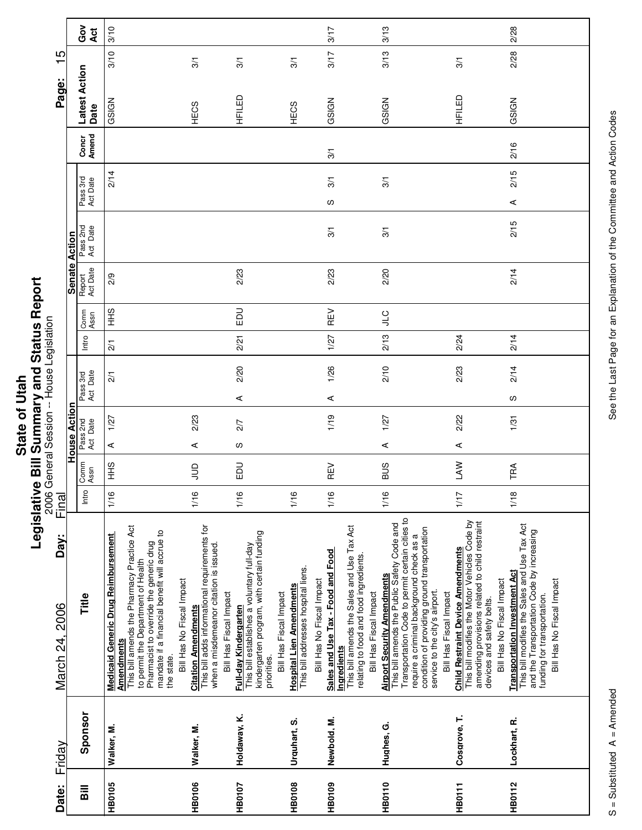| <b>Hell</b> | i |
|-------------|---|
|             |   |
|             |   |
|             |   |
|             |   |
| ð           |   |
|             |   |
|             |   |
|             |   |
| State       | ċ |
|             | í |
|             | ī |
|             |   |
|             | ٥ |
|             |   |

|                        |                     | ဝိ<br>ဝိ<br>Act       | 3/10                                                                                                                                                                                                                                            |                                                                                                                                                    |                                                                                                                                                            |                                                                                                  | 3/17                                                                                                                               | 3/13                                                                                                                                                                                                                                                 |                                                                                                                                                                                                                                                                                      | 2/28                                                                                                                                                                                                                       |
|------------------------|---------------------|-----------------------|-------------------------------------------------------------------------------------------------------------------------------------------------------------------------------------------------------------------------------------------------|----------------------------------------------------------------------------------------------------------------------------------------------------|------------------------------------------------------------------------------------------------------------------------------------------------------------|--------------------------------------------------------------------------------------------------|------------------------------------------------------------------------------------------------------------------------------------|------------------------------------------------------------------------------------------------------------------------------------------------------------------------------------------------------------------------------------------------------|--------------------------------------------------------------------------------------------------------------------------------------------------------------------------------------------------------------------------------------------------------------------------------------|----------------------------------------------------------------------------------------------------------------------------------------------------------------------------------------------------------------------------|
| $\frac{5}{1}$          |                     |                       | 3/10                                                                                                                                                                                                                                            | 3/1                                                                                                                                                | 3/1                                                                                                                                                        | 3/1                                                                                              | 3/17                                                                                                                               | 3/13                                                                                                                                                                                                                                                 | 3/1                                                                                                                                                                                                                                                                                  | 2/28                                                                                                                                                                                                                       |
| Page:                  |                     | Latest Action<br>Date | GSIGN                                                                                                                                                                                                                                           | <b>HECS</b>                                                                                                                                        | HFILED                                                                                                                                                     | HECS                                                                                             | GSIGN                                                                                                                              | GSIGN                                                                                                                                                                                                                                                | 日平                                                                                                                                                                                                                                                                                   | GSIGN                                                                                                                                                                                                                      |
|                        |                     | Concr<br>Amend        |                                                                                                                                                                                                                                                 |                                                                                                                                                    |                                                                                                                                                            |                                                                                                  | 3/1                                                                                                                                |                                                                                                                                                                                                                                                      |                                                                                                                                                                                                                                                                                      | 2/16                                                                                                                                                                                                                       |
|                        |                     | Pass 3rd<br>Act Date  | 2/14                                                                                                                                                                                                                                            |                                                                                                                                                    |                                                                                                                                                            |                                                                                                  | $\frac{5}{1}$                                                                                                                      | 3/1                                                                                                                                                                                                                                                  |                                                                                                                                                                                                                                                                                      | 2/15                                                                                                                                                                                                                       |
|                        |                     |                       |                                                                                                                                                                                                                                                 |                                                                                                                                                    |                                                                                                                                                            |                                                                                                  | S                                                                                                                                  |                                                                                                                                                                                                                                                      |                                                                                                                                                                                                                                                                                      | ⋖                                                                                                                                                                                                                          |
|                        | Action              | Pass 2nd<br>Act Date  |                                                                                                                                                                                                                                                 |                                                                                                                                                    |                                                                                                                                                            |                                                                                                  | $\frac{5}{2}$                                                                                                                      | 3/1                                                                                                                                                                                                                                                  |                                                                                                                                                                                                                                                                                      | 2/15                                                                                                                                                                                                                       |
|                        | Senate              | Report<br>Act Date    | 2/9                                                                                                                                                                                                                                             |                                                                                                                                                    | 2/23                                                                                                                                                       |                                                                                                  | 2/23                                                                                                                               | 2/20                                                                                                                                                                                                                                                 |                                                                                                                                                                                                                                                                                      | 2/14                                                                                                                                                                                                                       |
|                        |                     | Comm<br>Assn          | $rac{9}{5}$                                                                                                                                                                                                                                     |                                                                                                                                                    | 品                                                                                                                                                          |                                                                                                  | REV                                                                                                                                | $rac{C}{\sqrt{2}}$                                                                                                                                                                                                                                   |                                                                                                                                                                                                                                                                                      |                                                                                                                                                                                                                            |
|                        |                     | Intro                 | $\overline{21}$                                                                                                                                                                                                                                 |                                                                                                                                                    | 2/21                                                                                                                                                       |                                                                                                  | 1/27                                                                                                                               | 2/13                                                                                                                                                                                                                                                 | 2/24                                                                                                                                                                                                                                                                                 | 2/14                                                                                                                                                                                                                       |
|                        |                     | Act Date<br>Pass 3rd  | $\overline{21}$                                                                                                                                                                                                                                 |                                                                                                                                                    | 2/20                                                                                                                                                       |                                                                                                  | 1/26                                                                                                                               | 2/10                                                                                                                                                                                                                                                 | 2/23                                                                                                                                                                                                                                                                                 | 2/14                                                                                                                                                                                                                       |
|                        |                     |                       |                                                                                                                                                                                                                                                 |                                                                                                                                                    | ⋖                                                                                                                                                          |                                                                                                  | ⋖                                                                                                                                  |                                                                                                                                                                                                                                                      |                                                                                                                                                                                                                                                                                      | S                                                                                                                                                                                                                          |
|                        | <b>House Action</b> | Pass 2nd<br>Act Date  | 1/27                                                                                                                                                                                                                                            | 2/23                                                                                                                                               | 2/7                                                                                                                                                        |                                                                                                  | 1/19                                                                                                                               | 1/27                                                                                                                                                                                                                                                 | 2/22                                                                                                                                                                                                                                                                                 | 1/31                                                                                                                                                                                                                       |
|                        |                     |                       | ⋖                                                                                                                                                                                                                                               | ⋖                                                                                                                                                  | w                                                                                                                                                          |                                                                                                  |                                                                                                                                    | ⋖                                                                                                                                                                                                                                                    | ⋖                                                                                                                                                                                                                                                                                    |                                                                                                                                                                                                                            |
|                        |                     | Comm<br>Assn          | $rac{9}{5}$                                                                                                                                                                                                                                     | $\Xi$                                                                                                                                              | 品                                                                                                                                                          |                                                                                                  | REV                                                                                                                                | <b>SUS</b>                                                                                                                                                                                                                                           | <b>SAN</b>                                                                                                                                                                                                                                                                           | TRA                                                                                                                                                                                                                        |
| Final                  |                     | Intro                 | 1/16                                                                                                                                                                                                                                            | 1/16                                                                                                                                               | 1/16                                                                                                                                                       | 1/16                                                                                             | 1/16                                                                                                                               | 1/16                                                                                                                                                                                                                                                 | 1/17                                                                                                                                                                                                                                                                                 | 1/18                                                                                                                                                                                                                       |
| Day:<br>March 24, 2006 |                     | Title                 | This bill amends the Pharmacy Practice Act<br>mandate if a financial benefit will accrue to<br>Medicaid Generic Drug Reimbursement<br>Pharmacist to override the generic drug<br>to permit the Department of Health<br>Amendments<br>the state. | This bill adds informational requirements for<br>when a misdemeanor citation is issued.<br>Bill Has No Fiscal Impact<br><b>Citation Amendments</b> | kindergarten program, with certain funding<br>This bill establishes a voluntary full-day<br>Bill Has Fiscal Impact<br>Full-day Kindergarten<br>priorities. | This bill addresses hospital liens.<br><b>Hospital Lien Amendments</b><br>Bill Has Fiscal Impact | This bill amends the Sales and Use Tax Act<br>Sales and Use Tax - Food and Food<br>Bill Has No Fiscal Impact<br><b>Ingredients</b> | Transportation Code to permit certain cities to<br>This bill amends the Public Safety Code and<br>require a criminal background check as a<br>relating to food and food ingredients.<br><b>Airport Security Amendments</b><br>Bill Has Fiscal Impact | This bill modifies the Motor Vehicles Code by<br>amending provisions related to child restraint<br>condition of providing ground transportation<br><b>Child Restraint Device Amendments</b><br>service to the city's airport.<br>Bill Has Fiscal Impact<br>devices and safety belts. | This bill modifies the Sales and Use Tax Act<br>and the Transportation Code by increasing<br><b>Transportation Investment Act</b><br>Bill Has No Fiscal Impact<br>Bill Has No Fiscal Impact<br>funding for transportation. |
| Friday                 |                     | Sponsor               | Walker, M.                                                                                                                                                                                                                                      | Walker, M.                                                                                                                                         | Holdaway, K.                                                                                                                                               | Urquhart, S.                                                                                     | Newbold, M.                                                                                                                        | Hughes, G.                                                                                                                                                                                                                                           | Cosgrove, T.                                                                                                                                                                                                                                                                         | Lockhart, R.                                                                                                                                                                                                               |
| Date:                  |                     | $\overline{B}$        | <b>HB0105</b>                                                                                                                                                                                                                                   | HB0106                                                                                                                                             | HB0107                                                                                                                                                     | <b>HB0108</b>                                                                                    | <b>HB0109</b>                                                                                                                      | <b>HB0110</b>                                                                                                                                                                                                                                        | <b>HB0111</b>                                                                                                                                                                                                                                                                        | <b>HB0112</b>                                                                                                                                                                                                              |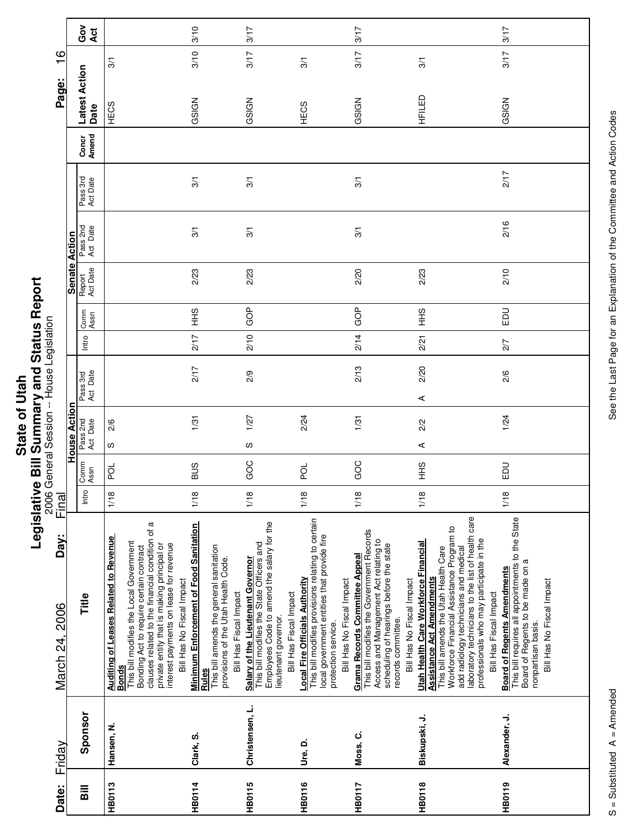|              | Ø<br>í           |
|--------------|------------------|
|              | s<br>S           |
|              |                  |
|              |                  |
| ŗ            |                  |
|              | .<br>איי האי האי |
|              |                  |
| Ó            |                  |
|              |                  |
| ഋ            |                  |
|              |                  |
| <b>State</b> |                  |
|              | $\ddot{ }$       |
|              |                  |
|              | I                |
|              |                  |
|              |                  |

|                                      |                      | Got<br>Act            |                                                                                                                                                                                                                                                                                                              | 3/10                                                                                                                                                               | 3/17                                                                                                                                                                           |                                                                                                                                                                                               | 3/17                                                                                                                                                                                                               |                                                                                                                                                                                                                                                                                                                                    | 3/17                                                                                                                                                                          |
|--------------------------------------|----------------------|-----------------------|--------------------------------------------------------------------------------------------------------------------------------------------------------------------------------------------------------------------------------------------------------------------------------------------------------------|--------------------------------------------------------------------------------------------------------------------------------------------------------------------|--------------------------------------------------------------------------------------------------------------------------------------------------------------------------------|-----------------------------------------------------------------------------------------------------------------------------------------------------------------------------------------------|--------------------------------------------------------------------------------------------------------------------------------------------------------------------------------------------------------------------|------------------------------------------------------------------------------------------------------------------------------------------------------------------------------------------------------------------------------------------------------------------------------------------------------------------------------------|-------------------------------------------------------------------------------------------------------------------------------------------------------------------------------|
| $\frac{6}{1}$                        |                      |                       | 3/1                                                                                                                                                                                                                                                                                                          | 3/10                                                                                                                                                               | 3/17                                                                                                                                                                           | 3/1                                                                                                                                                                                           | 3/17                                                                                                                                                                                                               | $\overline{3}$                                                                                                                                                                                                                                                                                                                     | 3/17                                                                                                                                                                          |
| Page:                                |                      | Latest Action<br>Date | HECS                                                                                                                                                                                                                                                                                                         | GSIGN                                                                                                                                                              | GSIGN                                                                                                                                                                          | HECS                                                                                                                                                                                          | GSIGN                                                                                                                                                                                                              | HFILED                                                                                                                                                                                                                                                                                                                             | GSIGN                                                                                                                                                                         |
|                                      |                      | Concr<br>Amend        |                                                                                                                                                                                                                                                                                                              |                                                                                                                                                                    |                                                                                                                                                                                |                                                                                                                                                                                               |                                                                                                                                                                                                                    |                                                                                                                                                                                                                                                                                                                                    |                                                                                                                                                                               |
|                                      |                      | Pass 3rd<br>Act Date  |                                                                                                                                                                                                                                                                                                              | 3/1                                                                                                                                                                | $\overline{3}$                                                                                                                                                                 |                                                                                                                                                                                               | 3/1                                                                                                                                                                                                                |                                                                                                                                                                                                                                                                                                                                    | 2/17                                                                                                                                                                          |
|                                      |                      | Pass 2nd<br>Act Date  |                                                                                                                                                                                                                                                                                                              | 3/1                                                                                                                                                                | $\overline{3}$                                                                                                                                                                 |                                                                                                                                                                                               | 3/1                                                                                                                                                                                                                |                                                                                                                                                                                                                                                                                                                                    | 2/16                                                                                                                                                                          |
|                                      | <b>Senate Action</b> | Report<br>Act Date    |                                                                                                                                                                                                                                                                                                              | 2/23                                                                                                                                                               | 2/23                                                                                                                                                                           |                                                                                                                                                                                               | 2/20                                                                                                                                                                                                               | 2/23                                                                                                                                                                                                                                                                                                                               | 2/10                                                                                                                                                                          |
|                                      |                      | Comm<br>Assn          |                                                                                                                                                                                                                                                                                                              | $\frac{1}{2}$                                                                                                                                                      | GOP                                                                                                                                                                            |                                                                                                                                                                                               | GOP                                                                                                                                                                                                                | $\frac{2}{3}$                                                                                                                                                                                                                                                                                                                      | $_{\rm E}$                                                                                                                                                                    |
|                                      |                      | Intro                 |                                                                                                                                                                                                                                                                                                              | 2/17                                                                                                                                                               | 2/10                                                                                                                                                                           |                                                                                                                                                                                               | 2/14                                                                                                                                                                                                               | 2/21                                                                                                                                                                                                                                                                                                                               | 2/7                                                                                                                                                                           |
|                                      |                      | Pass 3rd<br>Act Date  |                                                                                                                                                                                                                                                                                                              | 2/17                                                                                                                                                               | 2/9                                                                                                                                                                            |                                                                                                                                                                                               | 2/13                                                                                                                                                                                                               | 2/20<br>$\prec$                                                                                                                                                                                                                                                                                                                    | 2/6                                                                                                                                                                           |
| General Session -- House Legislation | <b>House Action</b>  | Pass 2nd<br>Act Date  | 2/6<br>S                                                                                                                                                                                                                                                                                                     | 1/31                                                                                                                                                               | 1/27<br>S                                                                                                                                                                      | 2/24                                                                                                                                                                                          | 1/31                                                                                                                                                                                                               | 2/2<br>$\prec$                                                                                                                                                                                                                                                                                                                     | 1/24                                                                                                                                                                          |
|                                      |                      | Comm<br>Assn          | pol                                                                                                                                                                                                                                                                                                          | <b>BUS</b>                                                                                                                                                         | GOC                                                                                                                                                                            | pol                                                                                                                                                                                           | GOC                                                                                                                                                                                                                | $rac{6}{5}$                                                                                                                                                                                                                                                                                                                        | $\Xi$                                                                                                                                                                         |
| 2006<br>Final                        |                      | Intro                 | 1/18                                                                                                                                                                                                                                                                                                         | 1/18                                                                                                                                                               | 1/18                                                                                                                                                                           | 1/18                                                                                                                                                                                          | 1/18                                                                                                                                                                                                               | 1/18                                                                                                                                                                                                                                                                                                                               | 1/18                                                                                                                                                                          |
| Day:<br>March 24, 2006               |                      | Title                 | Bonding Act to require certain contract<br>clauses related to the financial condition of a<br>Auditing of Leases Related to Revenue<br>Bonds<br>This bill modifies the Local Government<br>private entity that is making principal or<br>interest payments on lease for revenue<br>Bill Has No Fiscal Impact | <b>Minimum Enforcement of Food Sanitation</b><br>This bill amends the general sanitation<br>provisions of the Utah Health Code.<br>Bill Has Fiscal Impact<br>Rules | Employees Code to amend the salary for the<br>This bill modifies the State Officers and<br>Salary of the Lieutenant Governor<br>Bill Has Fiscal Impact<br>lieutenant governor. | This bill modifies provisions relating to certain<br>local government entities that provide fire<br><b>Local Fire Officials Authority</b><br>Bill Has No Fiscal Impact<br>protection service. | This bill modifies the Government Records<br>Access and Management Act relating to<br>scheduling of hearings before the state<br>Grama Records Committee Appeal<br>Bill Has No Fiscal Impact<br>records committee. | laboratory technicians to the list of health care<br>Workforce Financial Assistance Program to<br>professionals who may participate in the<br>Utah Health Care Workforce Financial<br>This bill amends the Utah Health Care<br>add radiology technicians and medical<br><b>Assistance Act Amendments</b><br>Bill Has Fiscal Impact | This bill requires all appointments to the State<br>Board of Regents to be made on a<br><b>Board of Regents Amendments</b><br>Bill Has No Fiscal Impact<br>nonpartisan basis. |
| Friday                               |                      | Sponsor               | Hansen, N.                                                                                                                                                                                                                                                                                                   | Clark, S.                                                                                                                                                          | Christensen, L.                                                                                                                                                                | Ure, D.                                                                                                                                                                                       | Moss, C.                                                                                                                                                                                                           | Biskupski, J.                                                                                                                                                                                                                                                                                                                      | Alexander, J.                                                                                                                                                                 |
| Date:                                |                      | $\overline{B}$        | <b>HB0113</b>                                                                                                                                                                                                                                                                                                | <b>HB0114</b>                                                                                                                                                      | <b>HB0115</b>                                                                                                                                                                  | <b>HB0116</b>                                                                                                                                                                                 | <b>HB0117</b>                                                                                                                                                                                                      | <b>HB0118</b>                                                                                                                                                                                                                                                                                                                      | HB0119                                                                                                                                                                        |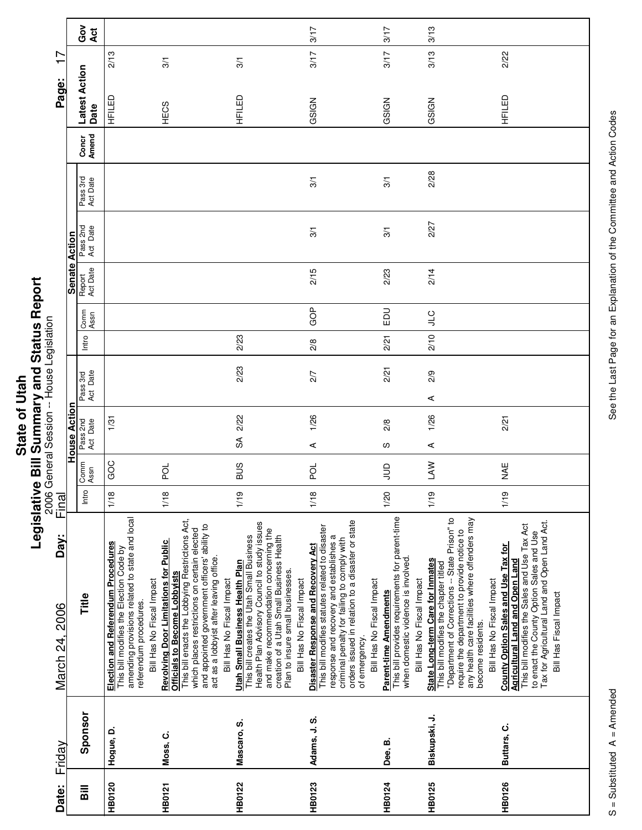|                    | ā                                |
|--------------------|----------------------------------|
| hah.<br>៑<br>State | s<br>S<br><b>C. 120 mm m m 1</b> |
|                    | ī<br>E<br>I                      |
|                    |                                  |

| Date:          | Friday        | Day:<br>March 24, 2006                                                                                                                                                                                                                                                                                           | Final |              |                      |                      |               |              |                      |                      |                      |                | Page:                 | $\overline{1}$ |
|----------------|---------------|------------------------------------------------------------------------------------------------------------------------------------------------------------------------------------------------------------------------------------------------------------------------------------------------------------------|-------|--------------|----------------------|----------------------|---------------|--------------|----------------------|----------------------|----------------------|----------------|-----------------------|----------------|
|                |               |                                                                                                                                                                                                                                                                                                                  |       |              | <b>House Action</b>  |                      |               |              | <b>Senate Action</b> |                      |                      |                |                       |                |
| $\overline{B}$ | Sponsor       | Title                                                                                                                                                                                                                                                                                                            | Intro | Comm<br>Assn | Pass 2nd<br>Act Date | Act Date<br>Pass 3rd | Intro         | Comm<br>Assn | Report<br>Act Date   | Pass 2nd<br>Act Date | Pass 3rd<br>Act Date | Amend<br>Concr | Latest Action<br>Date | Gov<br>Act     |
| <b>HB0120</b>  | Hogue, D.     | amending provisions related to state and local<br><b>Election and Referendum Procedures</b><br>This bill modifies the Election Code by<br>Bill Has No Fiscal Impact<br>referendum procedures.                                                                                                                    | 1/18  | GOC          | 1/31                 |                      |               |              |                      |                      |                      |                | 2/13<br>日子            |                |
| <b>HB0121</b>  | Moss, C.      | This bill enacts the Lobbying Restrictions Act,<br>and appointed government officers' ability to<br>which places restrictions on certain elected<br><b>Revolving Door Limitations for Public</b><br>act as a lobbyist after leaving office.<br><b>Officials to Become Lobbyists</b><br>Bill Has No Fiscal Impact | 1/18  | pol          |                      |                      |               |              |                      |                      |                      |                | 3/1<br>HECS           |                |
| <b>HB0122</b>  | Mascaro, S.   | Health Plan Advisory Council to study issues<br>and make recommendation concerning the<br>creation of a Utah Small Business Health<br>This bill creates the Utah Small Business<br>Utah Small Business Health Plan<br>Plan to insure small businesses.<br>Bill Has No Fiscal Impact                              | 1/19  | <b>BUS</b>   | 2/22<br>SÃ           | 2/23                 | 2/23          |              |                      |                      |                      |                | 3/1<br>HFILED         |                |
| <b>HB0123</b>  | Adams, J. S.  | orders issued in relation to a disaster or state<br>This bill modifies statutes related to disaster<br>response and recovery and establishes a<br>criminal penalty for failing to comply with<br>Disaster Response and Recovery Act<br>Bill Has No Fiscal Impact<br>of emergency.                                | 1/18  | pod          | 1/26<br>⋖            | 2/7                  | $\frac{8}{2}$ | GOP          | 2/15                 | 3/1                  | 3/1                  |                | 3/17<br>GSIGN         | 3/17           |
| <b>HB0124</b>  | Dee, B.       | This bill provides requirements for parent-time<br>when domestic violence is involved.<br>Bill Has No Fiscal Impact<br><b>Parent-time Amendments</b>                                                                                                                                                             | 1/20  | $\Xi$        | 2/8<br>ഗ             | 2/21                 | 2/21          | $_{\rm E}$   | 2/23                 | $\frac{5}{2}$        | 3/1                  |                | 3/17<br>GSIGN         | 3/17           |
| <b>HB0125</b>  | Biskupski, J. | "Department of Corrections -- State Prison" to<br>any health care facilities where offenders may<br>require the department to provide notice to<br>State Long-term Care for Inmates<br>This bill modifies the chapter titled<br>Bill Has No Fiscal Impact<br>become residents.                                   | 1/19  | <b>NVT</b>   | 1/26<br>⋖            | 2/9<br>⋖             | 2/10          | <b>CTP</b>   | 2/14                 | 2/27                 | 2/28                 |                | 3/13<br>GSIGN         | 3/13           |
| <b>HB0126</b>  | Buttars, C.   | Tax for Agricultural Land and Open Land Act.<br>This bill modifies the Sales and Use Tax Act<br>to enact the County Option Sales and Use<br>County Option Sales and Use Tax for<br><b>Agricultural Land and Open Land</b><br>Bill Has Fiscal Impact                                                              | 1/19  | ¥¥           | 2/21                 |                      |               |              |                      |                      |                      |                | 2/22<br>HFILED        |                |

 $\overline{\phantom{a}}$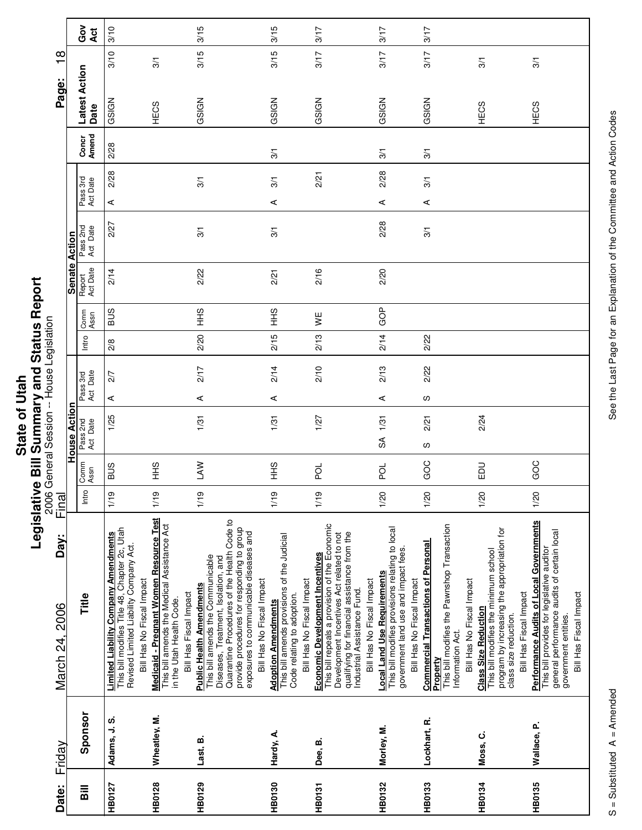| Í<br>Į                                           |
|--------------------------------------------------|
|                                                  |
|                                                  |
|                                                  |
|                                                  |
|                                                  |
|                                                  |
|                                                  |
| I                                                |
| ֖֧֧֧ׅ֧֧֪֪֪֦֧֪֪ׅ֧֚֚֚֚֚֚֚֚֚֚֚֚֚֚֚֚֚֚֡֝֓֝֬֜֓֝֬֝֓֝֬֓ |
|                                                  |
|                                                  |
|                                                  |
|                                                  |
|                                                  |
|                                                  |

| $\frac{\infty}{1}$                        |                      | Gov<br>Act            | 3/10<br>3/10                                                                                                                           | 3/1                                                                                                                 | 3/15<br>3/15                                                                                                                                                                                                     |                                                                                                                   | 3/15<br>3/15                                                                                                                         | 3/17<br>3/17                                                                                                                  |                                                                                                          | 3/17<br>3/17                                                                                                                  | 3/17<br>3/17                                                                        | 3/1                                                                                                                                                                                                                                          | 3/1                                                                                                                                                                                    |
|-------------------------------------------|----------------------|-----------------------|----------------------------------------------------------------------------------------------------------------------------------------|---------------------------------------------------------------------------------------------------------------------|------------------------------------------------------------------------------------------------------------------------------------------------------------------------------------------------------------------|-------------------------------------------------------------------------------------------------------------------|--------------------------------------------------------------------------------------------------------------------------------------|-------------------------------------------------------------------------------------------------------------------------------|----------------------------------------------------------------------------------------------------------|-------------------------------------------------------------------------------------------------------------------------------|-------------------------------------------------------------------------------------|----------------------------------------------------------------------------------------------------------------------------------------------------------------------------------------------------------------------------------------------|----------------------------------------------------------------------------------------------------------------------------------------------------------------------------------------|
| Page:                                     |                      | Latest Action<br>Date | GSIGN                                                                                                                                  | HECS                                                                                                                | GSIGN                                                                                                                                                                                                            |                                                                                                                   | GSIGN                                                                                                                                | GSIGN                                                                                                                         |                                                                                                          | GSIGN                                                                                                                         | GSIGN                                                                               | HECS                                                                                                                                                                                                                                         | HECS                                                                                                                                                                                   |
|                                           |                      | Concr<br>Amend        | 2/28                                                                                                                                   |                                                                                                                     |                                                                                                                                                                                                                  |                                                                                                                   | 3/1                                                                                                                                  |                                                                                                                               |                                                                                                          | 3/1                                                                                                                           | 3/1                                                                                 |                                                                                                                                                                                                                                              |                                                                                                                                                                                        |
|                                           |                      | Pass 3rd<br>Act Date  | 2/28<br>⋖                                                                                                                              |                                                                                                                     | 3/1                                                                                                                                                                                                              |                                                                                                                   | 3/1<br>$\prec$                                                                                                                       | 2/21                                                                                                                          |                                                                                                          | 2/28<br>⋖                                                                                                                     | 3/1<br>$\prec$                                                                      |                                                                                                                                                                                                                                              |                                                                                                                                                                                        |
|                                           |                      | Pass 2nd<br>Act Date  | 2/27                                                                                                                                   |                                                                                                                     | 3/1                                                                                                                                                                                                              |                                                                                                                   | 3/1                                                                                                                                  |                                                                                                                               |                                                                                                          | 2/28                                                                                                                          | 3/1                                                                                 |                                                                                                                                                                                                                                              |                                                                                                                                                                                        |
|                                           | <b>Senate Action</b> | Report<br>Act Date    | 2/14                                                                                                                                   |                                                                                                                     | 2/22                                                                                                                                                                                                             |                                                                                                                   | 2/21                                                                                                                                 | 2/16                                                                                                                          |                                                                                                          | 2/20                                                                                                                          |                                                                                     |                                                                                                                                                                                                                                              |                                                                                                                                                                                        |
|                                           |                      | Comm<br>Assn          | <b>BUS</b>                                                                                                                             |                                                                                                                     | $rac{9}{1}$                                                                                                                                                                                                      |                                                                                                                   | $rac{9}{5}$                                                                                                                          | VE<br>∕                                                                                                                       |                                                                                                          | GOP                                                                                                                           |                                                                                     |                                                                                                                                                                                                                                              |                                                                                                                                                                                        |
|                                           |                      | Intro                 | 2/8                                                                                                                                    |                                                                                                                     | 2/20                                                                                                                                                                                                             |                                                                                                                   | 2/15                                                                                                                                 | 2/13                                                                                                                          |                                                                                                          | 2/14                                                                                                                          | 2/22                                                                                |                                                                                                                                                                                                                                              |                                                                                                                                                                                        |
| 2006 General Session -- House Legislation |                      | Pass 3rd<br>Act Date  | 2/7                                                                                                                                    |                                                                                                                     | 2/17                                                                                                                                                                                                             |                                                                                                                   | 2/14                                                                                                                                 | 2/10                                                                                                                          |                                                                                                          | 2/13                                                                                                                          | 2/22                                                                                |                                                                                                                                                                                                                                              |                                                                                                                                                                                        |
|                                           |                      |                       | ⋖                                                                                                                                      |                                                                                                                     | ⋖                                                                                                                                                                                                                |                                                                                                                   | ⋖                                                                                                                                    |                                                                                                                               |                                                                                                          | ⋖                                                                                                                             | S                                                                                   |                                                                                                                                                                                                                                              |                                                                                                                                                                                        |
|                                           | <b>House Actior</b>  | Pass 2nd<br>Act Date  | 1/25                                                                                                                                   |                                                                                                                     | 1/31                                                                                                                                                                                                             |                                                                                                                   | 1/31                                                                                                                                 | 1/27                                                                                                                          |                                                                                                          | 1/31<br>$\mathbb S$                                                                                                           | 2/21<br>w                                                                           | 2/24                                                                                                                                                                                                                                         |                                                                                                                                                                                        |
|                                           |                      |                       | Comm<br>Assn                                                                                                                           | SUS                                                                                                                 | $rac{9}{5}$                                                                                                                                                                                                      | <b>NV</b>                                                                                                         |                                                                                                                                      | $rac{9}{5}$                                                                                                                   | pol                                                                                                      |                                                                                                                               | pol                                                                                 | GOC                                                                                                                                                                                                                                          | <b>DU</b>                                                                                                                                                                              |
| Final                                     |                      | Intro                 | 1/19                                                                                                                                   | 1/19                                                                                                                | 1/19                                                                                                                                                                                                             |                                                                                                                   | 1/19                                                                                                                                 | 1/19                                                                                                                          |                                                                                                          | 1/20                                                                                                                          | 1/20                                                                                | 1/20                                                                                                                                                                                                                                         | 1/20                                                                                                                                                                                   |
| Day:<br>March 24, 2006                    |                      | Title                 | This bill modifies Title 48, Chapter 2c, Utah<br><b>Limited Liability Company Amendments</b><br>Revised Limited Liability Company Act. | Medicaid - Pregnant Women Resource Test<br>This bill amends the Medical Assistance Act<br>Bill Has No Fiscal Impact | Quarantine Procedures of the Health Code to<br>This bill amends the Communicable<br>Diseases, Treatment, Isolation, and<br><b>Public Health Amendments</b><br>Bill Has Fiscal Impact<br>in the Utah Health Code. | provide procedures for responding to group<br>exposures to communicable diseases and<br>Bill Has No Fiscal Impact | <b>Adoption Amendments</b><br>This bill amends provisions of the Judicial<br>Bill Has No Fiscal Impact<br>Code relating to adoption. | This bill repeals a provision of the Economic<br>Development Incentives Act related to not<br>Economic Development Incentives | qualifying for financial assistance from the<br>Bill Has No Fiscal Impact<br>Industrial Assistance Fund. | This bill modifies provisions relating to local<br>government land use and impact fees.<br><b>Local Land Use Requirements</b> | <b>Commercial Transactions of Personal</b><br>Bill Has No Fiscal Impact<br>Property | This bill modifies the Pawnshop Transaction<br>program by increasing the appropriation for<br>This bill modifies the minimum school<br>Bill Has No Fiscal Impact<br><b>Class Size Reduction</b><br>class size reduction.<br>Information Act. | Performance Audits of Local Governments<br>general performance audits of certain local<br>This bill provides for legislative auditor<br>Bill Has Fiscal Impact<br>government entities. |
| Friday                                    |                      | Sponsor               | Adams, J.S.                                                                                                                            | Wheatley, M.                                                                                                        | Last, B.                                                                                                                                                                                                         |                                                                                                                   | Hardy, A.                                                                                                                            | Dee, B.                                                                                                                       |                                                                                                          | Morley, M.                                                                                                                    | Lockhart, R.                                                                        | Moss, C.                                                                                                                                                                                                                                     | Wallace, P.                                                                                                                                                                            |
| Date:                                     |                      | $\overline{B}$        | <b>HB0127</b>                                                                                                                          | <b>HB0128</b>                                                                                                       | <b>HB0129</b>                                                                                                                                                                                                    |                                                                                                                   | HB0130                                                                                                                               | <b>HB0131</b>                                                                                                                 |                                                                                                          | <b>HB0132</b>                                                                                                                 | <b>HB0133</b>                                                                       | <b>HB0134</b>                                                                                                                                                                                                                                | <b>HB0135</b>                                                                                                                                                                          |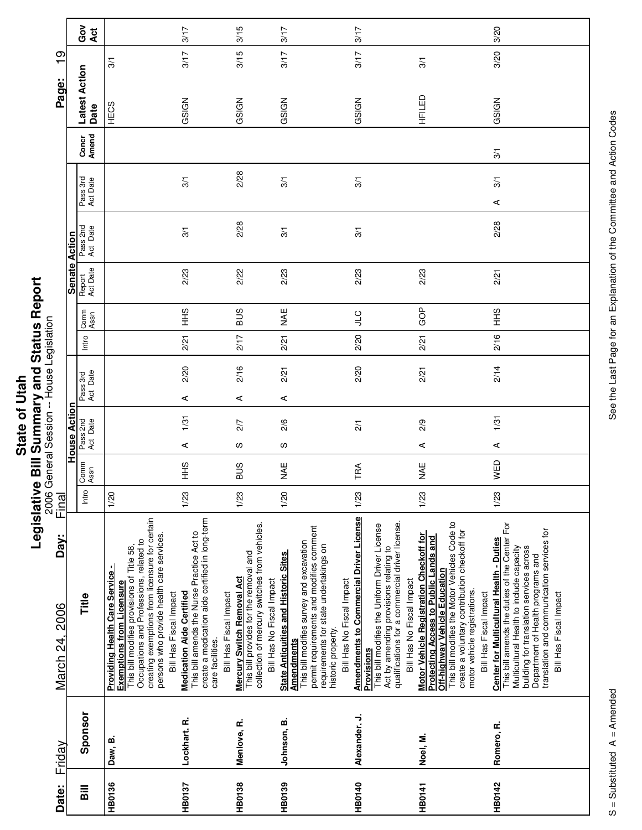|              | I             |
|--------------|---------------|
| <b>Utal.</b> | i             |
|              |               |
|              |               |
|              |               |
| ৳            |               |
|              |               |
|              |               |
|              |               |
|              | ė             |
| State        |               |
|              |               |
|              | $\frac{1}{2}$ |
|              |               |
|              |               |

Г

Τ

| House Action<br>Friday                                                                                                                                                                                                                                                                                                                                                               | Final<br>Day:<br>March 24, 2006 |  |  |  |              |                    | Senate Action        |                      |                | Page:                 | တ<br>$\mathbf -$ |
|--------------------------------------------------------------------------------------------------------------------------------------------------------------------------------------------------------------------------------------------------------------------------------------------------------------------------------------------------------------------------------------|---------------------------------|--|--|--|--------------|--------------------|----------------------|----------------------|----------------|-----------------------|------------------|
| Intro<br>Pass 3rd<br>Act Date<br>Pass 2nd<br>Act Date<br>Comm<br>Assn<br>$\circ$<br>İ<br>Title<br>Sponsor                                                                                                                                                                                                                                                                            |                                 |  |  |  | Comm<br>Assn | Report<br>Act Date | Pass 2nd<br>Act Date | Pass 3rd<br>Act Date | Concr<br>Amend | Latest Action<br>Date | ဝိ<br>ဝ<br>Act   |
| 1/20<br>creating exemptions from licensure for certain<br>persons who provide health care services.<br>Occupations and Professions, related to<br>This bill modifies provisions of Title 58,<br><b>Providing Health Care Service -</b><br><b>Exemptions from Licensure</b><br>Bill Has Fiscal Impact<br>Daw, B.                                                                      |                                 |  |  |  |              |                    |                      |                      |                | HECS                  | 3/1              |
| 2/21<br>2/20<br>⋖<br>1/31<br>⋖<br>$\frac{9}{1}$<br>1/23<br>create a medication aide certified in long-term<br>This bill amends the Nurse Practice Act to<br><b>Medication Aide Certified</b><br>Bill Has Fiscal Impact<br>care facilities.<br>Lockhart, R.                                                                                                                           |                                 |  |  |  | $rac{9}{1}$  | 2/23               | 3/1                  | 3/1                  |                | GSIGN                 | 3/17<br>3/17     |
| 2/17<br>2/16<br>⋖<br>2/7<br>ω<br><b>SUB</b><br>1/23<br>collection of mercury switches from vehicles.<br>This bill provides for the removal and<br><b>Mercury Switch Removal Act</b><br>Bill Has No Fiscal Impact<br>Menlove, R.                                                                                                                                                      |                                 |  |  |  | <b>BUS</b>   | 2/22               | 2/28                 | 2/28                 |                | GSIGN                 | 3/15<br>3/15     |
| 2/21<br>2/21<br>⋖<br>2/6<br>လ<br>M<br>AE<br>1/20<br>permit requirements and modifies comment<br>This bill modifies survey and excavation<br>requirements for state undertakings on<br><b>State Antiquities and Historic Sites</b><br>Bill Has No Fiscal Impact<br>historic property.<br><u>Amendments</u><br>Johnson, B.                                                             |                                 |  |  |  | ¥¥           | 2/23               | 3/1                  | 3/1                  |                | GSIGN                 | 3/17<br>3/17     |
| $\frac{1}{2}$<br>2/20<br>2/20<br>$\frac{2}{1}$<br>TRA<br>1/23<br><b>Amendments to Commercial Driver License</b><br>qualifications for a commercial driver license.<br>This bill modifies the Uniform Driver License<br>Act by amending provisions relating to<br>Bill Has No Fiscal Impact<br><b>Provisions</b><br>Alexander, J.                                                     |                                 |  |  |  |              | 2/23               | 3/1                  | 3/1                  |                | GSIGN                 | 3/17<br>3/17     |
| GOP<br>2/21<br>2/21<br>2/9<br>⋖<br>NAE<br>1/23<br>This bill modifies the Motor Vehicles Code to<br>create a voluntary contribution checkoff for<br>Motor Vehicle Registration Checkoff for<br><b>Protecting Access to Public Lands and</b><br>Off-highway Vehicle Education<br>motor vehicle registrations.<br>Bill Has Fiscal Impact<br>Noel, M.                                    |                                 |  |  |  |              | 2/23               |                      |                      |                | HFILED                | 3/1              |
| $rac{9}{5}$<br>2/16<br>2/14<br>1/31<br>$\prec$<br>WED<br>1/23<br>This bill amends the duties of the Center For<br>translation and communication services for<br><b>Center for Multicultural Health - Duties</b><br>building for translation services across<br>Multicultural Health to include capacity<br>Department of Health programs and<br>Bill Has Fiscal Impact<br>Romero, R. |                                 |  |  |  |              | 2/21               | 2/28                 | 3/1<br>$\prec$       | $\overline{3}$ | GSIGN                 | 3/20<br>3/20     |

See the Last Page for an Explanation of the Committee and Action Codes S = Substituted A = Amended A = Amendes See the Last Page for an Explanation of the Committee and Action Codes

 $S =$ Substituted  $A =$  Amended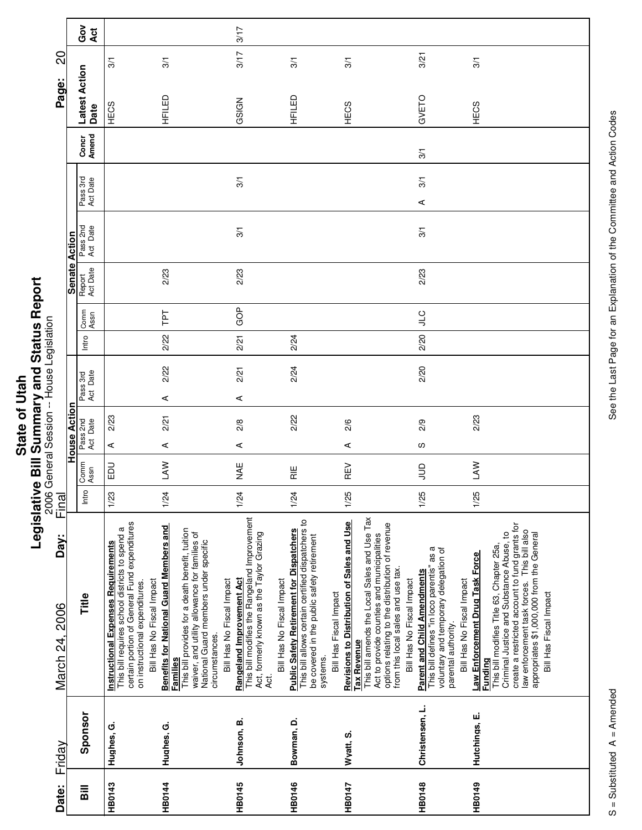|                      | ı |
|----------------------|---|
|                      |   |
|                      |   |
| ì                    | I |
|                      | ś |
|                      |   |
|                      |   |
| ١                    | ı |
| ថ្ម<br>$\frac{1}{2}$ |   |
|                      |   |
|                      |   |
|                      | i |
|                      |   |
|                      |   |
|                      | í |
|                      |   |

| Friday                   | Day:<br>March 24, 2006                                                                                                                                                                                                                                                                                                                                                               | <u>Final</u> |                   |                      |                         | 2006 General Session -- House Legislation |       |               |                    |                      |                      |                | Page:                 | SO                   |            |
|--------------------------|--------------------------------------------------------------------------------------------------------------------------------------------------------------------------------------------------------------------------------------------------------------------------------------------------------------------------------------------------------------------------------------|--------------|-------------------|----------------------|-------------------------|-------------------------------------------|-------|---------------|--------------------|----------------------|----------------------|----------------|-----------------------|----------------------|------------|
|                          |                                                                                                                                                                                                                                                                                                                                                                                      |              |                   | House Action         |                         |                                           |       |               |                    | <b>Senate Action</b> |                      |                |                       |                      |            |
| Sponsor                  | Title                                                                                                                                                                                                                                                                                                                                                                                | Intro        | Comm<br>Assn      | Pass 2nd<br>Act Date |                         | Pass 3rd<br>Act Date                      | Intro | Comm<br>Assn  | Report<br>Act Date | Pass 2nd<br>Act Date | Pass 3rd<br>Act Date | Concr<br>Amend | Latest Action<br>Date |                      | Gov<br>Act |
| Hughes, G.<br>Hughes, G. | certain portion of General Fund expenditures<br><b>Benefits for National Guard Members and</b><br>This bill requires school districts to spend a<br>This bill provides for a death benefit, tuition<br>waiver, and utility allowance for families of<br><b>Instructional Expenses Requirements</b><br>Bill Has No Fiscal Impact<br>on instructional expenditures.<br><b>Families</b> | 1/23<br>1/24 | <b>LAW</b><br>EDU | $\prec$<br>⋖         | $\prec$<br>2/23<br>2/21 | 2/22                                      | 2/22  | ΓPΤ           | 2/23               |                      |                      |                | HFILED<br>HECS        | 3/1<br>$\frac{5}{2}$ |            |
| Johnson, B.              | This bill modifies the Rangeland Improvement<br>Act, formerly known as the Taylor Grazing<br>National Guard members under specific<br><b>Rangeland Improvement Act</b><br>Bill Has No Fiscal Impact<br>circumstances.<br>4d.                                                                                                                                                         | 1/24         | <b>NAE</b>        | 2/8<br>⋖             | ⋖                       | 2/21                                      | 2/21  | GOP           | 2/23               | 3/1                  | $\overline{3}$       |                | GSIGN                 | 3/17                 | 3/17       |
| Bowman, D.               | This bill allows certain certified dispatchers to<br><b>Public Safety Retirement for Dispatchers</b><br>be covered in the public safety retirement<br>Bill Has No Fiscal Impact<br>systems.                                                                                                                                                                                          | 1/24         | $\frac{11}{11}$   |                      | 2/22                    | 2/24                                      | 2/24  |               |                    |                      |                      |                | HFILED                | 3/1                  |            |
| Wyatt, S.                | This bill amends the Local Sales and Use Tax<br>Revisions to Distribution of Sales and Use<br>Act to provide counties and municipalities<br>Bill Has Fiscal Impact<br><b>Tax Revenue</b>                                                                                                                                                                                             | 1/25         | REV               | 2/6<br>$\prec$       |                         |                                           |       |               |                    |                      |                      |                | HECS                  | 3/1                  |            |
| Christensen, L.          | options relating to the distribution of revenue<br>This bill defines "in loco parentis" as a<br>voluntary and temporary delegation of<br>from this local sales and use tax.<br><b>Parent and Child Amendments</b><br>Bill Has No Fiscal Impact<br>parental authority.                                                                                                                | 1/25         | $\Xi$             | 2/9<br>S             |                         | 2/20                                      | 2/20  | $J_{\square}$ | 2/23               | 3/1                  | 3/1<br>$\prec$       | 3/1            | GVETO                 | 3/21                 |            |
| Hutchings, E.            | Law Enforcement Drug Task Force<br>Bill Has No Fiscal Impact<br><b>Funding</b>                                                                                                                                                                                                                                                                                                       | 1/25         | $\mathbb{R}$      |                      | 2/23                    |                                           |       |               |                    |                      |                      |                | HECS                  | 3/1                  |            |
|                          | create a restricted account to fund grants for<br>law enforcement task forces. This bill also<br>Criminal Justice and Substance Abuse, to<br>appropriates \$1,000,000 from the General<br>This bill modifies Title 63, Chapter 25a,<br>Bill Has Fiscal Impact                                                                                                                        |              |                   |                      |                         |                                           |       |               |                    |                      |                      |                |                       |                      |            |
|                          |                                                                                                                                                                                                                                                                                                                                                                                      |              |                   |                      |                         |                                           |       |               |                    |                      |                      |                |                       |                      |            |

 $\overline{\phantom{a}}$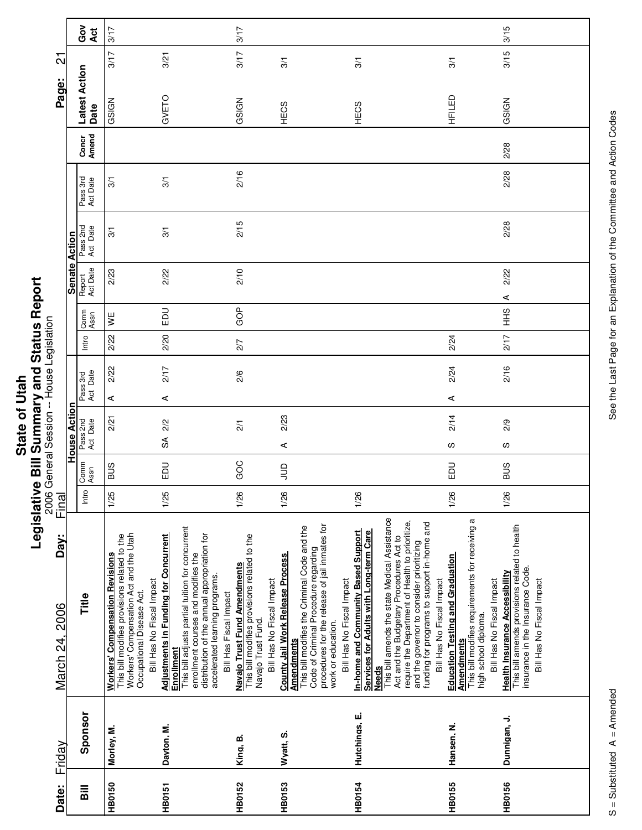|                     | ,<br>ij      |
|---------------------|--------------|
| $\overline{6}$<br>ż | ז<br>?       |
| Ξ<br>Ċ<br>ഇ         | Š<br>י אי הא |
| <b>Stat</b>         | t<br>Ö       |
|                     | Ì            |

|                                           |                      | Gov<br>Act            | 3/17                                                                                                                                                                                                                                                                                                                                                                                                                                                            | 3/17                                                                                                                            |                                                                                                                                                                                                                                                           |                                                                                                                                                                                                                                                                                                                                                                               |                                                                                                                                                                      | 3/15                                                                                                                                                    |
|-------------------------------------------|----------------------|-----------------------|-----------------------------------------------------------------------------------------------------------------------------------------------------------------------------------------------------------------------------------------------------------------------------------------------------------------------------------------------------------------------------------------------------------------------------------------------------------------|---------------------------------------------------------------------------------------------------------------------------------|-----------------------------------------------------------------------------------------------------------------------------------------------------------------------------------------------------------------------------------------------------------|-------------------------------------------------------------------------------------------------------------------------------------------------------------------------------------------------------------------------------------------------------------------------------------------------------------------------------------------------------------------------------|----------------------------------------------------------------------------------------------------------------------------------------------------------------------|---------------------------------------------------------------------------------------------------------------------------------------------------------|
| $\overline{\mathcal{S}}$                  |                      |                       | 3/17<br>3/21                                                                                                                                                                                                                                                                                                                                                                                                                                                    | 3/17                                                                                                                            | 3/1                                                                                                                                                                                                                                                       | 3/1                                                                                                                                                                                                                                                                                                                                                                           | 3/1                                                                                                                                                                  | 3/15                                                                                                                                                    |
| Page:                                     |                      | Latest Action<br>Date | GVETO<br>GSIGN                                                                                                                                                                                                                                                                                                                                                                                                                                                  | GSIGN                                                                                                                           | HECS                                                                                                                                                                                                                                                      | HECS                                                                                                                                                                                                                                                                                                                                                                          | HFILED                                                                                                                                                               | GSIGN                                                                                                                                                   |
|                                           |                      | Concr<br>Amend        |                                                                                                                                                                                                                                                                                                                                                                                                                                                                 |                                                                                                                                 |                                                                                                                                                                                                                                                           |                                                                                                                                                                                                                                                                                                                                                                               |                                                                                                                                                                      | 2/28                                                                                                                                                    |
|                                           |                      | Pass 3rd<br>Act Date  | 3/1<br>3/1                                                                                                                                                                                                                                                                                                                                                                                                                                                      | 2/16                                                                                                                            |                                                                                                                                                                                                                                                           |                                                                                                                                                                                                                                                                                                                                                                               |                                                                                                                                                                      | 2/28                                                                                                                                                    |
|                                           |                      | Pass 2nd<br>Act Date  | 3/1<br>3/1                                                                                                                                                                                                                                                                                                                                                                                                                                                      | 2/15                                                                                                                            |                                                                                                                                                                                                                                                           |                                                                                                                                                                                                                                                                                                                                                                               |                                                                                                                                                                      | 2/28                                                                                                                                                    |
|                                           | <b>Senate Action</b> | Report<br>Act Date    | 2/22<br>2/23                                                                                                                                                                                                                                                                                                                                                                                                                                                    | 2/10                                                                                                                            |                                                                                                                                                                                                                                                           |                                                                                                                                                                                                                                                                                                                                                                               |                                                                                                                                                                      | 2/22<br>⋖                                                                                                                                               |
|                                           |                      | Comm<br>Assn          | EDU<br>¥                                                                                                                                                                                                                                                                                                                                                                                                                                                        | GOP                                                                                                                             |                                                                                                                                                                                                                                                           |                                                                                                                                                                                                                                                                                                                                                                               |                                                                                                                                                                      | SHH                                                                                                                                                     |
|                                           |                      | Intro                 | 2/20<br>2/22                                                                                                                                                                                                                                                                                                                                                                                                                                                    | 2/7                                                                                                                             |                                                                                                                                                                                                                                                           |                                                                                                                                                                                                                                                                                                                                                                               | 2/24                                                                                                                                                                 | 217                                                                                                                                                     |
|                                           |                      | Pass 3rd<br>Act Date  | 2/22<br>2/17<br>$\prec$<br>⋖                                                                                                                                                                                                                                                                                                                                                                                                                                    | 2/6                                                                                                                             |                                                                                                                                                                                                                                                           |                                                                                                                                                                                                                                                                                                                                                                               | 2/24<br>⋖                                                                                                                                                            | 2/16                                                                                                                                                    |
| 2006 General Session -- House Legislation |                      |                       | 2/21<br>2/2                                                                                                                                                                                                                                                                                                                                                                                                                                                     |                                                                                                                                 | 2/23                                                                                                                                                                                                                                                      |                                                                                                                                                                                                                                                                                                                                                                               | 2/14                                                                                                                                                                 | 2/9                                                                                                                                                     |
|                                           | <b>House Action</b>  | Pass 2nd<br>Act Date  | SÃ                                                                                                                                                                                                                                                                                                                                                                                                                                                              | $\overline{21}$                                                                                                                 | ⋖                                                                                                                                                                                                                                                         |                                                                                                                                                                                                                                                                                                                                                                               | S                                                                                                                                                                    | S                                                                                                                                                       |
|                                           |                      | Comm<br>Assn          | <b>SUS</b><br>EDU                                                                                                                                                                                                                                                                                                                                                                                                                                               | GOC                                                                                                                             | $\Xi$                                                                                                                                                                                                                                                     |                                                                                                                                                                                                                                                                                                                                                                               | 品                                                                                                                                                                    | <b>BUS</b>                                                                                                                                              |
| <u>Final</u>                              |                      | Intro                 | 1/25<br>1/25                                                                                                                                                                                                                                                                                                                                                                                                                                                    | 1/26                                                                                                                            | 1/26                                                                                                                                                                                                                                                      | 1/26                                                                                                                                                                                                                                                                                                                                                                          | 1/26                                                                                                                                                                 | 1/26                                                                                                                                                    |
| Day:<br>March 24, 2006                    |                      | Title                 | This bill adjusts partial tuition for concurrent<br>This bill modifies provisions related to the<br>Workers' Compensation Act and the Utah<br><b>Adjustments in Funding for Concurrent</b><br>Enrollment<br>distribution of the annual appropriation for<br>enrollment courses and modifies the<br><b>Workers' Compensation Revisions</b><br>accelerated learning programs.<br>Bill Has No Fiscal Impact<br>Occupational Disease Act.<br>Bill Has Fiscal Impact | This bill modifies provisions related to the<br>Navajo Trust Fund Amendments<br>Bill Has No Fiscal Impact<br>Navajo Trust Fund. | procedures for the release of jail inmates for<br>This bill modifies the Criminal Code and the<br>Code of Criminal Procedure regarding<br><b>County Jail Work Release Process</b><br>Bill Has No Fiscal Impact<br>work or education.<br><b>Amendments</b> | This bill amends the state Medical Assistance<br>Act and the Budgetary Procedures Act to<br>require the Department of Health to prioritize,<br>funding for programs to support in-home and<br><b>In-home and Community Based Support</b><br>Services for Adults with Long-term Care<br>and the governor to consider prioritizing<br>Bill Has No Fiscal Impact<br><b>Needs</b> | This bill modifies requirements for receiving a<br><b>Education Testing and Graduation</b><br>Bill Has No Fiscal Impact<br>high school diploma.<br><b>Amendments</b> | This bill amends provisions related to health<br>insurance in the Insurance Code.<br><b>Health Insurance Accessibility</b><br>Bill Has No Fiscal Impact |
| Friday                                    |                      | Sponsor               | Dayton, M.<br>Morley, M.                                                                                                                                                                                                                                                                                                                                                                                                                                        | King, B.                                                                                                                        | Wyatt, S.                                                                                                                                                                                                                                                 | Hutchings, E.                                                                                                                                                                                                                                                                                                                                                                 | Hansen, N.                                                                                                                                                           | Dunnigan, J.                                                                                                                                            |
| Date:                                     |                      | Bill                  | HB0150<br><b>HB0151</b>                                                                                                                                                                                                                                                                                                                                                                                                                                         | <b>HB0152</b>                                                                                                                   | <b>HB0153</b>                                                                                                                                                                                                                                             | <b>HB0154</b>                                                                                                                                                                                                                                                                                                                                                                 | <b>HB0155</b>                                                                                                                                                        | HB0156                                                                                                                                                  |

See the Last Page for an Explanation of the Committee and Action Codes S = Substituted A = Amended A = Amendes See the Last Page for an Explanation of the Committee and Action Codes

 $\overline{\phantom{0}}$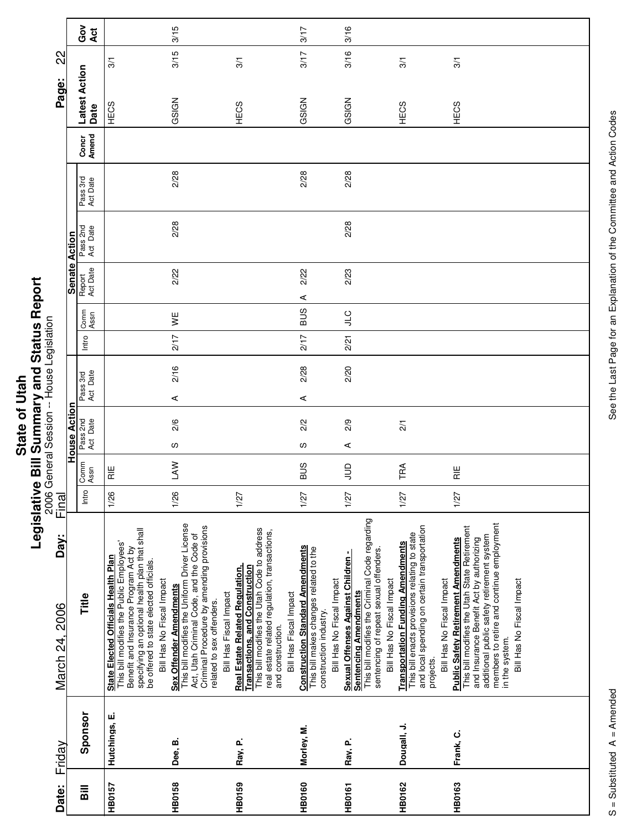|             | Ù                  |
|-------------|--------------------|
|             | š                  |
|             |                    |
|             |                    |
|             |                    |
| <b>Utah</b> |                    |
| ō           |                    |
|             | " ואף האף האי      |
|             |                    |
|             |                    |
|             |                    |
| State       | ة                  |
|             |                    |
|             | $\frac{1}{\alpha}$ |
|             |                    |
|             | ¢                  |
|             |                    |

| 22                     |                      | Ğo<br>Act                          | $\frac{5}{2}$                                                                                                                                                                                                                                   | 3/15<br>3/15                                                                                                                                                                                                             | 3/1                                                                                                                                                                                                                            | 3/17<br>3/17                                                                                                                             | 3/16<br>3/16                                                                                                                                                                                       | 3/1                                                                                                                                                                                 |
|------------------------|----------------------|------------------------------------|-------------------------------------------------------------------------------------------------------------------------------------------------------------------------------------------------------------------------------------------------|--------------------------------------------------------------------------------------------------------------------------------------------------------------------------------------------------------------------------|--------------------------------------------------------------------------------------------------------------------------------------------------------------------------------------------------------------------------------|------------------------------------------------------------------------------------------------------------------------------------------|----------------------------------------------------------------------------------------------------------------------------------------------------------------------------------------------------|-------------------------------------------------------------------------------------------------------------------------------------------------------------------------------------|
| Page:                  |                      | Latest Action                      |                                                                                                                                                                                                                                                 |                                                                                                                                                                                                                          |                                                                                                                                                                                                                                |                                                                                                                                          |                                                                                                                                                                                                    |                                                                                                                                                                                     |
|                        |                      | Date                               | HECS                                                                                                                                                                                                                                            | GSIGN                                                                                                                                                                                                                    | HECS                                                                                                                                                                                                                           | GSIGN                                                                                                                                    | GSIGN                                                                                                                                                                                              | HECS                                                                                                                                                                                |
|                        |                      | Amend<br>Concr                     |                                                                                                                                                                                                                                                 |                                                                                                                                                                                                                          |                                                                                                                                                                                                                                |                                                                                                                                          |                                                                                                                                                                                                    |                                                                                                                                                                                     |
|                        |                      | Pass 3rd<br>Act Date               |                                                                                                                                                                                                                                                 | 2/28                                                                                                                                                                                                                     |                                                                                                                                                                                                                                | 2/28                                                                                                                                     | 2/28                                                                                                                                                                                               |                                                                                                                                                                                     |
|                        |                      | Pass 2nd<br>Act Date               |                                                                                                                                                                                                                                                 | 2/28                                                                                                                                                                                                                     |                                                                                                                                                                                                                                |                                                                                                                                          | 2/28                                                                                                                                                                                               |                                                                                                                                                                                     |
|                        | <b>Senate Action</b> | Act Date                           |                                                                                                                                                                                                                                                 | 2/22                                                                                                                                                                                                                     |                                                                                                                                                                                                                                | 2/22                                                                                                                                     | 2/23                                                                                                                                                                                               |                                                                                                                                                                                     |
|                        |                      | Report                             |                                                                                                                                                                                                                                                 |                                                                                                                                                                                                                          |                                                                                                                                                                                                                                | ⋖                                                                                                                                        |                                                                                                                                                                                                    |                                                                                                                                                                                     |
|                        |                      | Comm<br>Assn                       |                                                                                                                                                                                                                                                 | y≝                                                                                                                                                                                                                       |                                                                                                                                                                                                                                | <b>SUS</b>                                                                                                                               | ΟTΓ                                                                                                                                                                                                |                                                                                                                                                                                     |
|                        |                      | Intro                              |                                                                                                                                                                                                                                                 | 2/17                                                                                                                                                                                                                     |                                                                                                                                                                                                                                | 217                                                                                                                                      | 2/21                                                                                                                                                                                               |                                                                                                                                                                                     |
|                        |                      | Act Date<br>Pass 3rd               |                                                                                                                                                                                                                                                 | 2/16                                                                                                                                                                                                                     |                                                                                                                                                                                                                                | 2/28                                                                                                                                     | 2/20                                                                                                                                                                                               |                                                                                                                                                                                     |
|                        |                      |                                    |                                                                                                                                                                                                                                                 | ⋖                                                                                                                                                                                                                        |                                                                                                                                                                                                                                | ⋖                                                                                                                                        |                                                                                                                                                                                                    |                                                                                                                                                                                     |
|                        | House Action         | Pass 2nd<br>Act Date               |                                                                                                                                                                                                                                                 | 2/6                                                                                                                                                                                                                      |                                                                                                                                                                                                                                | 2/2                                                                                                                                      | 2/9                                                                                                                                                                                                | $\overline{21}$                                                                                                                                                                     |
|                        |                      |                                    |                                                                                                                                                                                                                                                 | w                                                                                                                                                                                                                        |                                                                                                                                                                                                                                | လ                                                                                                                                        | ⋖                                                                                                                                                                                                  |                                                                                                                                                                                     |
|                        |                      | Comm<br>Assn                       | $\frac{11}{11}$                                                                                                                                                                                                                                 | <b>NVT</b>                                                                                                                                                                                                               |                                                                                                                                                                                                                                | <b>SUB</b>                                                                                                                               | $\Xi$                                                                                                                                                                                              | TRA                                                                                                                                                                                 |
| Final                  |                      | Intro                              | 1/26                                                                                                                                                                                                                                            | 1/26                                                                                                                                                                                                                     | 1/27                                                                                                                                                                                                                           | 1/27                                                                                                                                     | 1/27                                                                                                                                                                                               | 1/27                                                                                                                                                                                |
| Day:<br>March 24, 2006 |                      | Title                              | specifying an optional health plan that shall<br>This bill modifies the Public Employees'<br>Benefit and Insurance Program Act by<br>State Elected Officials Health Plan<br>be offered to state elected officials.<br>Bill Has No Fiscal Impact | This bill modifies the Uniform Driver License<br>Criminal Procedure by amending provisions<br>Act, Utah Criminal Code, and the Code of<br>Sex Offender Amendments<br>Bill Has Fiscal Impact<br>related to sex offenders. | This bill modifies the Utah Code to address<br>real estate related regulation, transactions,<br><b>Real Estate Related Requiation,</b><br><b>Transactions, and Construction</b><br>Bill Has Fiscal Impact<br>and construction. | <b>Construction Standard Amendments</b><br>This bill makes changes related to the<br>Bill Has No Fiscal Impact<br>construction industry. | This bill modifies the Criminal Code regarding<br>sentencing of repeat sexual offenders.<br><b>Sexual Offenses Against Children -</b><br>Bill Has No Fiscal Impact<br><b>Sentencing Amendments</b> | and local spending on certain transportation<br>This bill enacts provisions relating to state<br><b>Transportation Funding Amendments</b><br>Bill Has No Fiscal Impact<br>projects. |
| Friday                 |                      | Sponsor                            | Hutchings, E.                                                                                                                                                                                                                                   | Dee, B.                                                                                                                                                                                                                  | Ray, P.                                                                                                                                                                                                                        | Morley, M.                                                                                                                               | Ray, P.                                                                                                                                                                                            | Dougall, J.                                                                                                                                                                         |
| Date:                  |                      | $\overline{\overline{\mathbf{a}}}$ | HB0157                                                                                                                                                                                                                                          | HB0158                                                                                                                                                                                                                   | HB0159                                                                                                                                                                                                                         | HB0160                                                                                                                                   | <b>HB0161</b>                                                                                                                                                                                      | <b>HB0162</b>                                                                                                                                                                       |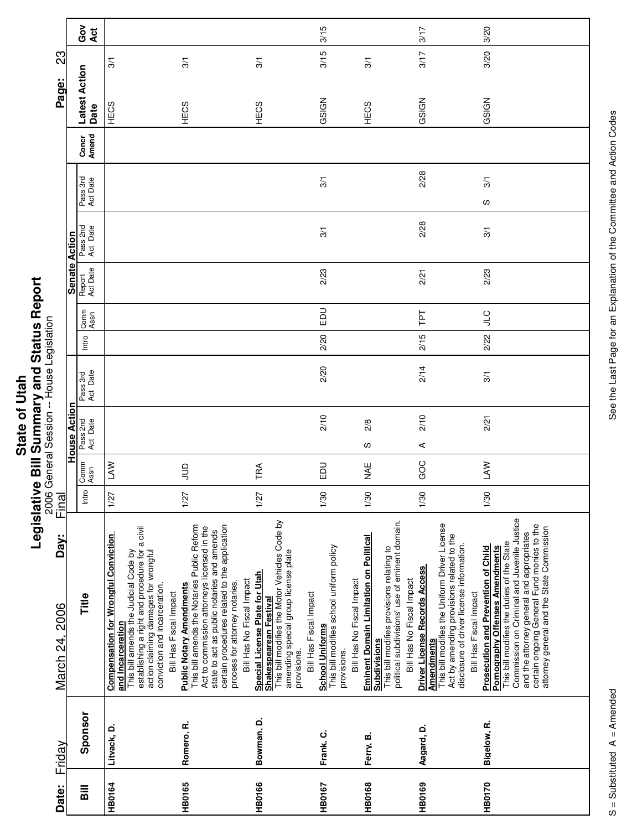|                 | Õ           |
|-----------------|-------------|
| Ī<br>ō<br>State | l<br>ا<br>ا |
|                 | -<br>0      |
|                 |             |
|                 |             |

 $\mathbf{r}$ 

| Date:                              | Friday      | Day:<br>March 24, 2006                                                                                                                                                                                                                                                                                                    | Final |              |                      |                      |       |              |                    |                      |                      |                | Page:                 | ဌာ            |               |
|------------------------------------|-------------|---------------------------------------------------------------------------------------------------------------------------------------------------------------------------------------------------------------------------------------------------------------------------------------------------------------------------|-------|--------------|----------------------|----------------------|-------|--------------|--------------------|----------------------|----------------------|----------------|-----------------------|---------------|---------------|
|                                    |             |                                                                                                                                                                                                                                                                                                                           |       |              | House Action         |                      |       |              | Senate Action      |                      |                      |                |                       |               |               |
| $\overline{\overline{\mathbf{a}}}$ | Sponsor     | Title                                                                                                                                                                                                                                                                                                                     | Intro | Comm<br>Assn | Pass 2nd<br>Act Date | Pass 3rd<br>Act Date | Intro | Comm<br>Assn | Report<br>Act Date | Pass 2nd<br>Act Date | Pass 3rd<br>Act Date | Concr<br>Amend | Latest Action<br>Date |               | Ğ<br>O<br>Act |
| <b>HB0164</b>                      | Litvack, D. | establishing a right and procedure for a civil<br><b>Compensation for Wrongful Conviction</b><br>action claiming damages for wrongful<br>This bill amends the Judicial Code by<br>conviction and incarceration.<br>Bill Has Fiscal Impact<br>and Incarceration                                                            | 1/27  | <b>NVT</b>   |                      |                      |       |              |                    |                      |                      |                | HECS                  | $\frac{5}{2}$ |               |
| <b>HB0165</b>                      | Romero, R.  | certain procedures related to the application<br>This bill amends the Notaries Public Reform<br>Act to commission attorneys licensed in the<br>state to act as public notaries and amends<br>process for attorney notaries.<br><b>Public Notary Amendments</b>                                                            | 1/27  | $\supseteq$  |                      |                      |       |              |                    |                      |                      |                | HECS                  | 3/1           |               |
| <b>HB0166</b>                      | Bowman, D.  | This bill modifies the Motor Vehicles Code by<br>amending special group license plate<br>Special License Plate for Utah<br>Shakespearean Festival<br>Bill Has No Fiscal Impact<br>Bill Has Fiscal Impact<br>provisions.                                                                                                   | 1/27  | TRA          |                      |                      |       |              |                    |                      |                      |                | HECS                  | 3/1           |               |
| HB0167                             | Frank, C.   | This bill modifies school uniform policy<br>Bill Has No Fiscal Impact<br><b>School Uniforms</b><br>provisions.                                                                                                                                                                                                            | 1/30  | 19           | 2/10                 | 2/20                 | 2/20  | EDU          | 2/23               | 3/1                  | 3/1                  |                | GSIGN                 | 3/15          | 3/15          |
| <b>HB0168</b>                      | Ferry, B.   | political subdivisions' use of eminent domain.<br><b>Eminent Domain Limitation on Political</b><br>Subdivisions<br>This bill modifies provisions relating to<br>Bill Has No Fiscal Impact                                                                                                                                 | 1/30  | ¥¥           | 2/8<br>S             |                      |       |              |                    |                      |                      |                | HECS                  | 3/1           |               |
| <b>HB0169</b>                      | Aagard, D.  | This bill modifies the Uniform Driver License<br>Act by amending provisions related to the<br>disclosure of driver license information.<br>Driver License Records Access<br>Bill Has Fiscal Impact<br><b>Amendments</b>                                                                                                   | 1/30  | GOC          | 2/10<br>⋖            | 2/14                 | 2/15  | ΓPΤ          | 2/21               | 2/28                 | 2/28                 |                | GSIGN                 | 3/17          | 3/17          |
| HB0170                             | Bigelow, R. | Commission on Criminal and Juvenile Justice<br>certain ongoing General Fund monies to the<br>attorney general and the State Commission<br>and the attorney general and appropriates<br>This bill modifies the duties of the State<br><b>Prosecution and Prevention of Child</b><br><b>Pornography Offenses Amendments</b> | 1/30  | LAW          | 2/21                 | 3/1                  | 2/22  | <b>CTP</b>   | 2/23               | 3/1                  | 3/1<br>လ             |                | GSIGN                 | 3/20          | 3/20          |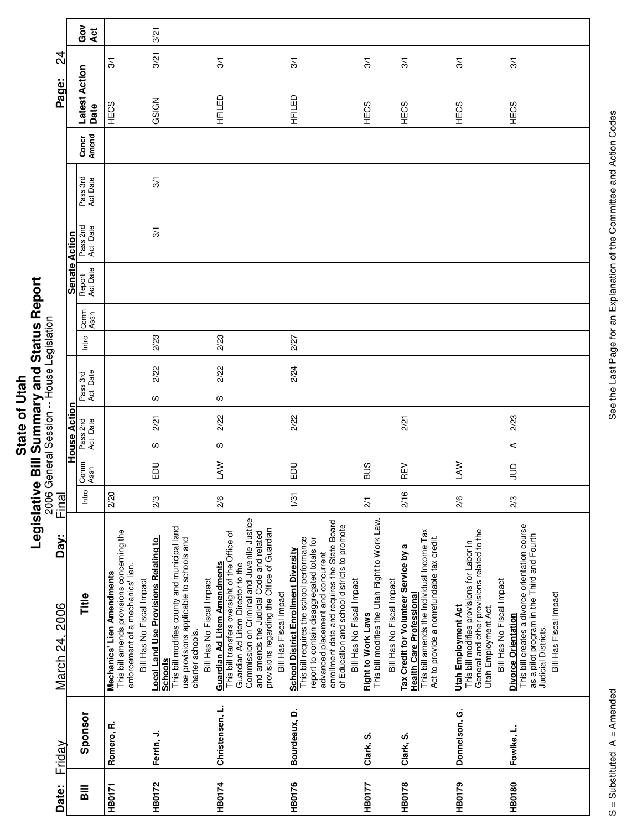| ē1    | Ī |
|-------|---|
| 5     |   |
|       |   |
|       |   |
| ৳     |   |
|       |   |
|       |   |
|       |   |
|       | i |
| State |   |
|       | Ξ |
|       | ć |
|       |   |
|       |   |

|                                           |                      | Got<br>Act            |                                                                                                                                                   | 3/21                                                                                                                                                                                                        |                                                                                                                                                                                                                                                                                                |                                                                                                                                                                                                                                                                             |                                                                                                                                       |                                                                                                                                                                      |                                                                                                                                                                              |                                                                                                                                                                             |
|-------------------------------------------|----------------------|-----------------------|---------------------------------------------------------------------------------------------------------------------------------------------------|-------------------------------------------------------------------------------------------------------------------------------------------------------------------------------------------------------------|------------------------------------------------------------------------------------------------------------------------------------------------------------------------------------------------------------------------------------------------------------------------------------------------|-----------------------------------------------------------------------------------------------------------------------------------------------------------------------------------------------------------------------------------------------------------------------------|---------------------------------------------------------------------------------------------------------------------------------------|----------------------------------------------------------------------------------------------------------------------------------------------------------------------|------------------------------------------------------------------------------------------------------------------------------------------------------------------------------|-----------------------------------------------------------------------------------------------------------------------------------------------------------------------------|
| $\overline{5}$                            |                      |                       | $\overline{3}$                                                                                                                                    | 3/21                                                                                                                                                                                                        | $\overline{3}$                                                                                                                                                                                                                                                                                 | 3/1                                                                                                                                                                                                                                                                         | $\overline{3}$                                                                                                                        | 3/1                                                                                                                                                                  | 3/1                                                                                                                                                                          | 3/1                                                                                                                                                                         |
| Page:                                     |                      | Latest Action<br>Date | HECS                                                                                                                                              | GSIGN                                                                                                                                                                                                       | HFILED                                                                                                                                                                                                                                                                                         | HFILED                                                                                                                                                                                                                                                                      | HECS                                                                                                                                  | HECS                                                                                                                                                                 | HECS                                                                                                                                                                         | HECS                                                                                                                                                                        |
|                                           |                      | Concr<br>Amend        |                                                                                                                                                   |                                                                                                                                                                                                             |                                                                                                                                                                                                                                                                                                |                                                                                                                                                                                                                                                                             |                                                                                                                                       |                                                                                                                                                                      |                                                                                                                                                                              |                                                                                                                                                                             |
|                                           |                      | Pass 3rd<br>Act Date  |                                                                                                                                                   | 3/1                                                                                                                                                                                                         |                                                                                                                                                                                                                                                                                                |                                                                                                                                                                                                                                                                             |                                                                                                                                       |                                                                                                                                                                      |                                                                                                                                                                              |                                                                                                                                                                             |
|                                           |                      | Pass 2nd<br>Act Date  |                                                                                                                                                   | 3/1                                                                                                                                                                                                         |                                                                                                                                                                                                                                                                                                |                                                                                                                                                                                                                                                                             |                                                                                                                                       |                                                                                                                                                                      |                                                                                                                                                                              |                                                                                                                                                                             |
|                                           | <b>Senate Action</b> | Report<br>Act Date    |                                                                                                                                                   |                                                                                                                                                                                                             |                                                                                                                                                                                                                                                                                                |                                                                                                                                                                                                                                                                             |                                                                                                                                       |                                                                                                                                                                      |                                                                                                                                                                              |                                                                                                                                                                             |
|                                           |                      | Comm<br>Assn          |                                                                                                                                                   |                                                                                                                                                                                                             |                                                                                                                                                                                                                                                                                                |                                                                                                                                                                                                                                                                             |                                                                                                                                       |                                                                                                                                                                      |                                                                                                                                                                              |                                                                                                                                                                             |
|                                           |                      | Intro                 |                                                                                                                                                   | 2/23                                                                                                                                                                                                        | 2/23                                                                                                                                                                                                                                                                                           | 2/27                                                                                                                                                                                                                                                                        |                                                                                                                                       |                                                                                                                                                                      |                                                                                                                                                                              |                                                                                                                                                                             |
|                                           |                      | Pass 3rd<br>Act Date  |                                                                                                                                                   | 2/22                                                                                                                                                                                                        | 2/22                                                                                                                                                                                                                                                                                           | 2/24                                                                                                                                                                                                                                                                        |                                                                                                                                       |                                                                                                                                                                      |                                                                                                                                                                              |                                                                                                                                                                             |
|                                           |                      |                       |                                                                                                                                                   | w                                                                                                                                                                                                           | S                                                                                                                                                                                                                                                                                              |                                                                                                                                                                                                                                                                             |                                                                                                                                       |                                                                                                                                                                      |                                                                                                                                                                              |                                                                                                                                                                             |
| 2006 General Session -- House Legislation | House Action         | Pass 2nd<br>Act Date  |                                                                                                                                                   | 2/21<br>လ                                                                                                                                                                                                   | 2/22<br>S                                                                                                                                                                                                                                                                                      | 2/22                                                                                                                                                                                                                                                                        |                                                                                                                                       | 2/21                                                                                                                                                                 |                                                                                                                                                                              | 2/23<br>⋖                                                                                                                                                                   |
|                                           |                      | Comm<br>Assn          |                                                                                                                                                   | <b>DU</b>                                                                                                                                                                                                   | $\mathbb{R}$                                                                                                                                                                                                                                                                                   | <b>DU</b>                                                                                                                                                                                                                                                                   | <b>SUS</b>                                                                                                                            | REV                                                                                                                                                                  | <b>NVT</b>                                                                                                                                                                   | $\Xi$                                                                                                                                                                       |
| Final                                     |                      | Intro                 | 2/20                                                                                                                                              | 2/3                                                                                                                                                                                                         | 2/6                                                                                                                                                                                                                                                                                            | 1/31                                                                                                                                                                                                                                                                        | $\frac{2}{1}$                                                                                                                         | 2/16                                                                                                                                                                 | 2/6                                                                                                                                                                          | 2/3                                                                                                                                                                         |
| Day:<br>March 24, 2006                    |                      | Title                 | This bill amends provisions concerning the<br>enforcement of a mechanics' lien.<br><b>Mechanics' Lien Amendments</b><br>Bill Has No Fiscal Impact | This bill modifies county and municipal land<br><b>Local Land Use Provisions Relating to</b><br>use provisions applicable to schools and<br>Bill Has No Fiscal Impact<br>charter schools.<br><b>Schools</b> | Commission on Criminal and Juvenile Justice<br>provisions regarding the Office of Guardian<br>and amends the Judicial Code and related<br>This bill transfers oversight of the Office of<br><b>Guardian Ad Litem Amendments</b><br>Guardian Ad Litem Director to the<br>Bill Has Fiscal Impact | enrollment data and requires the State Board<br>of Education and school districts to promote<br>This bill requires the school performance<br>report to contain disaggregated totals for<br><b>School District Enrollment Diversity</b><br>advanced placement and concurrent | <u>Right to Work Laws</u><br>This bill modifies the Utah Right to Work Law.<br>Bill Has No Fiscal Impact<br>Bill Has No Fiscal Impact | This bill amends the Individual Income Tax<br>Act to provide a nonrefundable tax credit.<br>Tax Credit for Volunteer Service by a<br><b>Health Care Professional</b> | General and other provisions related to the<br>This bill modifies provisions for Labor in<br>Bill Has No Fiscal Impact<br><b>Utah Employment Act</b><br>Utah Employment Act. | This bill creates a divorce orientation course<br>as a pilot program in the Third and Fourth<br>Bill Has Fiscal Impact<br>Divorce Orientation<br><b>Judicial Districts.</b> |
| Friday                                    |                      | Sponsor               | Romero, R.                                                                                                                                        | Ferrin, J.                                                                                                                                                                                                  | Christensen, L.                                                                                                                                                                                                                                                                                | Bourdeaux, D.                                                                                                                                                                                                                                                               | Clark, S.                                                                                                                             | Clark, S.                                                                                                                                                            | Donnelson, G.                                                                                                                                                                | Fowlke, L.                                                                                                                                                                  |
| Date:                                     |                      | <b>Bill</b>           | HB0171                                                                                                                                            | <b>HB0172</b>                                                                                                                                                                                               | <b>HB0174</b>                                                                                                                                                                                                                                                                                  | HB0176                                                                                                                                                                                                                                                                      | HB0177                                                                                                                                | <b>HB0178</b>                                                                                                                                                        | HB0179                                                                                                                                                                       | <b>HB0180</b>                                                                                                                                                               |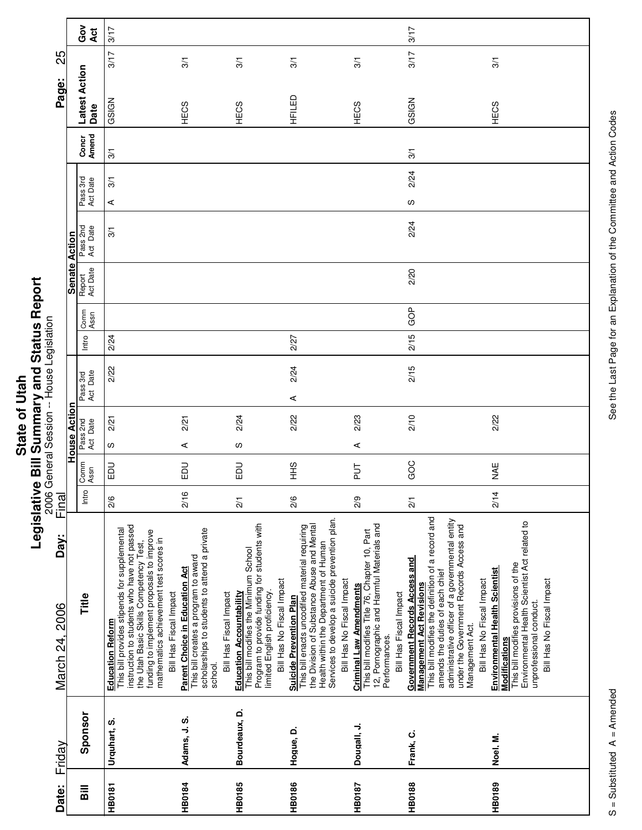|                             | Ü             |
|-----------------------------|---------------|
| $\frac{1}{2}$<br>ō<br>State | i             |
|                             | $\frac{1}{2}$ |
|                             |               |
|                             |               |
|                             |               |

Г

Τ

|                                           |                      | Gov<br>Act            | 3/17                                                                                                                                                                                                                                                                              |                                                                                                                                                                    |                                                                                                                                                                                       |                                                                                                                                                                                                                                                 |                                                                                                                                                                          | 3/17                                                                                                                                                                                                                                                                                                          |                                                                                                                                                                                                  |
|-------------------------------------------|----------------------|-----------------------|-----------------------------------------------------------------------------------------------------------------------------------------------------------------------------------------------------------------------------------------------------------------------------------|--------------------------------------------------------------------------------------------------------------------------------------------------------------------|---------------------------------------------------------------------------------------------------------------------------------------------------------------------------------------|-------------------------------------------------------------------------------------------------------------------------------------------------------------------------------------------------------------------------------------------------|--------------------------------------------------------------------------------------------------------------------------------------------------------------------------|---------------------------------------------------------------------------------------------------------------------------------------------------------------------------------------------------------------------------------------------------------------------------------------------------------------|--------------------------------------------------------------------------------------------------------------------------------------------------------------------------------------------------|
| 25                                        |                      |                       | 3/17                                                                                                                                                                                                                                                                              | 3/1                                                                                                                                                                | $\overline{3}$                                                                                                                                                                        | 3/1                                                                                                                                                                                                                                             | $\overline{3}$                                                                                                                                                           | 3/17                                                                                                                                                                                                                                                                                                          | 3/1                                                                                                                                                                                              |
|                                           |                      |                       |                                                                                                                                                                                                                                                                                   |                                                                                                                                                                    |                                                                                                                                                                                       |                                                                                                                                                                                                                                                 |                                                                                                                                                                          |                                                                                                                                                                                                                                                                                                               |                                                                                                                                                                                                  |
| Page:                                     |                      | Latest Action<br>Date | GSIGN                                                                                                                                                                                                                                                                             | HECS                                                                                                                                                               | HECS                                                                                                                                                                                  | HFILED                                                                                                                                                                                                                                          | HECS                                                                                                                                                                     | GSIGN                                                                                                                                                                                                                                                                                                         | HECS                                                                                                                                                                                             |
|                                           |                      | Concr<br>Amend        | $\overline{3}$                                                                                                                                                                                                                                                                    |                                                                                                                                                                    |                                                                                                                                                                                       |                                                                                                                                                                                                                                                 |                                                                                                                                                                          | 3/1                                                                                                                                                                                                                                                                                                           |                                                                                                                                                                                                  |
|                                           |                      |                       | 5/1                                                                                                                                                                                                                                                                               |                                                                                                                                                                    |                                                                                                                                                                                       |                                                                                                                                                                                                                                                 |                                                                                                                                                                          | 2/24                                                                                                                                                                                                                                                                                                          |                                                                                                                                                                                                  |
|                                           |                      | Pass 3rd<br>Act Date  | ⋖                                                                                                                                                                                                                                                                                 |                                                                                                                                                                    |                                                                                                                                                                                       |                                                                                                                                                                                                                                                 |                                                                                                                                                                          | S                                                                                                                                                                                                                                                                                                             |                                                                                                                                                                                                  |
|                                           |                      | Pass 2nd<br>Act Date  | 3/1                                                                                                                                                                                                                                                                               |                                                                                                                                                                    |                                                                                                                                                                                       |                                                                                                                                                                                                                                                 |                                                                                                                                                                          | 2/24                                                                                                                                                                                                                                                                                                          |                                                                                                                                                                                                  |
|                                           | <b>Senate Action</b> | Report<br>Act Date    |                                                                                                                                                                                                                                                                                   |                                                                                                                                                                    |                                                                                                                                                                                       |                                                                                                                                                                                                                                                 |                                                                                                                                                                          | 2/20                                                                                                                                                                                                                                                                                                          |                                                                                                                                                                                                  |
|                                           |                      | Comm<br>Assn          |                                                                                                                                                                                                                                                                                   |                                                                                                                                                                    |                                                                                                                                                                                       |                                                                                                                                                                                                                                                 |                                                                                                                                                                          | GOP                                                                                                                                                                                                                                                                                                           |                                                                                                                                                                                                  |
|                                           |                      | Intro                 | 2/24                                                                                                                                                                                                                                                                              |                                                                                                                                                                    |                                                                                                                                                                                       | 2/27                                                                                                                                                                                                                                            |                                                                                                                                                                          | 2/15                                                                                                                                                                                                                                                                                                          |                                                                                                                                                                                                  |
|                                           |                      |                       | 2/22                                                                                                                                                                                                                                                                              |                                                                                                                                                                    |                                                                                                                                                                                       | 2/24                                                                                                                                                                                                                                            |                                                                                                                                                                          | 2/15                                                                                                                                                                                                                                                                                                          |                                                                                                                                                                                                  |
|                                           |                      | Pass 3rd<br>Act Date  |                                                                                                                                                                                                                                                                                   |                                                                                                                                                                    |                                                                                                                                                                                       | $\prec$                                                                                                                                                                                                                                         |                                                                                                                                                                          |                                                                                                                                                                                                                                                                                                               |                                                                                                                                                                                                  |
|                                           | ခ                    |                       | 2/21                                                                                                                                                                                                                                                                              | 2/21                                                                                                                                                               | 2/24                                                                                                                                                                                  | 2/22                                                                                                                                                                                                                                            | 2/23                                                                                                                                                                     | 2/10                                                                                                                                                                                                                                                                                                          | 2/22                                                                                                                                                                                             |
|                                           | House Acti           | Pass 2nd<br>Act Date  | w                                                                                                                                                                                                                                                                                 | ⋖                                                                                                                                                                  | လ                                                                                                                                                                                     |                                                                                                                                                                                                                                                 | ⋖                                                                                                                                                                        |                                                                                                                                                                                                                                                                                                               |                                                                                                                                                                                                  |
| 2006 General Session -- House Legislation |                      | Comm<br>Assn          | <b>DU</b>                                                                                                                                                                                                                                                                         | ΞD                                                                                                                                                                 | <b>DU</b>                                                                                                                                                                             | $rac{9}{5}$                                                                                                                                                                                                                                     | <b>TJ</b>                                                                                                                                                                | GOC                                                                                                                                                                                                                                                                                                           | <b>NAE</b>                                                                                                                                                                                       |
| Final                                     |                      | Intro                 | $\frac{8}{2}$                                                                                                                                                                                                                                                                     | 2/16                                                                                                                                                               | $\frac{2}{1}$                                                                                                                                                                         | $\frac{2}{6}$                                                                                                                                                                                                                                   | 2/9                                                                                                                                                                      | $\overline{2}$                                                                                                                                                                                                                                                                                                | 2/14                                                                                                                                                                                             |
| Day:<br>March 24, 2006                    |                      | Title                 | instruction to students who have not passed<br>This bill provides stipends for supplemental<br>funding to implement proposals to improve<br>mathematics achievement test scores in<br>the Utah Basic Skills Competency Test,<br>Bill Has Fiscal Impact<br><b>Education Reform</b> | scholarships to students to attend a private<br>This bill creates a program to award<br><b>Parent Choice in Education Act</b><br>Bill Has Fiscal Impact<br>school. | Program to provide funding for students with<br>This bill modifies the Minimum School<br>Bill Has No Fiscal Impact<br>limited English proficiency.<br><b>Education Accountability</b> | Services to develop a suicide prevention plan.<br>This bill enacts uncodified material requiring<br>the Division of Substance Abuse and Mental<br>Health within the Department of Human<br>Bill Has No Fiscal Impact<br>Suicide Prevention Plan | This bill modifies Title 76, Chapter 10, Part<br>12, Pornographic and Harmful Materials and<br><b>Criminal Law Amendments</b><br>Bill Has Fiscal Impact<br>Performances. | This bill modifies the definition of a record and<br>administrative officer of a governmental entity<br>under the Government Records Access and<br><b>Government Records Access and</b><br>amends the duties of each chief<br>Bill Has No Fiscal Impact<br><b>Management Act Revisions</b><br>Management Act. | Environmental Health Scientist Act related to<br>This bill modifies provisions of the<br>Environmental Health Scientist<br>Modifications<br>Bill Has No Fiscal Impact<br>unprofessional conduct. |
| Friday                                    |                      | Sponsor               | Urquhart, S.                                                                                                                                                                                                                                                                      | Adams, J. S.                                                                                                                                                       | Bourdeaux, D.                                                                                                                                                                         | Hogue, D.                                                                                                                                                                                                                                       | Dougall, J.                                                                                                                                                              | Frank, C.                                                                                                                                                                                                                                                                                                     | Noel, M.                                                                                                                                                                                         |
| Date:                                     |                      | Bill                  | <b>HB0181</b>                                                                                                                                                                                                                                                                     | <b>HB0184</b>                                                                                                                                                      | <b>HB0185</b>                                                                                                                                                                         | <b>HB0186</b>                                                                                                                                                                                                                                   | <b>HB0187</b>                                                                                                                                                            | <b>HB0188</b>                                                                                                                                                                                                                                                                                                 | <b>HB0189</b>                                                                                                                                                                                    |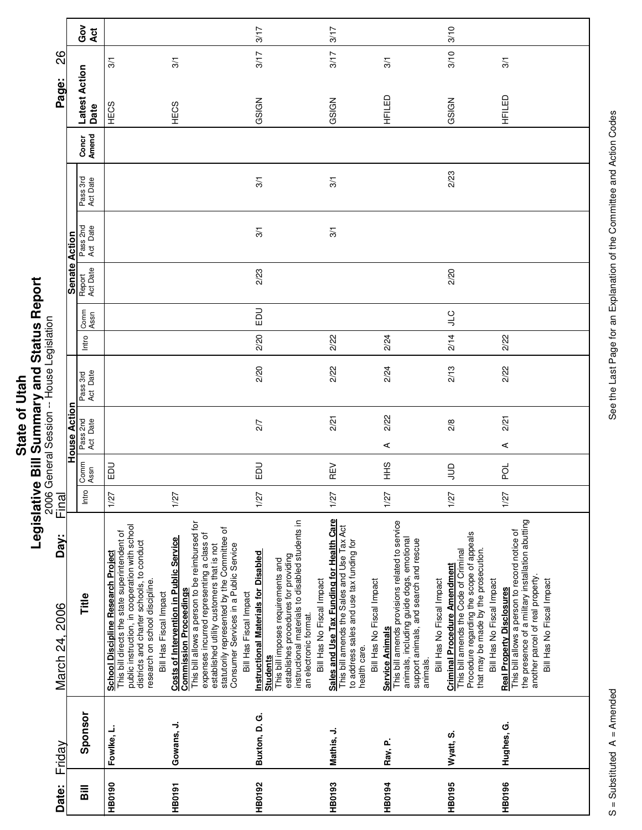|             | ū                          |
|-------------|----------------------------|
|             | i                          |
|             |                            |
|             |                            |
|             |                            |
| <b>Utah</b> |                            |
|             |                            |
| 5           | <b>C. 1999 PORTS OF DI</b> |
|             |                            |
|             |                            |
|             |                            |
| State       |                            |
|             |                            |
|             | ÷                          |
|             | ö                          |
|             |                            |
|             |                            |

г

|                                      |                    | Got<br>Act           |                                                                                                                                                                                                                                                                                                                                                                                                                                         | 3/17                                                                                                                                                                                                                                                                                                                                                                                    | 3/17                                                                                                                                                                             |                                                                                                                                                                                                         | 3/10                                                                                                                                                                                                                       |                                                                                                                                                                                                        |
|--------------------------------------|--------------------|----------------------|-----------------------------------------------------------------------------------------------------------------------------------------------------------------------------------------------------------------------------------------------------------------------------------------------------------------------------------------------------------------------------------------------------------------------------------------|-----------------------------------------------------------------------------------------------------------------------------------------------------------------------------------------------------------------------------------------------------------------------------------------------------------------------------------------------------------------------------------------|----------------------------------------------------------------------------------------------------------------------------------------------------------------------------------|---------------------------------------------------------------------------------------------------------------------------------------------------------------------------------------------------------|----------------------------------------------------------------------------------------------------------------------------------------------------------------------------------------------------------------------------|--------------------------------------------------------------------------------------------------------------------------------------------------------------------------------------------------------|
| 82                                   |                    |                      | 3/1<br>3/1                                                                                                                                                                                                                                                                                                                                                                                                                              | 3/17                                                                                                                                                                                                                                                                                                                                                                                    | 3/17                                                                                                                                                                             | 3/1                                                                                                                                                                                                     | 3/10                                                                                                                                                                                                                       | 3/1                                                                                                                                                                                                    |
| Page:                                |                    | Latest Action        |                                                                                                                                                                                                                                                                                                                                                                                                                                         |                                                                                                                                                                                                                                                                                                                                                                                         |                                                                                                                                                                                  |                                                                                                                                                                                                         |                                                                                                                                                                                                                            | HFILED                                                                                                                                                                                                 |
|                                      |                    | Date                 | HECS<br>HECS                                                                                                                                                                                                                                                                                                                                                                                                                            | GSIGN                                                                                                                                                                                                                                                                                                                                                                                   | GSIGN                                                                                                                                                                            | HFILED                                                                                                                                                                                                  | GSIGN                                                                                                                                                                                                                      |                                                                                                                                                                                                        |
|                                      |                    | Concr<br>Amend       |                                                                                                                                                                                                                                                                                                                                                                                                                                         |                                                                                                                                                                                                                                                                                                                                                                                         |                                                                                                                                                                                  |                                                                                                                                                                                                         |                                                                                                                                                                                                                            |                                                                                                                                                                                                        |
|                                      |                    | Pass 3rd<br>Act Date |                                                                                                                                                                                                                                                                                                                                                                                                                                         | 3/1                                                                                                                                                                                                                                                                                                                                                                                     | 3/1                                                                                                                                                                              |                                                                                                                                                                                                         | 2/23                                                                                                                                                                                                                       |                                                                                                                                                                                                        |
|                                      | Action             | Pass 2nd<br>Act Date |                                                                                                                                                                                                                                                                                                                                                                                                                                         | 3/1                                                                                                                                                                                                                                                                                                                                                                                     | 3/1                                                                                                                                                                              |                                                                                                                                                                                                         |                                                                                                                                                                                                                            |                                                                                                                                                                                                        |
|                                      | <b>Senate</b>      | Report<br>Act Date   |                                                                                                                                                                                                                                                                                                                                                                                                                                         | 2/23                                                                                                                                                                                                                                                                                                                                                                                    |                                                                                                                                                                                  |                                                                                                                                                                                                         | 2/20                                                                                                                                                                                                                       |                                                                                                                                                                                                        |
|                                      |                    | Comm<br>Assn         |                                                                                                                                                                                                                                                                                                                                                                                                                                         | $\Xi$                                                                                                                                                                                                                                                                                                                                                                                   |                                                                                                                                                                                  |                                                                                                                                                                                                         | $rac{C}{\sqrt{2}}$                                                                                                                                                                                                         |                                                                                                                                                                                                        |
|                                      |                    | Intro                |                                                                                                                                                                                                                                                                                                                                                                                                                                         | 2/20                                                                                                                                                                                                                                                                                                                                                                                    | 2/22                                                                                                                                                                             | 2/24                                                                                                                                                                                                    | 2/14                                                                                                                                                                                                                       | 2/22                                                                                                                                                                                                   |
| General Session -- House Legislation |                    | Pass 3rd<br>Act Date |                                                                                                                                                                                                                                                                                                                                                                                                                                         | 2/20                                                                                                                                                                                                                                                                                                                                                                                    | 2/22                                                                                                                                                                             | 2/24                                                                                                                                                                                                    | 2/13                                                                                                                                                                                                                       | 2/22                                                                                                                                                                                                   |
|                                      | 등<br>Acti<br>House | Pass 2nd<br>Act Date |                                                                                                                                                                                                                                                                                                                                                                                                                                         | 2/7                                                                                                                                                                                                                                                                                                                                                                                     | 2/21                                                                                                                                                                             | 2/22<br>$\prec$                                                                                                                                                                                         | 2/8                                                                                                                                                                                                                        | 2/21<br>$\prec$                                                                                                                                                                                        |
|                                      |                    | Comm<br>Assn         | <b>DU</b>                                                                                                                                                                                                                                                                                                                                                                                                                               | EDU                                                                                                                                                                                                                                                                                                                                                                                     | REV                                                                                                                                                                              | $rac{9}{5}$                                                                                                                                                                                             | $\exists$                                                                                                                                                                                                                  | ă                                                                                                                                                                                                      |
| 2006<br>Final                        |                    | Intro                | 1/27<br>1/27                                                                                                                                                                                                                                                                                                                                                                                                                            | 1/27                                                                                                                                                                                                                                                                                                                                                                                    | 1/27                                                                                                                                                                             | 1/27                                                                                                                                                                                                    | 1/27                                                                                                                                                                                                                       | 1/27                                                                                                                                                                                                   |
| Day:<br>March 24, 2006               |                    | Title                | This bill allows a person to be reimbursed for<br>public instruction, in cooperation with school<br><b>School Discipline Research Project</b><br>This bill directs the state superintendent of<br>expenses incurred representing a class of<br><b>Costs of Intervention in Public Service</b><br>districts and charter schools, to conduct<br>research on school discipline.<br><b>Commission Proceedings</b><br>Bill Has Fiscal Impact | instructional materials to disabled students in<br>statutorily represented by the Committee of<br>Consumer Services in a Public Service<br>established utility customers that is not<br><b>Instructional Materials for Disabled</b><br>establishes procedures for providing<br>This bill imposes requirements and<br>Bill Has Fiscal Impact<br>an electronic format.<br><b>Students</b> | Sales and Use Tax Funding for Health Care<br>This bill amends the Sales and Use Tax Act<br>to address sales and use tax funding for<br>Bill Has No Fiscal Impact<br>health care. | This bill amends provisions related to service<br>animals, including guide dogs, emotional<br>support animals, and search and rescue<br>Bill Has No Fiscal Impact<br><b>Service Animals</b><br>animals. | Procedure regarding the scope of appeals<br>that may be made by the prosecution.<br>This bill amends the Code of Criminal<br><b>Criminal Procedure Amendment</b><br>Bill Has No Fiscal Impact<br>Bill Has No Fiscal Impact | the presence of a military installation abutting<br>This bill allows a person to record notice of<br>another parcel of real property.<br>Bill Has No Fiscal Impact<br><b>Real Property Disclosures</b> |
| Friday                               |                    | Sponsor              | Gowans, J.<br>Fowlke, L.                                                                                                                                                                                                                                                                                                                                                                                                                | Buxton, D. G.                                                                                                                                                                                                                                                                                                                                                                           | Mathis, J.                                                                                                                                                                       | Ray, P.                                                                                                                                                                                                 | Wyatt, S.                                                                                                                                                                                                                  | Hughes, G.                                                                                                                                                                                             |
| Date:                                |                    | Bill                 | <b>HB0190</b><br><b>HB0191</b>                                                                                                                                                                                                                                                                                                                                                                                                          | <b>HB0192</b>                                                                                                                                                                                                                                                                                                                                                                           | <b>HB0193</b>                                                                                                                                                                    | <b>HB0194</b>                                                                                                                                                                                           | <b>HB0195</b>                                                                                                                                                                                                              | <b>HB0196</b>                                                                                                                                                                                          |

Ц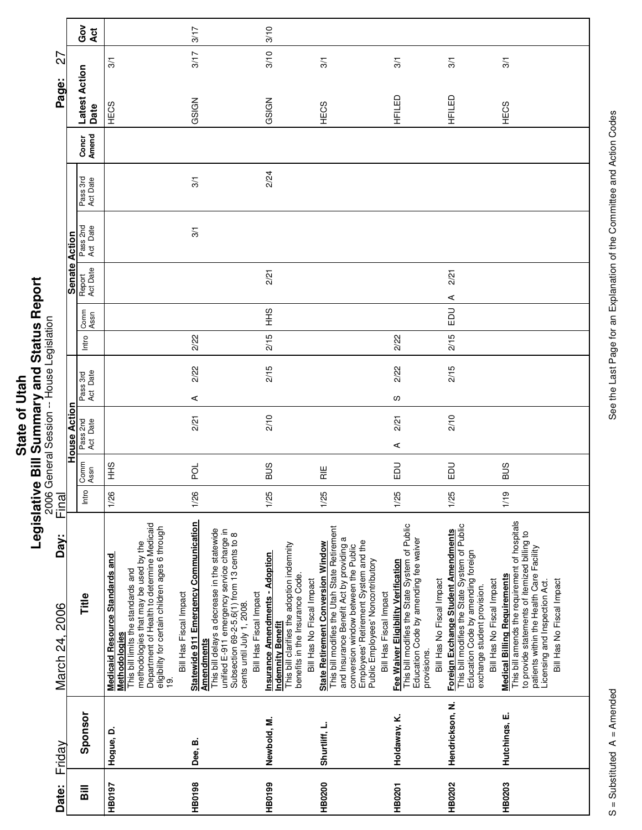|                           | י<br>ט |
|---------------------------|--------|
|                           |        |
|                           | DUC.   |
|                           |        |
| $\overline{\overline{a}}$ |        |
|                           |        |
|                           |        |
|                           |        |
|                           |        |
|                           | Maku   |
| ້ເ                        |        |
|                           |        |
|                           |        |
|                           |        |
|                           | έ      |
| State                     |        |
|                           |        |
|                           |        |
|                           |        |
|                           |        |
|                           | -<br>1 |
|                           |        |
|                           |        |
|                           |        |
|                           |        |
|                           |        |
|                           | Ē      |
|                           |        |

|                        |                     | ဝိ<br>ဝ<br>Act               |                                                                                                                                                                                                                                                | 3/17                                                                                                                                                                                                                                                                                         | 3/10                                                                                                                                                               |                                                                                                                                                                                                                                                                                      |                                                                                                                                                                           |                                                                                                                                                                                        |                                                                                                                                                                                                                                                |
|------------------------|---------------------|------------------------------|------------------------------------------------------------------------------------------------------------------------------------------------------------------------------------------------------------------------------------------------|----------------------------------------------------------------------------------------------------------------------------------------------------------------------------------------------------------------------------------------------------------------------------------------------|--------------------------------------------------------------------------------------------------------------------------------------------------------------------|--------------------------------------------------------------------------------------------------------------------------------------------------------------------------------------------------------------------------------------------------------------------------------------|---------------------------------------------------------------------------------------------------------------------------------------------------------------------------|----------------------------------------------------------------------------------------------------------------------------------------------------------------------------------------|------------------------------------------------------------------------------------------------------------------------------------------------------------------------------------------------------------------------------------------------|
| 27                     |                     |                              | 3/1                                                                                                                                                                                                                                            | 3/17                                                                                                                                                                                                                                                                                         | 3/10                                                                                                                                                               | 3/1                                                                                                                                                                                                                                                                                  | 3/1                                                                                                                                                                       | $\overline{3}$                                                                                                                                                                         | 3/1                                                                                                                                                                                                                                            |
| Page:                  |                     | <b>Latest Action</b><br>Date | HECS                                                                                                                                                                                                                                           | GSIGN                                                                                                                                                                                                                                                                                        | GSIGN                                                                                                                                                              | HECS                                                                                                                                                                                                                                                                                 | HFILED                                                                                                                                                                    | HFILED                                                                                                                                                                                 | HECS                                                                                                                                                                                                                                           |
|                        |                     | Amend<br>Concr               |                                                                                                                                                                                                                                                |                                                                                                                                                                                                                                                                                              |                                                                                                                                                                    |                                                                                                                                                                                                                                                                                      |                                                                                                                                                                           |                                                                                                                                                                                        |                                                                                                                                                                                                                                                |
|                        |                     | Pass 3rd<br>Act Date         |                                                                                                                                                                                                                                                | 3/1                                                                                                                                                                                                                                                                                          | 2/24                                                                                                                                                               |                                                                                                                                                                                                                                                                                      |                                                                                                                                                                           |                                                                                                                                                                                        |                                                                                                                                                                                                                                                |
|                        |                     | Pass 2nd<br>Act Date         |                                                                                                                                                                                                                                                | 3/1                                                                                                                                                                                                                                                                                          |                                                                                                                                                                    |                                                                                                                                                                                                                                                                                      |                                                                                                                                                                           |                                                                                                                                                                                        |                                                                                                                                                                                                                                                |
|                        | Senate Action       | Report<br>Act Date           |                                                                                                                                                                                                                                                |                                                                                                                                                                                                                                                                                              | 2/21                                                                                                                                                               |                                                                                                                                                                                                                                                                                      |                                                                                                                                                                           | 2/21<br>⋖                                                                                                                                                                              |                                                                                                                                                                                                                                                |
|                        |                     | Comm<br>Assn                 |                                                                                                                                                                                                                                                |                                                                                                                                                                                                                                                                                              | $rac{9}{5}$                                                                                                                                                        |                                                                                                                                                                                                                                                                                      |                                                                                                                                                                           | $\Xi$                                                                                                                                                                                  |                                                                                                                                                                                                                                                |
|                        |                     | Intro                        |                                                                                                                                                                                                                                                | 2/22                                                                                                                                                                                                                                                                                         | 2/15                                                                                                                                                               |                                                                                                                                                                                                                                                                                      | 2/22                                                                                                                                                                      | 2/15                                                                                                                                                                                   |                                                                                                                                                                                                                                                |
|                        |                     | Act Date<br>Pass 3rd         |                                                                                                                                                                                                                                                | 2/22<br>⋖                                                                                                                                                                                                                                                                                    | 2/15                                                                                                                                                               |                                                                                                                                                                                                                                                                                      | 2/22<br>လ                                                                                                                                                                 | 2/15                                                                                                                                                                                   |                                                                                                                                                                                                                                                |
|                        | <b>House Action</b> | Pass 2nd<br>Act Date         |                                                                                                                                                                                                                                                | 2/21                                                                                                                                                                                                                                                                                         | 2/10                                                                                                                                                               |                                                                                                                                                                                                                                                                                      | 2/21<br>⋖                                                                                                                                                                 | 2/10                                                                                                                                                                                   |                                                                                                                                                                                                                                                |
|                        |                     | Comm<br>Assn                 | $rac{9}{5}$                                                                                                                                                                                                                                    | pol                                                                                                                                                                                                                                                                                          | <b>SUB</b>                                                                                                                                                         | $\frac{11}{11}$                                                                                                                                                                                                                                                                      | 品                                                                                                                                                                         | $\Xi$                                                                                                                                                                                  | <b>SUB</b>                                                                                                                                                                                                                                     |
| Final                  |                     | Intro                        | 1/26                                                                                                                                                                                                                                           | 1/26                                                                                                                                                                                                                                                                                         | 1/25                                                                                                                                                               | 1/25                                                                                                                                                                                                                                                                                 | 1/25                                                                                                                                                                      | 1/25                                                                                                                                                                                   | 1/19                                                                                                                                                                                                                                           |
| Day:<br>March 24, 2006 |                     | Title                        | Department of Health to determine Medicaid<br>eligibility for certain children ages 6 through<br>methodologies that may be used by the<br><b>Medicaid Resource Standards and</b><br>This bill limits the standards and<br><b>Methodologies</b> | <b>Statewide 911 Emergency Communication</b><br>This bill delays a decrease in the statewide<br>unified E-911 emergency service charge in<br>Subsection 69-2-5.6(1) from 13 cents to 8<br>Bill Has Fiscal Impact<br>Bill Has Fiscal Impact<br>cents until July 1, 2008.<br><u>Amendments</u> | This bill clarifies the adoption indemnity<br>Insurance Amendments - Adoption<br>benefits in the Insurance Code.<br>Bill Has No Fiscal Impact<br>Indemnity Benefit | This bill modifies the Utah State Retirement<br>and Insurance Benefit Act by providing a<br>Employees' Retirement System and the<br><b>State Retirement Conversion Window</b><br>conversion window between the Public<br>Public Employees' Noncontributory<br>Bill Has Fiscal Impact | This bill modifies the State System of Public<br>Education Code by amending fee waiver<br>Fee Waiver Eligibility Verification<br>Bill Has No Fiscal Impact<br>provisions. | This bill modifies the State System of Public<br>Foreign Exchange Student Amendments<br>Education Code by amending foreign<br>Bill Has No Fiscal Impact<br>exchange student provision. | This bill amends the requirement of hospitals<br>to provide statements of itemized billing to<br>patients within the Health Care Facility<br><b>Medical Billing Requirements</b><br>Licensing and Inspection Act.<br>Bill Has No Fiscal Impact |
| Friday                 |                     | Sponsor                      | Hogue, D.                                                                                                                                                                                                                                      | Dee, B.                                                                                                                                                                                                                                                                                      | Newbold, M.                                                                                                                                                        | Shurtliff, L.                                                                                                                                                                                                                                                                        | Holdaway, K.                                                                                                                                                              | Hendrickson, N.                                                                                                                                                                        | Hutchings, E.                                                                                                                                                                                                                                  |
| Date:                  |                     | <b>Sill</b>                  | HB0197                                                                                                                                                                                                                                         | <b>HB0198</b>                                                                                                                                                                                                                                                                                | HB0199                                                                                                                                                             | <b>HB0200</b>                                                                                                                                                                                                                                                                        | <b>HB0201</b>                                                                                                                                                             | <b>HB0202</b>                                                                                                                                                                          | HB0203                                                                                                                                                                                                                                         |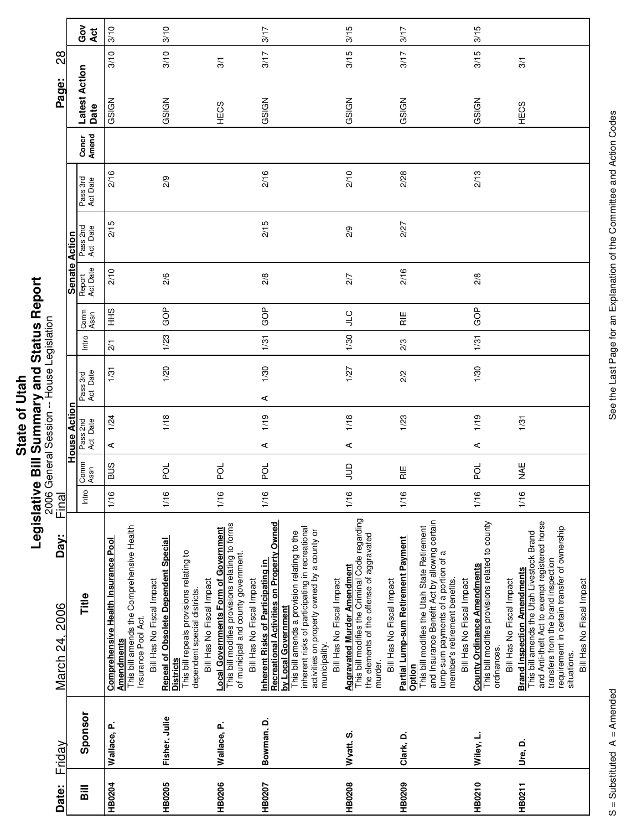| <b>Hall</b> |               |
|-------------|---------------|
|             |               |
|             |               |
|             |               |
|             |               |
|             |               |
|             |               |
|             |               |
|             |               |
|             |               |
| State       | j             |
|             |               |
|             | $\frac{1}{2}$ |
|             |               |
|             |               |
|             | í             |

| Date:          | Friday        | Day:<br>March 24, 2006                                                                                                                                                                                                                                                                                 | Final |              |                      |      |                      |                 |                 |                      |                      |                      |                | Page:                 | 28              |
|----------------|---------------|--------------------------------------------------------------------------------------------------------------------------------------------------------------------------------------------------------------------------------------------------------------------------------------------------------|-------|--------------|----------------------|------|----------------------|-----------------|-----------------|----------------------|----------------------|----------------------|----------------|-----------------------|-----------------|
|                |               |                                                                                                                                                                                                                                                                                                        |       |              | <b>House Action</b>  |      |                      |                 |                 | <b>Senate Action</b> |                      |                      |                |                       |                 |
| $\overline{B}$ | Sponsor       | Title                                                                                                                                                                                                                                                                                                  | Intro | Comm<br>Assn | Pass 2nd<br>Act Date |      | Act Date<br>Pass 3rd | Intro           | Comm<br>Assn    | Report<br>Act Date   | Pass 2nd<br>Act Date | Pass 3rd<br>Act Date | Amend<br>Concr | Latest Action<br>Date | ဝိ<br>ပိ<br>Act |
| <b>HB0204</b>  | Wallace, P.   | This bill amends the Comprehensive Health<br><b>Comprehensive Health Insurance Pool</b><br>Bill Has No Fiscal Impact<br>Insurance Pool Act.<br><b>Amendments</b>                                                                                                                                       | 1/16  | <b>SUS</b>   | ⋖                    | 1/24 | 1/31                 | $\overline{21}$ | SHH             | 2/10                 | 2/15                 | 2/16                 |                | GSIGN                 | 3/10<br>3/10    |
| HB0205         | Fisher, Julie | <b>Repeal of Obsolete Dependent Special</b><br>This bill repeals provisions relating to<br>Bill Has No Fiscal Impact<br>dependent special districts.<br><b>Districts</b>                                                                                                                               | 1/16  | ă            |                      | 1/18 | 1/20                 | 1/23            | GOP             | 2/6                  |                      | 2/9                  |                | GSIGN                 | 3/10<br>3/10    |
| HB0206         | Wallace, P.   | This bill modifies provisions relating to forms<br><b>Local Governments Form of Government</b><br>of municipal and county government.<br>Bill Has No Fiscal Impact                                                                                                                                     | 1/16  | ă            |                      |      |                      |                 |                 |                      |                      |                      |                | 3/1<br>HECS           |                 |
| HB0207         | Bowman, D.    | Recreational Activities on Property Owned<br>inherent risks of participating in recreational<br>activities on property owned by a county or<br>This bill amends a provision relating to the<br>Inherent Risks of Participating in<br>Bill Has No Fiscal Impact<br>by Local Government<br>municipality. | 1/16  | pol          | ⋖                    | 1/19 | 1/30<br>⋖            | 1/31            | <b>GOP</b>      | 2/8                  | 2/15                 | 2/16                 |                | GSIGN                 | 3/17<br>3/17    |
| HB0208         | Wyatt, S.     | This bill modifies the Criminal Code regarding<br>the elements of the offense of aggravated<br><b>Aggravated Murder Amendment</b><br>Bill Has No Fiscal Impact<br>murder.                                                                                                                              | 1/16  | $\supseteq$  | ⋖                    | 1/18 | 1/27                 | 1/30            | <b>CTC</b>      | 2/7                  | 2/9                  | 2/10                 |                | GSIGN                 | 3/15<br>3/15    |
| HB0209         | Clark, D.     | and Insurance Benefit Act by allowing certain<br>This bill modifies the Utah State Retirement<br>Partial Lump-sum Retirement Payment<br>lump-sum payments of a portion of a<br>member's retirement benefits.<br>Bill Has No Fiscal Impact<br>Option                                                    | 1/16  | )<br>도       |                      | 1/23 | 2/2                  | 2/3             | $\frac{11}{12}$ | 2/16                 | 2/27                 | 2/28                 |                | GSIGN                 | 3/17<br>3/17    |
| HB0210         | Wiley, L.     | This bill modifies provisions related to county<br><b>County Ordinance Amendments</b><br>Bill Has No Fiscal Impact<br>ordinances.                                                                                                                                                                      | 1/16  | 2d           | ⋖                    | 1/19 | 1/30                 | 1/31            | GOP             | 2/8                  |                      | 2/13                 |                | GSIGN                 | 3/15<br>3/15    |
| HB0211         | Ure, D.       | and Anti-theft Act to exempt registered horse<br>requirement in certain transfer of ownership<br>This bill amends the Utah Livestock Brand<br>transfers from the brand inspection<br><b>Brand Inspection Amendments</b><br>Bill Has No Fiscal Impact<br>situations.                                    | 1/16  | ¥<br>≱       |                      | 1/31 |                      |                 |                 |                      |                      |                      |                | 3/1<br><b>HECS</b>    |                 |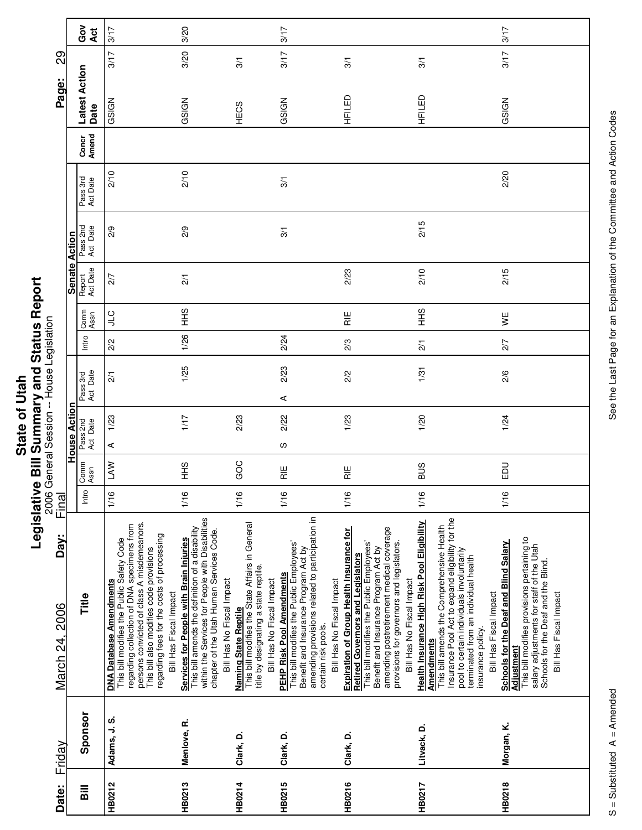| $\frac{1}{1}$ | i             |
|---------------|---------------|
|               |               |
| ä             | "א הא האם האו |
| <u>ഉ</u>      |               |
| <b>Stat</b>   | ة             |
|               | į             |
|               | I             |
|               |               |

| Friday      | Day:<br>March 24, 2006                                                                                                                                                                                                                                                                                | Final |                 |                      |                      |                 |              |                    |                      |                      |                | Page:                 | 89                     |  |
|-------------|-------------------------------------------------------------------------------------------------------------------------------------------------------------------------------------------------------------------------------------------------------------------------------------------------------|-------|-----------------|----------------------|----------------------|-----------------|--------------|--------------------|----------------------|----------------------|----------------|-----------------------|------------------------|--|
|             |                                                                                                                                                                                                                                                                                                       |       |                 | <b>House Action</b>  |                      |                 |              |                    | <b>Senate Action</b> |                      |                |                       |                        |  |
| Sponsor     | Title                                                                                                                                                                                                                                                                                                 | Intro | Comm<br>Assn    | Pass 2nd<br>Act Date | Act Date<br>Pass 3rd | Intro           | Comm<br>Assn | Act Date<br>Report | Pass 2nd<br>Act Date | Pass 3rd<br>Act Date | Amend<br>Concr | Latest Action<br>Date | ဝိ<br>ဝိ<br><b>Act</b> |  |
| Adams, J.S. | persons convicted of class A misdemeanors.<br>regarding collection of DNA specimens from<br>regarding fees for the costs of processing<br>This bill modifies the Public Safety Code<br>This bill also modifies code provisions<br><b>DNA Database Amendments</b><br>Bill Has Fiscal Impact            | 1/16  | LAW             | 1/23<br>⋖            | $\overline{21}$      | 2/2             | СП           | 2/7                | 2/9                  | 2/10                 |                | GSIGN                 | 3/17<br>3/17           |  |
| Menlove, R. | within the Services for People with Disabilities<br>This bill amends the definition of a disability<br>chapter of the Utah Human Services Code.<br>Services for People with Brain Injuries<br>Bill Has No Fiscal Impact                                                                               | 1/16  | $rac{9}{1}$     | 1/17                 | 1/25                 | 1/26            | $rac{9}{1}$  | $\overline{21}$    | 2/9                  | 2/10                 |                | GSIGN                 | 3/20<br>3/20           |  |
| Clark, D.   | This bill modifies the State Affairs in General<br>title by designating a state reptile.<br>Bill Has No Fiscal Impact<br><b>Naming State Reptile</b>                                                                                                                                                  | 1/16  | GOC             | 2/23                 |                      |                 |              |                    |                      |                      |                | HECS                  | 3/1                    |  |
| Clark, D.   | amending provisions related to participation in<br>This bill modifies the Public Employees'<br>Benefit and Insurance Program Act by<br>PEHP Risk Pool Amendments<br>Bill Has No Fiscal Impact<br>certain risk pools.                                                                                  | 1/16  | $\frac{11}{12}$ | 2/22<br>S            | 2/23<br>⋖            | 2/24            |              |                    | 3/1                  | 3/1                  |                | GSIGN                 | 3/17<br>3/17           |  |
| Clark, D.   | amending postretirement medical coverage<br><b>Expiration of Group Health Insurance for</b><br>provisions for governors and legislators.<br>This bill modifies the Public Employees'<br>Benefit and Insurance Program Act by<br><b>Retired Governors and Legislators</b><br>Bill Has No Fiscal Impact | 1/16  | $\frac{11}{11}$ | 1/23                 | 2/2                  | 2/3             | )<br>교       | 2/23               |                      |                      |                | 3/1<br>HFILED         |                        |  |
| Litvack, D. | Insurance Pool Act to expand eligibility for the<br>Health Insurance High Risk Pool Eligibility<br>This bill amends the Comprehensive Health<br>pool to certain individuals involuntarily<br>terminated from an individual health<br>Bill Has Fiscal Impact<br>insurance policy<br><b>Amendments</b>  | 1/16  | <b>SUB</b>      | 1/20                 | 1/31                 | $\overline{21}$ | 9H<br>王      | 2/10               | 2/15                 |                      |                | 3/1<br>HFILED         |                        |  |
| Morgan, K.  | This bill modifies provisions pertaining to<br>Schools for the Deaf and Blind Salary<br>salary adjustments for staff of the Utah<br>Schools for the Deaf and the Blind.<br>Bill Has Fiscal Impact<br>Adjustment                                                                                       | 1/16  | EDU             | 1/24                 | 2/6                  | 2/7             | y≝           | 2/15               |                      | 2/20                 |                | GSIGN                 | 3/17<br>3/17           |  |

See the Last Page for an Explanation of the Committee and Action Codes S = Substituted A = Amended A = Amendes See the Last Page for an Explanation of the Committee and Action Codes

 $\overline{\phantom{a}}$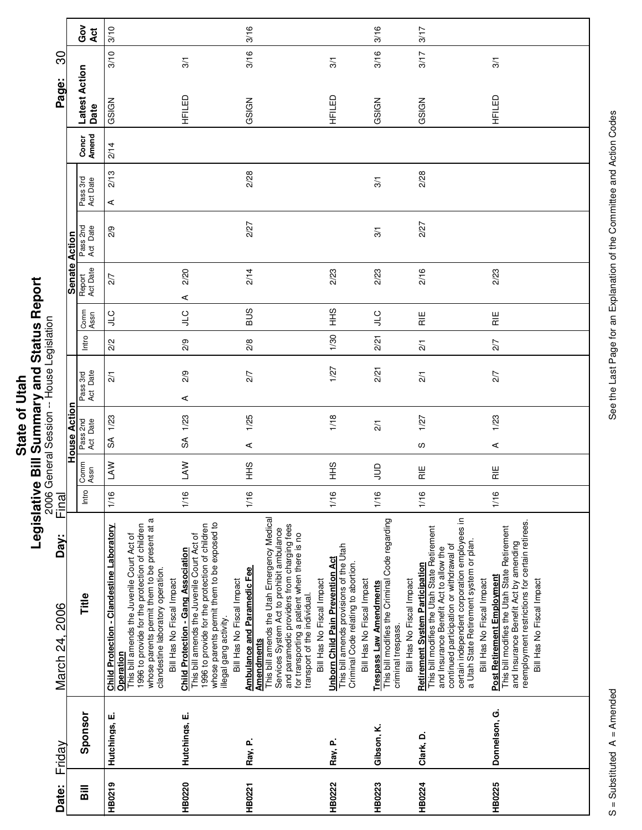| ច            |   |
|--------------|---|
| ś            |   |
|              |   |
|              |   |
|              |   |
| $\mathbf 0$  |   |
|              |   |
| <b>State</b> |   |
|              | j |
|              |   |
|              | Ξ |
|              | ë |
|              |   |
|              |   |
|              |   |

| Friday                     | Day:<br>March 24, 2006                                                                                                                                                                                                                                                                                                            | <b>2006</b><br>Final |                 | General Session -- House Legislation |   |                      |               |                    |                    |                      |                      |                | Page:                 | င္က  |            |
|----------------------------|-----------------------------------------------------------------------------------------------------------------------------------------------------------------------------------------------------------------------------------------------------------------------------------------------------------------------------------|----------------------|-----------------|--------------------------------------|---|----------------------|---------------|--------------------|--------------------|----------------------|----------------------|----------------|-----------------------|------|------------|
|                            |                                                                                                                                                                                                                                                                                                                                   |                      |                 | <b>House Acti</b>                    |   |                      |               |                    | Senate Action      |                      |                      |                |                       |      |            |
| Sponsor                    | Title                                                                                                                                                                                                                                                                                                                             | Intro                | Comm<br>Assn    | Pass 2nd<br>Act Date                 |   | Pass 3rd<br>Act Date | Intro         | Comm<br>Assn       | Report<br>Act Date | Pass 2nd<br>Act Date | Pass 3rd<br>Act Date | Concr<br>Amend | Latest Action<br>Date |      | Got<br>Act |
| Operation<br>Hutchings, E. | whose parents permit them to be present at a<br>Child Protection - Clandestine Laboratory<br>1996 to provide for the protection of children<br>This bill amends the Juvenile Court Act of<br>clandestine laboratory operation.                                                                                                    | 1/16                 | <b>NVT</b>      | 1/23<br>SÃ                           |   | $\overline{21}$      | 2/2           | ς<br>Γ             | 27                 | 2/9                  | 2/13<br>⋖            | 2/14           | GSIGN                 | 3/10 | 3/10       |
| Hutchings, E.              | whose parents permit them to be exposed to<br>1996 to provide for the protection of children<br>This bill amends the Juvenile Court Act of<br><b>Child Protection - Gang Association</b><br>Bill Has No Fiscal Impact<br>illegal gang activity.                                                                                   | 1/16                 | <b>LAW</b>      | 1/23<br>SÃ                           | ⋖ | 2/9                  | 2/9           | <b>JIC</b>         | 2/20<br>⋖          |                      |                      |                | HFILED                | 3/1  |            |
| Ray, P.                    | This bill amends the Utah Emergency Medical<br>and paramedic providers from charging fees<br>Services System Act to prohibit ambulance<br><b>Ambulance and Paramedic Fee</b><br>Bill Has No Fiscal Impact<br><b>Amendments</b>                                                                                                    | 1/16                 | $rac{2}{5}$     | 1/25<br>$\prec$                      |   | 2/7                  | 2/8           | <b>SUS</b>         | 2/14               | 2/27                 | 2/28                 |                | GSIGN                 | 3/16 | 3/16       |
| Ray, P.                    | for transporting a patient when there is no<br>transport of the individual.<br>This bill amends provisions of the Utah<br><b>Unborn Child Pain Prevention Act</b><br>Criminal Code relating to abortion.<br>Bill Has No Fiscal Impact                                                                                             | 1/16                 | $rac{9}{5}$     | 1/18                                 |   | 1/27                 | 1/30          | $rac{9}{5}$        | 2/23               |                      |                      |                | HFILED                | 3/1  |            |
| Gibson, K.                 | This bill modifies the Criminal Code regarding<br>Bill Has No Fiscal Impact<br>Trespass Law Amendments<br>criminal trespass.                                                                                                                                                                                                      | 1/16                 | $\exists$       | $\overline{2}$                       |   | 2/21                 | 2/21          | $rac{C}{\sqrt{2}}$ | 2/23               | 3/1                  | 3/1                  |                | GSIGN                 | 3/16 | 3/16       |
| Clark, D.                  | certain independent corporation employees in<br>This bill modifies the Utah State Retirement<br>a Utah State Retirement system or plan.<br>continued participation or withdrawal of<br>and Insurance Benefit Act to allow the<br><b>Retirement System Participation</b><br>Bill Has No Fiscal Impact<br>Bill Has No Fiscal Impact | 1/16                 | $\frac{11}{15}$ | 1/27<br>S                            |   | $\overline{21}$      | $\frac{2}{1}$ | $\frac{11}{15}$    | 2/16               | 2/27                 | 2/28                 |                | GSIGN                 | 3/17 | 3/17       |
| Donnelson, G.              | reemployment restrictions for certain retirees.<br>This bill modifies the Utah State Retirement<br>and Insurance Benefit Act by amending<br>Post Retirement Employment<br>Bill Has No Fiscal Impact                                                                                                                               | 1/16                 | $\frac{\mu}{R}$ | 1/23<br>$\prec$                      |   | 2/7                  | 2/7           | $\frac{11}{11}$    | 2/23               |                      |                      |                | HFILED                | 3/1  |            |
|                            |                                                                                                                                                                                                                                                                                                                                   |                      |                 |                                      |   |                      |               |                    |                    |                      |                      |                |                       |      |            |

Ц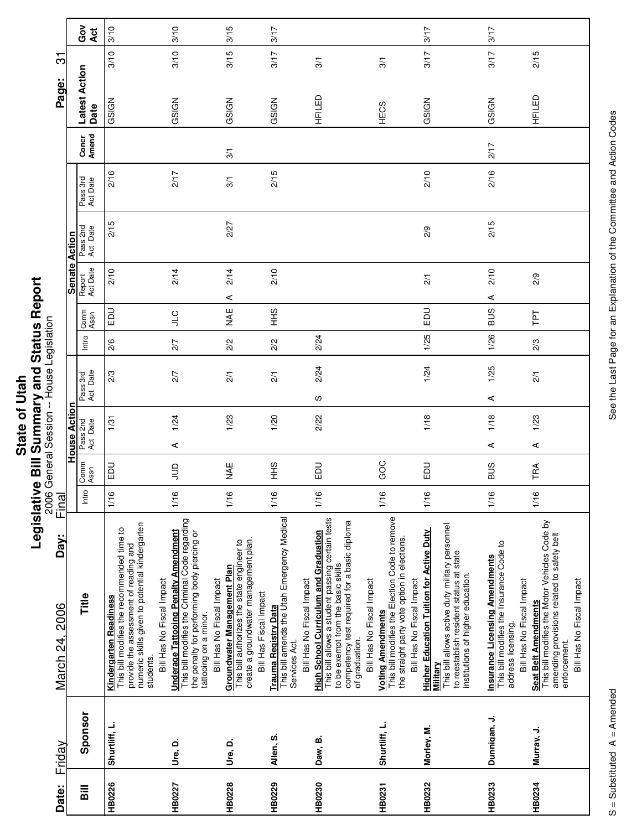| j<br>¢<br>State | s<br>S<br>֧֧֞֟֓֝֬֝֝֬֝֬֝֬֝֬֝֓֝֬֝֬֝֓֝֬֝֬֝֬֝֬֝֓ <b>֓</b><br>֧֧֪֧֛֝֟֟֝֟֝֟֟֜֝<br>ì<br>ł |
|-----------------|------------------------------------------------------------------------------------|
|                 |                                                                                    |
|                 | Ę<br>ŋ                                                                             |
|                 | 2                                                                                  |

|                                           |                      | Ğ<br>O<br>Act                | 3/10                                                                                                                                                                                | 3/10                                                                                                                                                                                                                            | 3/15                                                                                                                                         | 3/17                                                                                                              |                                                                                                                                                                                                                                       |                                                                                                                                                         | 3/17                                                                                                                                                                                           | 3/17                                                                                                                                |                                                                                                                                                                  |
|-------------------------------------------|----------------------|------------------------------|-------------------------------------------------------------------------------------------------------------------------------------------------------------------------------------|---------------------------------------------------------------------------------------------------------------------------------------------------------------------------------------------------------------------------------|----------------------------------------------------------------------------------------------------------------------------------------------|-------------------------------------------------------------------------------------------------------------------|---------------------------------------------------------------------------------------------------------------------------------------------------------------------------------------------------------------------------------------|---------------------------------------------------------------------------------------------------------------------------------------------------------|------------------------------------------------------------------------------------------------------------------------------------------------------------------------------------------------|-------------------------------------------------------------------------------------------------------------------------------------|------------------------------------------------------------------------------------------------------------------------------------------------------------------|
| က်                                        |                      |                              | 3/10                                                                                                                                                                                | 3/10                                                                                                                                                                                                                            | 3/15                                                                                                                                         | 3/17                                                                                                              | 3/1                                                                                                                                                                                                                                   | 3/1                                                                                                                                                     | 3/17                                                                                                                                                                                           | 3/17                                                                                                                                | 2/15                                                                                                                                                             |
| Page:                                     |                      | <b>Latest Action</b><br>Date | GSIGN                                                                                                                                                                               | GSIGN                                                                                                                                                                                                                           | GSIGN                                                                                                                                        | GSIGN                                                                                                             | HFILED                                                                                                                                                                                                                                | HECS                                                                                                                                                    | GSIGN                                                                                                                                                                                          | GSIGN                                                                                                                               | HFILED<br>H                                                                                                                                                      |
|                                           |                      | Concr<br>Amend               |                                                                                                                                                                                     |                                                                                                                                                                                                                                 | $\frac{5}{10}$                                                                                                                               |                                                                                                                   |                                                                                                                                                                                                                                       |                                                                                                                                                         |                                                                                                                                                                                                | 217                                                                                                                                 |                                                                                                                                                                  |
|                                           |                      | Pass 3rd<br>Act Date         | 2/16                                                                                                                                                                                | 2/17                                                                                                                                                                                                                            | $\frac{5}{10}$                                                                                                                               | 2/15                                                                                                              |                                                                                                                                                                                                                                       |                                                                                                                                                         | 2/10                                                                                                                                                                                           | 2/16                                                                                                                                |                                                                                                                                                                  |
|                                           |                      | Pass 2nd<br>Act Date         | 2/15                                                                                                                                                                                |                                                                                                                                                                                                                                 | 2/27                                                                                                                                         |                                                                                                                   |                                                                                                                                                                                                                                       |                                                                                                                                                         | 2/9                                                                                                                                                                                            | 2/15                                                                                                                                |                                                                                                                                                                  |
|                                           | <b>Senate Action</b> | Report<br>Act Date           | 2/10                                                                                                                                                                                | 2/14                                                                                                                                                                                                                            | 2/14<br>⋖                                                                                                                                    | 2/10                                                                                                              |                                                                                                                                                                                                                                       |                                                                                                                                                         | $\frac{2}{1}$                                                                                                                                                                                  | 2/10<br>⋖                                                                                                                           | 2/9                                                                                                                                                              |
|                                           |                      | Comm<br>Assn                 | 品                                                                                                                                                                                   | $rac{C}{\pi}$                                                                                                                                                                                                                   | ¥<br>≥                                                                                                                                       | $rac{9}{1}$                                                                                                       |                                                                                                                                                                                                                                       |                                                                                                                                                         | <b>DU</b>                                                                                                                                                                                      | <b>SUS</b>                                                                                                                          | Ιd1                                                                                                                                                              |
|                                           |                      | Intro                        | 2/6                                                                                                                                                                                 | 2/7                                                                                                                                                                                                                             | 2/2                                                                                                                                          | 2/2                                                                                                               | 2/24                                                                                                                                                                                                                                  |                                                                                                                                                         | 1/25                                                                                                                                                                                           | 1/26                                                                                                                                | 2/3                                                                                                                                                              |
| 2006 General Session -- House Legislation |                      | Pass 3rd<br>Act Date         | 2/3                                                                                                                                                                                 | 2/7                                                                                                                                                                                                                             | $\overline{21}$                                                                                                                              | $\overline{2}/1$                                                                                                  | 2/24<br>လ                                                                                                                                                                                                                             |                                                                                                                                                         | 1/24                                                                                                                                                                                           | 1/25<br>⋖                                                                                                                           | $\overline{2}/1$                                                                                                                                                 |
|                                           |                      |                              | 1/31                                                                                                                                                                                | 1/24                                                                                                                                                                                                                            | 1/23                                                                                                                                         | 1/20                                                                                                              | 2/22                                                                                                                                                                                                                                  |                                                                                                                                                         | 1/18                                                                                                                                                                                           | 1/18                                                                                                                                | 1/23                                                                                                                                                             |
|                                           | House Action         | Pass 2nd<br>Act Date         |                                                                                                                                                                                     | ⋖                                                                                                                                                                                                                               |                                                                                                                                              |                                                                                                                   |                                                                                                                                                                                                                                       |                                                                                                                                                         |                                                                                                                                                                                                | ⋖                                                                                                                                   | $\prec$                                                                                                                                                          |
|                                           |                      | Assn<br>Comm                 | <b>DU</b>                                                                                                                                                                           | $\Xi$                                                                                                                                                                                                                           | NAE                                                                                                                                          | $rac{9}{1}$                                                                                                       | <b>DO</b>                                                                                                                                                                                                                             | GOC                                                                                                                                                     | <b>DU</b>                                                                                                                                                                                      | SUS                                                                                                                                 | TRA                                                                                                                                                              |
| Final                                     |                      | Intro                        | 1/16                                                                                                                                                                                | 1/16                                                                                                                                                                                                                            | 1/16                                                                                                                                         | 1/16                                                                                                              | 1/16                                                                                                                                                                                                                                  | 1/16                                                                                                                                                    | 1/16                                                                                                                                                                                           | 1/16                                                                                                                                | 1/16                                                                                                                                                             |
| Day:<br>March 24, 2006                    |                      | Title                        | numeric skills given to potential kindergarten<br>This bill modifies the recommended time to<br>provide the assessment of reading and<br><b>Kindergarten Readiness</b><br>students. | This bill modifies the Criminal Code regarding<br><b>Underage Tattooing Penalty Amendment</b><br>the penalty for performing body piercing or<br>Bill Has No Fiscal Impact<br>Bill Has No Fiscal Impact<br>tattooing on a minor. | create a groundwater management plan.<br>This bill authorizes the state engineer to<br>Groundwater Management Plan<br>Bill Has Fiscal Impact | This bill amends the Utah Emergency Medical<br>Bill Has No Fiscal Impact<br>Trauma Registry Data<br>Services Act. | This bill allows a student passing certain tests<br>competency test required for a basic diploma<br><b>High School Curriculum and Graduation</b><br>to be exempt from the basic skills<br>Bill Has No Fiscal Impact<br>of graduation. | <u>Voting Amendments</u><br>This bill modifies the Election Code to remove<br>the straight party vote option in elections.<br>Bill Has No Fiscal Impact | This bill allows active duty military personnel<br><b>Higher Education Tuition for Active Duty</b><br>to reestablish resident status at state<br>institutions of higher education.<br>Military | This bill modifies the Insurance Code to<br><b>Insurance Licensing Amendments</b><br>Bill Has No Fiscal Impact<br>address licensing | This bill modifies the Motor Vehicles Code by<br>amending provisions related to safety belt<br>Bill Has No Fiscal Impact<br>Seat Belt Amendments<br>enforcement. |
| Friday                                    |                      | Sponsor                      | Shurtliff, L.                                                                                                                                                                       | Ure, D.                                                                                                                                                                                                                         | Ure, D.                                                                                                                                      | Allen, S.                                                                                                         | Daw, B.                                                                                                                                                                                                                               | Shurtliff, L.                                                                                                                                           | Morley, M.                                                                                                                                                                                     | Dunnigan, J.                                                                                                                        | Murray, J.                                                                                                                                                       |
| Date:                                     |                      | $\overline{B}$               | HB0226                                                                                                                                                                              | HB0227                                                                                                                                                                                                                          | HB0228                                                                                                                                       | HB0229                                                                                                            | HB0230                                                                                                                                                                                                                                | HB0231                                                                                                                                                  | HB0232                                                                                                                                                                                         | <b>HB0233</b>                                                                                                                       | HB0234                                                                                                                                                           |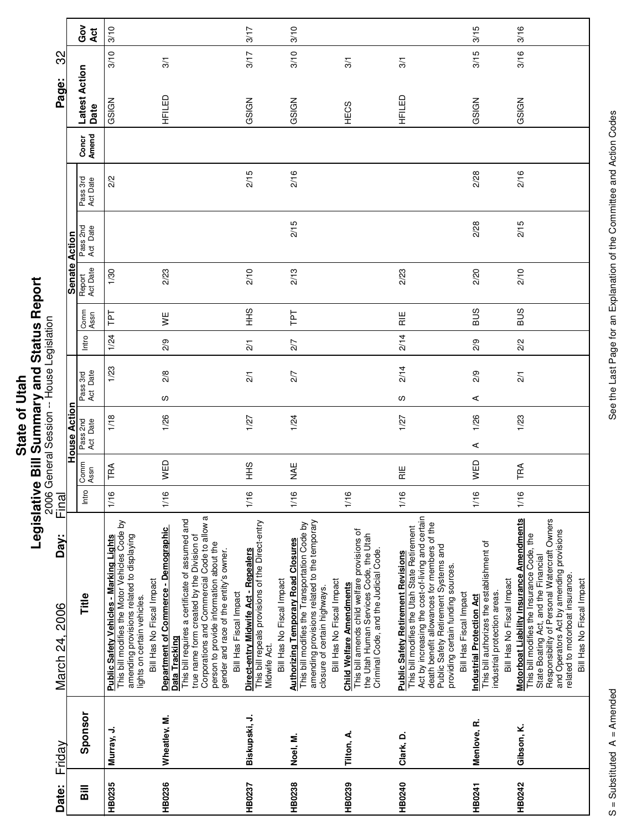|         | ı                     |
|---------|-----------------------|
| í,<br>i | ĭ<br>l<br>ĺ<br>i<br>ı |
|         | ۰<br>п                |

| Amend<br>2/2<br>Act Date<br>Act Date<br>Report<br>Act Date<br>2/23<br>1/30<br>Comm<br>Ιd1<br>Assn<br>¥ |
|--------------------------------------------------------------------------------------------------------|
|                                                                                                        |
|                                                                                                        |
| 2/9                                                                                                    |
| 2/8<br>လ<br>1/26                                                                                       |
|                                                                                                        |
| This bill requires a certificate of assumed and<br>Data Tracking                                       |
| true name form created by the Division of                                                              |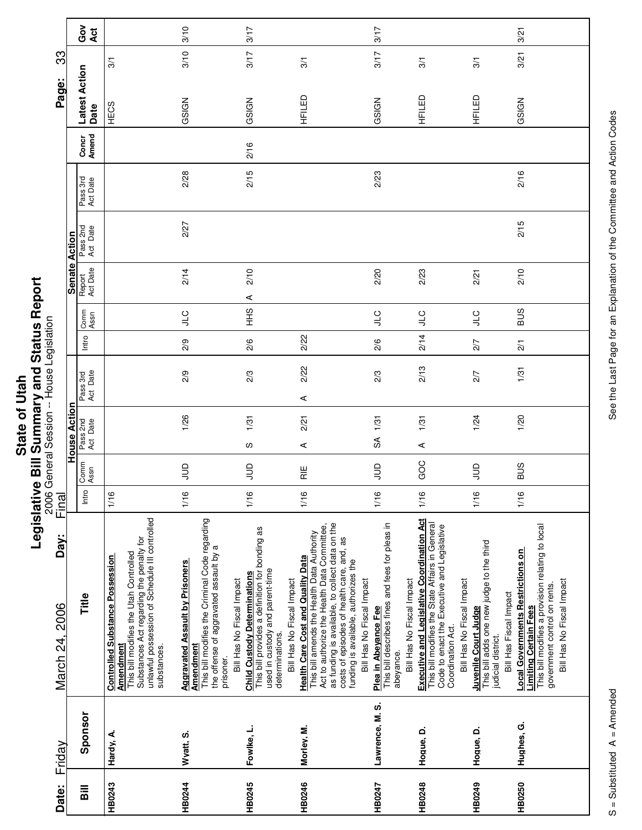| $\bar{a}$   | Į |
|-------------|---|
| ۹           |   |
|             |   |
| ৳           |   |
|             |   |
| ഉ           |   |
|             |   |
| <b>Stat</b> |   |
|             |   |
|             | į |
|             | O |
|             |   |

| Friday                                                                                                                                                                                                                                                                                                                   | Day:<br>March 24, 2006 | <u>Final</u> |                 |                                      | 2006 General Session -- House Legislation |                 |              |                                     |                      |                      |                | Page:                 | ကွ   |        |
|--------------------------------------------------------------------------------------------------------------------------------------------------------------------------------------------------------------------------------------------------------------------------------------------------------------------------|------------------------|--------------|-----------------|--------------------------------------|-------------------------------------------|-----------------|--------------|-------------------------------------|----------------------|----------------------|----------------|-----------------------|------|--------|
| Title<br>Sponsor                                                                                                                                                                                                                                                                                                         |                        | Intro        | Comm<br>Assn    | House Action<br>Pass 2nd<br>Act Date | Pass 3rd<br>Act Date                      | Intro           | Comm<br>Assn | Senate Action<br>Report<br>Act Date | Pass 2nd<br>Act Date | Pass 3rd<br>Act Date | Concr<br>Amend | Latest Action<br>Date |      | Ğ<br>O |
| Substances Act regarding the penalty for<br>unlawful possession of Schedule III controlled<br>This bill modifies the Utah Controlled<br><b>Controlled Substance Possession</b><br>Amendment<br>substances.<br>Hardy, A.                                                                                                  |                        | 1/16         |                 |                                      |                                           |                 |              |                                     |                      |                      |                | HECS                  | 3/1  | Act    |
| This bill modifies the Criminal Code regarding<br>the offense of aggravated assault by a<br><b>Aggravated Assault by Prisoners</b><br><u>Amendment</u><br>prisoner.<br>Wyatt, S.                                                                                                                                         |                        | 1/16         | $\Xi$           | 1/26                                 | 2/9                                       | 2/9             | <b>CTP</b>   | 2/14                                | 2/27                 | 2/28                 |                | GSIGN                 | 3/10 | 3/10   |
| This bill provides a definition for bonding as<br>used in custody and parent-time<br><b>Child Custody Determinations</b><br>Bill Has No Fiscal Impact<br>determinations.<br>Fowlke, L.                                                                                                                                   |                        | 1/16         | $\exists$       | 1/31<br>S                            | 2/3                                       | 2/6             | SHH          | 2/10<br>$\prec$                     |                      | 2/15                 | 2/16           | GSIGN                 | 3/17 | 3/17   |
| as funding is available, to collect data on the<br>Act to authorize the Health Data Committee,<br>This bill amends the Health Data Authority<br>costs of episodes of health care, and, as<br>funding is available, authorizes the<br><b>Health Care Cost and Quality Data</b><br>Bill Has No Fiscal Impact<br>Morley, M. |                        | 1/16         | $\frac{11}{11}$ | 2/21<br>⋖                            | 2/22<br>⋖                                 | 2/22            |              |                                     |                      |                      |                | HFILED                | 3/1  |        |
| This bill describes fines and fees for pleas in<br>Bill Has No Fiscal Impact<br>Bill Has No Fiscal Impact<br>Plea in Abeyance Fee<br>abeyance.<br>Lawrence, M. S.                                                                                                                                                        |                        | 1/16         | $\Xi$           | 1/31<br>SÃ                           | 2/3                                       | 2/6             | $J_{1}C$     | 2/20                                |                      | 2/23                 |                | GSIGN                 | 3/17 | 3/17   |
| <b>Executive and Legislative Coordination Act</b><br>This bill modifies the State Affairs in General<br>Code to enact the Executive and Legislative<br>Bill Has No Fiscal Impact<br>Coordination Act.<br>Hogue, D.                                                                                                       |                        | 1/16         | GOC             | 1/31<br>$\prec$                      | 2/13                                      | 2/14            | <b>CTP</b>   | 2/23                                |                      |                      |                | HFILED                | 3/1  |        |
| This bill adds one new judge to the third<br>Bill Has Fiscal Impact<br>Juvenile Court Judge<br>judicial district.<br>Hogue, D.                                                                                                                                                                                           |                        | 1/16         | $\Xi$           | 1/24                                 | 2/7                                       | 2/7             | $\cup$       | 2/21                                |                      |                      |                | HFILED                | 3/1  |        |
| This bill modifies a provision relating to local<br><b>Local Governments Restrictions on</b><br>Bill Has No Fiscal Impact<br>government control on rents.<br><b>Limiting Certain Fees</b><br>Hughes, G.                                                                                                                  |                        | 1/16         | <b>BUS</b>      | 1/20                                 | 1/31                                      | $\overline{21}$ | <b>BUS</b>   | 2/10                                | 2/15                 | 2/16                 |                | GSIGN                 | 3/21 | 3/21   |

See the Last Page for an Explanation of the Committee and Action Codes S = Substituted A = Amended A = Amendes See the Last Page for an Explanation of the Committee and Action Codes

Ц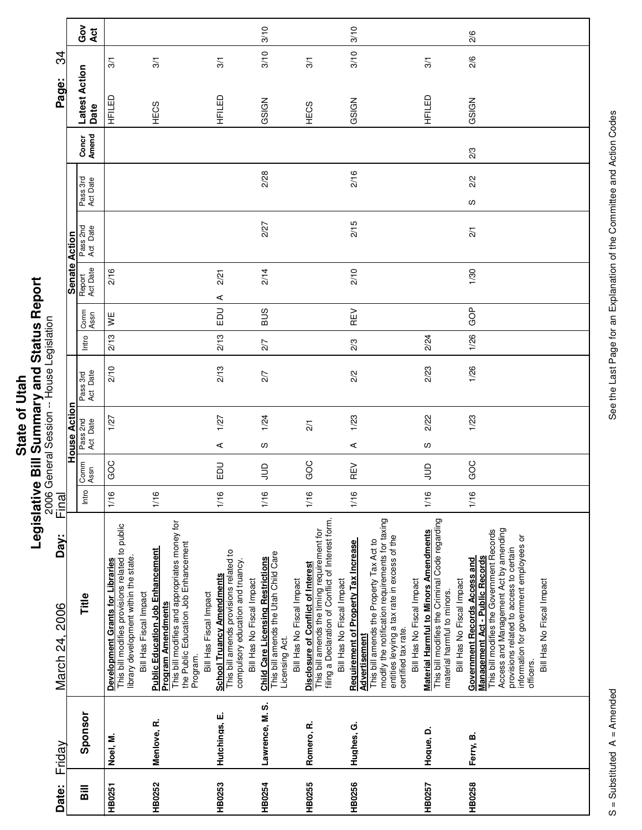|             | $\overline{\phantom{a}}$ |
|-------------|--------------------------|
| į           |                          |
|             |                          |
| Ξ           |                          |
|             |                          |
| ā           |                          |
|             |                          |
| J           |                          |
|             |                          |
|             | i                        |
| <b>Stat</b> |                          |
|             |                          |
|             |                          |
|             |                          |
|             |                          |
|             |                          |

| Friday          | Day:<br>March 24, 2006                                                                                                                                                                                                                                                                | Final |              |                      |                      |       |              |                      |                      |                      |                | Page:                 | ನ್ನ           |   |
|-----------------|---------------------------------------------------------------------------------------------------------------------------------------------------------------------------------------------------------------------------------------------------------------------------------------|-------|--------------|----------------------|----------------------|-------|--------------|----------------------|----------------------|----------------------|----------------|-----------------------|---------------|---|
|                 |                                                                                                                                                                                                                                                                                       |       |              | <b>House Action</b>  |                      |       |              | <b>Senate Action</b> |                      |                      |                |                       |               |   |
| Sponsor         | Title                                                                                                                                                                                                                                                                                 | Intro | Comm<br>Assn | Pass 2nd<br>Act Date | Act Date<br>Pass 3rd | Intro | Comm<br>Assn | Act Date<br>Report   | Pass 2nd<br>Act Date | Pass 3rd<br>Act Date | Amend<br>Concr | Latest Action<br>Date | Act           | Ğ |
| Noel, M.        | This bill modifies provisions related to public<br>library development within the state.<br>Development Grants for Libraries<br>Bill Has Fiscal Impact                                                                                                                                | 1/16  | GOC          | 1/27                 | 2/10                 | 2/13  | y≝           | 2/16                 |                      |                      |                | HFILED                | $\frac{5}{2}$ |   |
| Menlove, R.     | This bill modifies and appropriates money for<br>the Public Education Job Enhancement<br><b>Public Education Job Enhancement</b><br>Bill Has Fiscal Impact<br>Program Amendments<br>Program.                                                                                          | 1/16  |              |                      |                      |       |              |                      |                      |                      |                | HECS                  | 3/1           |   |
| Hutchings, E.   | This bill amends provisions related to<br>compulsory education and truancy.<br><b>School Truancy Amendments</b><br>Bill Has No Fiscal Impact                                                                                                                                          | 1/16  | <b>DU</b>    | 1/27<br>⋖            | 2/13                 | 2/13  | 品            | 2/21<br>⋖            |                      |                      |                | HFILED                | 3/1           |   |
| Lawrence, M. S. | This bill amends the Utah Child Care<br><b>Child Care Licensing Restrictions</b><br>Bill Has No Fiscal Impact<br>Licensing Act.                                                                                                                                                       | 1/16  | $\Xi$        | 1/24<br>ഗ            | 2/7                  | 2/7   | <b>SUS</b>   | 2/14                 | 2/27                 | 2/28                 |                | GSIGN                 | 3/10<br>3/10  |   |
| Romero, R.      | filing a Declaration of Conflict of Interest form.<br>This bill amends the timing requirement for<br><b>Disclosure of Conflict of Interest</b><br>Bill Has No Fiscal Impact                                                                                                           | 1/16  | GOC          | $\overline{21}$      |                      |       |              |                      |                      |                      |                | HECS                  | 3/1           |   |
| Hughes, G.      | This bill amends the Property Tax Act to<br>modify the notification requirements for taxing<br>entities levying a tax rate in excess of the<br>Requirement of Property Tax Increase<br>Bill Has No Fiscal Impact<br>certified tax rate.<br>Advertisement                              | 1/16  | REV          | 1/23<br>⋖            | 2/2                  | 2/3   | REV          | 2/10                 | 2/15                 | 2/16                 |                | GSIGN                 | 3/10<br>3/10  |   |
| Hogue, D.       | This bill modifies the Criminal Code regarding<br><b>Material Harmful to Minors Amendments</b><br>Bill Has No Fiscal Impact<br>material harmful to minors.                                                                                                                            | 1/16  | $\supseteq$  | 2/22<br>ပ            | 2/23                 | 2/24  |              |                      |                      |                      |                | HFILED                | 3/1           |   |
| Ferry, B.       | Access and Management Act by amending<br>provisions related to access to certain<br>This bill modifies the Government Records<br>information for government employees or<br>Management Act - Public Records<br>Government Records Access and<br>Bill Has No Fiscal Impact<br>officers | 1/16  | GOC          | 1/23                 | 1/26                 | 1/26  | GOP          | 1/30                 | $\overline{2}$       | 2/2<br>S             | 2/3            | GSIGN                 | 2/6<br>2/6    |   |
|                 |                                                                                                                                                                                                                                                                                       |       |              |                      |                      |       |              |                      |                      |                      |                |                       |               |   |

See the Last Page for an Explanation of the Committee and Action Codes S = Substituted A = Amended A = Amendes See the Last Page for an Explanation of the Committee and Action Codes

 $\overline{\phantom{a}}$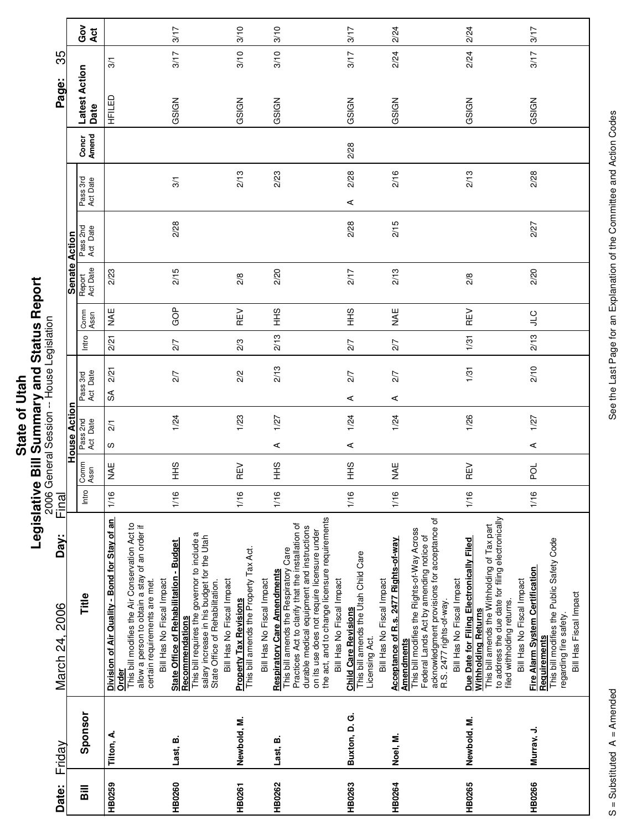|            | Ū                   |
|------------|---------------------|
| 5          | י<br>ג<br>ק         |
| ัอ<br>Stat | ויי בא האי האו<br>Ξ |
|            | ہے<br>م<br><u>:</u> |
|            |                     |

| Date:                              | Friday        | Day:<br>March 24, 2006                                                                                                                                                                                                                                                                                                  | Final |              |                      |                 |                        |       |              |                    |                      |                      |                | Page:                 | 35   |             |
|------------------------------------|---------------|-------------------------------------------------------------------------------------------------------------------------------------------------------------------------------------------------------------------------------------------------------------------------------------------------------------------------|-------|--------------|----------------------|-----------------|------------------------|-------|--------------|--------------------|----------------------|----------------------|----------------|-----------------------|------|-------------|
|                                    |               |                                                                                                                                                                                                                                                                                                                         |       |              | <b>House Action</b>  |                 |                        |       |              | Senate Action      |                      |                      |                |                       |      |             |
| $\overline{\overline{\mathbf{a}}}$ | Sponsor       | Title                                                                                                                                                                                                                                                                                                                   | Intro | Comm<br>Assn | Pass 2nd<br>Act Date |                 | Pass 3rd<br>Act Date   | Intro | Comm<br>Assn | Act Date<br>Report | Pass 2nd<br>Act Date | Pass 3rd<br>Act Date | Concr<br>Amend | Latest Action<br>Date |      | င်္ဂ<br>Act |
| HB0259                             | Tilton, A.    | Division of Air Quality - Bond for Stay of an<br>Orde <u>r</u>                                                                                                                                                                                                                                                          | 1/16  | <b>NAE</b>   | ഗ                    | $\overline{21}$ | 2/21<br>$\mathfrak{F}$ | 2/21  | ¥¥           | 2/23               |                      |                      |                | HFILED                | 3/1  |             |
| HB0260                             | Last, B.      | This bill modifies the Air Conservation Act to<br>allow a person to obtain a stay of an order if<br>This bill requires the governor to include a<br><b>State Office of Rehabilitation - Budget</b><br>Bill Has No Fiscal Impact<br>certain requirements are met.<br><b>Recommendations</b>                              | 1/16  | SHH          |                      | 1/24            | 2/7                    | 2/7   | GOP          | 2/15               | 2/28                 | 3/1                  |                | GSIGN                 | 3/17 | 3/17        |
| <b>HB0261</b>                      | Newbold, M.   | salary increase in his budget for the Utah<br>This bill amends the Property Tax Act.<br>Bill Has No Fiscal Impact<br>State Office of Rehabilitation.<br><b>Property Tax Revisions</b>                                                                                                                                   | 1/16  | REV          |                      | 1/23            | 2/2                    | 2/3   | REV          | 2/8                |                      | 2/13                 |                | GSIGN                 | 3/10 | 3/10        |
| HB0262                             | Last, B.      | Practices Act to clarify that the installation of<br>This bill amends the Respiratory Care<br><b>Respiratory Care Amendments</b><br>Bill Has No Fiscal Impact                                                                                                                                                           | 1/16  | $rac{9}{5}$  | ⋖                    | 1/27            | 2/13                   | 2/13  | $rac{9}{5}$  | 2/20               |                      | 2/23                 |                | GSIGN                 | 3/10 | 3/10        |
| HB0263                             | Buxton, D. G. | the act, and to change licensure requirements<br>durable medical equipment and instructions<br>on its use does not require licensure under<br>This bill amends the Utah Child Care<br>Bill Has No Fiscal Impact<br><b>Child Care Revisions</b><br>Licensing Act.                                                        | 1/16  | SHH          | ⋖                    | 1/24            | 2/7<br>⋖               | 2/7   | 9H<br>王      | 2/17               | 2/28                 | 2/28<br>⋖            | 2/28           | GSIGN                 | 3/17 | 3/17        |
| HB0264                             | Noel, M.      | This bill modifies the Rights-of-Way Across<br>Acceptance of R.s. 2477 Rights-of-way<br>Bill Has No Fiscal Impact<br><b>Amendments</b>                                                                                                                                                                                  | 1/16  | <b>MAE</b>   |                      | 1/24            | 2/7<br>⋖               | 2/7   | <b>MAE</b>   | 2/13               | 2/15                 | 2/16                 |                | GSIGN                 | 2/24 | 2/24        |
| HB0265                             | Newbold, M.   | acknowledgment provisions for acceptance of<br>R.S. 2477 rights-of-way.<br>to address the due date for filing electronically<br>This bill amends the Withholding of Tax part<br>Federal Lands Act by amending notice of<br>Due Date for Filing Electronically Filed<br>Withholding Returns<br>Bill Has No Fiscal Impact | 1/16  | REV          |                      | 1/26            | 1/31                   | 1/31  | REV          | 2/8                |                      | 2/13                 |                | GSIGN                 | 2/24 | 2/24        |
| <b>HB0266</b>                      | Murray, J.    | This bill modifies the Public Safety Code<br>Fire Alarm System Certification<br>Bill Has No Fiscal Impact<br>Bill Has Fiscal Impact<br>filed withholding returns.<br>regarding fire safety.<br><b>Requirements</b>                                                                                                      | 1/16  | ğ            | ⋖                    | 1/27            | 2/10                   | 2/13  | <b>CTC</b>   | 2/20               | 2/27                 | 2/28                 |                | GSIGN                 | 3/17 | 3/17        |
|                                    |               |                                                                                                                                                                                                                                                                                                                         |       |              |                      |                 |                        |       |              |                    |                      |                      |                |                       |      |             |

See the Last Page for an Explanation of the Committee and Action Codes S = Substituted A = Amended A = Amendes See the Last Page for an Explanation of the Committee and Action Codes

Г

٦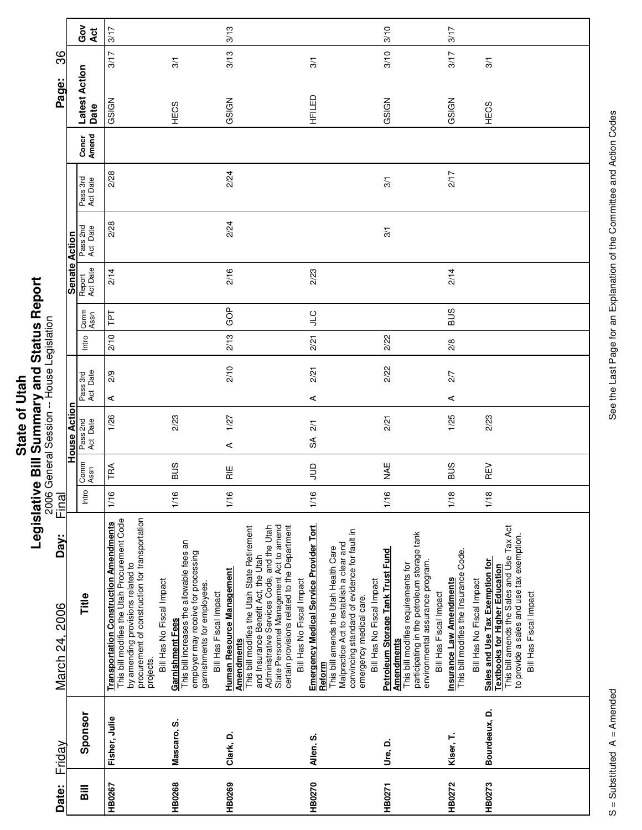|       | ż.                  |
|-------|---------------------|
|       |                     |
|       | S<br>C              |
|       |                     |
|       |                     |
| Ξ     |                     |
|       |                     |
| O     | <br> <br> <br> <br> |
|       |                     |
|       | Į                   |
|       |                     |
| State |                     |
|       |                     |
|       |                     |
|       |                     |
|       |                     |
|       |                     |
|       |                     |

|                                           |               | Got<br>Act            | 3/17                                                                                                                                                                                              |                                                                                                                                                                                            | 3/13                                                                                                                                                                                |                                                                                                                                                                                                                                                                                                                       | 3/10                                                                                                                                                                                                                                     | 3/17                                                                                                                             |                                                                                                                                                                                               |
|-------------------------------------------|---------------|-----------------------|---------------------------------------------------------------------------------------------------------------------------------------------------------------------------------------------------|--------------------------------------------------------------------------------------------------------------------------------------------------------------------------------------------|-------------------------------------------------------------------------------------------------------------------------------------------------------------------------------------|-----------------------------------------------------------------------------------------------------------------------------------------------------------------------------------------------------------------------------------------------------------------------------------------------------------------------|------------------------------------------------------------------------------------------------------------------------------------------------------------------------------------------------------------------------------------------|----------------------------------------------------------------------------------------------------------------------------------|-----------------------------------------------------------------------------------------------------------------------------------------------------------------------------------------------|
| 86                                        |               |                       | 3/17                                                                                                                                                                                              | 3/1                                                                                                                                                                                        | 3/13                                                                                                                                                                                | 3/1                                                                                                                                                                                                                                                                                                                   | 3/10                                                                                                                                                                                                                                     | 3/17                                                                                                                             | 3/1                                                                                                                                                                                           |
| Page:                                     |               | Latest Action<br>Date | GSIGN                                                                                                                                                                                             | HECS                                                                                                                                                                                       | GSIGN                                                                                                                                                                               | HFILED                                                                                                                                                                                                                                                                                                                | GSIGN                                                                                                                                                                                                                                    | GSIGN                                                                                                                            | HECS                                                                                                                                                                                          |
|                                           |               | Concr<br>Amend        |                                                                                                                                                                                                   |                                                                                                                                                                                            |                                                                                                                                                                                     |                                                                                                                                                                                                                                                                                                                       |                                                                                                                                                                                                                                          |                                                                                                                                  |                                                                                                                                                                                               |
|                                           |               | Pass 3rd<br>Act Date  | 2/28                                                                                                                                                                                              |                                                                                                                                                                                            | 2/24                                                                                                                                                                                |                                                                                                                                                                                                                                                                                                                       | 3/1                                                                                                                                                                                                                                      | 2/17                                                                                                                             |                                                                                                                                                                                               |
|                                           |               | Pass 2nd<br>Act Date  | 2/28                                                                                                                                                                                              |                                                                                                                                                                                            | 2/24                                                                                                                                                                                |                                                                                                                                                                                                                                                                                                                       | 3/1                                                                                                                                                                                                                                      |                                                                                                                                  |                                                                                                                                                                                               |
|                                           | Senate Action | Report<br>Act Date    | 2/14                                                                                                                                                                                              |                                                                                                                                                                                            | 2/16                                                                                                                                                                                | 2/23                                                                                                                                                                                                                                                                                                                  |                                                                                                                                                                                                                                          | 2/14                                                                                                                             |                                                                                                                                                                                               |
|                                           |               | Comm<br>Assn          | Ld1                                                                                                                                                                                               |                                                                                                                                                                                            | GOP                                                                                                                                                                                 | $\cup$                                                                                                                                                                                                                                                                                                                |                                                                                                                                                                                                                                          | <b>BUS</b>                                                                                                                       |                                                                                                                                                                                               |
|                                           |               | Intro                 | 2/10                                                                                                                                                                                              |                                                                                                                                                                                            | 2/13                                                                                                                                                                                | 2/21                                                                                                                                                                                                                                                                                                                  | 2/22                                                                                                                                                                                                                                     | $\frac{8}{2}$                                                                                                                    |                                                                                                                                                                                               |
|                                           |               | Pass 3rd<br>Act Date  | 2/9<br>⋖                                                                                                                                                                                          |                                                                                                                                                                                            | 2/10                                                                                                                                                                                | 2/21<br>⋖                                                                                                                                                                                                                                                                                                             | 2/22                                                                                                                                                                                                                                     | 2/7<br>$\prec$                                                                                                                   |                                                                                                                                                                                               |
| 2006 General Session -- House Legislation | House Action  | Pass 2nd<br>Act Date  | 1/26                                                                                                                                                                                              | 2/23                                                                                                                                                                                       | 1/27<br>$\prec$                                                                                                                                                                     | 2/1<br>$\mathfrak{F}$                                                                                                                                                                                                                                                                                                 | 2/21                                                                                                                                                                                                                                     | 1/25                                                                                                                             | 2/23                                                                                                                                                                                          |
|                                           |               | Comm<br>Assn          | TRA                                                                                                                                                                                               | <b>SUS</b>                                                                                                                                                                                 | $\frac{11}{11}$                                                                                                                                                                     | $\Xi$                                                                                                                                                                                                                                                                                                                 | ¥¥                                                                                                                                                                                                                                       | <b>SUS</b>                                                                                                                       | REV                                                                                                                                                                                           |
| <u>Final</u>                              |               | Intro                 | 1/16                                                                                                                                                                                              | 1/16                                                                                                                                                                                       | 1/16                                                                                                                                                                                | 1/16                                                                                                                                                                                                                                                                                                                  | 1/16                                                                                                                                                                                                                                     | 1/18                                                                                                                             | 1/18                                                                                                                                                                                          |
| Day:<br>March 24, 2006                    |               | Title                 | procurement of construction for transportation<br>This bill modifies the Utah Procurement Code<br><b>Transportation Construction Amendments</b><br>by amending provisions related to<br>projects. | This bill increases the allowable fees an<br>employer may receive for processing<br>Bill Has No Fiscal Impact<br>garnishments for employees.<br>Bill Has Fiscal Impact<br>Garnishment Fees | This bill modifies the Utah State Retirement<br>Administrative Services Code, and the Utah<br>and Insurance Benefit Act, the Utah<br>Human Resource Management<br><b>Amendments</b> | State Personnel Management Act to amend<br>certain provisions related to the Department<br><b>Emergency Medical Service Provider Tort</b><br>convincing standard of evidence for fault in<br>Malpractice Act to establish a clear and<br>This bill amends the Utah Health Care<br>Bill Has No Fiscal Impact<br>Reform | participating in the petroleum storage tank<br>environmental assurance program.<br>Petroleum Storage Tank Trust Fund<br>This bill modifies requirements for<br>Bill Has No Fiscal Impact<br>emergency medical care.<br><b>Amendments</b> | <b>Insurance Law Amendments</b><br>This bill modifies the Insurance Code.<br>Bill Has No Fiscal Impact<br>Bill Has Fiscal Impact | This bill amends the Sales and Use Tax Act<br>to provide a sales and use tax exemption.<br>Sales and Use Tax Exemption for<br><b>Textbooks for Higher Education</b><br>Bill Has Fiscal Impact |
| Friday                                    |               | Sponsor               | Fisher, Julie                                                                                                                                                                                     | Mascaro, S.                                                                                                                                                                                | Clark, D.                                                                                                                                                                           | Allen, S.                                                                                                                                                                                                                                                                                                             | Ure, D.                                                                                                                                                                                                                                  | Kiser, T.                                                                                                                        | Bourdeaux, D.                                                                                                                                                                                 |
| Date:                                     |               | Bill                  | HB0267                                                                                                                                                                                            | HB0268                                                                                                                                                                                     | HB0269                                                                                                                                                                              | HB0270                                                                                                                                                                                                                                                                                                                | <b>HB0271</b>                                                                                                                                                                                                                            | <b>HB0272</b>                                                                                                                    | HB0273                                                                                                                                                                                        |

See the Last Page for an Explanation of the Committee and Action Codes S = Substituted A = Amended A = Amendes See the Last Page for an Explanation of the Committee and Action Codes

Ц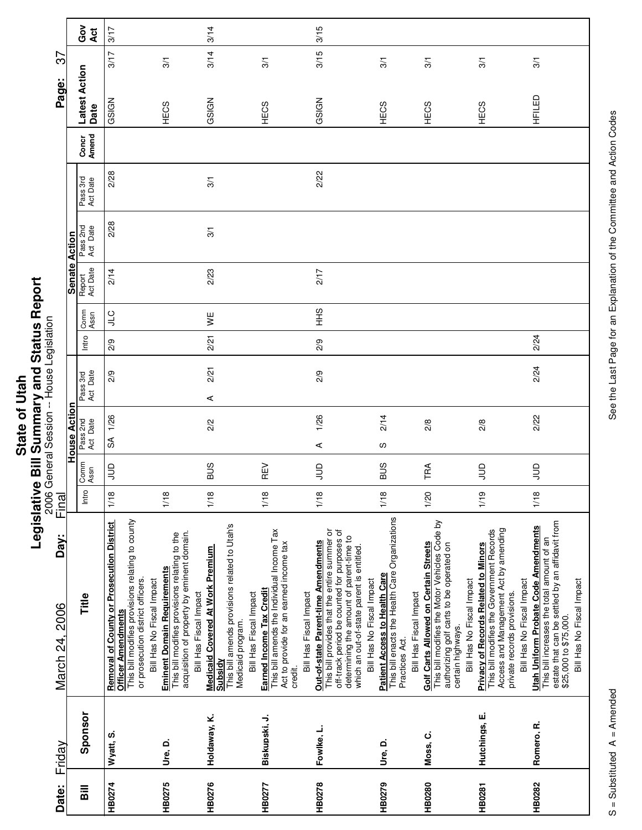|      | ؟<br>ا              |
|------|---------------------|
|      |                     |
| į    |                     |
|      | <br> <br> <br> <br> |
| ≌    |                     |
| Stat |                     |
|      | -<br>0              |
|      |                     |
|      |                     |
|      |                     |

| Date:         | Friday        | Day:<br>March 24, 2006                                                                                                                                                                                                                                   | Final |              |                      | 2006 General Session -- House Legislation |       |                |                    |                      |                      |                | Page:                 | 7s   |            |
|---------------|---------------|----------------------------------------------------------------------------------------------------------------------------------------------------------------------------------------------------------------------------------------------------------|-------|--------------|----------------------|-------------------------------------------|-------|----------------|--------------------|----------------------|----------------------|----------------|-----------------------|------|------------|
|               |               |                                                                                                                                                                                                                                                          |       |              | House Action         |                                           |       |                | Senate Action      |                      |                      |                |                       |      |            |
| Bill          | Sponsor       | Title                                                                                                                                                                                                                                                    | Intro | Comm<br>Assn | Pass 2nd<br>Act Date | Pass 3rd<br>Act Date                      | Intro | Comm<br>Assn   | Report<br>Act Date | Pass 2nd<br>Act Date | Pass 3rd<br>Act Date | Concr<br>Amend | Latest Action<br>Date |      | Gov<br>Act |
| HB0274        | Wyatt, S.     | This bill modifies provisions relating to county<br>Removal of County or Prosecution District<br>Officer Amendments<br>or prosecution district officers.                                                                                                 | 1/18  | $\Xi$        | 1/26<br>SÃ           | 2/9                                       | 2/9   | <b>CT</b>      | 2/14               | 2/28                 | 2/28                 |                | GSIGN                 | 3/17 | 3/17       |
| HB0275        | Ure, D.       | acquisition of property by eminent domain.<br>This bill modifies provisions relating to the<br><b>Eminent Domain Requirements</b><br>Bill Has No Fiscal Impact<br>Bill Has Fiscal Impact                                                                 | 1/18  |              |                      |                                           |       |                |                    |                      |                      |                | HECS                  | 3/1  |            |
| HB0276        | Holdaway, K.  | This bill amends provisions related to Utah's<br><b>Medicaid Covered At Work Premium</b><br>Bill Has Fiscal Impact<br>Medicaid program.<br>Subsidy                                                                                                       | 1/18  | <b>SUS</b>   | 2/2                  | 2/21<br>⋖                                 | 2/21  | ¥              | 2/23               | 3/1                  | 3/1                  |                | GSIGN                 | 3/14 | 3/14       |
| HB0277        | Biskupski, J. | This bill amends the Individual Income Tax<br>Act to provide for an earned income tax<br>Earned Income Tax Credit<br>Bill Has Fiscal Impact<br>credit.                                                                                                   | 1/18  | REV          |                      |                                           |       |                |                    |                      |                      |                | HECS                  | 3/1  |            |
| HB0278        | Fowlke, L.    | This bill provides that the entire summer or<br>off-track period be counted for purposes of<br>determining the amount of parent-time to<br>Out-of-state Parent-time Amendments<br>which an out-of-state parent is entitled.<br>Bill Has No Fiscal Impact | 1/18  | $\Xi$        | 1/26<br>$\prec$      | $\frac{20}{2}$                            | 2/9   | $\frac{9}{11}$ | 2/17               |                      | 2/22                 |                | GSIGN                 | 3/15 | 3/15       |
| HB0279        | Ure, D.       | This bill enacts the Health Care Organizations<br><b>Patient Access to Health Care</b><br>Bill Has Fiscal Impact<br>Practices Act.                                                                                                                       | 1/18  | <b>SUS</b>   | 2/14<br>လ            |                                           |       |                |                    |                      |                      |                | HECS                  | 3/1  |            |
| <b>HB0280</b> | Moss, C.      | This bill modifies the Motor Vehicles Code by<br>Golf Carts Allowed on Certain Streets<br>authorizing golf carts to be operated on<br>Bill Has No Fiscal Impact<br>certain highways.                                                                     | 1/20  | TRA          | 2/8                  |                                           |       |                |                    |                      |                      |                | HECS                  | 3/1  |            |
| <b>HB0281</b> | Hutchings, E. | Access and Management Act by amending<br>This bill modifies the Government Records<br><b>Privacy of Records Related to Minors</b><br>Bill Has No Fiscal Impact<br>private records provisions.                                                            | 1/19  | $\Xi$        | 2/8                  |                                           |       |                |                    |                      |                      |                | HECS                  | 3/1  |            |
| HB0282        | Romero, R.    | estate that can be settled by an affidavit from<br><b>Utah Uniform Probate Code Amendments</b><br>This bill increases the total amount of an<br>Bill Has No Fiscal Impact<br>\$25,000 to \$75,000.                                                       | 1/18  | $\exists$    | 2/22                 | 2/24                                      | 2/24  |                |                    |                      |                      |                | HFILED                | 3/1  |            |

Ц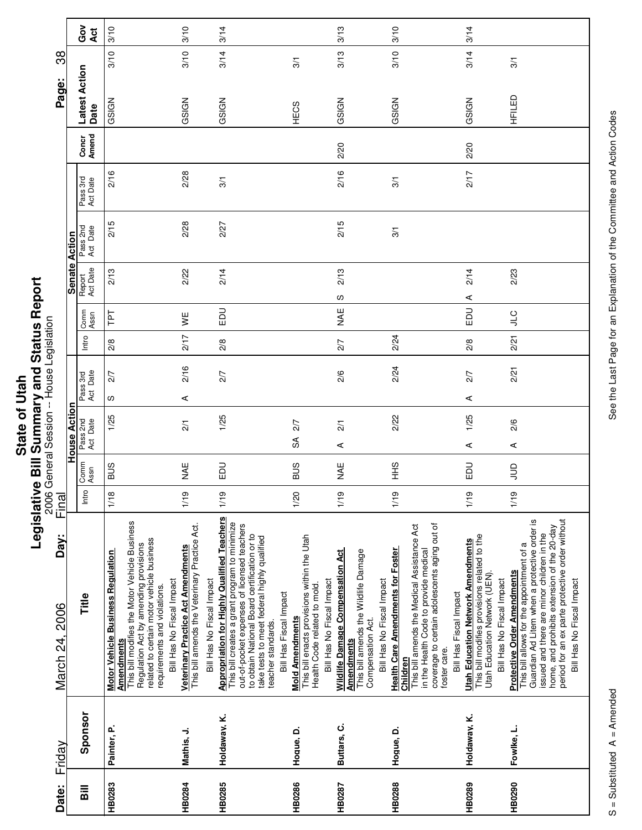|         | ο                    |
|---------|----------------------|
|         |                      |
|         | וא או היו הא האו האו |
| of Utal |                      |
|         |                      |
|         |                      |
|         |                      |
|         |                      |
|         |                      |
|         |                      |
|         | ä                    |
| State   |                      |
|         |                      |
|         | $\frac{1}{2}$        |
|         |                      |
|         |                      |
|         | :                    |

Г

٦

|                                      |                      | Ğο<br>Act                    | 3/10                                                                                                                                                                                                                                                              | 3/10                                                                                                             | 3/14                                                                                                                                                                                                                                                                                              |                                                                                                                                    | 3/13                                                                                                                                                   | 3/10                                                                                                                                                                                                                                          | 3/14                                                                                                                                                   |                                                                                                                                                                                                                                                                                                              |
|--------------------------------------|----------------------|------------------------------|-------------------------------------------------------------------------------------------------------------------------------------------------------------------------------------------------------------------------------------------------------------------|------------------------------------------------------------------------------------------------------------------|---------------------------------------------------------------------------------------------------------------------------------------------------------------------------------------------------------------------------------------------------------------------------------------------------|------------------------------------------------------------------------------------------------------------------------------------|--------------------------------------------------------------------------------------------------------------------------------------------------------|-----------------------------------------------------------------------------------------------------------------------------------------------------------------------------------------------------------------------------------------------|--------------------------------------------------------------------------------------------------------------------------------------------------------|--------------------------------------------------------------------------------------------------------------------------------------------------------------------------------------------------------------------------------------------------------------------------------------------------------------|
| 38                                   |                      |                              | 3/10                                                                                                                                                                                                                                                              | 3/10                                                                                                             | 3/14                                                                                                                                                                                                                                                                                              | 3/1                                                                                                                                | 3/13                                                                                                                                                   | 3/10                                                                                                                                                                                                                                          | 3/14                                                                                                                                                   | 3/1                                                                                                                                                                                                                                                                                                          |
| Page:                                |                      | <b>Latest Action</b><br>Date | GSIGN                                                                                                                                                                                                                                                             | GSIGN                                                                                                            | GSIGN                                                                                                                                                                                                                                                                                             | HECS                                                                                                                               | GSIGN                                                                                                                                                  | GSIGN                                                                                                                                                                                                                                         | GSIGN                                                                                                                                                  | HFILED                                                                                                                                                                                                                                                                                                       |
|                                      |                      | Concr<br>Amend               |                                                                                                                                                                                                                                                                   |                                                                                                                  |                                                                                                                                                                                                                                                                                                   |                                                                                                                                    | 2/20                                                                                                                                                   |                                                                                                                                                                                                                                               | 2/20                                                                                                                                                   |                                                                                                                                                                                                                                                                                                              |
|                                      |                      | Pass 3rd<br>Act Date         | 2/16                                                                                                                                                                                                                                                              | 2/28                                                                                                             | 3/1                                                                                                                                                                                                                                                                                               |                                                                                                                                    | 2/16                                                                                                                                                   | 3/1                                                                                                                                                                                                                                           | 2/17                                                                                                                                                   |                                                                                                                                                                                                                                                                                                              |
|                                      |                      | Pass 2nd<br>Act Date         | 2/15                                                                                                                                                                                                                                                              | 2/28                                                                                                             | 2/27                                                                                                                                                                                                                                                                                              |                                                                                                                                    | 2/15                                                                                                                                                   | 3/1                                                                                                                                                                                                                                           |                                                                                                                                                        |                                                                                                                                                                                                                                                                                                              |
|                                      | <b>Senate Action</b> | Report<br>Act Date           | 2/13                                                                                                                                                                                                                                                              | 2/22                                                                                                             | 2/14                                                                                                                                                                                                                                                                                              |                                                                                                                                    | 2/13<br>S                                                                                                                                              |                                                                                                                                                                                                                                               | 2/14<br>⋖                                                                                                                                              | 2/23                                                                                                                                                                                                                                                                                                         |
|                                      |                      | Comm<br>Assn                 | Lbl                                                                                                                                                                                                                                                               | ¥                                                                                                                | EDU                                                                                                                                                                                                                                                                                               |                                                                                                                                    | ¥<br>M                                                                                                                                                 |                                                                                                                                                                                                                                               | EDU                                                                                                                                                    | <b>JTC</b>                                                                                                                                                                                                                                                                                                   |
|                                      |                      | Intro                        | 2/8                                                                                                                                                                                                                                                               | 217                                                                                                              | 2/8                                                                                                                                                                                                                                                                                               |                                                                                                                                    | 2/7                                                                                                                                                    | 2/24                                                                                                                                                                                                                                          | 2/8                                                                                                                                                    | 2/21                                                                                                                                                                                                                                                                                                         |
|                                      |                      |                              | 2/7                                                                                                                                                                                                                                                               | 2/16                                                                                                             | 2/7                                                                                                                                                                                                                                                                                               |                                                                                                                                    | 2/6                                                                                                                                                    | 2/24                                                                                                                                                                                                                                          | 2/7                                                                                                                                                    | 2/21                                                                                                                                                                                                                                                                                                         |
|                                      |                      | Pass 3rd<br>Act Date         | လ                                                                                                                                                                                                                                                                 | ⋖                                                                                                                |                                                                                                                                                                                                                                                                                                   |                                                                                                                                    |                                                                                                                                                        |                                                                                                                                                                                                                                               | $\prec$                                                                                                                                                |                                                                                                                                                                                                                                                                                                              |
| General Session -- House Legislation | House Action         | Pass 2nd<br>Act Date         | 1/25                                                                                                                                                                                                                                                              | $\overline{21}$                                                                                                  | 1/25                                                                                                                                                                                                                                                                                              | 2/7                                                                                                                                | $\overline{21}$                                                                                                                                        | 2/22                                                                                                                                                                                                                                          | 1/25                                                                                                                                                   | 2/6                                                                                                                                                                                                                                                                                                          |
|                                      |                      |                              |                                                                                                                                                                                                                                                                   |                                                                                                                  |                                                                                                                                                                                                                                                                                                   | SÃ                                                                                                                                 | ⋖                                                                                                                                                      |                                                                                                                                                                                                                                               | $\prec$                                                                                                                                                | ⋖                                                                                                                                                                                                                                                                                                            |
|                                      |                      | Comm<br>Assn                 | SUS                                                                                                                                                                                                                                                               | <b>MAE</b>                                                                                                       | EDU                                                                                                                                                                                                                                                                                               | <b>SUB</b>                                                                                                                         | ¥¥                                                                                                                                                     | 9<br>王                                                                                                                                                                                                                                        | EDU                                                                                                                                                    | $\exists$                                                                                                                                                                                                                                                                                                    |
| 2006<br>Final                        |                      | Intro                        | 1/18                                                                                                                                                                                                                                                              | 1/19                                                                                                             | 1/19                                                                                                                                                                                                                                                                                              | 1/20                                                                                                                               | 1/19                                                                                                                                                   | 1/19                                                                                                                                                                                                                                          | 1/19                                                                                                                                                   | 1/19                                                                                                                                                                                                                                                                                                         |
| Day:<br>March 24, 2006               |                      | Title                        | This bill modifies the Motor Vehicle Business<br>related to certain motor vehicle business<br>Regulation Act by amending provisions<br><b>Motor Vehicle Business Regulation</b><br>Bill Has No Fiscal Impact<br>requirements and violations.<br><b>Amendments</b> | This bill amends the Veterinary Practice Act.<br>Veterinary Practice Act Amendments<br>Bill Has No Fiscal Impact | <b>Appropriation for Highly Qualified Teachers</b><br>This bill creates a grant program to minimize<br>out-of-pocket expenses of licensed teachers<br>to obtain National Board certification or to<br>take tests to meet federal highly qualified<br>Bill Has Fiscal Impact<br>teacher standards. | This bill enacts provisions within the Utah<br>Bill Has No Fiscal Impact<br>Health Code related to mold.<br><b>Mold Amendments</b> | This bill amends the Wildlife Damage<br><b>Wildlife Damage Compensation Act</b><br>Bill Has No Fiscal Impact<br>Compensation Act.<br><b>Amendments</b> | coverage to certain adolescents aging out of<br>This bill amends the Medical Assistance Act<br>in the Health Code to provide medical<br><b>Health Care Amendments for Foster</b><br>Bill Has Fiscal Impact<br>foster care.<br><b>Children</b> | This bill modifies provisions related to the<br><b>Utah Education Network Amendments</b><br>Utah Education Network (UEN).<br>Bill Has No Fiscal Impact | period for an ex parte protective order without<br>Guardian Ad Litem when a protective order is<br>home, and prohibits extension of the 20-day<br>issued and there are minor children in the<br>This bill allows for the appointment of a<br><b>Protective Order Amendments</b><br>Bill Has No Fiscal Impact |
| Friday                               |                      | Sponsor                      | Painter, P.                                                                                                                                                                                                                                                       | Mathis, J.                                                                                                       | Holdaway, K.                                                                                                                                                                                                                                                                                      | Hoque, D.                                                                                                                          | Buttars, C.                                                                                                                                            | Hogue, D.                                                                                                                                                                                                                                     | Holdaway, K.                                                                                                                                           | Fowlke, L.                                                                                                                                                                                                                                                                                                   |
| Date:                                |                      | $\overline{\mathsf{B}}$      | <b>HB0283</b>                                                                                                                                                                                                                                                     | <b>HB0284</b>                                                                                                    | <b>HB0285</b>                                                                                                                                                                                                                                                                                     | <b>HB0286</b>                                                                                                                      | HB0287                                                                                                                                                 | <b>HB0288</b>                                                                                                                                                                                                                                 | <b>HB0289</b>                                                                                                                                          | HB0290                                                                                                                                                                                                                                                                                                       |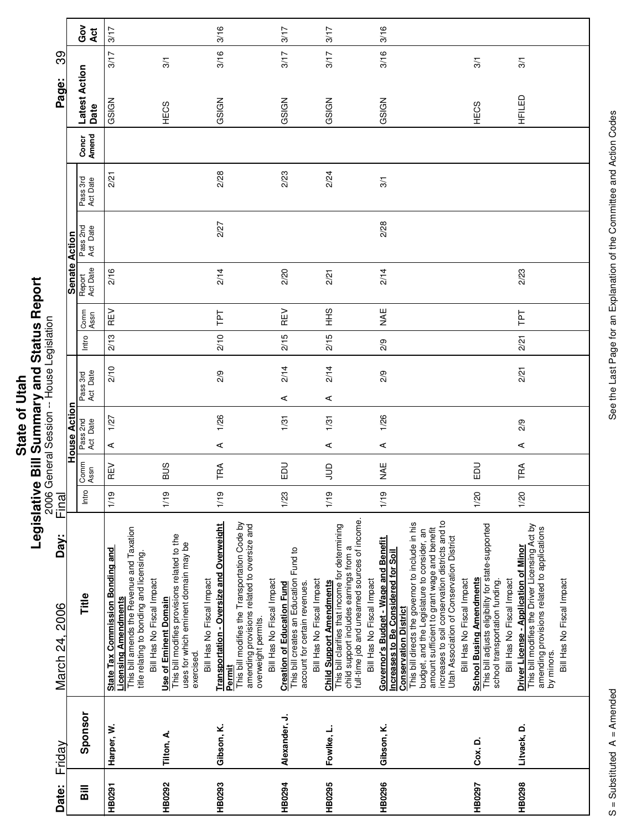|             | ċ                    |
|-------------|----------------------|
|             |                      |
|             | וא או היו הא האו האו |
|             |                      |
|             |                      |
|             |                      |
|             |                      |
| ۱           |                      |
|             |                      |
| Ö           |                      |
|             |                      |
| <u>ഉ</u>    |                      |
|             |                      |
| <b>Stat</b> | ī                    |
|             |                      |
|             |                      |
|             |                      |
|             | ī                    |
|             |                      |
|             |                      |
|             |                      |
|             | :                    |
|             |                      |

| March 24, 2006<br>Friday                                                                                                                                                                                                                                                                                                                                                                                                       | Day: | <b>Final</b> | House Acti           | <u>ទ</u> | 2006 General Session -- House Legislation |       |              | Senate Action      |                      |                      |                | Page:                 | တွ   |            |
|--------------------------------------------------------------------------------------------------------------------------------------------------------------------------------------------------------------------------------------------------------------------------------------------------------------------------------------------------------------------------------------------------------------------------------|------|--------------|----------------------|----------|-------------------------------------------|-------|--------------|--------------------|----------------------|----------------------|----------------|-----------------------|------|------------|
| Comm<br>Assn<br>Intro<br>Title<br>Sponsor                                                                                                                                                                                                                                                                                                                                                                                      |      |              | Pass 2nd<br>Act Date |          | Pass 3rd<br>Act Date                      | Intro | Comm<br>Assn | Report<br>Act Date | Pass 2nd<br>Act Date | Pass 3rd<br>Act Date | Concr<br>Amend | Latest Action<br>Date |      | Got<br>Act |
| REV<br>1/19<br>This bill amends the Revenue and Taxation<br><b>State Tax Commission Bonding and</b><br>title relating to bonding and licensing.<br>Bill Has No Fiscal Impact<br><b>Licensing Amendments</b><br>Harper, W.                                                                                                                                                                                                      |      |              | ⋖                    | 1/27     | 2/10                                      | 2/13  | REV          | 2/16               |                      | 2/21                 |                | GSIGN                 | 3/17 | 3/17       |
| <b>BUS</b><br>1/19<br>This bill modifies provisions related to the<br>uses for which eminent domain may be<br>Bill Has No Fiscal Impact<br><b>Use of Eminent Domain</b><br>exercised.<br>Tilton, A.                                                                                                                                                                                                                            |      |              |                      |          |                                           |       |              |                    |                      |                      |                | HECS                  | 3/1  |            |
| TRA<br>1/19<br>Transportation - Oversize and Overweight<br>This bill modifies the Transportation Code by<br>amending provisions related to oversize and<br>Bill Has No Fiscal Impact<br>overweight permits.<br>Permit<br>Gibson, K.                                                                                                                                                                                            |      |              | $\prec$              | 1/26     | 2/9                                       | 2/10  | ΓPΤ          | 2/14               | 2/27                 | 2/28                 |                | GSIGN                 | 3/16 | 3/16       |
| 品<br>1/23<br>This bill creates an Education Fund to<br>Bill Has No Fiscal Impact<br><b>Creation of Education Fund</b><br>account for certain revenues<br>Alexander, J.                                                                                                                                                                                                                                                         |      |              |                      | 1/31     | 2/14<br>⋖                                 | 2/15  | REV          | 2/20               |                      | 2/23                 |                | GSIGN                 | 3/17 | 3/17       |
| $\Xi$<br>1/19<br>full-time job and unearned sources of income.<br>This bill clarifies that income for determining<br>child support includes earnings from a<br>Bill Has No Fiscal Impact<br><b>Child Support Amendments</b><br>Fowlke, L.                                                                                                                                                                                      |      |              | ⋖                    | 1/31     | 2/14<br>⋖                                 | 2/15  | $rac{9}{5}$  | 2/21               |                      | 2/24                 |                | GSIGN                 | 3/17 | 3/17       |
| NAE<br>1/19<br>increases to soil conservation districts and to<br>This bill directs the governor to include in his<br>amount sufficient to grant wage and benefit<br>budget, and the Legislature to consider, an<br>Utah Association of Conservation District<br>Governor's Budget - Wage and Benefit<br><b>Increases to Be Considered for Soil</b><br>Bill Has No Fiscal Impact<br><b>Conservation District</b><br>Gibson, K. |      |              | $\prec$              | 1/26     | 2/9                                       | 2/9   | <b>NAE</b>   | 2/14               | 2/28                 | 3/1                  |                | GSIGN                 | 3/16 | 3/16       |
| <b>DO</b><br>1/20<br>This bill adjusts eligibility for state-supported<br><b>School Busing Amendments</b><br>Bill Has No Fiscal Impact<br>school transportation funding.<br>Cox, D.                                                                                                                                                                                                                                            |      |              |                      |          |                                           |       |              |                    |                      |                      |                | HECS                  | 3/1  |            |
| TRA<br>1/20<br>This bill modifies the Driver Licensing Act by<br>amending provisions related to applications<br>Driver License - Application of Minor<br>Bill Has No Fiscal Impact<br>by minors.<br>Litvack, D.                                                                                                                                                                                                                |      |              | ⋖                    | 2/9      | 2/21                                      | 2/21  | ΓPΤ          | 2/23               |                      |                      |                | HFILED                | 3/1  |            |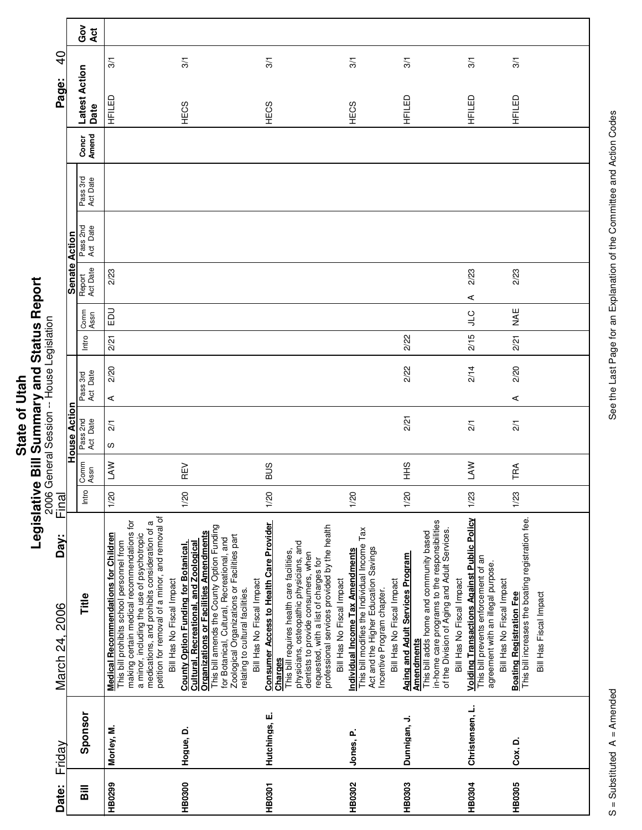| <b>Hah</b> |        |
|------------|--------|
|            |        |
|            |        |
|            |        |
|            |        |
|            |        |
|            |        |
| ট          |        |
|            |        |
|            |        |
|            |        |
|            |        |
| State      |        |
|            |        |
|            |        |
|            |        |
|            |        |
|            |        |
|            |        |
|            | -<br>0 |
|            |        |
|            |        |
|            |        |
|            | :      |
|            |        |

|                        |                     | ဝိ<br>ဝ<br><b>Act</b> |                                                                                                                                                                                                                                                                                                                       |                                                                                                                                                                                                                                                                                                                                                    |                                                                                                                                                                                                                                                                         |                                                                                                                                                                                                                  |                                                                                                                                                                                                                  |                                                                                                                                                              |                                                                                                         |
|------------------------|---------------------|-----------------------|-----------------------------------------------------------------------------------------------------------------------------------------------------------------------------------------------------------------------------------------------------------------------------------------------------------------------|----------------------------------------------------------------------------------------------------------------------------------------------------------------------------------------------------------------------------------------------------------------------------------------------------------------------------------------------------|-------------------------------------------------------------------------------------------------------------------------------------------------------------------------------------------------------------------------------------------------------------------------|------------------------------------------------------------------------------------------------------------------------------------------------------------------------------------------------------------------|------------------------------------------------------------------------------------------------------------------------------------------------------------------------------------------------------------------|--------------------------------------------------------------------------------------------------------------------------------------------------------------|---------------------------------------------------------------------------------------------------------|
| $\overline{9}$         |                     |                       | 3/1                                                                                                                                                                                                                                                                                                                   | 3/1                                                                                                                                                                                                                                                                                                                                                | 3/1                                                                                                                                                                                                                                                                     | 3/1                                                                                                                                                                                                              | 3/1                                                                                                                                                                                                              | 3/1                                                                                                                                                          | 3/1                                                                                                     |
| Page:                  |                     | Latest Action<br>Date | HFILED                                                                                                                                                                                                                                                                                                                | HECS                                                                                                                                                                                                                                                                                                                                               | HECS                                                                                                                                                                                                                                                                    | HECS                                                                                                                                                                                                             | HFILED                                                                                                                                                                                                           | HFILED                                                                                                                                                       | HFILED                                                                                                  |
|                        |                     | Amend<br>Concr        |                                                                                                                                                                                                                                                                                                                       |                                                                                                                                                                                                                                                                                                                                                    |                                                                                                                                                                                                                                                                         |                                                                                                                                                                                                                  |                                                                                                                                                                                                                  |                                                                                                                                                              |                                                                                                         |
|                        |                     | Pass 3rd<br>Act Date  |                                                                                                                                                                                                                                                                                                                       |                                                                                                                                                                                                                                                                                                                                                    |                                                                                                                                                                                                                                                                         |                                                                                                                                                                                                                  |                                                                                                                                                                                                                  |                                                                                                                                                              |                                                                                                         |
|                        |                     | Pass 2nd<br>Act Date  |                                                                                                                                                                                                                                                                                                                       |                                                                                                                                                                                                                                                                                                                                                    |                                                                                                                                                                                                                                                                         |                                                                                                                                                                                                                  |                                                                                                                                                                                                                  |                                                                                                                                                              |                                                                                                         |
|                        | Senate Action       | Report<br>Act Date    | 2/23                                                                                                                                                                                                                                                                                                                  |                                                                                                                                                                                                                                                                                                                                                    |                                                                                                                                                                                                                                                                         |                                                                                                                                                                                                                  |                                                                                                                                                                                                                  | 2/23<br>⋖                                                                                                                                                    | 2/23                                                                                                    |
|                        |                     | Comm<br>Assn          | EDU                                                                                                                                                                                                                                                                                                                   |                                                                                                                                                                                                                                                                                                                                                    |                                                                                                                                                                                                                                                                         |                                                                                                                                                                                                                  |                                                                                                                                                                                                                  | $\frac{1}{2}$                                                                                                                                                | ¥¥                                                                                                      |
|                        |                     | Intro                 | 2/21                                                                                                                                                                                                                                                                                                                  |                                                                                                                                                                                                                                                                                                                                                    |                                                                                                                                                                                                                                                                         |                                                                                                                                                                                                                  | 2/22                                                                                                                                                                                                             | 2/15                                                                                                                                                         | 2/21                                                                                                    |
|                        |                     | Act Date<br>Pass 3rd  | 2/20                                                                                                                                                                                                                                                                                                                  |                                                                                                                                                                                                                                                                                                                                                    |                                                                                                                                                                                                                                                                         |                                                                                                                                                                                                                  | 2/22                                                                                                                                                                                                             | 2/14                                                                                                                                                         | 2/20                                                                                                    |
|                        |                     |                       | ⋖                                                                                                                                                                                                                                                                                                                     |                                                                                                                                                                                                                                                                                                                                                    |                                                                                                                                                                                                                                                                         |                                                                                                                                                                                                                  |                                                                                                                                                                                                                  |                                                                                                                                                              | ⋖                                                                                                       |
|                        | <b>House Action</b> | Pass 2nd<br>Act Date  | $\frac{2}{1}$<br>ഗ                                                                                                                                                                                                                                                                                                    |                                                                                                                                                                                                                                                                                                                                                    |                                                                                                                                                                                                                                                                         |                                                                                                                                                                                                                  | 2/21                                                                                                                                                                                                             | $\frac{2}{1}$                                                                                                                                                | $\frac{2}{1}$                                                                                           |
|                        |                     | Comm<br>Assn          | LAW                                                                                                                                                                                                                                                                                                                   | REV                                                                                                                                                                                                                                                                                                                                                | <b>SUS</b>                                                                                                                                                                                                                                                              |                                                                                                                                                                                                                  | $rac{9}{5}$                                                                                                                                                                                                      | <b>NAJ</b>                                                                                                                                                   | TRA                                                                                                     |
| Final                  |                     | Intro                 | 1/20                                                                                                                                                                                                                                                                                                                  | 1/20                                                                                                                                                                                                                                                                                                                                               | 1/20                                                                                                                                                                                                                                                                    | 1/20                                                                                                                                                                                                             | 1/20                                                                                                                                                                                                             | 1/23                                                                                                                                                         | 1/23                                                                                                    |
| Day:<br>March 24, 2006 |                     | Title                 | petition for removal of a minor, and removal of<br>making certain medical recommendations for<br>medications, and prohibits consideration of a<br><b>Medical Recommendations for Children</b><br>a minor, including the use of psychotropic<br>This bill prohibits school personnel from<br>Bill Has No Fiscal Impact | This bill amends the County Option Funding<br><b>Organizations or Facilities Amendments</b><br>Zoological Organizations or Facilities part<br>for Botanical, Cultural, Recreational, and<br>Cultural, Recreational, and Zoological<br><b>County Option Funding for Botanical,</b><br>Bill Has No Fiscal Impact<br>relating to cultural facilities. | <b>Consumer Access to Health Care Provider</b><br>professional services provided by the health<br>physicians, osteopathic physicians, and<br>This bill requires health care facilities,<br>dentists to provide consumers, when<br>requested, with a list of charges for | This bill modifies the Individual Income Tax<br>Act and the Higher Education Savings<br>Individual Income Tax Amendments<br>Bill Has No Fiscal Impact<br>Bill Has No Fiscal Impact<br>Incentive Program chapter. | in-home care programs to the responsibilities<br>of the Division of Aging and Adult Services.<br>This bill adds home and community based<br><b>Aging and Adult Services Program</b><br>Bill Has No Fiscal Impact | <b>Voiding Transactions Against Public Policy</b><br>This bill prevents enforcement of an<br>agreement with an illegal purpose.<br>Bill Has No Fiscal Impact | Boating Registration Fee<br>This bill increases the boating registration fee.<br>Bill Has Fiscal Impact |
|                        |                     |                       |                                                                                                                                                                                                                                                                                                                       |                                                                                                                                                                                                                                                                                                                                                    | Charges                                                                                                                                                                                                                                                                 |                                                                                                                                                                                                                  | <b>Amendments</b>                                                                                                                                                                                                |                                                                                                                                                              |                                                                                                         |
| Friday                 |                     | Sponsor               | Morley, M.                                                                                                                                                                                                                                                                                                            | Hogue, D.                                                                                                                                                                                                                                                                                                                                          | Hutchings, E.                                                                                                                                                                                                                                                           | Jones, P.                                                                                                                                                                                                        | Dunnigan, J.                                                                                                                                                                                                     | Christensen, L.                                                                                                                                              | Cox, D.                                                                                                 |
| Date:                  |                     | $\overline{a}$        | HB0299                                                                                                                                                                                                                                                                                                                | <b>HB0300</b>                                                                                                                                                                                                                                                                                                                                      | HB0301                                                                                                                                                                                                                                                                  | HB0302                                                                                                                                                                                                           | HB0303                                                                                                                                                                                                           | <b>HB0304</b>                                                                                                                                                | <b>HB0305</b>                                                                                           |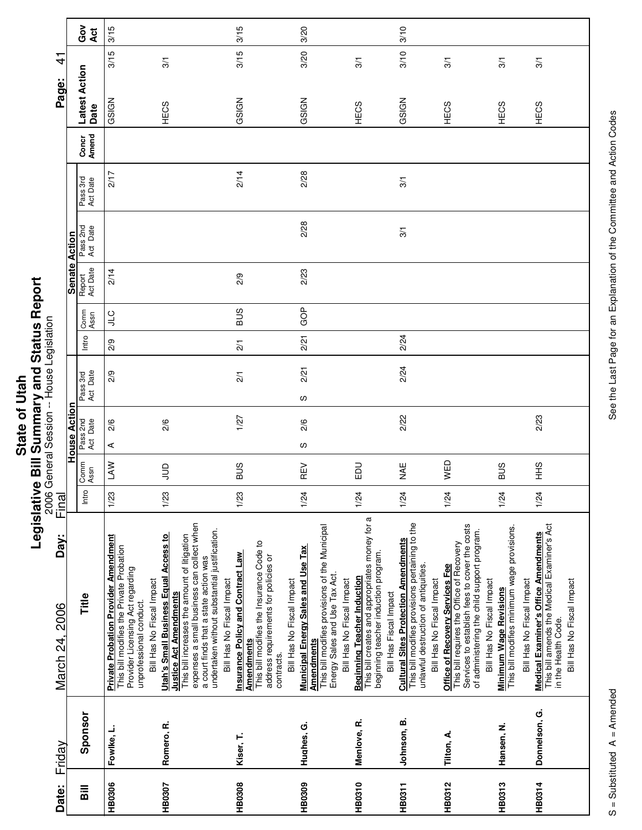|      | j               |
|------|-----------------|
|      | {<br>{          |
|      |                 |
|      |                 |
|      | S C C C C C C L |
| ì    |                 |
| Stat |                 |
|      | j.              |
|      |                 |
|      | İ               |

| 근                                         |               | ဝိ<br>ဝ<br>Act         | 3/15<br>3/15                                                                                                                                                                        | 3/1                                                                                                                                                                                                                                                                                                | 3/15<br>3/15                                                                                                                                                    | 3/20<br>3/20                                                                                                                                                                                         | 3/1                                                                                                                                             | 3/10<br>3/10                                                                                                                                                        |                                                                                                                               | 3/1                                         | $\overline{3}$                                                                                     |
|-------------------------------------------|---------------|------------------------|-------------------------------------------------------------------------------------------------------------------------------------------------------------------------------------|----------------------------------------------------------------------------------------------------------------------------------------------------------------------------------------------------------------------------------------------------------------------------------------------------|-----------------------------------------------------------------------------------------------------------------------------------------------------------------|------------------------------------------------------------------------------------------------------------------------------------------------------------------------------------------------------|-------------------------------------------------------------------------------------------------------------------------------------------------|---------------------------------------------------------------------------------------------------------------------------------------------------------------------|-------------------------------------------------------------------------------------------------------------------------------|---------------------------------------------|----------------------------------------------------------------------------------------------------|
| Page:                                     |               | Latest Action          | GSIGN                                                                                                                                                                               | HECS                                                                                                                                                                                                                                                                                               | GSIGN                                                                                                                                                           | GSIGN                                                                                                                                                                                                | HECS                                                                                                                                            | GSIGN                                                                                                                                                               | HECS                                                                                                                          |                                             | HECS                                                                                               |
|                                           |               | Date<br>Concr<br>Amend |                                                                                                                                                                                     |                                                                                                                                                                                                                                                                                                    |                                                                                                                                                                 |                                                                                                                                                                                                      |                                                                                                                                                 |                                                                                                                                                                     |                                                                                                                               |                                             |                                                                                                    |
|                                           |               | Pass 3rd<br>Act Date   | 2/17                                                                                                                                                                                |                                                                                                                                                                                                                                                                                                    | 2/14                                                                                                                                                            | 2/28                                                                                                                                                                                                 |                                                                                                                                                 | 3/1                                                                                                                                                                 |                                                                                                                               |                                             |                                                                                                    |
|                                           |               | Pass 2nd<br>Act Date   |                                                                                                                                                                                     |                                                                                                                                                                                                                                                                                                    |                                                                                                                                                                 | 2/28                                                                                                                                                                                                 |                                                                                                                                                 | 3/1                                                                                                                                                                 |                                                                                                                               |                                             |                                                                                                    |
|                                           | Senate Action | Report<br>Act Date     | 2/14                                                                                                                                                                                |                                                                                                                                                                                                                                                                                                    | 2/9                                                                                                                                                             | 2/23                                                                                                                                                                                                 |                                                                                                                                                 |                                                                                                                                                                     |                                                                                                                               |                                             |                                                                                                    |
|                                           |               | Comm<br>Assn           | <b>CTC</b>                                                                                                                                                                          |                                                                                                                                                                                                                                                                                                    | <b>BUS</b>                                                                                                                                                      | GOP                                                                                                                                                                                                  |                                                                                                                                                 |                                                                                                                                                                     |                                                                                                                               |                                             |                                                                                                    |
|                                           |               | Intro                  | 2/9                                                                                                                                                                                 |                                                                                                                                                                                                                                                                                                    | $\frac{2}{1}$                                                                                                                                                   | 2/21                                                                                                                                                                                                 |                                                                                                                                                 | 2/24                                                                                                                                                                |                                                                                                                               |                                             |                                                                                                    |
| 2006 General Session -- House Legislation |               | Pass 3rd<br>Act Date   | 2/9                                                                                                                                                                                 |                                                                                                                                                                                                                                                                                                    | $\frac{2}{1}$                                                                                                                                                   | 2/21<br>w                                                                                                                                                                                            |                                                                                                                                                 | 2/24                                                                                                                                                                |                                                                                                                               |                                             |                                                                                                    |
|                                           | House Action  | Pass 2nd<br>Act Date   | 2/6<br>⋖                                                                                                                                                                            | 2/6                                                                                                                                                                                                                                                                                                | 1/27                                                                                                                                                            | 2/6<br>w                                                                                                                                                                                             |                                                                                                                                                 | 2/22                                                                                                                                                                |                                                                                                                               |                                             |                                                                                                    |
|                                           |               | Assn<br>Comm           | LAW                                                                                                                                                                                 | $\Xi$                                                                                                                                                                                                                                                                                              | <b>SUS</b>                                                                                                                                                      | REV                                                                                                                                                                                                  | $\Xi$                                                                                                                                           | <b>WAE</b>                                                                                                                                                          | WED                                                                                                                           |                                             | SUS                                                                                                |
| Final                                     |               | Intro                  | 1/23                                                                                                                                                                                | 1/23                                                                                                                                                                                                                                                                                               | 1/23                                                                                                                                                            | 1/24                                                                                                                                                                                                 | 1/24                                                                                                                                            | 1/24                                                                                                                                                                | 1/24                                                                                                                          |                                             | 1/24                                                                                               |
| Day:<br>March 24, 2006                    |               | Title                  | <b>Private Probation Provider Amendment</b><br>This bill modifies the Private Probation<br>Provider Licensing Act regarding<br>Bill Has No Fiscal Impact<br>unprofessional conduct. | expenses a small business can collect when<br>undertaken without substantial justification.<br><b>Utah's Small Business Equal Access to</b><br>This bill increases the amount of litigation<br>a court finds that a state action was<br>Bill Has No Fiscal Impact<br><b>Justice Act Amendments</b> | This bill modifies the Insurance Code to<br><b>Insurance Policy and Contract Law</b><br>address requirements for policies or<br><b>Amendments</b><br>contracts. | This bill modifies provisions of the Municipal<br>Municipal Energy Sales and Use Tax<br>Energy Sales and Use Tax Act.<br>Bill Has No Fiscal Impact<br>Bill Has No Fiscal Impact<br><b>Amendments</b> | This bill creates and appropriates money for a<br>beginning teacher induction program.<br>Beginning Teacher Induction<br>Bill Has Fiscal Impact | This bill modifies provisions pertaining to the<br><b>Cultural Sites Protection Amendments</b><br>unlawful destruction of antiquities.<br>Bill Has No Fiscal Impact | This bill requires the Office of Recovery<br>Services to establish fees to cover the costs<br>Office of Recovery Services Fee | of administering the child support program. | Minimum Wage Revisions<br>This bill modifies minimum wage provisions.<br>Bill Has No Fiscal Impact |
| Friday                                    |               | Sponsor                | Fowlke, L.                                                                                                                                                                          | Romero, R.                                                                                                                                                                                                                                                                                         | Kiser, T.                                                                                                                                                       | Hughes, G.                                                                                                                                                                                           | Menlove, R.                                                                                                                                     | Johnson, B.                                                                                                                                                         | Tilton, A.                                                                                                                    |                                             | Hansen, N.                                                                                         |
| Date:                                     |               | $\overline{B}$         | <b>HB0306</b>                                                                                                                                                                       | HB0307                                                                                                                                                                                                                                                                                             | HB0308                                                                                                                                                          | HB0309                                                                                                                                                                                               | HB0310                                                                                                                                          | <b>HB0311</b>                                                                                                                                                       | <b>HB0312</b>                                                                                                                 |                                             | <b>HB0313</b>                                                                                      |

 $\overline{\phantom{a}}$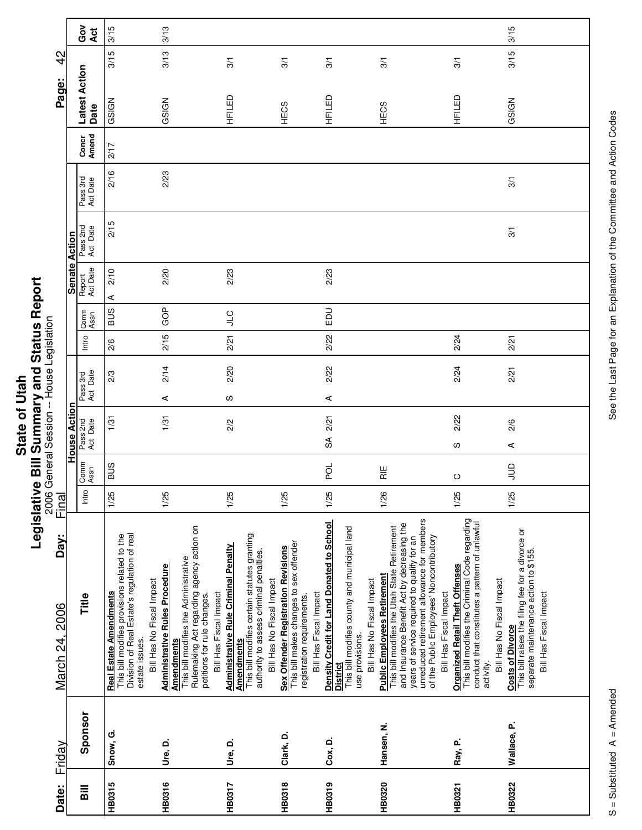|           | í<br>ī                |
|-----------|-----------------------|
| ia<br>Sta | ς<br>c<br>۲<br>ا<br>ı |
|           | l<br>E                |

г

| Date:                              | Friday      | Day:<br>March 24, 2006                                                                                                                                                                                                                                                                                  | Final |                 | 2006 General Session -- House Legislation |                      |       |              |                      |                      |                      |                | Page:                 | $\frac{2}{3}$  |           |
|------------------------------------|-------------|---------------------------------------------------------------------------------------------------------------------------------------------------------------------------------------------------------------------------------------------------------------------------------------------------------|-------|-----------------|-------------------------------------------|----------------------|-------|--------------|----------------------|----------------------|----------------------|----------------|-----------------------|----------------|-----------|
|                                    |             |                                                                                                                                                                                                                                                                                                         |       |                 | ā<br>House Acti                           |                      |       |              | <b>Senate Action</b> |                      |                      |                |                       |                |           |
| $\overline{\overline{\mathbf{a}}}$ | Sponsor     | Title                                                                                                                                                                                                                                                                                                   | Intro | Comm<br>Assn    | Pass 2nd<br>Act Date                      | Pass 3rd<br>Act Date | Intro | Comm<br>Assn | Report<br>Act Date   | Pass 2nd<br>Act Date | Pass 3rd<br>Act Date | Concr<br>Amend | Latest Action<br>Date |                | Ğo<br>Act |
| HB0315                             | Snow, G.    | Division of Real Estate's regulation of real<br>This bill modifies provisions related to the<br>Real Estate Amendments<br>estate issues.                                                                                                                                                                | 1/25  | <b>BUS</b>      | 1/31                                      | 2/3                  | 2/6   | <b>SUB</b>   | 2/10<br>⋖            | 2/15                 | 2/16                 | 2/17           | GSIGN                 | 3/15           | 3/15      |
| HB0316                             | Ure, D.     | Rulemaking Act regarding agency action on<br>This bill modifies the Administrative<br><b>Administrative Rules Procedure</b><br>Bill Has No Fiscal Impact<br>petitions for rule changes.<br><b>Amendments</b>                                                                                            | 1/25  |                 | 1/31                                      | 2/14<br>⋖            | 2/15  | GOP          | 2/20                 |                      | 2/23                 |                | GSIGN                 | 3/13           | 3/13      |
| <b>HB0317</b>                      | Ure, D.     | This bill modifies certain statutes granting<br><b>Administrative Rule Criminal Penalty</b><br>authority to assess criminal penalties.<br>Bill Has Fiscal Impact<br><b>Amendments</b>                                                                                                                   | 1/25  |                 | 2/2                                       | 2/20<br>w            | 2/21  | <b>CTC</b>   | 2/23                 |                      |                      |                | HFILED                | 3/1            |           |
| <b>HB0318</b>                      | Clark, D.   | This bill makes changes to sex offender<br>Sex Offender Registration Revisions<br>Bill Has No Fiscal Impact<br>registration requirements.                                                                                                                                                               | 1/25  |                 |                                           |                      |       |              |                      |                      |                      |                | HECS                  | 3/1            |           |
| HB0319                             | Cox, D.     | Density Credit for Land Donated to School<br>This bill modifies county and municipal land<br>Bill Has Fiscal Impact<br>use provisions.<br><b>District</b>                                                                                                                                               | 1/25  | 요               | 2/21<br>SÃ                                | 2/22<br>⋖            | 2/22  | EDU          | 2/23                 |                      |                      |                | HFILED                | 3/1            |           |
| HB0320                             | Hansen, N.  | unreduced retirement allowance for members<br>and Insurance Benefit Act by decreasing the<br>This bill modifies the Utah State Retirement<br>of the Public Employees' Noncontributory<br>years of service required to qualify for an<br><b>Public Employees Retirement</b><br>Bill Has No Fiscal Impact | 1/26  | $\frac{11}{15}$ |                                           |                      |       |              |                      |                      |                      |                | HECS                  | $\overline{3}$ |           |
| HB0321                             | Ray, P.     | This bill modifies the Criminal Code regarding<br>conduct that constitutes a pattern of unlawful<br><b>Organized Retail Theft Offenses</b><br>Bill Has Fiscal Impact<br>activity.                                                                                                                       | 1/25  | $\circ$         | 2/22<br>w                                 | 2/24                 | 2/24  |              |                      |                      |                      |                | HFILED                | 3/1            |           |
| <b>HB0322</b>                      | Wallace, P. | This bill raises the filing fee for a divorce or<br>separate maintenance action to \$155.<br>Bill Has No Fiscal Impact<br>Bill Has Fiscal Impact<br><b>Costs of Divorce</b>                                                                                                                             | 1/25  | $\Xi$           | 2/6<br>⋖                                  | 2/21                 | 2/21  |              |                      | 3/1                  | 3/1                  |                | GSIGN                 | 3/15           | 3/15      |
|                                    |             |                                                                                                                                                                                                                                                                                                         |       |                 |                                           |                      |       |              |                      |                      |                      |                |                       |                |           |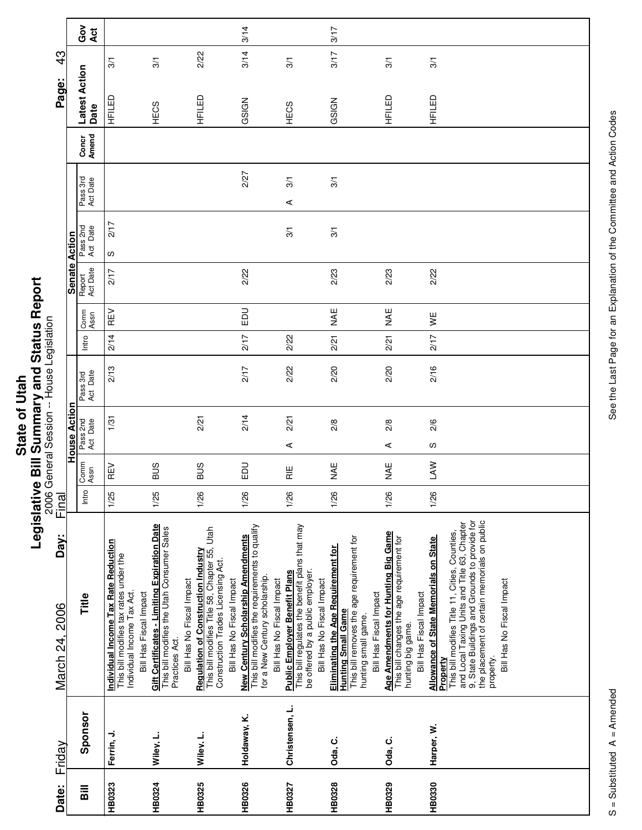|         | ا<br>ا                   |
|---------|--------------------------|
| ا<br>تا |                          |
|         |                          |
| Ξ       |                          |
|         | <br> <br> <br> <br> <br> |
| ່ເ      |                          |
|         |                          |
|         |                          |
|         |                          |
| State   |                          |
|         | ċ                        |
|         |                          |
|         |                          |
|         | ī                        |
|         | г                        |
|         |                          |
|         |                          |

|                                           |                 | Got<br>Act            |                                                                                                                                        |                                                                                                                                                  |                                                                                                                                                                | 3/14                                                                                                                                                |                                                                                                                                                         | 3/17                                                                                                                                                           |                                                                                                                                 |                                                                                                                                                                                                                                                                                                |
|-------------------------------------------|-----------------|-----------------------|----------------------------------------------------------------------------------------------------------------------------------------|--------------------------------------------------------------------------------------------------------------------------------------------------|----------------------------------------------------------------------------------------------------------------------------------------------------------------|-----------------------------------------------------------------------------------------------------------------------------------------------------|---------------------------------------------------------------------------------------------------------------------------------------------------------|----------------------------------------------------------------------------------------------------------------------------------------------------------------|---------------------------------------------------------------------------------------------------------------------------------|------------------------------------------------------------------------------------------------------------------------------------------------------------------------------------------------------------------------------------------------------------------------------------------------|
| $\frac{3}{4}$                             |                 |                       | 3/1                                                                                                                                    | 3/1                                                                                                                                              | 2/22                                                                                                                                                           | 3/14                                                                                                                                                | 3/1                                                                                                                                                     | 3/17                                                                                                                                                           | 3/1                                                                                                                             | 3/1                                                                                                                                                                                                                                                                                            |
| Page:                                     |                 | Latest Action<br>Date | HFILED                                                                                                                                 | HECS                                                                                                                                             | HFILED                                                                                                                                                         | GSIGN                                                                                                                                               | HECS                                                                                                                                                    | GSIGN                                                                                                                                                          | HFILED                                                                                                                          | HFILED                                                                                                                                                                                                                                                                                         |
|                                           |                 | Concr<br>Amend        |                                                                                                                                        |                                                                                                                                                  |                                                                                                                                                                |                                                                                                                                                     |                                                                                                                                                         |                                                                                                                                                                |                                                                                                                                 |                                                                                                                                                                                                                                                                                                |
|                                           |                 | Pass 3rd<br>Act Date  |                                                                                                                                        |                                                                                                                                                  |                                                                                                                                                                | 2/27                                                                                                                                                | 3/1<br>⋖                                                                                                                                                | 3/1                                                                                                                                                            |                                                                                                                                 |                                                                                                                                                                                                                                                                                                |
|                                           |                 | Pass 2nd<br>Act Date  | 2/17<br>လ                                                                                                                              |                                                                                                                                                  |                                                                                                                                                                |                                                                                                                                                     | 3/1                                                                                                                                                     | 3/1                                                                                                                                                            |                                                                                                                                 |                                                                                                                                                                                                                                                                                                |
|                                           | Senate Action   | Report<br>Act Date    | 2/17                                                                                                                                   |                                                                                                                                                  |                                                                                                                                                                | 2/22                                                                                                                                                |                                                                                                                                                         | 2/23                                                                                                                                                           | 2/23                                                                                                                            | 2/22                                                                                                                                                                                                                                                                                           |
|                                           |                 | Comm<br>Assn          | REV                                                                                                                                    |                                                                                                                                                  |                                                                                                                                                                | EDU                                                                                                                                                 |                                                                                                                                                         | ¥⊾                                                                                                                                                             | ¥¥                                                                                                                              | ¥                                                                                                                                                                                                                                                                                              |
|                                           |                 | Intro                 | 2/14                                                                                                                                   |                                                                                                                                                  |                                                                                                                                                                | 2/17                                                                                                                                                | 2/22                                                                                                                                                    | 2/21                                                                                                                                                           | 2/21                                                                                                                            | 2/17                                                                                                                                                                                                                                                                                           |
| 2006 General Session -- House Legislation |                 | Pass 3rd<br>Act Date  | 2/13                                                                                                                                   |                                                                                                                                                  |                                                                                                                                                                | 217                                                                                                                                                 | 2/22                                                                                                                                                    | 2/20                                                                                                                                                           | 2/20                                                                                                                            | 2/16                                                                                                                                                                                                                                                                                           |
|                                           | ā<br>House Acti | Pass 2nd<br>Act Date  | 1/31                                                                                                                                   |                                                                                                                                                  | 2/21                                                                                                                                                           | 2/14                                                                                                                                                | 2/21<br>⋖                                                                                                                                               | 2/8                                                                                                                                                            | 2/8<br>⋖                                                                                                                        | 2/6<br>S                                                                                                                                                                                                                                                                                       |
|                                           |                 | Comm<br>Assn          | REV                                                                                                                                    | SUS                                                                                                                                              | <b>SUS</b>                                                                                                                                                     | $\Xi$                                                                                                                                               | $\frac{11}{11}$                                                                                                                                         | MAE                                                                                                                                                            | ¥¥                                                                                                                              | LAW                                                                                                                                                                                                                                                                                            |
| Final                                     |                 | Intro                 | 1/25                                                                                                                                   | 1/25                                                                                                                                             | 1/26                                                                                                                                                           | 1/26                                                                                                                                                | 1/26                                                                                                                                                    | 1/26                                                                                                                                                           | 1/26                                                                                                                            | 1/26                                                                                                                                                                                                                                                                                           |
| Day:<br>March 24, 2006                    |                 | Title                 | Individual Income Tax Rate Reduction<br>This bill modifies tax rates under the<br>Individual Income Tax Act.<br>Bill Has Fiscal Impact | <b>Gift Certificates - Limiting Expiration Date</b><br>This bill modifies the Utah Consumer Sales<br>Bill Has No Fiscal Impact<br>Practices Act. | This bill modifies Title 58, Chapter 55, Utah<br><b>Regulation of Construction Industry</b><br>Construction Trades Licensing Act.<br>Bill Has No Fiscal Impact | This bill modifies the requirements to qualify<br>New Century Scholarship Amendments<br>for a New Century scholarship.<br>Bill Has No Fiscal Impact | This bill regulates the benefit plans that may<br>be offered by a public employer.<br><b>Public Employer Benefit Plans</b><br>Bill Has No Fiscal Impact | This bill removes the age requirement for<br>Eliminating the Age Requirement for<br>Bill Has Fiscal Impact<br><b>Hunting Small Game</b><br>hunting small game. | Age Amendments for Hunting Big Game<br>This bill changes the age requirement for<br>Bill Has Fiscal Impact<br>hunting big game. | 9, State Buildings and Grounds to provide for<br>the placement of certain memorials on public<br>and Local Taxing Units and Title 63, Chapter<br>This bill modifies Title 11, Cities, Counties,<br>Allowance of State Memorials on State<br>Bill Has No Fiscal Impact<br>Property<br>property. |
| Friday                                    |                 | Sponsor               | Ferrin, J.                                                                                                                             | Wiley, L.                                                                                                                                        | Wiley, L.                                                                                                                                                      | Holdaway, K.                                                                                                                                        | Christensen, L.                                                                                                                                         | Oda, C.                                                                                                                                                        | Oda, C.                                                                                                                         | Harper, W.                                                                                                                                                                                                                                                                                     |
| Date:                                     |                 | <b>Bill</b>           | HB0323                                                                                                                                 | HB0324                                                                                                                                           | HB0325                                                                                                                                                         | HB0326                                                                                                                                              | HB0327                                                                                                                                                  | HB0328                                                                                                                                                         | HB0329                                                                                                                          | HB0330                                                                                                                                                                                                                                                                                         |

Ц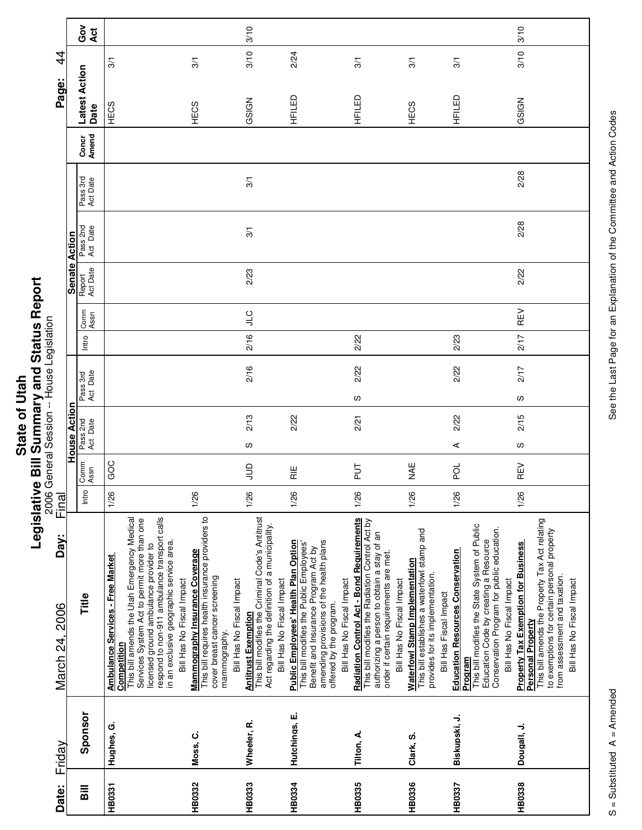|              | U              |
|--------------|----------------|
| <b>11tah</b> | i              |
|              |                |
|              |                |
|              |                |
|              |                |
| ֡֓<br>ō      |                |
|              |                |
|              |                |
|              |                |
|              |                |
| State        |                |
|              |                |
|              | $\overline{1}$ |
|              |                |
|              | ĺ              |
|              |                |

| $\vec{4}$              |                      | Ğ<br><b>Act</b>                    | $\frac{5}{2}$                                                                                                                                                                                                                                                                                                          |                                                                                                                                                                         | $\sqrt{3}$                                                                                                                                                     | 3/10<br>3/10                                                                                                                                                                                                                       | 2/24                                                                                                                                                                                                               | 3/1                                                                                                                                                | $\frac{5}{2}$                                                                                                                                                                                                           | 3/1                                                                                                                                                                                                                                   |
|------------------------|----------------------|------------------------------------|------------------------------------------------------------------------------------------------------------------------------------------------------------------------------------------------------------------------------------------------------------------------------------------------------------------------|-------------------------------------------------------------------------------------------------------------------------------------------------------------------------|----------------------------------------------------------------------------------------------------------------------------------------------------------------|------------------------------------------------------------------------------------------------------------------------------------------------------------------------------------------------------------------------------------|--------------------------------------------------------------------------------------------------------------------------------------------------------------------------------------------------------------------|----------------------------------------------------------------------------------------------------------------------------------------------------|-------------------------------------------------------------------------------------------------------------------------------------------------------------------------------------------------------------------------|---------------------------------------------------------------------------------------------------------------------------------------------------------------------------------------------------------------------------------------|
| Page:                  |                      | Latest Action<br>Date              | HECS                                                                                                                                                                                                                                                                                                                   | HECS                                                                                                                                                                    | GSIGN                                                                                                                                                          | HEILED                                                                                                                                                                                                                             | HFILED                                                                                                                                                                                                             | HECS                                                                                                                                               | HFILED                                                                                                                                                                                                                  | GSIGN                                                                                                                                                                                                                                 |
|                        |                      | Concr<br>Amend                     |                                                                                                                                                                                                                                                                                                                        |                                                                                                                                                                         |                                                                                                                                                                |                                                                                                                                                                                                                                    |                                                                                                                                                                                                                    |                                                                                                                                                    |                                                                                                                                                                                                                         |                                                                                                                                                                                                                                       |
|                        |                      | Pass 3rd<br>Act Date               |                                                                                                                                                                                                                                                                                                                        |                                                                                                                                                                         | 3/1                                                                                                                                                            |                                                                                                                                                                                                                                    |                                                                                                                                                                                                                    |                                                                                                                                                    |                                                                                                                                                                                                                         | 2/28                                                                                                                                                                                                                                  |
|                        |                      | Pass 2nd<br>Act Date               |                                                                                                                                                                                                                                                                                                                        |                                                                                                                                                                         | 3/1                                                                                                                                                            |                                                                                                                                                                                                                                    |                                                                                                                                                                                                                    |                                                                                                                                                    |                                                                                                                                                                                                                         | 2/28                                                                                                                                                                                                                                  |
|                        | <b>Senate Action</b> | Report<br>Act Date                 |                                                                                                                                                                                                                                                                                                                        |                                                                                                                                                                         | 2/23                                                                                                                                                           |                                                                                                                                                                                                                                    |                                                                                                                                                                                                                    |                                                                                                                                                    |                                                                                                                                                                                                                         | 2/22                                                                                                                                                                                                                                  |
|                        |                      | Comm<br>Assn                       |                                                                                                                                                                                                                                                                                                                        |                                                                                                                                                                         | <b>C</b>                                                                                                                                                       |                                                                                                                                                                                                                                    |                                                                                                                                                                                                                    |                                                                                                                                                    |                                                                                                                                                                                                                         | REV                                                                                                                                                                                                                                   |
|                        |                      | Intro                              |                                                                                                                                                                                                                                                                                                                        |                                                                                                                                                                         | 2/16                                                                                                                                                           |                                                                                                                                                                                                                                    | 2/22                                                                                                                                                                                                               |                                                                                                                                                    | 2/23                                                                                                                                                                                                                    | 2/17                                                                                                                                                                                                                                  |
|                        |                      |                                    |                                                                                                                                                                                                                                                                                                                        |                                                                                                                                                                         | 2/16                                                                                                                                                           |                                                                                                                                                                                                                                    | 2/22                                                                                                                                                                                                               |                                                                                                                                                    | 2/22                                                                                                                                                                                                                    | 217                                                                                                                                                                                                                                   |
|                        |                      | Act Date<br>Pass 3rd               |                                                                                                                                                                                                                                                                                                                        |                                                                                                                                                                         |                                                                                                                                                                |                                                                                                                                                                                                                                    | S                                                                                                                                                                                                                  |                                                                                                                                                    |                                                                                                                                                                                                                         | လ                                                                                                                                                                                                                                     |
|                        | <b>House Action</b>  | Pass 2nd<br>Act Date               |                                                                                                                                                                                                                                                                                                                        |                                                                                                                                                                         | 2/13                                                                                                                                                           | 2/22                                                                                                                                                                                                                               | 2/21                                                                                                                                                                                                               |                                                                                                                                                    | 2/22                                                                                                                                                                                                                    | 2/15                                                                                                                                                                                                                                  |
|                        |                      |                                    |                                                                                                                                                                                                                                                                                                                        |                                                                                                                                                                         | w                                                                                                                                                              |                                                                                                                                                                                                                                    |                                                                                                                                                                                                                    |                                                                                                                                                    | ⋖                                                                                                                                                                                                                       | လ                                                                                                                                                                                                                                     |
|                        |                      | Comm<br>Assn                       | GOC                                                                                                                                                                                                                                                                                                                    |                                                                                                                                                                         | $\Xi$                                                                                                                                                          | 一定                                                                                                                                                                                                                                 | $\frac{1}{2}$                                                                                                                                                                                                      | ¥⊾                                                                                                                                                 | pol                                                                                                                                                                                                                     | REV                                                                                                                                                                                                                                   |
| Final                  |                      | Intro                              | 1/26                                                                                                                                                                                                                                                                                                                   | 1/26                                                                                                                                                                    | 1/26                                                                                                                                                           | 1/26                                                                                                                                                                                                                               | 1/26                                                                                                                                                                                                               | 1/26                                                                                                                                               | 1/26                                                                                                                                                                                                                    | 1/26                                                                                                                                                                                                                                  |
| Day:<br>March 24, 2006 |                      | Title                              | respond to non-911 ambulance transport calls<br>This bill amends the Utah Emergency Medical<br>Services System Act to permit more than one<br>in an exclusive geographic service area.<br>licensed ground ambulance provider to<br><b>Ambulance Services - Free Market</b><br>Bill Has No Fiscal Impact<br>Competition | This bill requires health insurance providers to<br><b>Mammography Insurance Coverage</b><br>cover breast cancer screening<br>Bill Has No Fiscal Impact<br>mammography. | <b>Antitrust Exemption</b><br>This bill modifies the Criminal Code's Antitrust<br>Act regarding the definition of a municipality.<br>Bill Has No Fiscal Impact | amending provisions of the health plans<br><b>Public Employees' Health Plan Option</b><br>This bill modifies the Public Employees'<br>Benefit and Insurance Program Act by<br>Bill Has No Fiscal Impact<br>offered by the program. | Radiation Control Act - Bond Requirements<br>This bill modifies the Radiation Control Act by<br>authorizing a person to obtain a stay of an<br>order if certain requirements are met.<br>Bill Has No Fiscal Impact | This bill establishes a waterfowl stamp and<br><b>Waterfowl Stamp Implementation</b><br>provides for its implementation.<br>Bill Has Fiscal Impact | This bill modifies the State System of Public<br>Conservation Program for public education.<br>Education Code by creating a Resource<br><b>Education Resources Conservation</b><br>Bill Has No Fiscal Impact<br>Program | This bill amends the Property Tax Act relating<br>to exemptions for certain personal property<br><b>Property Tax Exemption for Business</b><br>from assessment and taxation.<br>Bill Has No Fiscal Impact<br><b>Personal Property</b> |
| Friday                 |                      | Sponsor                            | Hughes, G.                                                                                                                                                                                                                                                                                                             | Moss, C.                                                                                                                                                                | Wheeler, R.                                                                                                                                                    | Hutchings, E.                                                                                                                                                                                                                      | Tilton, A.                                                                                                                                                                                                         | Clark, S.                                                                                                                                          | Biskupski, J.                                                                                                                                                                                                           | Dougall, J.                                                                                                                                                                                                                           |
| Date:                  |                      | $\overline{\overline{\mathbf{a}}}$ | HB0331                                                                                                                                                                                                                                                                                                                 | <b>HB0332</b>                                                                                                                                                           | HB0333                                                                                                                                                         | HB0334                                                                                                                                                                                                                             | <b>HB0335</b>                                                                                                                                                                                                      | HB0336                                                                                                                                             | HB0337                                                                                                                                                                                                                  | HB0338                                                                                                                                                                                                                                |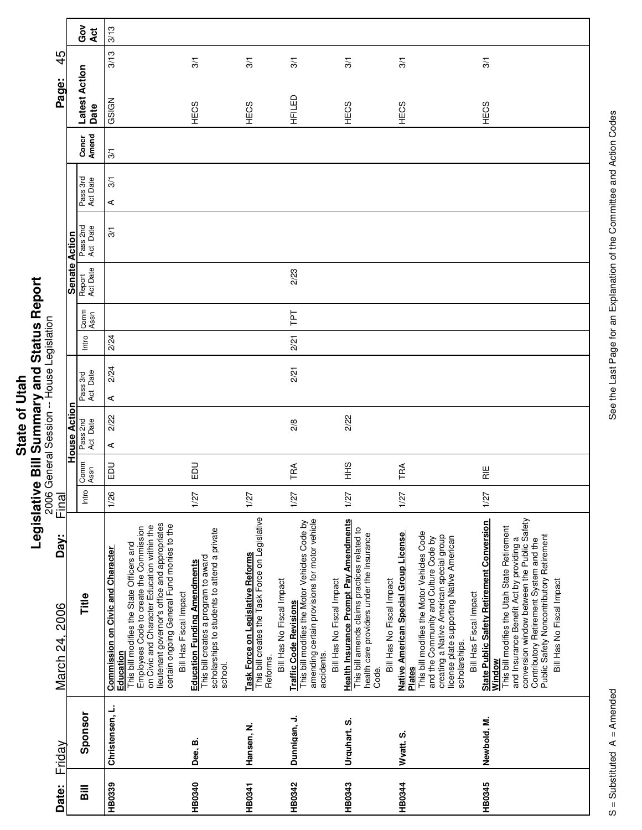| ΩŌ<br>ر<br>+<br>ī<br>O<br><b>Stat</b> | ؟<br>ا<br>j<br>ī<br>Ē<br>Ò |
|---------------------------------------|----------------------------|
|                                       |                            |
|                                       |                            |

|                                           |                      | Got<br>Act                   | 3/13                                                                                                                                                                                                                                                                                                                  |                                                                                                                                        |                                                                                                                               |                                                                                                                                               |                                                                                                                                                                                                               |                                                                                                                                                                                                                                                                                  |                                                                                                                                                                                                                                                                                                                          |
|-------------------------------------------|----------------------|------------------------------|-----------------------------------------------------------------------------------------------------------------------------------------------------------------------------------------------------------------------------------------------------------------------------------------------------------------------|----------------------------------------------------------------------------------------------------------------------------------------|-------------------------------------------------------------------------------------------------------------------------------|-----------------------------------------------------------------------------------------------------------------------------------------------|---------------------------------------------------------------------------------------------------------------------------------------------------------------------------------------------------------------|----------------------------------------------------------------------------------------------------------------------------------------------------------------------------------------------------------------------------------------------------------------------------------|--------------------------------------------------------------------------------------------------------------------------------------------------------------------------------------------------------------------------------------------------------------------------------------------------------------------------|
| 45                                        |                      |                              | 3/13                                                                                                                                                                                                                                                                                                                  | 3/1                                                                                                                                    | 3/1                                                                                                                           | 3/1                                                                                                                                           | 3/1                                                                                                                                                                                                           | 3/1                                                                                                                                                                                                                                                                              | 3/1                                                                                                                                                                                                                                                                                                                      |
| Page:                                     |                      | <b>Latest Action</b><br>Date | GSIGN                                                                                                                                                                                                                                                                                                                 | HECS                                                                                                                                   | HECS                                                                                                                          | HFILED                                                                                                                                        | HECS                                                                                                                                                                                                          | HECS                                                                                                                                                                                                                                                                             | HECS                                                                                                                                                                                                                                                                                                                     |
|                                           |                      | Concr<br>Amend               | $\frac{5}{2}$                                                                                                                                                                                                                                                                                                         |                                                                                                                                        |                                                                                                                               |                                                                                                                                               |                                                                                                                                                                                                               |                                                                                                                                                                                                                                                                                  |                                                                                                                                                                                                                                                                                                                          |
|                                           |                      | Pass 3rd<br>Act Date         | 3/1<br>⋖                                                                                                                                                                                                                                                                                                              |                                                                                                                                        |                                                                                                                               |                                                                                                                                               |                                                                                                                                                                                                               |                                                                                                                                                                                                                                                                                  |                                                                                                                                                                                                                                                                                                                          |
|                                           |                      | Pass 2nd<br>Act Date         | $\frac{5}{2}$                                                                                                                                                                                                                                                                                                         |                                                                                                                                        |                                                                                                                               |                                                                                                                                               |                                                                                                                                                                                                               |                                                                                                                                                                                                                                                                                  |                                                                                                                                                                                                                                                                                                                          |
|                                           | <b>Senate Action</b> | Report<br>Act Date           |                                                                                                                                                                                                                                                                                                                       |                                                                                                                                        |                                                                                                                               | 2/23                                                                                                                                          |                                                                                                                                                                                                               |                                                                                                                                                                                                                                                                                  |                                                                                                                                                                                                                                                                                                                          |
|                                           |                      | Comm<br>Assn                 |                                                                                                                                                                                                                                                                                                                       |                                                                                                                                        |                                                                                                                               | Ld1                                                                                                                                           |                                                                                                                                                                                                               |                                                                                                                                                                                                                                                                                  |                                                                                                                                                                                                                                                                                                                          |
|                                           |                      | Intro                        | 2/24                                                                                                                                                                                                                                                                                                                  |                                                                                                                                        |                                                                                                                               | 2/21                                                                                                                                          |                                                                                                                                                                                                               |                                                                                                                                                                                                                                                                                  |                                                                                                                                                                                                                                                                                                                          |
| 2006 General Session -- House Legislation |                      | Pass 3rd<br>Act Date         | 2/24<br>⋖                                                                                                                                                                                                                                                                                                             |                                                                                                                                        |                                                                                                                               | 2/21                                                                                                                                          |                                                                                                                                                                                                               |                                                                                                                                                                                                                                                                                  |                                                                                                                                                                                                                                                                                                                          |
|                                           | House Action         | Pass 2nd<br>Act Date         | 2/22<br>⋖                                                                                                                                                                                                                                                                                                             |                                                                                                                                        |                                                                                                                               | 2/8                                                                                                                                           | 2/22                                                                                                                                                                                                          |                                                                                                                                                                                                                                                                                  |                                                                                                                                                                                                                                                                                                                          |
|                                           |                      | Comm<br>Assn                 | 品                                                                                                                                                                                                                                                                                                                     | <b>DU</b>                                                                                                                              |                                                                                                                               | TRA                                                                                                                                           | $rac{9}{5}$                                                                                                                                                                                                   | TRA                                                                                                                                                                                                                                                                              | )<br>조                                                                                                                                                                                                                                                                                                                   |
| Final                                     |                      | Intro                        | 1/26                                                                                                                                                                                                                                                                                                                  | 1/27                                                                                                                                   | 1/27                                                                                                                          | 1/27                                                                                                                                          | 1/27                                                                                                                                                                                                          | 1/27                                                                                                                                                                                                                                                                             | 1/27                                                                                                                                                                                                                                                                                                                     |
| Day:<br>March 24, 2006                    |                      | Title                        | lieutenant governor's office and appropriates<br>certain ongoing General Fund monies to the<br>on Civic and Character Education within the<br>Employees Code to create the Commission<br>This bill modifies the State Officers and<br>Commission on Civic and Character<br>Bill Has Fiscal Impact<br><b>Education</b> | scholarships to students to attend a private<br>This bill creates a program to award<br><b>Education Funding Amendments</b><br>school. | This bill creates the Task Force on Legislative<br>Task Force on Legislative Reforms<br>Bill Has No Fiscal Impact<br>Reforms. | amending certain provisions for motor vehicle<br>This bill modifies the Motor Vehicles Code by<br><b>Traffic Code Revisions</b><br>accidents. | <b>Health Insurance Prompt Pay Amendments</b><br>This bill amends claims practices related to<br>health care providers under the Insurance<br>Bill Has No Fiscal Impact<br>Bill Has No Fiscal Impact<br>Code. | This bill modifies the Motor Vehicles Code<br>Native American Special Group License<br>creating a Native American special group<br>license plate supporting Native American<br>and the Community and Culture Code by<br>Bill Has Fiscal Impact<br>scholarships.<br><b>Plates</b> | conversion window between the Public Safety<br><b>State Public Safety Retirement Conversion</b><br>This bill modifies the Utah State Retirement<br>Public Safety Noncontributory Retirement<br>and Insurance Benefit Act by providing a<br>Contributory Retirement System and the<br>Bill Has No Fiscal Impact<br>Window |
| Friday                                    |                      | Sponsor                      | Christensen, L.                                                                                                                                                                                                                                                                                                       | Dee, B.                                                                                                                                | Hansen, N.                                                                                                                    | Dunnigan, J.                                                                                                                                  | Urquhart, S.                                                                                                                                                                                                  | Wyatt, S.                                                                                                                                                                                                                                                                        | Newbold, M.                                                                                                                                                                                                                                                                                                              |
| Date:                                     |                      | <b>Bill</b>                  | HB0339                                                                                                                                                                                                                                                                                                                | HB0340                                                                                                                                 | HB0341                                                                                                                        | HB0342                                                                                                                                        | HB0343                                                                                                                                                                                                        | <b>HB0344</b>                                                                                                                                                                                                                                                                    | HB0345                                                                                                                                                                                                                                                                                                                   |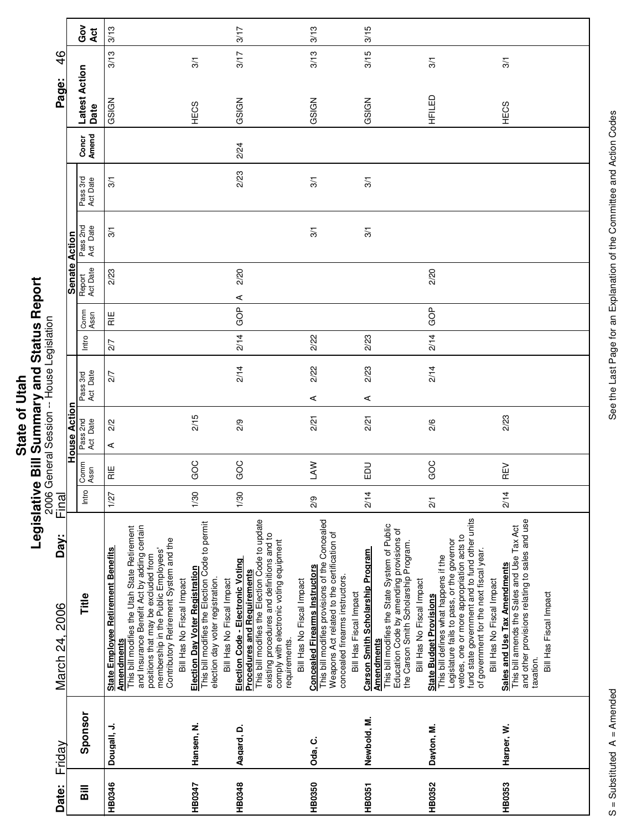| $\frac{1}{10}$ | $\frac{1}{2}$  |
|----------------|----------------|
|                |                |
|                |                |
|                |                |
| ั่ง            |                |
|                |                |
|                |                |
| State          |                |
|                |                |
|                |                |
|                | $\overline{1}$ |
|                |                |
|                | I              |
|                |                |

|                                           |                      | Got<br>Act            | 3/13                                                                                                                                                                                                                                                                                                               |                                                                                                                                                           | 3/17                                                                                                                                                                                                                                | 3/13                                                                                                                                                                                                                             | 3/15                                                                                                                                                                                                                     |                                                                                                                                                                                                                                                                                             |                                                                                                                                                                     |
|-------------------------------------------|----------------------|-----------------------|--------------------------------------------------------------------------------------------------------------------------------------------------------------------------------------------------------------------------------------------------------------------------------------------------------------------|-----------------------------------------------------------------------------------------------------------------------------------------------------------|-------------------------------------------------------------------------------------------------------------------------------------------------------------------------------------------------------------------------------------|----------------------------------------------------------------------------------------------------------------------------------------------------------------------------------------------------------------------------------|--------------------------------------------------------------------------------------------------------------------------------------------------------------------------------------------------------------------------|---------------------------------------------------------------------------------------------------------------------------------------------------------------------------------------------------------------------------------------------------------------------------------------------|---------------------------------------------------------------------------------------------------------------------------------------------------------------------|
| $\frac{4}{6}$                             |                      |                       | 3/13                                                                                                                                                                                                                                                                                                               | 3/1                                                                                                                                                       | 3/17                                                                                                                                                                                                                                | 3/13                                                                                                                                                                                                                             | 3/15                                                                                                                                                                                                                     | 3/1                                                                                                                                                                                                                                                                                         | 3/1                                                                                                                                                                 |
| Page:                                     |                      | Latest Action<br>Date | GSIGN                                                                                                                                                                                                                                                                                                              | HECS                                                                                                                                                      | GSIGN                                                                                                                                                                                                                               | GSIGN                                                                                                                                                                                                                            | GSIGN                                                                                                                                                                                                                    | HFILED                                                                                                                                                                                                                                                                                      | HECS                                                                                                                                                                |
|                                           |                      | Concr<br>Amend        |                                                                                                                                                                                                                                                                                                                    |                                                                                                                                                           | 2/24                                                                                                                                                                                                                                |                                                                                                                                                                                                                                  |                                                                                                                                                                                                                          |                                                                                                                                                                                                                                                                                             |                                                                                                                                                                     |
|                                           |                      | Pass 3rd<br>Act Date  | 3/1                                                                                                                                                                                                                                                                                                                |                                                                                                                                                           | 2/23                                                                                                                                                                                                                                | $\overline{3}$                                                                                                                                                                                                                   | 3/1                                                                                                                                                                                                                      |                                                                                                                                                                                                                                                                                             |                                                                                                                                                                     |
|                                           |                      | Pass 2nd<br>Act Date  | 3/1                                                                                                                                                                                                                                                                                                                |                                                                                                                                                           |                                                                                                                                                                                                                                     | $\overline{3}$                                                                                                                                                                                                                   | 3/1                                                                                                                                                                                                                      |                                                                                                                                                                                                                                                                                             |                                                                                                                                                                     |
|                                           | <b>Senate Action</b> | Report<br>Act Date    | 2/23                                                                                                                                                                                                                                                                                                               |                                                                                                                                                           | 2/20<br>⋖                                                                                                                                                                                                                           |                                                                                                                                                                                                                                  |                                                                                                                                                                                                                          | 2/20                                                                                                                                                                                                                                                                                        |                                                                                                                                                                     |
|                                           |                      | Comm<br>Assn          | $\overline{R}$                                                                                                                                                                                                                                                                                                     |                                                                                                                                                           | GOP                                                                                                                                                                                                                                 |                                                                                                                                                                                                                                  |                                                                                                                                                                                                                          | GOP                                                                                                                                                                                                                                                                                         |                                                                                                                                                                     |
|                                           |                      | Intro                 | 2/7                                                                                                                                                                                                                                                                                                                |                                                                                                                                                           | 2/14                                                                                                                                                                                                                                | 2/22                                                                                                                                                                                                                             | 2/23                                                                                                                                                                                                                     | 2/14                                                                                                                                                                                                                                                                                        |                                                                                                                                                                     |
|                                           |                      | Pass 3rd<br>Act Date  | 2/7                                                                                                                                                                                                                                                                                                                |                                                                                                                                                           | 2/14                                                                                                                                                                                                                                | 2/22<br>⋖                                                                                                                                                                                                                        | 2/23<br>⋖                                                                                                                                                                                                                | 2/14                                                                                                                                                                                                                                                                                        |                                                                                                                                                                     |
| 2006 General Session -- House Legislation | <b>House Action</b>  | Pass 2nd<br>Act Date  | 2/2<br>⋖                                                                                                                                                                                                                                                                                                           | 2/15                                                                                                                                                      | 2/9                                                                                                                                                                                                                                 | 2/21                                                                                                                                                                                                                             | 2/21                                                                                                                                                                                                                     | 2/6                                                                                                                                                                                                                                                                                         | 2/23                                                                                                                                                                |
|                                           |                      | Comm<br>Assn          | $\frac{11}{11}$                                                                                                                                                                                                                                                                                                    | GOC                                                                                                                                                       | GOC                                                                                                                                                                                                                                 | <b>NVT</b>                                                                                                                                                                                                                       | DO                                                                                                                                                                                                                       | GOC                                                                                                                                                                                                                                                                                         | REV                                                                                                                                                                 |
| <u>Final</u>                              |                      | Intro                 | 1/27                                                                                                                                                                                                                                                                                                               | 1/30                                                                                                                                                      | 1/30                                                                                                                                                                                                                                | 2/9                                                                                                                                                                                                                              | 2/14                                                                                                                                                                                                                     | $\overline{21}$                                                                                                                                                                                                                                                                             | 2/14                                                                                                                                                                |
| Day:<br>March 24, 2006                    |                      | Title                 | and Insurance Benefit Act by adding certain<br>This bill modifies the Utah State Retirement<br>membership in the Public Employees'<br>Contributory Retirement System and the<br><b>State Employee Retirement Benefits</b><br>positions that may be excluded from<br>Bill Has No Fiscal Impact<br><b>Amendments</b> | This bill modifies the Election Code to permit<br><b>Election Day Voter Registration</b><br>election day voter registration.<br>Bill Has No Fiscal Impact | This bill modifies the Election Code to update<br>existing procedures and definitions and to<br>comply with electronic voting equipment<br>Election Code - Electronic Voting<br><b>Procedures and Requirements</b><br>requirements. | This bill modifies provisions of the Concealed<br>Weapons Act related to the certification of<br><b>Concealed Firearms Instructors</b><br>concealed firearms instructors.<br>Bill Has No Fiscal Impact<br>Bill Has Fiscal Impact | This bill modifies the State System of Public<br>Education Code by amending provisions of<br>the Carson Smith Scholarship Program.<br>Carson Smith Scholarship Program<br>Bill Has No Fiscal Impact<br><b>Amendments</b> | fund state government and to fund other units<br>vetoes, one or more appropriation acts to<br>Legislature fails to pass, or the governor<br>of government for the next fiscal year.<br>This bill defines what happens if the<br>Bill Has No Fiscal Impact<br><b>State Budget Provisions</b> | and other provisions relating to sales and use<br>This bill amends the Sales and Use Tax Act<br>Sales and Use Tax Amendments<br>Bill Has Fiscal Impact<br>taxation. |
| Friday                                    |                      | Sponsor               | Dougall, J.                                                                                                                                                                                                                                                                                                        | Hansen, N.                                                                                                                                                | Aagard, D.                                                                                                                                                                                                                          | Oda, C.                                                                                                                                                                                                                          | Newbold, M.                                                                                                                                                                                                              | Dayton, M.                                                                                                                                                                                                                                                                                  | Harper, W.                                                                                                                                                          |
| Date:                                     |                      | Bill                  | HB0346                                                                                                                                                                                                                                                                                                             | HB0347                                                                                                                                                    | HB0348                                                                                                                                                                                                                              | HB0350                                                                                                                                                                                                                           | HB0351                                                                                                                                                                                                                   | HB0352                                                                                                                                                                                                                                                                                      | HB0353                                                                                                                                                              |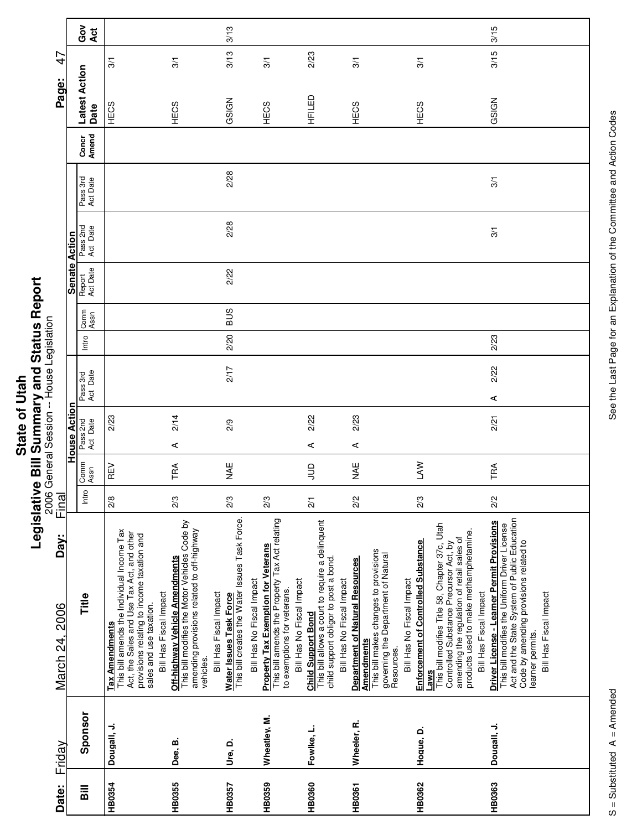|             | U              |
|-------------|----------------|
| <b>Seq.</b> | i              |
|             |                |
|             |                |
|             |                |
|             |                |
| ā           |                |
|             |                |
|             |                |
|             |                |
|             |                |
| State       | ä              |
|             |                |
|             | $\overline{1}$ |
|             |                |
|             | ĺ              |
|             |                |

Г

Τ

| House Action<br>Final<br>Day:<br>March 24, 2006<br>Friday                                                                                                                                                                                                                             | 2006 | General Session -- House Legislation |  |  |       |              | <b>Senate Action</b> |                      |                      |                | Page:                 | $\mathcal{A}$  |            |
|---------------------------------------------------------------------------------------------------------------------------------------------------------------------------------------------------------------------------------------------------------------------------------------|------|--------------------------------------|--|--|-------|--------------|----------------------|----------------------|----------------------|----------------|-----------------------|----------------|------------|
| Pass 3rd<br>Act Date<br>Pass 2nd<br>Act Date<br>Comm<br>Assn<br>Intro<br>Title<br>Sponsor                                                                                                                                                                                             |      |                                      |  |  | Intro | Comm<br>Assn | Report<br>Act Date   | Pass 2nd<br>Act Date | Pass 3rd<br>Act Date | Concr<br>Amend | Latest Action<br>Date |                | Got<br>Act |
| 2/23<br>REV<br>$\frac{8}{2}$<br>This bill amends the Individual Income Tax<br>Act, the Sales and Use Tax Act, and other<br>provisions relating to income taxation and<br>sales and use taxation.<br><b>Tax Amendments</b><br>Dougall, J.                                              |      |                                      |  |  |       |              |                      |                      |                      |                | HECS                  | $\overline{3}$ |            |
| 2/14<br>$\prec$<br>TRA<br>2/3<br>This bill modifies the Motor Vehicles Code by<br>amending provisions related to off-highway<br>Off-highway Vehicle Amendments<br>Bill Has Fiscal Impact<br>vehicles.<br>Dee, B.                                                                      |      |                                      |  |  |       |              |                      |                      |                      |                | HECS                  | 3/1            |            |
| 2/17<br>2/9<br>¥¥<br>2/3<br>Water Issues Task Force<br>This bill creates the Water Issues Task Force.<br>Bill Has Fiscal Impact<br>Ure, D.                                                                                                                                            |      |                                      |  |  | 2/20  | SUS          | 2/22                 | 2/28                 | 2/28                 |                | GSIGN                 | 3/13           | 3/13       |
| 2/3<br>This bill amends the Property Tax Act relating<br><b>Property Tax Exemption for Veterans</b><br>Bill Has No Fiscal Impact<br>to exemptions for veterans.<br>Wheatley, M.                                                                                                       |      |                                      |  |  |       |              |                      |                      |                      |                | HECS                  | 3/1            |            |
| 2/22<br>⋖<br>$\frac{1}{2}$<br>2/1<br>This bill allows a court to require a delinquent<br>child support obligor to post a bond.<br>Bill Has No Fiscal Impact<br>Bill Has No Fiscal Impact<br><b>Child Support Bond</b><br>Fowlke, L.                                                   |      |                                      |  |  |       |              |                      |                      |                      |                | HFILED                | 2/23           |            |
| 2/23<br>⋖<br>NAE<br>2/2<br>This bill makes changes to provisions<br>governing the Department of Natural<br>Resources.<br><b>Department of Natural Resources</b><br><b>Amendments</b><br>Wheeler, R.                                                                                   |      |                                      |  |  |       |              |                      |                      |                      |                | HECS                  | 3/1            |            |
| <b>NVT</b><br>2/3<br>Enforcement of Controlled Substance<br>Bill Has No Fiscal Impact<br><b>Laws</b><br>Hoque, D.                                                                                                                                                                     |      |                                      |  |  |       |              |                      |                      |                      |                | HECS                  | 3/1            |            |
| This bill modifies Title 58, Chapter 37c, Utah<br>products used to make methamphetamine.<br>amending the regulation of retail sales of<br>Controlled Substance Precursor Act, by<br>Bill Has Fiscal Impact                                                                            |      |                                      |  |  |       |              |                      |                      |                      |                |                       |                |            |
| 2/22<br>⋖<br>2/21<br>TRA<br>2/2<br>Act and the State System of Public Education<br>Driver License - Learner Permit Provisions<br>This bill modifies the Uniform Driver License<br>Code by amending provisions related to<br>Bill Has Fiscal Impact<br>learner permits.<br>Dougall, J. |      |                                      |  |  | 2/23  |              |                      | 3/1                  | 3/1                  |                | GSIGN                 | 3/15           | 3/15       |
|                                                                                                                                                                                                                                                                                       |      |                                      |  |  |       |              |                      |                      |                      |                |                       |                |            |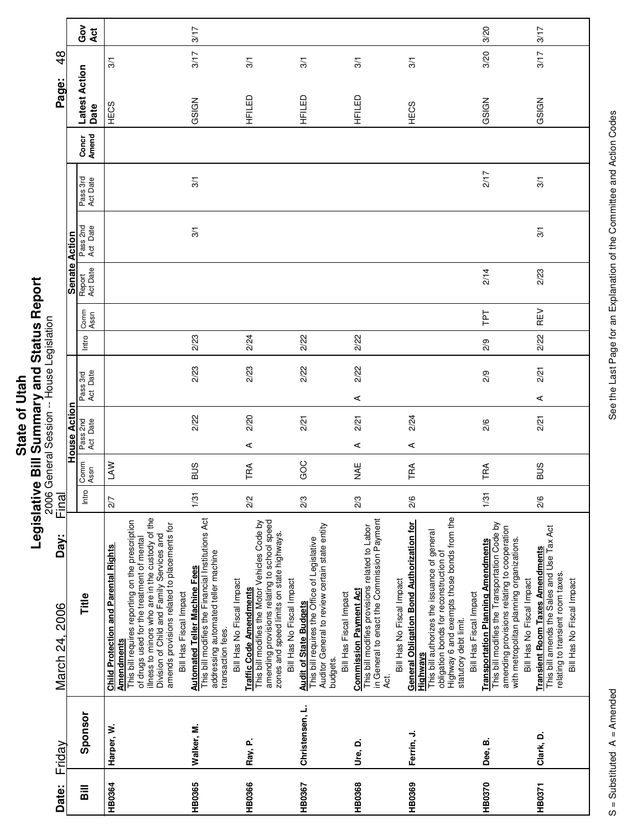|                                       | ף<br>ו           |
|---------------------------------------|------------------|
| Ξ<br>ĝ<br>$\frac{1}{2}$<br>C<br>State | ã<br>Č<br>έ<br>Ę |
|                                       |                  |

| Date:    | Friday          | Day:<br>March 24, 2006                                                                                                                                                                                                                                                                                    | Final |              |                      |                      |       |              |                    |                      |                      |                | Page:                 | $\frac{8}{4}$ |            |
|----------|-----------------|-----------------------------------------------------------------------------------------------------------------------------------------------------------------------------------------------------------------------------------------------------------------------------------------------------------|-------|--------------|----------------------|----------------------|-------|--------------|--------------------|----------------------|----------------------|----------------|-----------------------|---------------|------------|
|          |                 |                                                                                                                                                                                                                                                                                                           |       |              | <b>House Action</b>  |                      |       |              | <b>Senate</b>      | Action               |                      |                |                       |               |            |
| $\equiv$ | Sponsor         | Title                                                                                                                                                                                                                                                                                                     | Intro | Comm<br>Assn | Pass 2nd<br>Act Date | Pass 3rd<br>Act Date | Intro | Comm<br>Assn | Report<br>Act Date | Pass 2nd<br>Act Date | Pass 3rd<br>Act Date | Concr<br>Amend | Latest Action<br>Date |               | Got<br>Act |
| HB0364   | Harper, W.      | illness to minors who are in the custody of the<br>This bill requires reporting on the prescription<br>amends provisions related to placements for<br>Division of Child and Family Services and<br>of drugs used for the treatment of mental<br><b>Child Protection and Parental Rights</b><br>Amendments | 2/7   | <b>NV</b>    |                      |                      |       |              |                    |                      |                      |                | HECS                  | 3/1           |            |
| HB0365   | Walker, M.      | This bill modifies the Financial Institutions Act<br>addressing automated teller machine<br><b>Automated Teller Machine Fees</b><br>Bill Has Fiscal Impact<br>transaction fees.                                                                                                                           | 1/31  | <b>SUB</b>   | 2/22                 | 2/23                 | 2/23  |              |                    | $\frac{5}{1}$        | 3/1                  |                | GSIGN                 | 3/17          | 3/17       |
| HB0366   | Rav. P.         | amending provisions relating to school speed<br>This bill modifies the Motor Vehicles Code by<br>zones and speed limits on state highways.<br>Bill Has No Fiscal Impact<br>Bill Has No Fiscal Impact<br><b>Traffic Code Amendments</b>                                                                    | 2/2   | TRA          | 2/20<br>⋖            | 2/23                 | 2/24  |              |                    |                      |                      |                | HFILED                | 3/1           |            |
| HB0367   | Christensen, L. | Auditor General to review certain state entity<br>This bill requires the Office of Legislative<br><b>Audit of State Budgets</b><br>budgets.                                                                                                                                                               | 2/3   | GOC          | 2/21                 | 2/22                 | 2/22  |              |                    |                      |                      |                | HFILED                | 3/1           |            |
| HB0368   | Ure, D.         | in General to enact the Commission Payment<br>This bill modifies provisions related to Labor<br><b>Commission Payment Act</b><br>Bill Has Fiscal Impact<br>Act.                                                                                                                                           | 2/3   | ¥¥           | 2/21<br>⋖            | 2/22<br>⋖            | 2/22  |              |                    |                      |                      |                | HFILED                | 3/1           |            |
| HB0369   | Ferrin, J.      | Highway 6 and exempts those bonds from the<br>General Obligation Bond Authorization for<br>This bill authorizes the issuance of general<br>obligation bonds for reconstruction of<br>Bill Has No Fiscal Impact<br>statutory debt limit.<br>Highways                                                       | 2/6   | TRA          | 2/24<br>⋖            |                      |       |              |                    |                      |                      |                | HECS                  | 3/1           |            |
| HB0370   | Dee, B.         | This bill modifies the Transportation Code by<br>amending provisions relating to cooperation<br>with metropolitan planning organizations.<br><b>Transportation Planning Amendments</b><br>Bill Has Fiscal Impact                                                                                          | 1/31  | TRA          | 2/6                  | 2/9                  | 2/9   | ΓPΤ          | 2/14               |                      | 217                  |                | GSIGN                 | 3/20          | 3/20       |
| HB0371   | Clark, D.       | This bill amends the Sales and Use Tax Act<br><b>Transient Room Taxes Amendments</b><br>relating to transient room taxes.<br>Bill Has No Fiscal Impact<br>Bill Has No Fiscal Impact                                                                                                                       | 2/6   | <b>SUS</b>   | 2/21                 | 2/21<br>⋖            | 2/22  | REV          | 2/23               | 3/1                  | 3/1                  |                | GSIGN                 | 3/17          | 3/17       |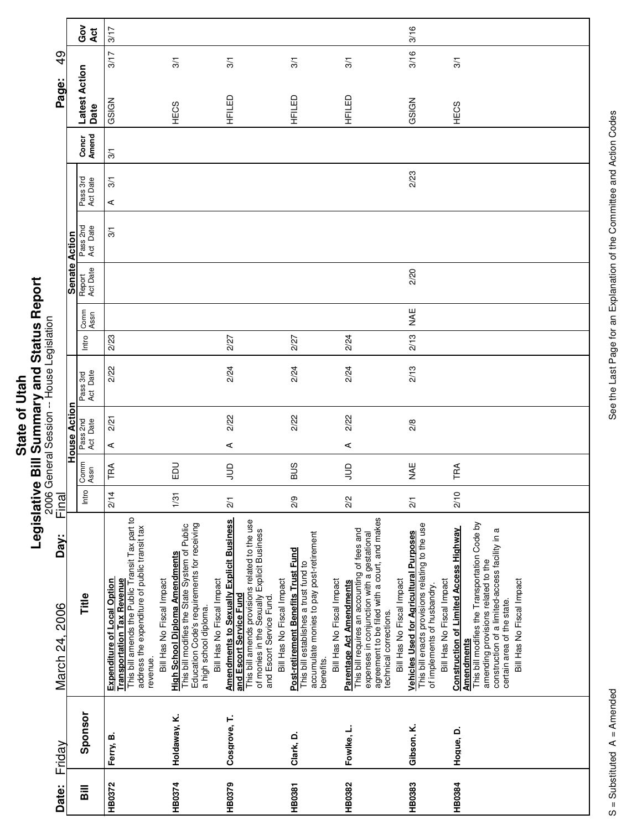|               | ń                        |
|---------------|--------------------------|
|               |                          |
| $\frac{1}{1}$ | ؟<br>؟                   |
|               |                          |
| ¢             |                          |
|               | <br> <br> <br> <br> <br> |
| State         | ė                        |
|               | í                        |
|               | I                        |
|               |                          |

|                                           |                      | Got<br>Act           | 3/17                                                                                                                                                                                                                 |                                                                                                                                                                                              |                                                                                                                                                                                                                                      |                                                                                                                                       |                                                                                                                                                                                                                                                             | 3/16                                                                                                                                                          |                                                                                                                                                                                                                                                                        |
|-------------------------------------------|----------------------|----------------------|----------------------------------------------------------------------------------------------------------------------------------------------------------------------------------------------------------------------|----------------------------------------------------------------------------------------------------------------------------------------------------------------------------------------------|--------------------------------------------------------------------------------------------------------------------------------------------------------------------------------------------------------------------------------------|---------------------------------------------------------------------------------------------------------------------------------------|-------------------------------------------------------------------------------------------------------------------------------------------------------------------------------------------------------------------------------------------------------------|---------------------------------------------------------------------------------------------------------------------------------------------------------------|------------------------------------------------------------------------------------------------------------------------------------------------------------------------------------------------------------------------------------------------------------------------|
| $\frac{9}{4}$                             |                      |                      | 3/17                                                                                                                                                                                                                 | 3/1                                                                                                                                                                                          | 3/1                                                                                                                                                                                                                                  | 3/1                                                                                                                                   | 3/1                                                                                                                                                                                                                                                         | 3/16                                                                                                                                                          | 3/1                                                                                                                                                                                                                                                                    |
| Page:                                     |                      | Latest Action        | GSIGN                                                                                                                                                                                                                |                                                                                                                                                                                              | HFILED                                                                                                                                                                                                                               | HFILED                                                                                                                                | HFILED                                                                                                                                                                                                                                                      | GSIGN                                                                                                                                                         |                                                                                                                                                                                                                                                                        |
|                                           |                      | Date                 |                                                                                                                                                                                                                      | HECS                                                                                                                                                                                         |                                                                                                                                                                                                                                      |                                                                                                                                       |                                                                                                                                                                                                                                                             |                                                                                                                                                               | HECS                                                                                                                                                                                                                                                                   |
|                                           |                      | Concr<br>Amend       | $\frac{5}{2}$                                                                                                                                                                                                        |                                                                                                                                                                                              |                                                                                                                                                                                                                                      |                                                                                                                                       |                                                                                                                                                                                                                                                             |                                                                                                                                                               |                                                                                                                                                                                                                                                                        |
|                                           |                      | Pass 3rd<br>Act Date | $\overline{3}$<br>⋖                                                                                                                                                                                                  |                                                                                                                                                                                              |                                                                                                                                                                                                                                      |                                                                                                                                       |                                                                                                                                                                                                                                                             | 2/23                                                                                                                                                          |                                                                                                                                                                                                                                                                        |
|                                           |                      | Pass 2nd<br>Act Date | $\frac{5}{2}$                                                                                                                                                                                                        |                                                                                                                                                                                              |                                                                                                                                                                                                                                      |                                                                                                                                       |                                                                                                                                                                                                                                                             |                                                                                                                                                               |                                                                                                                                                                                                                                                                        |
|                                           | <b>Senate Action</b> | Report<br>Act Date   |                                                                                                                                                                                                                      |                                                                                                                                                                                              |                                                                                                                                                                                                                                      |                                                                                                                                       |                                                                                                                                                                                                                                                             | 2/20                                                                                                                                                          |                                                                                                                                                                                                                                                                        |
|                                           |                      | Comm<br>Assn         |                                                                                                                                                                                                                      |                                                                                                                                                                                              |                                                                                                                                                                                                                                      |                                                                                                                                       |                                                                                                                                                                                                                                                             | MAE                                                                                                                                                           |                                                                                                                                                                                                                                                                        |
|                                           |                      | Intro                | 2/23                                                                                                                                                                                                                 |                                                                                                                                                                                              | 2/27                                                                                                                                                                                                                                 | 2/27                                                                                                                                  | 2/24                                                                                                                                                                                                                                                        | 2/13                                                                                                                                                          |                                                                                                                                                                                                                                                                        |
| 2006 General Session -- House Legislation |                      | Pass 3rd<br>Act Date | 2/22                                                                                                                                                                                                                 |                                                                                                                                                                                              | 2/24                                                                                                                                                                                                                                 | 2/24                                                                                                                                  | 2/24                                                                                                                                                                                                                                                        | 2/13                                                                                                                                                          |                                                                                                                                                                                                                                                                        |
|                                           | House Action         | Pass 2nd<br>Act Date | 2/21<br>⋖                                                                                                                                                                                                            |                                                                                                                                                                                              | 2/22<br>⋖                                                                                                                                                                                                                            | 2/22                                                                                                                                  | 2/22<br>⋖                                                                                                                                                                                                                                                   | 2/8                                                                                                                                                           |                                                                                                                                                                                                                                                                        |
|                                           |                      | Comm<br>Assn         | TRA                                                                                                                                                                                                                  | <b>DU</b>                                                                                                                                                                                    | $\exists$                                                                                                                                                                                                                            | <b>SUS</b>                                                                                                                            | $\Xi$                                                                                                                                                                                                                                                       | MAE                                                                                                                                                           | TRA                                                                                                                                                                                                                                                                    |
|                                           |                      | Intro                | 2/14                                                                                                                                                                                                                 | 1/31                                                                                                                                                                                         | $\overline{21}$                                                                                                                                                                                                                      | 2/9                                                                                                                                   | 2/2                                                                                                                                                                                                                                                         | $\overline{21}$                                                                                                                                               | 2/10                                                                                                                                                                                                                                                                   |
| Final<br>Day:<br>March 24, 2006           |                      | Title                | This bill amends the Public Transit Tax part to<br>address the expenditure of public transit tax<br><b>Transportation Tax Revenue</b><br><b>Expenditure of Local Option</b><br>Bill Has No Fiscal Impact<br>revenue. | Education Code's requirements for receiving<br>This bill modifies the State System of Public<br><b>High School Diploma Amendments</b><br>Bill Has No Fiscal Impact<br>a high school diploma. | <b>Amendments to Sexually Explicit Business</b><br>This bill amends provisions related to the use<br>of monies in the Sexually Explicit Business<br>Bill Has No Fiscal Impact<br>and Escort Service Fund<br>and Escort Service Fund. | accumulate monies to pay post-retirement<br>Post-retirement Benefits Trust Fund<br>This bill establishes a trust fund to<br>benefits. | agreement to be filed with a court, and makes<br>This bill requires an accounting of fees and<br>expenses in conjunction with a gestational<br>Bill Has No Fiscal Impact<br>Bill Has No Fiscal Impact<br>Parentage Act Amendments<br>technical corrections. | This bill enacts provisions relating to the use<br><b>Vehicles Used for Agricultural Purposes</b><br>Bill Has No Fiscal Impact<br>of implements of husbandry. | This bill modifies the Transportation Code by<br><b>Construction of Limited Access Highway</b><br>construction of a limited-access facility in a<br>amending provisions related to the<br>Bill Has No Fiscal Impact<br>certain area of the state.<br><b>Amendments</b> |
| Friday                                    |                      | Sponsor              | Ferry, B.                                                                                                                                                                                                            | Holdaway, K.                                                                                                                                                                                 | Cosgrove, T.                                                                                                                                                                                                                         | Clark, D.                                                                                                                             | Fowlke, L.                                                                                                                                                                                                                                                  | Gibson, K.                                                                                                                                                    | Hogue, D.                                                                                                                                                                                                                                                              |
| Date:                                     |                      | <b>Bill</b>          | HB0372                                                                                                                                                                                                               | HB0374                                                                                                                                                                                       | HB0379                                                                                                                                                                                                                               | <b>HB0381</b>                                                                                                                         | HB0382                                                                                                                                                                                                                                                      | <b>HB0383</b>                                                                                                                                                 | <b>HB0384</b>                                                                                                                                                                                                                                                          |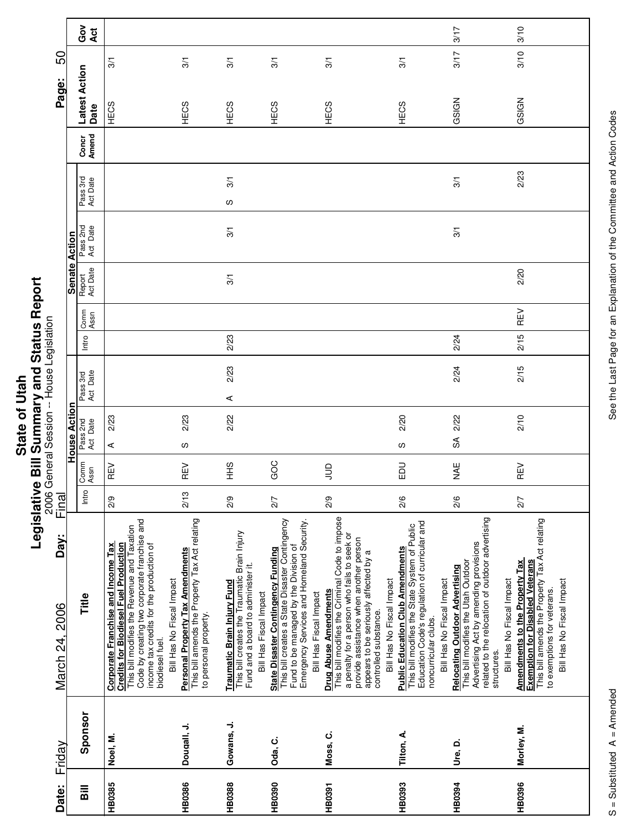|             | $\ddot{\phantom{a}}$ |
|-------------|----------------------|
|             |                      |
| <b>Utah</b> |                      |
|             |                      |
| ั่อ         |                      |
|             |                      |
|             |                      |
|             |                      |
|             | ċ                    |
| State       |                      |
|             |                      |
|             | $\frac{1}{2}$        |
|             |                      |
|             | י                    |

|             | Friday | Day:<br>March 24, 2006                                                                                                                                                                                                                                          | 2006<br>20<br>Final |              |                        | General Session -- House Legislation |       |              |                    |                      |                      |                | Page:                 | 50             |            |
|-------------|--------|-----------------------------------------------------------------------------------------------------------------------------------------------------------------------------------------------------------------------------------------------------------------|---------------------|--------------|------------------------|--------------------------------------|-------|--------------|--------------------|----------------------|----------------------|----------------|-----------------------|----------------|------------|
|             |        |                                                                                                                                                                                                                                                                 |                     |              | <b>House Acti</b>      |                                      |       |              | <b>Senate</b>      | Action               |                      |                |                       |                |            |
| Sponsor     |        | Title                                                                                                                                                                                                                                                           | Intro               | Comm<br>Assn | Pass 2nd<br>Act Date   | Pass 3rd<br>Act Date                 | Intro | Comm<br>Assn | Report<br>Act Date | Pass 2nd<br>Act Date | Pass 3rd<br>Act Date | Concr<br>Amend | Latest Action<br>Date |                | Gov<br>Act |
| Noel, M.    |        | Code by creating two corporate franchise and<br>This bill modifies the Revenue and Taxation<br>income tax credits for the production of<br>Credits for Biodiesel Fuel Production<br><b>Corporate Franchise and Income Tax</b><br>biodiesel fuel.                | $\frac{2}{9}$       | REV          | 2/23<br>⋖              |                                      |       |              |                    |                      |                      |                | HECS                  | 3/1            |            |
| Dougall, J. |        | This bill amends the Property Tax Act relating<br><b>Personal Property Tax Amendments</b><br>Bill Has No Fiscal Impact<br>to personal property.                                                                                                                 | 2/13                | REV          | 2/23<br>လ              |                                      |       |              |                    |                      |                      |                | HECS                  | 3/1            |            |
| Gowans, J.  |        | This bill creates the Traumatic Brain Injury<br>Fund and a board to administer it.<br>Traumatic Brain Injury Fund<br>Bill Has Fiscal Impact                                                                                                                     | 2/9                 | $rac{9}{5}$  | 2/22                   | 2/23<br>⋖                            | 2/23  |              | 3/1                | 3/1                  | $\overline{3}$<br>S  |                | HECS                  | $\overline{3}$ |            |
| Oda, C.     |        | This bill creates a State Disaster Contingency<br>Fund to be managed by the Division of<br>Emergency Services and Homeland Security.<br><b>State Disaster Contingency Funding</b><br>Bill Has Fiscal Impact                                                     | 2/7                 | GOC          |                        |                                      |       |              |                    |                      |                      |                | HECS                  | 3/1            |            |
| Moss, C.    |        | This bill modifies the Criminal Code to impose<br>a penalty for a person who fails to seek or<br>provide assistance when another person<br>appears to be seriously affected by a<br>Bill Has No Fiscal Impact<br>Drug Abuse Amendments<br>controlled substance. | 2/9                 | $\Xi$        |                        |                                      |       |              |                    |                      |                      |                | HECS                  | $\overline{3}$ |            |
| Tilton, A.  |        | Education Code's regulation of curricular and<br>This bill modifies the State System of Public<br><b>Public Education Club Amendments</b><br>Bill Has No Fiscal Impact<br>noncurricular clubs.                                                                  | 2/6                 | <b>DU</b>    | 2/20<br>ပ              |                                      |       |              |                    |                      |                      |                | HECS                  | 3/1            |            |
| Ure, D.     |        | related to the relocation of outdoor advertising<br>Advertising Act by amending provisions<br>This bill modifies the Utah Outdoor<br><b>Relocating Outdoor Advertising</b><br>Bill Has No Fiscal Impact<br>structures.                                          | $\frac{2}{6}$       | MAE          | 2/22<br>$\mathfrak{F}$ | 2/24                                 | 2/24  |              |                    | 3/1                  | 3/1                  |                | GSIGN                 | 3/17           | 3/17       |
| Morley, M.  |        | This bill amends the Property Tax Act relating<br>Amendments to the Property Tax<br><b>Exemption for Disabled Veterans</b><br>Bill Has No Fiscal Impact<br>to exemptions for veterans.                                                                          | 2/7                 | REV          | 2/10                   | 2/15                                 | 2/15  | REV          | 2/20               |                      | 2/23                 |                | GSIGN                 | 3/10           | 3/10       |

 $\overline{\phantom{a}}$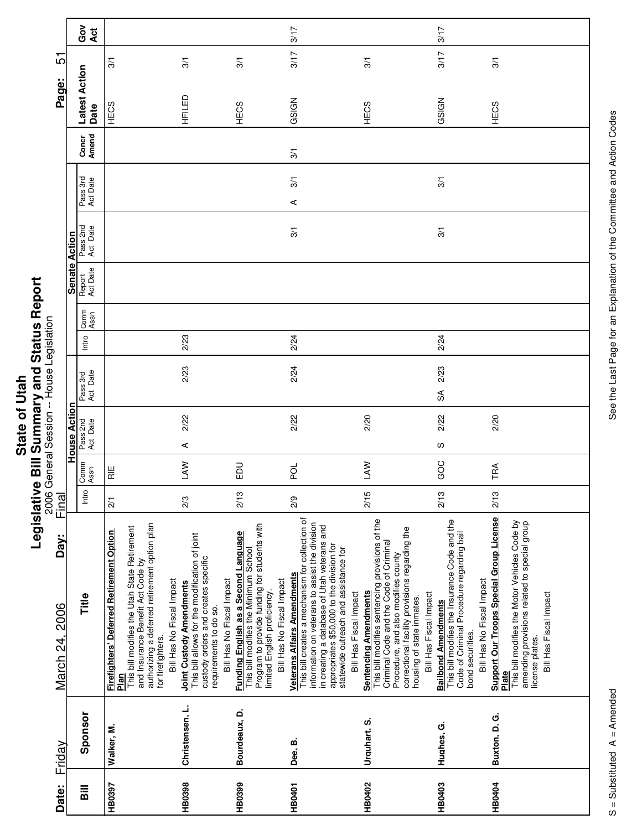|       | $\frac{1}{2}$ |
|-------|---------------|
| ltah  |               |
|       |               |
| Ξ     |               |
| ৳     |               |
|       |               |
|       |               |
|       |               |
|       |               |
| State |               |
|       | E             |
|       |               |
|       | -<br>C        |
|       |               |

|                                      |                      | Gov<br>Act            |                                                                                                                                                                                                                                          |                                                                                                                                                                                 |                                                                                                                                                                                            | 3/17                                                                                                                                                                                                                                                                                                   |                                                                                                                                                                                                                                                                           | 3/17                                                                                                                                                                      |                                                                                                                                                                                                        |
|--------------------------------------|----------------------|-----------------------|------------------------------------------------------------------------------------------------------------------------------------------------------------------------------------------------------------------------------------------|---------------------------------------------------------------------------------------------------------------------------------------------------------------------------------|--------------------------------------------------------------------------------------------------------------------------------------------------------------------------------------------|--------------------------------------------------------------------------------------------------------------------------------------------------------------------------------------------------------------------------------------------------------------------------------------------------------|---------------------------------------------------------------------------------------------------------------------------------------------------------------------------------------------------------------------------------------------------------------------------|---------------------------------------------------------------------------------------------------------------------------------------------------------------------------|--------------------------------------------------------------------------------------------------------------------------------------------------------------------------------------------------------|
| ம்                                   |                      |                       | $\overline{3}$                                                                                                                                                                                                                           | 3/1                                                                                                                                                                             | 3/1                                                                                                                                                                                        | 3/17                                                                                                                                                                                                                                                                                                   | 3/1                                                                                                                                                                                                                                                                       | 3/17                                                                                                                                                                      | 3/1                                                                                                                                                                                                    |
| Page:                                |                      |                       |                                                                                                                                                                                                                                          |                                                                                                                                                                                 |                                                                                                                                                                                            |                                                                                                                                                                                                                                                                                                        |                                                                                                                                                                                                                                                                           |                                                                                                                                                                           |                                                                                                                                                                                                        |
|                                      |                      | Latest Action<br>Date | HECS                                                                                                                                                                                                                                     | HFILED                                                                                                                                                                          | HECS                                                                                                                                                                                       | GSIGN                                                                                                                                                                                                                                                                                                  | HECS                                                                                                                                                                                                                                                                      | GSIGN                                                                                                                                                                     | HECS                                                                                                                                                                                                   |
|                                      |                      | Concr<br>Amend        |                                                                                                                                                                                                                                          |                                                                                                                                                                                 |                                                                                                                                                                                            | 3/1                                                                                                                                                                                                                                                                                                    |                                                                                                                                                                                                                                                                           |                                                                                                                                                                           |                                                                                                                                                                                                        |
|                                      |                      |                       |                                                                                                                                                                                                                                          |                                                                                                                                                                                 |                                                                                                                                                                                            | 3/1                                                                                                                                                                                                                                                                                                    |                                                                                                                                                                                                                                                                           | 3/1                                                                                                                                                                       |                                                                                                                                                                                                        |
|                                      |                      | Pass 3rd<br>Act Date  |                                                                                                                                                                                                                                          |                                                                                                                                                                                 |                                                                                                                                                                                            | $\prec$                                                                                                                                                                                                                                                                                                |                                                                                                                                                                                                                                                                           |                                                                                                                                                                           |                                                                                                                                                                                                        |
|                                      |                      | Pass 2nd<br>Act Date  |                                                                                                                                                                                                                                          |                                                                                                                                                                                 |                                                                                                                                                                                            | 3/1                                                                                                                                                                                                                                                                                                    |                                                                                                                                                                                                                                                                           | 3/1                                                                                                                                                                       |                                                                                                                                                                                                        |
|                                      | <b>Senate Action</b> |                       |                                                                                                                                                                                                                                          |                                                                                                                                                                                 |                                                                                                                                                                                            |                                                                                                                                                                                                                                                                                                        |                                                                                                                                                                                                                                                                           |                                                                                                                                                                           |                                                                                                                                                                                                        |
|                                      |                      | Report<br>Act Date    |                                                                                                                                                                                                                                          |                                                                                                                                                                                 |                                                                                                                                                                                            |                                                                                                                                                                                                                                                                                                        |                                                                                                                                                                                                                                                                           |                                                                                                                                                                           |                                                                                                                                                                                                        |
|                                      |                      | Comm<br>Assn          |                                                                                                                                                                                                                                          |                                                                                                                                                                                 |                                                                                                                                                                                            |                                                                                                                                                                                                                                                                                                        |                                                                                                                                                                                                                                                                           |                                                                                                                                                                           |                                                                                                                                                                                                        |
|                                      |                      | Intro                 |                                                                                                                                                                                                                                          | 2/23                                                                                                                                                                            |                                                                                                                                                                                            | 2/24                                                                                                                                                                                                                                                                                                   |                                                                                                                                                                                                                                                                           | 2/24                                                                                                                                                                      |                                                                                                                                                                                                        |
| General Session -- House Legislation |                      | Pass 3rd<br>Act Date  |                                                                                                                                                                                                                                          | 2/23                                                                                                                                                                            |                                                                                                                                                                                            | 2/24                                                                                                                                                                                                                                                                                                   |                                                                                                                                                                                                                                                                           | 2/23                                                                                                                                                                      |                                                                                                                                                                                                        |
|                                      |                      |                       |                                                                                                                                                                                                                                          |                                                                                                                                                                                 |                                                                                                                                                                                            |                                                                                                                                                                                                                                                                                                        |                                                                                                                                                                                                                                                                           | SA                                                                                                                                                                        |                                                                                                                                                                                                        |
|                                      | <b>House Action</b>  | Pass 2nd<br>Act Date  |                                                                                                                                                                                                                                          | 2/22                                                                                                                                                                            |                                                                                                                                                                                            | 2/22                                                                                                                                                                                                                                                                                                   | 2/20                                                                                                                                                                                                                                                                      | 2/22                                                                                                                                                                      | 2/20                                                                                                                                                                                                   |
|                                      |                      |                       |                                                                                                                                                                                                                                          | ⋖<br><b>NV</b>                                                                                                                                                                  | <b>DU</b>                                                                                                                                                                                  | pol                                                                                                                                                                                                                                                                                                    | <b>NVT</b>                                                                                                                                                                                                                                                                | S<br>GOC                                                                                                                                                                  | TRA                                                                                                                                                                                                    |
|                                      |                      | Comm<br>Assn          | $\frac{11}{15}$                                                                                                                                                                                                                          |                                                                                                                                                                                 |                                                                                                                                                                                            |                                                                                                                                                                                                                                                                                                        |                                                                                                                                                                                                                                                                           |                                                                                                                                                                           |                                                                                                                                                                                                        |
| 2006<br>Final                        |                      | Intro                 | $\frac{2}{1}$                                                                                                                                                                                                                            | 2/3                                                                                                                                                                             | 2/13                                                                                                                                                                                       | $\frac{2}{9}$                                                                                                                                                                                                                                                                                          | 2/15                                                                                                                                                                                                                                                                      | 2/13                                                                                                                                                                      | 2/13                                                                                                                                                                                                   |
| Day:<br>March 24, 2006               |                      | Title                 | authorizing a deferred retirement option plan<br>This bill modifies the Utah State Retirement<br>Firefighters' Deferred Retirement Option<br>Plan<br>and Insurance Benefit Act Code by<br>Bill Has No Fiscal Impact<br>for firefighters. | This bill allows for the modification of joint<br>custody orders and creates specific<br>Bill Has No Fiscal Impact<br><b>Joint Custody Amendments</b><br>requirements to do so. | Program to provide funding for students with<br>limited English proficiency.<br>Funding English as a Second Language<br>This bill modifies the Minimum School<br>Bill Has No Fiscal Impact | This bill creates a mechanism for collection of<br>information on veterans to assist the division<br>in creating a database of Utah veterans and<br>appropriates \$50,000 to the division for<br>statewide outreach and assistance for<br><b>Veterans Affairs Amendments</b><br>Bill Has Fiscal Impact | This bill modifies sentencing provisions of the<br>correctional facility provisions regarding the<br>Criminal Code and the Code of Criminal<br>Procedure, and also modifies county<br><b>Sentencing Amendments</b><br>Bill Has Fiscal Impact<br>housing of state inmates. | This bill modifies the Insurance Code and the<br>Code of Criminal Procedure regarding bail<br>Bill Has No Fiscal Impact<br><b>Bailbond Amendments</b><br>bond securities. | <b>Support Our Troops Special Group License</b><br>This bill modifies the Motor Vehicles Code by<br>amending provisions related to special group<br>Bill Has Fiscal Impact<br>license plates.<br>Plate |
| Friday                               |                      | Sponsor               | Walker, M.                                                                                                                                                                                                                               | Christensen, L.                                                                                                                                                                 | Bourdeaux, D.                                                                                                                                                                              | Dee, B.                                                                                                                                                                                                                                                                                                | Urquhart, S.                                                                                                                                                                                                                                                              | Hughes, G.                                                                                                                                                                | Buxton, D. G.                                                                                                                                                                                          |
| Date:                                |                      | $\overline{B}$        | HB0397                                                                                                                                                                                                                                   | HB0398                                                                                                                                                                          | HB0399                                                                                                                                                                                     | <b>HB0401</b>                                                                                                                                                                                                                                                                                          | <b>HB0402</b>                                                                                                                                                                                                                                                             | <b>HB0403</b>                                                                                                                                                             | <b>HB0404</b>                                                                                                                                                                                          |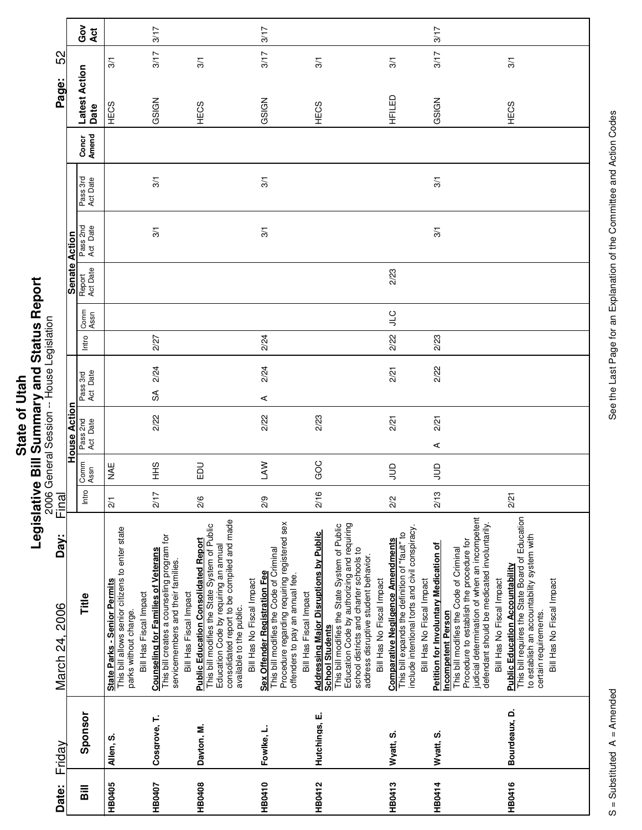| <b>Itah</b> |               |
|-------------|---------------|
|             | $\frac{1}{2}$ |
|             |               |
|             |               |
| ৳           |               |
|             |               |
|             |               |
| State       |               |
|             |               |
|             | ċ             |
|             |               |
|             | $\frac{1}{2}$ |
|             |               |
|             |               |
|             |               |

| Date:          | Friday        | Day:<br>March 24, 2006                                                                                                                                                                                                                                                                          | Final           |              |                      |                        |       |              |                    |                      |                      |                | Page:                 | 52            |                 |
|----------------|---------------|-------------------------------------------------------------------------------------------------------------------------------------------------------------------------------------------------------------------------------------------------------------------------------------------------|-----------------|--------------|----------------------|------------------------|-------|--------------|--------------------|----------------------|----------------------|----------------|-----------------------|---------------|-----------------|
|                |               |                                                                                                                                                                                                                                                                                                 |                 |              | <b>House Action</b>  |                        |       |              | Senate Action      |                      |                      |                |                       |               |                 |
| $\overline{B}$ | Sponsor       | Title                                                                                                                                                                                                                                                                                           | Intro           | Comm<br>Assn | Pass 2nd<br>Act Date | Act Date<br>Pass 3rd   | Intro | Comm<br>Assn | Report<br>Act Date | Pass 2nd<br>Act Date | Pass 3rd<br>Act Date | Amend<br>Concr | Latest Action<br>Date |               | ဝိ<br>ပိ<br>Act |
| <b>HB0405</b>  | Allen, S.     | This bill allows senior citizens to enter state<br><b>State Parks - Senior Permits</b><br>Bill Has Fiscal Impact<br>parks without charge.                                                                                                                                                       | $\overline{21}$ | MAE          |                      |                        |       |              |                    |                      |                      |                | HECS                  | $\frac{5}{2}$ |                 |
| HB0407         | Cosgrove, T.  | This bill creates a counseling program for<br><b>Counseling for Families of Veterans</b><br>servicemembers and their families.<br>Bill Has Fiscal Impact                                                                                                                                        | 2/17            | $rac{9}{1}$  | 2/22                 | 2/24<br>$\mathfrak{F}$ | 2/27  |              |                    | 3/1                  | 3/1                  |                | GSIGN                 | 3/17          | 3/17            |
| <b>HB0408</b>  | Dayton, M.    | consolidated report to be compiled and made<br>This bill modifies the State System of Public<br><b>Public Education Consolidated Report</b><br>Education Code by requiring an annual<br>Bill Has No Fiscal Impact<br>available to the public.                                                   | 2/6             | 品            |                      |                        |       |              |                    |                      |                      |                | HECS                  | 3/1           |                 |
| <b>HB0410</b>  | Fowlke, L.    | Procedure regarding requiring registered sex<br>This bill modifies the Code of Criminal<br>Sex Offender Registration Fee<br>offenders to pay an annual fee.<br>Bill Has Fiscal Impact                                                                                                           | 2/9             | <b>NVT</b>   | 2/22                 | 2/24<br>⋖              | 2/24  |              |                    | 3/1                  | 3/1                  |                | GSIGN                 | 3/17          | 3/17            |
| <b>HB0412</b>  | Hutchings, E. | Education Code by authorizing and requiring<br>This bill modifies the State System of Public<br><b>Addressing Major Disruptions by Public</b><br>school districts and charter schools to<br>address disruptive student behavior.<br>Bill Has No Fiscal Impact<br><b>School Students</b>         | 2/16            | GOC          | 2/23                 |                        |       |              |                    |                      |                      |                | HECS                  | 3/1           |                 |
| <b>HB0413</b>  | Wyatt, S.     | include intentional torts and civil conspiracy.<br>This bill expands the definition of "fault" to<br><b>Comparative Negligence Amendments</b><br>Bill Has No Fiscal Impact                                                                                                                      | 2/2             | $\Xi$        | 2/21                 | 2/21                   | 2/22  | <b>CTP</b>   | 2/23               |                      |                      |                | HFILED                | 3/1           |                 |
| HB0414         | Wyatt, S.     | judicial determination of when an incompetent<br>defendant should be medicated involuntarily.<br>Procedure to establish the procedure for<br><b>Petition for Involuntary Medication of</b><br>This bill modifies the Code of Criminal<br>Bill Has No Fiscal Impact<br><b>Incompetent Person</b> | 2/13            | $\Xi$        | 2/21<br>⋖            | 2/22                   | 2/23  |              |                    | 3/1                  | 3/1                  |                | GSIGN                 | 3/17          | 3/17            |
| <b>HB0416</b>  | Bourdeaux, D. | This bill requires the State Board of Education<br>to establish an accountability system with<br><b>Public Education Accountability</b><br>Bill Has No Fiscal Impact<br>certain requirements.                                                                                                   | 2/21            |              |                      |                        |       |              |                    |                      |                      |                | HECS                  | 3/1           |                 |

 $\overline{\phantom{a}}$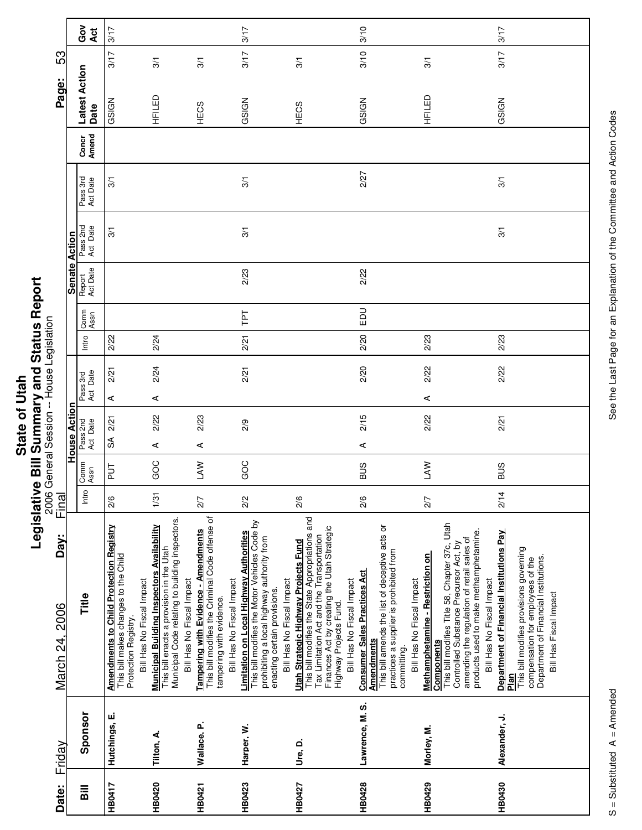|             | i      |
|-------------|--------|
| <b>Utah</b> |        |
|             |        |
| 5           |        |
|             |        |
| State       |        |
|             |        |
|             | ċ      |
|             |        |
|             | Ξ      |
|             | -<br>0 |
|             |        |
|             | י      |

|                                           |                      | Got<br>Act            | 3/17                                                                                                           |                                                                                                                                                                        |                                                                                                                                                  | 3/17                                                                                                                                                                                                |                                                                                                                                                                                                                  | 3/10                                                                                                                                                       |                                                                                                                                                                                                                                                                                               | 3/17                                                                                                                                                                                                                                                                       |  |
|-------------------------------------------|----------------------|-----------------------|----------------------------------------------------------------------------------------------------------------|------------------------------------------------------------------------------------------------------------------------------------------------------------------------|--------------------------------------------------------------------------------------------------------------------------------------------------|-----------------------------------------------------------------------------------------------------------------------------------------------------------------------------------------------------|------------------------------------------------------------------------------------------------------------------------------------------------------------------------------------------------------------------|------------------------------------------------------------------------------------------------------------------------------------------------------------|-----------------------------------------------------------------------------------------------------------------------------------------------------------------------------------------------------------------------------------------------------------------------------------------------|----------------------------------------------------------------------------------------------------------------------------------------------------------------------------------------------------------------------------------------------------------------------------|--|
| 53                                        |                      |                       | 3/17                                                                                                           | 3/1                                                                                                                                                                    | 3/1                                                                                                                                              | 3/17                                                                                                                                                                                                | 3/1                                                                                                                                                                                                              | 3/10                                                                                                                                                       | 3/1                                                                                                                                                                                                                                                                                           | 3/17                                                                                                                                                                                                                                                                       |  |
| Page:                                     |                      | Latest Action<br>Date | GSIGN                                                                                                          | HFILED                                                                                                                                                                 | HECS                                                                                                                                             | GSIGN                                                                                                                                                                                               | HECS                                                                                                                                                                                                             | GSIGN                                                                                                                                                      | HFILED                                                                                                                                                                                                                                                                                        | GSIGN                                                                                                                                                                                                                                                                      |  |
|                                           |                      | Concr<br>Amend        |                                                                                                                |                                                                                                                                                                        |                                                                                                                                                  |                                                                                                                                                                                                     |                                                                                                                                                                                                                  |                                                                                                                                                            |                                                                                                                                                                                                                                                                                               |                                                                                                                                                                                                                                                                            |  |
|                                           |                      | Pass 3rd<br>Act Date  | 3/1                                                                                                            |                                                                                                                                                                        |                                                                                                                                                  | 3/1                                                                                                                                                                                                 |                                                                                                                                                                                                                  | 2/27                                                                                                                                                       |                                                                                                                                                                                                                                                                                               | 3/1                                                                                                                                                                                                                                                                        |  |
|                                           |                      | Pass 2nd<br>Act Date  | 3/1                                                                                                            |                                                                                                                                                                        |                                                                                                                                                  | 3/1                                                                                                                                                                                                 |                                                                                                                                                                                                                  |                                                                                                                                                            |                                                                                                                                                                                                                                                                                               | 3/1                                                                                                                                                                                                                                                                        |  |
|                                           | <b>Senate Action</b> | Report<br>Act Date    |                                                                                                                |                                                                                                                                                                        |                                                                                                                                                  | 2/23                                                                                                                                                                                                |                                                                                                                                                                                                                  | 2/22                                                                                                                                                       |                                                                                                                                                                                                                                                                                               |                                                                                                                                                                                                                                                                            |  |
|                                           |                      | Comm<br>Assn          |                                                                                                                |                                                                                                                                                                        |                                                                                                                                                  | Ιd1                                                                                                                                                                                                 |                                                                                                                                                                                                                  | $_{\rm E}$                                                                                                                                                 |                                                                                                                                                                                                                                                                                               |                                                                                                                                                                                                                                                                            |  |
|                                           |                      | Intro                 | 2/22                                                                                                           | 2/24                                                                                                                                                                   |                                                                                                                                                  | 2/21                                                                                                                                                                                                |                                                                                                                                                                                                                  | 2/20                                                                                                                                                       | 2/23                                                                                                                                                                                                                                                                                          | 2/23                                                                                                                                                                                                                                                                       |  |
|                                           |                      | Pass 3rd<br>Act Date  | 2/21<br>⋖                                                                                                      | 2/24<br>⋖                                                                                                                                                              |                                                                                                                                                  | 2/21                                                                                                                                                                                                |                                                                                                                                                                                                                  | 2/20                                                                                                                                                       | 2/22<br>⋖                                                                                                                                                                                                                                                                                     | 2/22                                                                                                                                                                                                                                                                       |  |
| 2006 General Session -- House Legislation | House Action         | Pass 2nd<br>Act Date  | 2/21<br>$\mathbb{S}^{\mathsf{A}}$                                                                              | 2/22<br>⋖                                                                                                                                                              | 2/23<br>⋖                                                                                                                                        | 2/9                                                                                                                                                                                                 |                                                                                                                                                                                                                  | 2/15<br>$\prec$                                                                                                                                            | 2/22                                                                                                                                                                                                                                                                                          | 2/21                                                                                                                                                                                                                                                                       |  |
|                                           |                      | Comm<br>Assn          | 등                                                                                                              | GOC                                                                                                                                                                    | <b>NVT</b>                                                                                                                                       | GOC                                                                                                                                                                                                 |                                                                                                                                                                                                                  | <b>SUS</b>                                                                                                                                                 | <b>NVT</b>                                                                                                                                                                                                                                                                                    | <b>BUS</b>                                                                                                                                                                                                                                                                 |  |
| Final                                     |                      | Intro                 | 2/6                                                                                                            | 1/31                                                                                                                                                                   | 2/7                                                                                                                                              | 2/2                                                                                                                                                                                                 | 2/6                                                                                                                                                                                                              | 2/6                                                                                                                                                        | 2/7                                                                                                                                                                                                                                                                                           | 2/14                                                                                                                                                                                                                                                                       |  |
| Day:<br>March 24, 2006                    |                      | Title                 | <b>Amendments to Child Protection Registry</b><br>This bill makes changes to the Child<br>Protection Registry. | Municipal Code relating to building inspectors.<br>Municipal Building Inspectors Availability<br>This bill enacts a provision in the Utah<br>Bill Has No Fiscal Impact | This bill modifies the Criminal Code offense of<br>Tampering with Evidence - Amendments<br>Bill Has No Fiscal Impact<br>tampering with evidence. | This bill modifies the Motor Vehicles Code by<br>Limitation on Local Highway Authorities<br>prohibiting a local highway authority from<br>Bill Has No Fiscal Impact<br>enacting certain provisions. | This bill modifies the State Appropriations and<br>Tax Limitation Act and the Transportation<br>Finances Act by creating the Utah Strategic<br>Utah Strategic Highway Projects Fund<br>Bill Has No Fiscal Impact | This bill amends the list of deceptive acts or<br><b>Consumer Sales Practices Act</b><br>Bill Has No Fiscal Impact<br>Highway Projects Fund.<br>Amendments | This bill modifies Title 58, Chapter 37c, Utah<br>amending the regulation of retail sales of<br>Controlled Substance Precursor Act, by<br>practices a supplier is prohibited from<br>committing.<br><b>Methamphetamine - Restriction on</b><br>Bill Has No Fiscal Impact<br><b>Components</b> | Department of Financial Institutions Pay<br>products used to make methamphetamine.<br>This bill modifies provisions governing<br>Department of Financial Institutions.<br>compensation for employees of the<br>Bill Has No Fiscal Impact<br>Bill Has Fiscal Impact<br>Plan |  |
| Friday                                    |                      | Sponsor               | Hutchings, E.                                                                                                  | Tilton, A.                                                                                                                                                             | Wallace, P.                                                                                                                                      | Harper, W.                                                                                                                                                                                          | Ure. D.                                                                                                                                                                                                          | Lawrence, M. S.                                                                                                                                            | Morley, M.                                                                                                                                                                                                                                                                                    | Alexander, J.                                                                                                                                                                                                                                                              |  |
| Date:                                     |                      | <b>Bill</b>           | <b>HB0417</b>                                                                                                  | HB0420                                                                                                                                                                 | <b>HB0421</b>                                                                                                                                    | <b>HB0423</b>                                                                                                                                                                                       | HB0427                                                                                                                                                                                                           | <b>HB0428</b>                                                                                                                                              | HB0429                                                                                                                                                                                                                                                                                        | <b>HB0430</b>                                                                                                                                                                                                                                                              |  |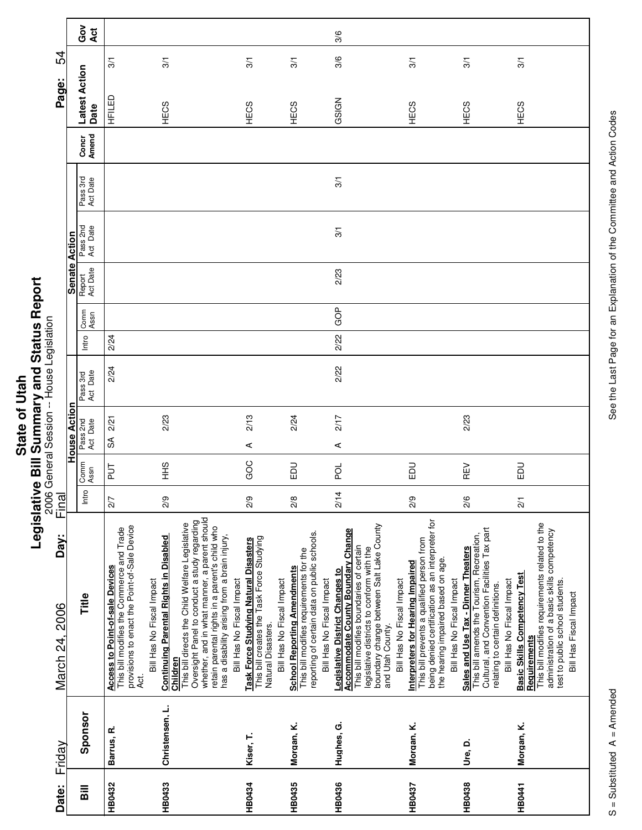|       | $\vec{c}$ |
|-------|-----------|
|       | s<br>S    |
|       |           |
|       |           |
|       |           |
| State | ä         |
|       | --<br>0   |
|       |           |
|       | :         |

| Date:         | Friday          | Day:<br>March 24, 2006                                                                                                                                                                                                                                                          | $\frac{2006}{5}$<br>Final |               |                      | General Session -- House Legislation |      |       |              |                      |                      |                      |                | Page:                 | 54            |            |
|---------------|-----------------|---------------------------------------------------------------------------------------------------------------------------------------------------------------------------------------------------------------------------------------------------------------------------------|---------------------------|---------------|----------------------|--------------------------------------|------|-------|--------------|----------------------|----------------------|----------------------|----------------|-----------------------|---------------|------------|
|               |                 |                                                                                                                                                                                                                                                                                 |                           |               | <b>House Action</b>  |                                      |      |       |              | <b>Senate Action</b> |                      |                      |                |                       |               |            |
| Bill          | Sponsor         | Title                                                                                                                                                                                                                                                                           | Intro                     | Comm<br>Assn  | Pass 2nd<br>Act Date | Pass 3rd<br>Act Date                 |      | Intro | Comm<br>Assn | Report<br>Act Date   | Pass 2nd<br>Act Date | Pass 3rd<br>Act Date | Concr<br>Amend | Latest Action<br>Date |               | Got<br>Act |
| <b>HB0432</b> | Barrus, R.      | provisions to enact the Point-of-Sale Device<br>This bill modifies the Commerce and Trade<br><b>Access to Point-of-sale Devices</b><br>d.<br>Aci                                                                                                                                | 2/7                       | $\frac{1}{2}$ | $\Im$                | 2/21                                 | 2/24 | 2/24  |              |                      |                      |                      |                | HFILED                | $\frac{5}{2}$ |            |
| <b>HB0433</b> | Christensen, L. | <b>Continuing Parental Rights in Disabled</b><br>Bill Has No Fiscal Impact<br>Children                                                                                                                                                                                          | 2/9                       | $rac{9}{5}$   |                      | 2/23                                 |      |       |              |                      |                      |                      |                | HECS                  | 3/1           |            |
|               |                 | Oversight Panel to conduct a study regarding<br>whether, and in what manner, a parent should<br>This bill directs the Child Welfare Legislative<br>retain parental rights in a parent's child who<br>has a disability arising from a brain injury,<br>Bill Has No Fiscal Impact |                           |               |                      |                                      |      |       |              |                      |                      |                      |                |                       |               |            |
| <b>HB0434</b> | Kiser, T.       | This bill creates the Task Force Studying<br><b>Task Force Studying Natural Disasters</b><br>Natural Disasters.                                                                                                                                                                 | 2/9                       | GOC           | $\prec$              | 2/13                                 |      |       |              |                      |                      |                      |                | HECS                  | 3/1           |            |
| HB0435        | Morgan, K.      | reporting of certain data on public schools.<br>This bill modifies requirements for the<br><b>School Reporting Amendments</b><br>Bill Has No Fiscal Impact<br>Bill Has No Fiscal Impact                                                                                         | 2/8                       | 品             |                      | 2/24                                 |      |       |              |                      |                      |                      |                | HECS                  | 3/1           |            |
| <b>HB0436</b> | Hughes, G.      | boundary change between Salt Lake County<br>and Utah County.<br><b>Accommodate County Boundary Change</b><br>This bill modifies boundaries of certain<br>legislative districts to conform with the<br><b>Legislative District Changes to</b>                                    | 2/14                      | pol           | ⋖                    | 2/17                                 | 2/22 | 2/22  | GOP          | 2/23                 | 3/1                  | 3/1                  |                | GSIGN                 | 3/6           | 3/6        |
| <b>HB0437</b> | Morgan, K.      | being denied certification as an interpreter for<br>the hearing impaired based on age.<br>This bill prevents a qualified person from<br><b>Interpreters for Hearing Impaired</b><br>Bill Has No Fiscal Impact<br>Bill Has No Fiscal Impact                                      | 2/9                       | <b>DU</b>     |                      |                                      |      |       |              |                      |                      |                      |                | HECS                  | 3/1           |            |
| HB0438        | Ure, D.         | Cultural, and Convention Facilities Tax part<br>This bill amends the Tourism, Recreation,<br>Sales and Use Tax - Dinner Theaters<br>relating to certain definitions.                                                                                                            | 2/6                       | REV           |                      | 2/23                                 |      |       |              |                      |                      |                      |                | HECS                  | 3/1           |            |
| <b>HB0441</b> | Morgan, K.      | This bill modifies requirements related to the<br>administration of a basic skills competency<br><b>Basic Skills Competency Test</b><br>test to public school students.<br>Bill Has No Fiscal Impact<br>Bill Has Fiscal Impact<br><b>Requirements</b>                           | $\overline{21}$           | DO            |                      |                                      |      |       |              |                      |                      |                      |                | HECS                  | 3/1           |            |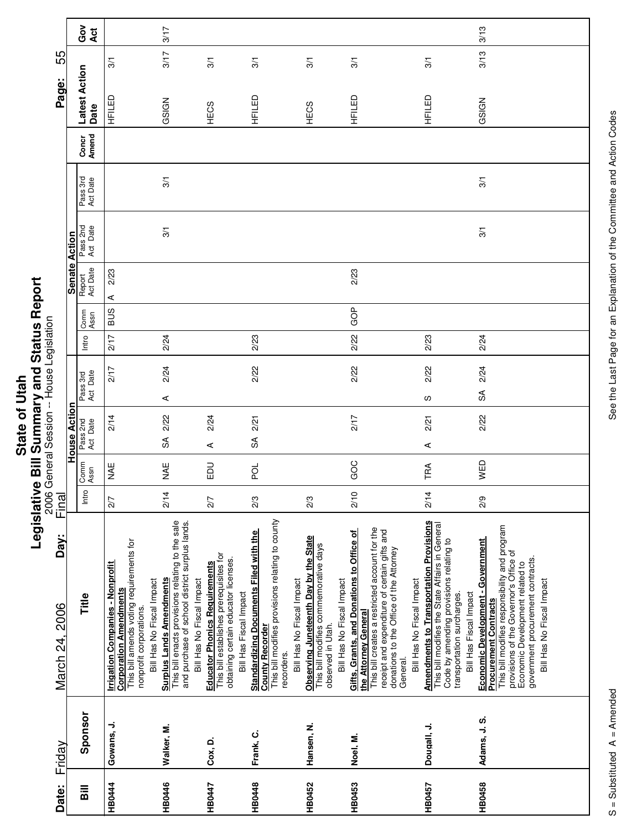|         | i      |
|---------|--------|
|         |        |
|         |        |
|         |        |
|         |        |
|         |        |
| of Utah |        |
|         |        |
|         |        |
|         |        |
| State   |        |
|         |        |
|         | -<br>0 |
|         |        |
|         |        |
|         |        |

| Date:          | Friday       | Day:<br>March 24, 2006                                                                                                                                                                                                                                            | Final          |              |                        |                      |       |              |                    |                      |                      |                | Page:                 | 55   |               |
|----------------|--------------|-------------------------------------------------------------------------------------------------------------------------------------------------------------------------------------------------------------------------------------------------------------------|----------------|--------------|------------------------|----------------------|-------|--------------|--------------------|----------------------|----------------------|----------------|-----------------------|------|---------------|
|                |              |                                                                                                                                                                                                                                                                   |                |              | <b>House Acti</b>      |                      |       |              | <b>Senate</b>      | Action               |                      |                |                       |      |               |
| $\overline{B}$ | Sponsor      | Title                                                                                                                                                                                                                                                             | Intro          | Comm<br>Assn | Pass 2nd<br>Act Date   | Act Date<br>Pass 3rd | Intro | Comm<br>Assn | Report<br>Act Date | Pass 2nd<br>Act Date | Pass 3rd<br>Act Date | Concr<br>Amend | Latest Action<br>Date |      | Ğ<br>O<br>Act |
| <b>HB0444</b>  | Gowans, J.   | <b>Corporation Amendments</b><br>This bill amends voting requirements for<br><b>Irrigation Companies - Nonprofit</b><br>Bill Has No Fiscal Impact<br>nonprofit corporations                                                                                       | 2/7            | NAE          | 2/14                   | 2/17                 | 2/17  | <b>BUS</b>   | 2/23<br>⋖          |                      |                      |                | 山手                    | 3/1  |               |
| HB0446         | Walker, M.   | This bill enacts provisions relating to the sale<br>and purchase of school district surplus lands.<br><b>Surplus Lands Amendments</b><br>Bill Has No Fiscal Impact                                                                                                | 214            | NAE          | 2/22<br>$\mathfrak{F}$ | 2/24<br>⋖            | 2/24  |              |                    | 3/1                  | 3/1                  |                | GSIGN                 | 3/17 | 3/17          |
| <b>HB0447</b>  | Cox, D.      | <b>Educator Phonics Requirements</b><br>This bill establishes prerequisites for<br>obtaining certain educator licenses.<br>Bill Has Fiscal Impact                                                                                                                 | 2/7            | mu           | 2/24<br>⋖              |                      |       |              |                    |                      |                      |                | HECS                  | 3/1  |               |
| <b>HB0448</b>  | Frank, C.    | This bill modifies provisions relating to county<br>Standardizing Documents Filed with the<br>Bill Has No Fiscal Impact<br><b>County Recorder</b><br>recorders.                                                                                                   | 2/3            | <b>POL</b>   | 2/21<br>SÃ             | 2/22                 | 2/23  |              |                    |                      |                      |                | HFILED                | 3/1  |               |
| HB0452         | Hansen, N.   | Observing Juneteenth Day by the State<br>This bill modifies commemorative days<br>Bill Has No Fiscal Impact<br>observed in Utah.                                                                                                                                  | 2/3            |              |                        |                      |       |              |                    |                      |                      |                | HECS                  | 3/1  |               |
| HB0453         | Noel, M.     | This bill creates a restricted account for the<br>receipt and expenditure of certain gifts and<br>Gifts, Grants, and Donations to Office of<br>donations to the Office of the Attorney<br>Bill Has No Fiscal Impact<br>the Attorney General<br>General            | $\frac{10}{2}$ | GOC          | 2/17                   | 2/22                 | 2/22  | GOP          | 2/23               |                      |                      |                | HFILED                | 3/1  |               |
| <b>HB0457</b>  | Dougall, J.  | <b>Amendments to Transportation Provisions</b><br>This bill modifies the State Affairs in General<br>Code by amending provisions relating to<br>Bill Has Fiscal Impact<br>transportation surcharges                                                               | 2/14           | TRA          | 2/21<br>⋖              | 2/22<br>S            | 2/23  |              |                    |                      |                      |                | HFILED                | 3/1  |               |
| HB0458         | Adams, J. S. | This bill modifies responsibility and program<br>provisions of the Governor's Office of<br>Economic Development - Government<br>government procurement contracts.<br>Economic Development related to<br>Bill Has No Fiscal Impact<br><b>Procurement Contracts</b> | $\frac{8}{2}$  | WED          | 2/22                   | 2/24<br>SÃ           | 2/24  |              |                    | 3/1                  | 3/1                  |                | GSIGN                 | 3/13 | 3/13          |

 $\overline{\phantom{a}}$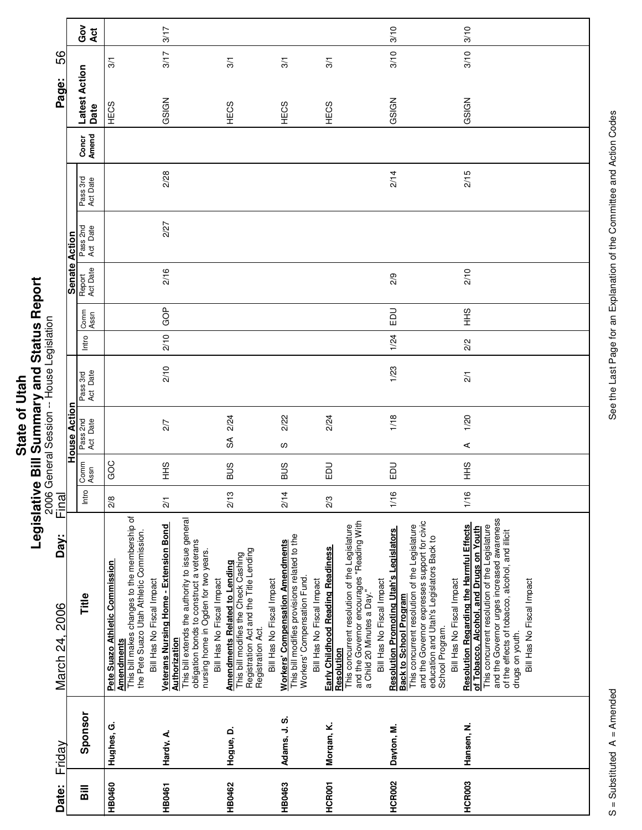| <u>ក្ន</u>  | í      |
|-------------|--------|
| į           |        |
|             |        |
| ð           |        |
|             |        |
| ₫           |        |
|             |        |
| <b>Stat</b> | י<br>נ |
|             |        |
|             | -<br>0 |
|             |        |
|             |        |

Г

Τ

|                                      |                      | Ğo<br>Act               |                                                                                                                                                                              | 3/17                                                                                                                                                                                                                                       |                                                                                                                                                                          |                                                                                                                                                     |                                                                                                                                                                                                          | 3/10                                                                                                                                                                                                                                                                         | 3/10                                                                                                                                                                                                                                                                                  |
|--------------------------------------|----------------------|-------------------------|------------------------------------------------------------------------------------------------------------------------------------------------------------------------------|--------------------------------------------------------------------------------------------------------------------------------------------------------------------------------------------------------------------------------------------|--------------------------------------------------------------------------------------------------------------------------------------------------------------------------|-----------------------------------------------------------------------------------------------------------------------------------------------------|----------------------------------------------------------------------------------------------------------------------------------------------------------------------------------------------------------|------------------------------------------------------------------------------------------------------------------------------------------------------------------------------------------------------------------------------------------------------------------------------|---------------------------------------------------------------------------------------------------------------------------------------------------------------------------------------------------------------------------------------------------------------------------------------|
| 56                                   |                      |                         | 3/1                                                                                                                                                                          | 3/17                                                                                                                                                                                                                                       | 3/1                                                                                                                                                                      | 3/1                                                                                                                                                 | 3/1                                                                                                                                                                                                      | 3/10                                                                                                                                                                                                                                                                         | 3/10                                                                                                                                                                                                                                                                                  |
|                                      |                      |                         |                                                                                                                                                                              |                                                                                                                                                                                                                                            |                                                                                                                                                                          |                                                                                                                                                     |                                                                                                                                                                                                          |                                                                                                                                                                                                                                                                              |                                                                                                                                                                                                                                                                                       |
| Page:                                |                      | Latest Action<br>Date   | HECS                                                                                                                                                                         | GSIGN                                                                                                                                                                                                                                      | HECS                                                                                                                                                                     | HECS                                                                                                                                                | HECS                                                                                                                                                                                                     | GSIGN                                                                                                                                                                                                                                                                        | GSIGN                                                                                                                                                                                                                                                                                 |
|                                      |                      | Concr<br>Amend          |                                                                                                                                                                              |                                                                                                                                                                                                                                            |                                                                                                                                                                          |                                                                                                                                                     |                                                                                                                                                                                                          |                                                                                                                                                                                                                                                                              |                                                                                                                                                                                                                                                                                       |
|                                      |                      | Pass 3rd<br>Act Date    |                                                                                                                                                                              | 2/28                                                                                                                                                                                                                                       |                                                                                                                                                                          |                                                                                                                                                     |                                                                                                                                                                                                          | 2/14                                                                                                                                                                                                                                                                         | 2/15                                                                                                                                                                                                                                                                                  |
|                                      |                      | Pass 2nd<br>Act Date    |                                                                                                                                                                              | 2/27                                                                                                                                                                                                                                       |                                                                                                                                                                          |                                                                                                                                                     |                                                                                                                                                                                                          |                                                                                                                                                                                                                                                                              |                                                                                                                                                                                                                                                                                       |
|                                      | <b>Senate Action</b> | Report<br>Act Date      |                                                                                                                                                                              | 2/16                                                                                                                                                                                                                                       |                                                                                                                                                                          |                                                                                                                                                     |                                                                                                                                                                                                          | 2/9                                                                                                                                                                                                                                                                          | 2/10                                                                                                                                                                                                                                                                                  |
|                                      |                      | Comm<br>Assn            |                                                                                                                                                                              | GOP                                                                                                                                                                                                                                        |                                                                                                                                                                          |                                                                                                                                                     |                                                                                                                                                                                                          | $\Xi$                                                                                                                                                                                                                                                                        | $rac{9}{5}$                                                                                                                                                                                                                                                                           |
|                                      |                      | Intro                   |                                                                                                                                                                              | 2/10                                                                                                                                                                                                                                       |                                                                                                                                                                          |                                                                                                                                                     |                                                                                                                                                                                                          | 1/24                                                                                                                                                                                                                                                                         | 2/2                                                                                                                                                                                                                                                                                   |
| General Session -- House Legislation |                      | Pass 3rd<br>Act Date    |                                                                                                                                                                              | 2/10                                                                                                                                                                                                                                       |                                                                                                                                                                          |                                                                                                                                                     |                                                                                                                                                                                                          | 1/23                                                                                                                                                                                                                                                                         | $\frac{2}{1}$                                                                                                                                                                                                                                                                         |
|                                      | House Action         | Pass 2nd<br>Act Date    |                                                                                                                                                                              | 2/7                                                                                                                                                                                                                                        | 2/24<br>$\mathfrak{F}$                                                                                                                                                   | 2/22<br>S                                                                                                                                           | 2/24                                                                                                                                                                                                     | 1/18                                                                                                                                                                                                                                                                         | 1/20<br>$\prec$                                                                                                                                                                                                                                                                       |
|                                      |                      | Comm<br>Assn            | GOC                                                                                                                                                                          | $\frac{6}{10}$                                                                                                                                                                                                                             | SUS                                                                                                                                                                      | <b>BUS</b>                                                                                                                                          | EDU                                                                                                                                                                                                      | EDU                                                                                                                                                                                                                                                                          | $rac{2}{3}$                                                                                                                                                                                                                                                                           |
|                                      |                      | Intro                   |                                                                                                                                                                              |                                                                                                                                                                                                                                            |                                                                                                                                                                          |                                                                                                                                                     |                                                                                                                                                                                                          |                                                                                                                                                                                                                                                                              |                                                                                                                                                                                                                                                                                       |
| 2006<br>Final                        |                      |                         | $\frac{8}{2}$                                                                                                                                                                | $\frac{2}{1}$                                                                                                                                                                                                                              | 2/13                                                                                                                                                                     | 2/14                                                                                                                                                | 2/3                                                                                                                                                                                                      | 1/16                                                                                                                                                                                                                                                                         | 1/16                                                                                                                                                                                                                                                                                  |
| Day:<br>March 24, 2006               |                      | Title                   | This bill makes changes to the membership of<br>the Pete Suazo Utah Athletic Commission.<br>Pete Suazo Athletic Commission<br>Bill Has No Fiscal Impact<br><b>Amendments</b> | This bill extends the authority to issue general<br><b>Veterans Nursing Home - Extension Bond</b><br>obligation bonds to construct a veterans<br>nursing home in Ogden for two years.<br>Bill Has No Fiscal Impact<br><b>Authorization</b> | Registration Act and the Title Lending<br>This bill modifies the Check Cashing<br><b>Amendments Related to Lending</b><br>Bill Has No Fiscal Impact<br>Registration Act. | This bill modifies provisions related to the<br><b>Workers' Compensation Amendments</b><br>Workers' Compensation Fund.<br>Bill Has No Fiscal Impact | and the Governor encourages "Reading With<br>a Child 20 Minutes a Day."<br>This concurrent resolution of the Legislature<br>Early Childhood Reading Readiness<br>Bill Has No Fiscal Impact<br>Resolution | and the Governor expresses support for civic<br>This concurrent resolution of the Legislature<br><b>Resolution Promoting Utah's Legislators</b><br>education and Utah's Legislators Back to<br>Bill Has No Fiscal Impact<br><b>Back to School Program</b><br>School Program. | and the Governor urges increased awareness<br>of the effects of tobacco, alcohol, and illicit<br>Resolution Regarding the Harmful Effects<br>This concurrent resolution of the Legislature<br>of Tobacco, Alcohol, and Drugs on Youth<br>Bill Has No Fiscal Impact<br>drugs on youth. |
| Friday                               |                      | Sponsor                 | Hughes, G.                                                                                                                                                                   | Hardy, A.                                                                                                                                                                                                                                  | Hoque, D.                                                                                                                                                                | Adams, J.S.                                                                                                                                         | Morgan, K.                                                                                                                                                                                               | Dayton, M.                                                                                                                                                                                                                                                                   | Hansen, N.                                                                                                                                                                                                                                                                            |
| Date:                                |                      | $\overline{\mathbf{B}}$ | <b>HB0460</b>                                                                                                                                                                | <b>HB0461</b>                                                                                                                                                                                                                              | <b>HB0462</b>                                                                                                                                                            | <b>HB0463</b>                                                                                                                                       | HCR001                                                                                                                                                                                                   | <b>HCR002</b>                                                                                                                                                                                                                                                                | HCR003                                                                                                                                                                                                                                                                                |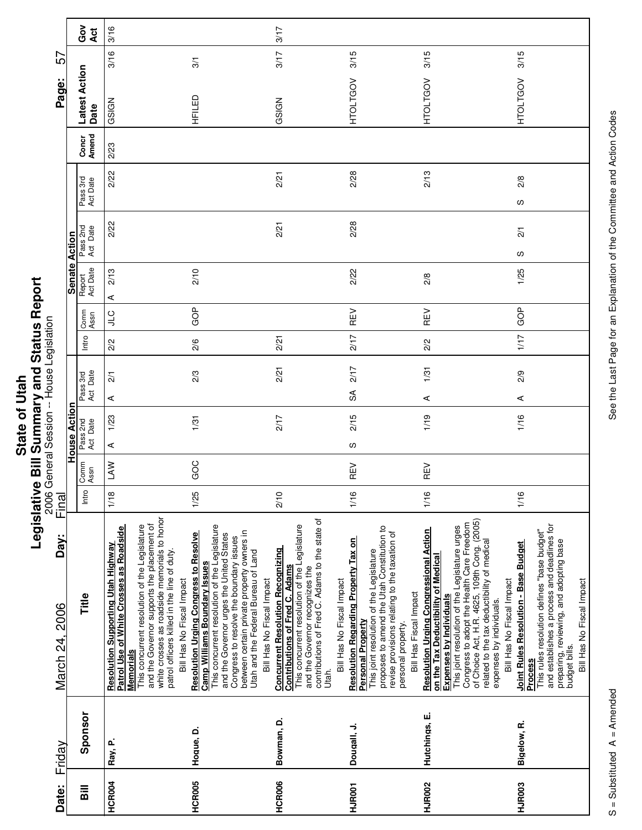|               | Ú                       |
|---------------|-------------------------|
|               | וא או או הא האו האו היי |
|               |                         |
| $\frac{1}{2}$ |                         |
|               |                         |
|               |                         |
|               |                         |
|               |                         |
| ₫             |                         |
|               |                         |
|               |                         |
| <b>Stat</b>   |                         |
|               |                         |
|               | י<br>י                  |
|               |                         |
|               |                         |
|               | :                       |
|               |                         |

|                                           |                      | Got<br>Act            | 3/16                                                                                                                                                                                                                                                                                                                         |                                                                                                                                                                                                                                                                                                                   | 3/17                                                                                                                                                                                                                                                          |                                                                                                                                                                                                                                                                                          |                                                                                                                                                                                                                                                                                                                                    |                                                                                                                                                                                                                                                                                   |
|-------------------------------------------|----------------------|-----------------------|------------------------------------------------------------------------------------------------------------------------------------------------------------------------------------------------------------------------------------------------------------------------------------------------------------------------------|-------------------------------------------------------------------------------------------------------------------------------------------------------------------------------------------------------------------------------------------------------------------------------------------------------------------|---------------------------------------------------------------------------------------------------------------------------------------------------------------------------------------------------------------------------------------------------------------|------------------------------------------------------------------------------------------------------------------------------------------------------------------------------------------------------------------------------------------------------------------------------------------|------------------------------------------------------------------------------------------------------------------------------------------------------------------------------------------------------------------------------------------------------------------------------------------------------------------------------------|-----------------------------------------------------------------------------------------------------------------------------------------------------------------------------------------------------------------------------------------------------------------------------------|
| 57                                        |                      |                       | 3/16                                                                                                                                                                                                                                                                                                                         | 3/1                                                                                                                                                                                                                                                                                                               | 3/17                                                                                                                                                                                                                                                          | 3/15                                                                                                                                                                                                                                                                                     | 3/15                                                                                                                                                                                                                                                                                                                               | 3/15                                                                                                                                                                                                                                                                              |
| Page:                                     |                      | Latest Action<br>Date | GSIGN                                                                                                                                                                                                                                                                                                                        | HFILED                                                                                                                                                                                                                                                                                                            | GSIGN                                                                                                                                                                                                                                                         | <b>HTOLTGOV</b>                                                                                                                                                                                                                                                                          | <b>HTOLTGOV</b>                                                                                                                                                                                                                                                                                                                    | <b>HTOLTGOV</b>                                                                                                                                                                                                                                                                   |
|                                           |                      | Concr<br>Amend        | 2/23                                                                                                                                                                                                                                                                                                                         |                                                                                                                                                                                                                                                                                                                   |                                                                                                                                                                                                                                                               |                                                                                                                                                                                                                                                                                          |                                                                                                                                                                                                                                                                                                                                    |                                                                                                                                                                                                                                                                                   |
|                                           |                      | Pass 3rd<br>Act Date  | 2/22                                                                                                                                                                                                                                                                                                                         |                                                                                                                                                                                                                                                                                                                   | 2/21                                                                                                                                                                                                                                                          | 2/28                                                                                                                                                                                                                                                                                     | 2/13                                                                                                                                                                                                                                                                                                                               | 2/8<br>လ                                                                                                                                                                                                                                                                          |
|                                           |                      | Pass 2nd<br>Act Date  | 2/22                                                                                                                                                                                                                                                                                                                         |                                                                                                                                                                                                                                                                                                                   | 2/21                                                                                                                                                                                                                                                          | 2/28                                                                                                                                                                                                                                                                                     |                                                                                                                                                                                                                                                                                                                                    | $\frac{2}{1}$<br>S                                                                                                                                                                                                                                                                |
|                                           | <b>Senate Action</b> | Report<br>Act Date    | 2/13<br>⋖                                                                                                                                                                                                                                                                                                                    | 2/10                                                                                                                                                                                                                                                                                                              |                                                                                                                                                                                                                                                               | 2/22                                                                                                                                                                                                                                                                                     | 2/8                                                                                                                                                                                                                                                                                                                                | 1/25                                                                                                                                                                                                                                                                              |
|                                           |                      | Comm<br>Assn          | <b>CTC</b>                                                                                                                                                                                                                                                                                                                   | GOP                                                                                                                                                                                                                                                                                                               |                                                                                                                                                                                                                                                               | REV                                                                                                                                                                                                                                                                                      | REV                                                                                                                                                                                                                                                                                                                                | GOP                                                                                                                                                                                                                                                                               |
|                                           |                      | Intro                 | 2/2                                                                                                                                                                                                                                                                                                                          | 2/6                                                                                                                                                                                                                                                                                                               | 2/21                                                                                                                                                                                                                                                          | 2/17                                                                                                                                                                                                                                                                                     | 2/2                                                                                                                                                                                                                                                                                                                                | 1/17                                                                                                                                                                                                                                                                              |
| 2006 General Session -- House Legislation |                      | Pass 3rd<br>Act Date  | $\overline{21}$<br>⋖                                                                                                                                                                                                                                                                                                         | 2/3                                                                                                                                                                                                                                                                                                               | 2/21                                                                                                                                                                                                                                                          | 2/17<br>SA                                                                                                                                                                                                                                                                               | 1/31<br>$\prec$                                                                                                                                                                                                                                                                                                                    | 2/9<br>⋖                                                                                                                                                                                                                                                                          |
|                                           | House Action         | Pass 2nd<br>Act Date  | 1/23                                                                                                                                                                                                                                                                                                                         | 1/31                                                                                                                                                                                                                                                                                                              | 2/17                                                                                                                                                                                                                                                          | 2/15                                                                                                                                                                                                                                                                                     | 1/19                                                                                                                                                                                                                                                                                                                               | 1/16                                                                                                                                                                                                                                                                              |
|                                           |                      | Comm<br>Assn          | ⋖<br>LAW                                                                                                                                                                                                                                                                                                                     | GOC                                                                                                                                                                                                                                                                                                               |                                                                                                                                                                                                                                                               | S<br>REV                                                                                                                                                                                                                                                                                 | REV                                                                                                                                                                                                                                                                                                                                |                                                                                                                                                                                                                                                                                   |
|                                           |                      | Intro                 | 1/18                                                                                                                                                                                                                                                                                                                         | 1/25                                                                                                                                                                                                                                                                                                              | 2/10                                                                                                                                                                                                                                                          | 1/16                                                                                                                                                                                                                                                                                     | 1/16                                                                                                                                                                                                                                                                                                                               | 1/16                                                                                                                                                                                                                                                                              |
| Final<br>Day:<br>March 24, 2006           |                      | Title                 | white crosses as roadside memorials to honor<br>and the Governor supports the placement of<br>This concurrent resolution of the Legislature<br>Patrol Use of White Crosses as Roadside<br>Resolution Supporting Utah Highway<br>patrol officers killed in the line of duty.<br>Bill Has No Fiscal Impact<br><b>Memorials</b> | This concurrent resolution of the Legislature<br>between certain private property owners in<br>Utah and the Federal Bureau of Land<br><b>Resolution Urging Congress to Resolve</b><br>and the Governor urges the United States<br>Congress to resolve the boundary issues<br><b>Camp Williams Boundary Issues</b> | and the Governor recognizes the<br>contributions of Fred C. Adams to the state of<br>This concurrent resolution of the Legislature<br><b>Concurrent Resolution Recognizing</b><br><b>Contributions of Fred C. Adams</b><br>Bill Has No Fiscal Impact<br>Utah. | proposes to amend the Utah Constitution to<br>revise provisions relating to the taxation of<br>Resolution Regarding Property Tax on<br>This joint resolution of the Legislature<br>Bill Has No Fiscal Impact<br>Bill Has Fiscal Impact<br><b>Personal Property</b><br>personal property. | of Choice Act, H.R. 4625, 109th Cong. (2005)<br>Congress to adopt the Health Care Freedom<br>This joint resolution of the Legislature urges<br>Resolution Urging Congressional Action<br>related to the tax deductibility of medical<br>on the Tax Deductibility of Medical<br>Expenses by Individuals<br>expenses by individuals. | and establishes a process and deadlines for<br>preparing, reviewing, and adopting base<br>This rules resolution defines "base budget"<br><b>Joint Rules Resolution - Base Budget</b><br>Bill Has No Fiscal Impact<br>Bill Has No Fiscal Impact<br>budget bills.<br><b>Process</b> |
| Friday                                    |                      | Sponsor               | Ray, P.                                                                                                                                                                                                                                                                                                                      | Hogue, D.                                                                                                                                                                                                                                                                                                         | Bowman, D.                                                                                                                                                                                                                                                    | Dougall, J.                                                                                                                                                                                                                                                                              | Hutchings, E.                                                                                                                                                                                                                                                                                                                      | Bigelow, R.                                                                                                                                                                                                                                                                       |
| Date:                                     |                      | Bill                  | HCR004                                                                                                                                                                                                                                                                                                                       | HCR005                                                                                                                                                                                                                                                                                                            | <b>HCR006</b>                                                                                                                                                                                                                                                 | HJR001                                                                                                                                                                                                                                                                                   | <b>HJR002</b>                                                                                                                                                                                                                                                                                                                      | HJR003                                                                                                                                                                                                                                                                            |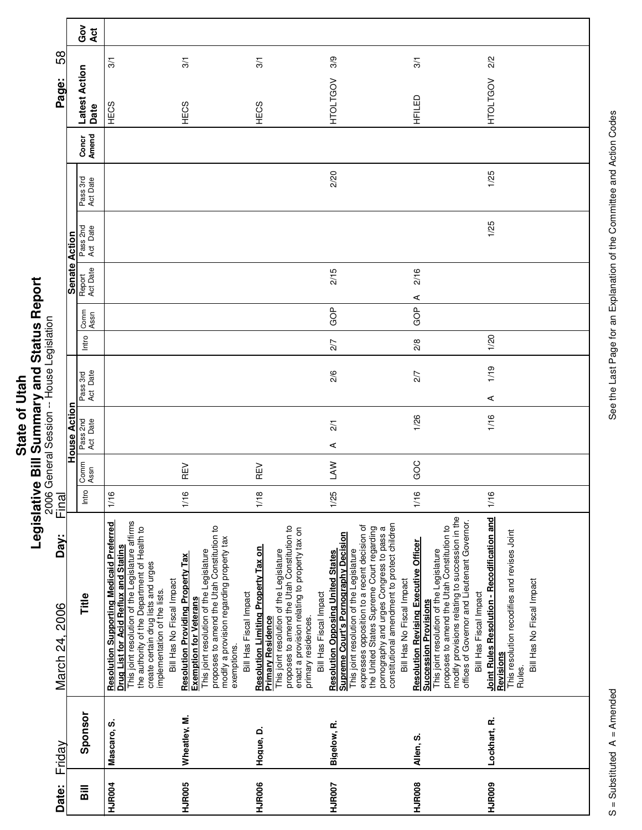|                           | ና<br>የ      |
|---------------------------|-------------|
| $\ddot{a}$                |             |
| $\overline{\overline{c}}$ |             |
|                           | ייש האם האו |
| State                     |             |
|                           |             |
|                           | į           |
|                           | ı           |
|                           |             |
|                           |             |

Г

Τ

| Date:                              | Friday       | Day:<br>March 24, 2006                                                                                                                                                                                                                                                                                                                                    | Final |              |                      |                      |       |              |                      |                      |                      |                | Page:                 | 58            |
|------------------------------------|--------------|-----------------------------------------------------------------------------------------------------------------------------------------------------------------------------------------------------------------------------------------------------------------------------------------------------------------------------------------------------------|-------|--------------|----------------------|----------------------|-------|--------------|----------------------|----------------------|----------------------|----------------|-----------------------|---------------|
|                                    |              |                                                                                                                                                                                                                                                                                                                                                           |       |              | House Action         |                      |       |              | <b>Senate Action</b> |                      |                      |                |                       |               |
| $\overline{\overline{\mathbf{a}}}$ | Sponsor      | Title                                                                                                                                                                                                                                                                                                                                                     | Intro | Comm<br>Assn | Pass 2nd<br>Act Date | Act Date<br>Pass 3rd | Intro | Comm<br>Assn | Report<br>Act Date   | Pass 2nd<br>Act Date | Pass 3rd<br>Act Date | Concr<br>Amend | Latest Action<br>Date | Ğ<br>Act      |
| <b>HJR004</b>                      | Mascaro, S.  | This joint resolution of the Legislature affirms<br><b>Resolution Supporting Medicaid Preferred</b><br>the authority of the Department of Health to<br>Drug List for Acid Reflux and Statins<br>create certain drug lists and urges<br>Bill Has No Fiscal Impact<br>implementation of the lists.                                                          | 1/16  |              |                      |                      |       |              |                      |                      |                      |                | HECS                  | $\frac{5}{2}$ |
| HJR005                             | Wheatley, M. | This joint resolution of the Legislature<br>proposes to amend the Utah Constitution to<br>modify a provision regarding property tax<br><b>Resolution Providing Property Tax</b><br>Bill Has Fiscal Impact<br><b>Exemption for Veterans</b><br>exemptions.                                                                                                 | 1/16  | REV          |                      |                      |       |              |                      |                      |                      |                | HECS                  | 3/1           |
| HJR006                             | Hogue, D.    | proposes to amend the Utah Constitution to<br>enact a provision relating to property tax on<br>Resolution Limiting Property Tax on<br>This joint resolution of the Legislature<br>Bill Has Fiscal Impact<br><b>Primary Residence</b><br>primary residences.                                                                                               | 1/18  | REV          |                      |                      |       |              |                      |                      |                      |                | HECS                  | 3/1           |
| <b>HJR007</b>                      | Bigelow, R.  | constitutional amendment to protect children<br>expresses opposition to a recent decision of<br>the United States Supreme Court regarding<br>pornography and urges Congress to pass a<br><b>Supreme Court's Pornography Decision</b><br>This joint resolution of the Legislature<br><b>Resolution Opposing United States</b><br>Bill Has No Fiscal Impact | 1/25  | <b>NYT</b>   | $\overline{2}$<br>⋖  | 2/6                  | 2/7   | GOP          | 2/15                 |                      | 2/20                 |                | <b>HTOLTGOV</b>       | 3/9           |
| <b>HJR008</b>                      | Allen, S.    | modify provisions relating to succession in the<br>offices of Governor and Lieutenant Governor.<br>proposes to amend the Utah Constitution to<br><b>Resolution Revising Executive Officer</b><br>Succession Provisions<br>This joint resolution of the Legislature<br>Bill Has Fiscal Impact                                                              | 1/16  | GOC          | 1/26                 | 2/7                  | 2/8   | ⋖<br>GOP     | 2/16                 |                      |                      |                | HFILED                | 3/1           |
| HJR009                             | Lockhart, R. | Joint Rules Resolution - Recodification and<br>This resolution recodifies and revises Joint<br>Bill Has No Fiscal Impact<br>Revisions<br>Rules.                                                                                                                                                                                                           | 1/16  |              | 1/16                 | 1/19<br>⋖            | 1/20  |              |                      | 1/25                 | 1/25                 |                | <b>HTOLTGOV</b>       | 2/2           |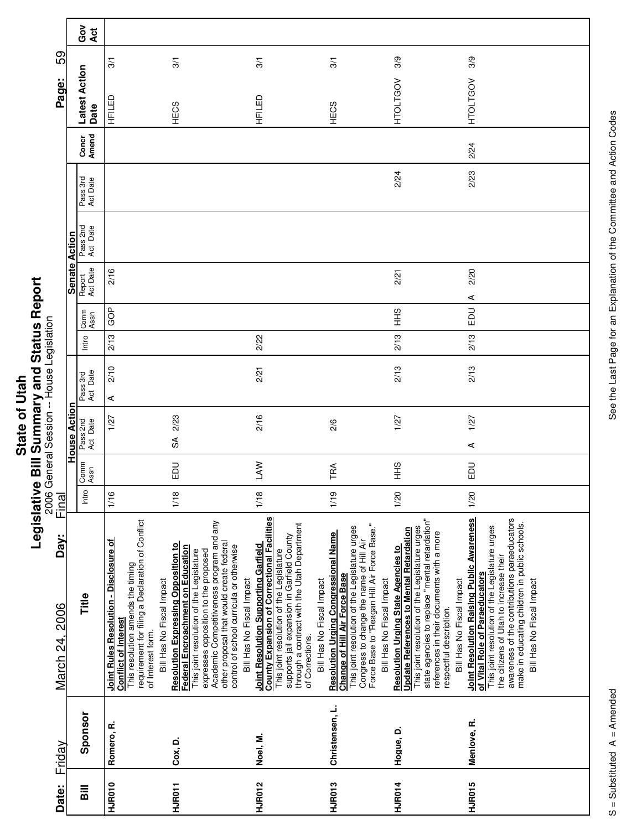|             | j                  |
|-------------|--------------------|
|             |                    |
|             | {<br>{             |
| Į           |                    |
| Ξ<br>Ī      | .<br>ייש האי האי ו |
|             |                    |
|             |                    |
|             |                    |
| <b>Stat</b> |                    |
|             |                    |
|             |                    |
|             | .<br>F             |
|             |                    |
|             | İ                  |
|             |                    |

|                        |                     | ဝိ<br>ပိ<br>Act       |                                                                                                                                                                                                                         |                                                                                                                                                                                                                                                                                                                                      |                                                                                                                                                                                                                                                                                            |                                                                                                                                                                                                                                                              |                                                                                                                                                                                                                                                                                                       |                                                                                                                                                                                                                                                                                                       |
|------------------------|---------------------|-----------------------|-------------------------------------------------------------------------------------------------------------------------------------------------------------------------------------------------------------------------|--------------------------------------------------------------------------------------------------------------------------------------------------------------------------------------------------------------------------------------------------------------------------------------------------------------------------------------|--------------------------------------------------------------------------------------------------------------------------------------------------------------------------------------------------------------------------------------------------------------------------------------------|--------------------------------------------------------------------------------------------------------------------------------------------------------------------------------------------------------------------------------------------------------------|-------------------------------------------------------------------------------------------------------------------------------------------------------------------------------------------------------------------------------------------------------------------------------------------------------|-------------------------------------------------------------------------------------------------------------------------------------------------------------------------------------------------------------------------------------------------------------------------------------------------------|
| 59                     |                     |                       | $\frac{5}{2}$                                                                                                                                                                                                           | 3/1                                                                                                                                                                                                                                                                                                                                  | 3/1                                                                                                                                                                                                                                                                                        | 3/1                                                                                                                                                                                                                                                          | 3/9                                                                                                                                                                                                                                                                                                   | 3/9                                                                                                                                                                                                                                                                                                   |
| Page:                  |                     | Latest Action<br>Date | 品于                                                                                                                                                                                                                      | HECS                                                                                                                                                                                                                                                                                                                                 | HFILED                                                                                                                                                                                                                                                                                     | HECS                                                                                                                                                                                                                                                         | <b>HTOLTGOV</b>                                                                                                                                                                                                                                                                                       | <b>HTOLTGOV</b>                                                                                                                                                                                                                                                                                       |
|                        |                     | Amend<br>Concr        |                                                                                                                                                                                                                         |                                                                                                                                                                                                                                                                                                                                      |                                                                                                                                                                                                                                                                                            |                                                                                                                                                                                                                                                              |                                                                                                                                                                                                                                                                                                       | 2/24                                                                                                                                                                                                                                                                                                  |
|                        |                     | Pass 3rd<br>Act Date  |                                                                                                                                                                                                                         |                                                                                                                                                                                                                                                                                                                                      |                                                                                                                                                                                                                                                                                            |                                                                                                                                                                                                                                                              | 2/24                                                                                                                                                                                                                                                                                                  | 2/23                                                                                                                                                                                                                                                                                                  |
|                        | Action              | Pass 2nd<br>Act Date  |                                                                                                                                                                                                                         |                                                                                                                                                                                                                                                                                                                                      |                                                                                                                                                                                                                                                                                            |                                                                                                                                                                                                                                                              |                                                                                                                                                                                                                                                                                                       |                                                                                                                                                                                                                                                                                                       |
|                        | <b>Senate</b>       | Act Date<br>Report    | 2/16                                                                                                                                                                                                                    |                                                                                                                                                                                                                                                                                                                                      |                                                                                                                                                                                                                                                                                            |                                                                                                                                                                                                                                                              | 2/21                                                                                                                                                                                                                                                                                                  | 2/20<br>⋖                                                                                                                                                                                                                                                                                             |
|                        |                     | Comm<br>Assn          | GOP                                                                                                                                                                                                                     |                                                                                                                                                                                                                                                                                                                                      |                                                                                                                                                                                                                                                                                            |                                                                                                                                                                                                                                                              | $rac{9}{5}$                                                                                                                                                                                                                                                                                           | <b>DO</b>                                                                                                                                                                                                                                                                                             |
|                        |                     | Intro                 | 2/13                                                                                                                                                                                                                    |                                                                                                                                                                                                                                                                                                                                      | 2/22                                                                                                                                                                                                                                                                                       |                                                                                                                                                                                                                                                              | 2/13                                                                                                                                                                                                                                                                                                  | 2/13                                                                                                                                                                                                                                                                                                  |
|                        |                     | Act Date<br>Pass 3rd  | 2/10<br>⋖                                                                                                                                                                                                               |                                                                                                                                                                                                                                                                                                                                      | 2/21                                                                                                                                                                                                                                                                                       |                                                                                                                                                                                                                                                              | 2/13                                                                                                                                                                                                                                                                                                  | 2/13                                                                                                                                                                                                                                                                                                  |
|                        | <b>House Action</b> | Pass 2nd<br>Act Date  | 1/27                                                                                                                                                                                                                    | 2/23<br>$\mathfrak{F}$                                                                                                                                                                                                                                                                                                               | 2/16                                                                                                                                                                                                                                                                                       | 2/6                                                                                                                                                                                                                                                          | 1/27                                                                                                                                                                                                                                                                                                  | 1/27<br>⋖                                                                                                                                                                                                                                                                                             |
|                        |                     | Comm<br>Assn          |                                                                                                                                                                                                                         | <b>DU</b>                                                                                                                                                                                                                                                                                                                            | <b>NV</b>                                                                                                                                                                                                                                                                                  | TRA                                                                                                                                                                                                                                                          | $rac{9}{1}$                                                                                                                                                                                                                                                                                           | EDU                                                                                                                                                                                                                                                                                                   |
| Final                  |                     | Intro                 | 1/16                                                                                                                                                                                                                    | 1/18                                                                                                                                                                                                                                                                                                                                 | 1/18                                                                                                                                                                                                                                                                                       | 1/19                                                                                                                                                                                                                                                         | 1/20                                                                                                                                                                                                                                                                                                  | 1/20                                                                                                                                                                                                                                                                                                  |
| Day:<br>March 24, 2006 |                     | Title                 | This resolution amends the timing<br>requirement for filing a Declaration of Conflict<br><b>Joint Rules Resolution - Disclosure of</b><br>Bill Has No Fiscal Impact<br><b>Conflict of Interest</b><br>of Interest form. | Academic Competitiveness program and any<br>other proposal that would create federal<br><b>Resolution Expressing Opposition to</b><br>Federal Encroachment on Education<br>control of school curricula or otherwise<br>This joint resolution of the Legislature<br>expresses opposition to the proposed<br>Bill Has No Fiscal Impact | <b>County Expansion of Correctional Facilities</b><br>through a contract with the Utah Department<br>supports jail expansion in Garfield County<br><b>Joint Resolution Supporting Garfield</b><br>This joint resolution of the Legislature<br>Bill Has No Fiscal Impact<br>of Corrections. | Congress to change the name of Hill Air<br>Force Base to "Reagan Hill Air Force Base."<br>This joint resolution of the Legislature urges<br><b>Resolution Urging Congressional Name</b><br><b>Change of Hill Air Force Base</b><br>Bill Has No Fiscal Impact | state agencies to replace "mental retardation"<br>This joint resolution of the Legislature urges<br><b>Update References to Mental Retardation</b><br>references in their documents with a more<br><b>Resolution Urging State Agencies to</b><br>Bill Has No Fiscal Impact<br>respectful description. | Joint Resolution Raising Public Awareness<br>awareness of the contributions paraeducators<br>make in educating children in public schools.<br>This joint resolution of the Legislature urges<br>the citizens of Utah to increase their<br>of Vital Role of Paraeducators<br>Bill Has No Fiscal Impact |
| Friday                 |                     | Sponsor               | Romero, R.                                                                                                                                                                                                              | Cox, D.                                                                                                                                                                                                                                                                                                                              | Noel, M.                                                                                                                                                                                                                                                                                   | Christensen, L.                                                                                                                                                                                                                                              | Hogue, D.                                                                                                                                                                                                                                                                                             | Menlove, R.                                                                                                                                                                                                                                                                                           |
| Date:                  |                     | $\overline{B}$        | HJR010                                                                                                                                                                                                                  | HJR011                                                                                                                                                                                                                                                                                                                               | HJR012                                                                                                                                                                                                                                                                                     | HJR013                                                                                                                                                                                                                                                       | HJR014                                                                                                                                                                                                                                                                                                | HJR015                                                                                                                                                                                                                                                                                                |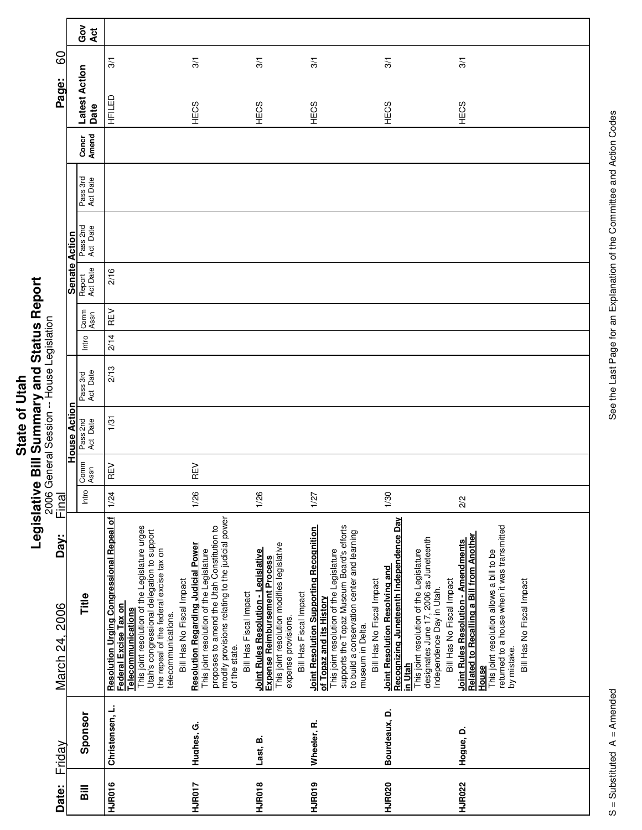|        | j           |
|--------|-------------|
|        |             |
|        | ا<br>ا      |
|        |             |
| c<br>t | יים האף האי |
| ċ<br>ó |             |
|        |             |
|        |             |
|        | ī           |

|                        |                     | ဝိ<br>ဝိ<br>Act       |                                                                                                                                                                                                                                                                   |                                                                                                                                                                                                                                                                  |                                                                                                                                                                             |                                                                                                                                                                                                                                                                     |                                                                                                                                                                                                                                      |                                                                                                                                                                                                                                  |
|------------------------|---------------------|-----------------------|-------------------------------------------------------------------------------------------------------------------------------------------------------------------------------------------------------------------------------------------------------------------|------------------------------------------------------------------------------------------------------------------------------------------------------------------------------------------------------------------------------------------------------------------|-----------------------------------------------------------------------------------------------------------------------------------------------------------------------------|---------------------------------------------------------------------------------------------------------------------------------------------------------------------------------------------------------------------------------------------------------------------|--------------------------------------------------------------------------------------------------------------------------------------------------------------------------------------------------------------------------------------|----------------------------------------------------------------------------------------------------------------------------------------------------------------------------------------------------------------------------------|
| 60                     |                     |                       | 3/1                                                                                                                                                                                                                                                               | 3/1                                                                                                                                                                                                                                                              | 3/1                                                                                                                                                                         | 3/1                                                                                                                                                                                                                                                                 | 3/1                                                                                                                                                                                                                                  | 3/1                                                                                                                                                                                                                              |
| Page:                  |                     | Latest Action<br>Date | HFILED                                                                                                                                                                                                                                                            | HECS                                                                                                                                                                                                                                                             | HECS                                                                                                                                                                        | HECS                                                                                                                                                                                                                                                                | HECS                                                                                                                                                                                                                                 | HECS                                                                                                                                                                                                                             |
|                        |                     | Amend<br>Concr        |                                                                                                                                                                                                                                                                   |                                                                                                                                                                                                                                                                  |                                                                                                                                                                             |                                                                                                                                                                                                                                                                     |                                                                                                                                                                                                                                      |                                                                                                                                                                                                                                  |
|                        |                     | Pass 3rd<br>Act Date  |                                                                                                                                                                                                                                                                   |                                                                                                                                                                                                                                                                  |                                                                                                                                                                             |                                                                                                                                                                                                                                                                     |                                                                                                                                                                                                                                      |                                                                                                                                                                                                                                  |
|                        |                     | Pass 2nd<br>Act Date  |                                                                                                                                                                                                                                                                   |                                                                                                                                                                                                                                                                  |                                                                                                                                                                             |                                                                                                                                                                                                                                                                     |                                                                                                                                                                                                                                      |                                                                                                                                                                                                                                  |
|                        | Senate Action       | Report<br>Act Date    | 2/16                                                                                                                                                                                                                                                              |                                                                                                                                                                                                                                                                  |                                                                                                                                                                             |                                                                                                                                                                                                                                                                     |                                                                                                                                                                                                                                      |                                                                                                                                                                                                                                  |
|                        |                     | Comm<br>Assn          | REV                                                                                                                                                                                                                                                               |                                                                                                                                                                                                                                                                  |                                                                                                                                                                             |                                                                                                                                                                                                                                                                     |                                                                                                                                                                                                                                      |                                                                                                                                                                                                                                  |
|                        |                     | Intro                 | 2/14                                                                                                                                                                                                                                                              |                                                                                                                                                                                                                                                                  |                                                                                                                                                                             |                                                                                                                                                                                                                                                                     |                                                                                                                                                                                                                                      |                                                                                                                                                                                                                                  |
|                        |                     | Act Date<br>Pass 3rd  | 2/13                                                                                                                                                                                                                                                              |                                                                                                                                                                                                                                                                  |                                                                                                                                                                             |                                                                                                                                                                                                                                                                     |                                                                                                                                                                                                                                      |                                                                                                                                                                                                                                  |
|                        | <b>House Action</b> | Pass 2nd<br>Act Date  | 1/31                                                                                                                                                                                                                                                              |                                                                                                                                                                                                                                                                  |                                                                                                                                                                             |                                                                                                                                                                                                                                                                     |                                                                                                                                                                                                                                      |                                                                                                                                                                                                                                  |
|                        |                     | Comm<br>Assn          | REV                                                                                                                                                                                                                                                               | REV                                                                                                                                                                                                                                                              |                                                                                                                                                                             |                                                                                                                                                                                                                                                                     |                                                                                                                                                                                                                                      |                                                                                                                                                                                                                                  |
| Final                  |                     | Intro                 | 1/24                                                                                                                                                                                                                                                              | 1/26                                                                                                                                                                                                                                                             | 1/26                                                                                                                                                                        | 1/27                                                                                                                                                                                                                                                                | 1/30                                                                                                                                                                                                                                 | 2/2                                                                                                                                                                                                                              |
| Day:<br>March 24, 2006 |                     | Title                 | Resolution Urging Congressional Repeal of<br>This joint resolution of the Legislature urges<br>Utah's congressional delegation to support<br>the repeal of the federal excise tax on<br>Federal Excise Tax on<br><b>Telecommunications</b><br>telecommunications. | modify provisions relating to the judicial power<br>This joint resolution of the Legislature<br>proposes to amend the Utah Constitution to<br><b>Resolution Regarding Judicial Power</b><br>Bill Has No Fiscal Impact<br>Bill Has Fiscal Impact<br>of the state. | This joint resolution modifies legislative<br>Joint Rules Resolution - Legislative<br><b>Expense Reimbursement Process</b><br>Bill Has Fiscal Impact<br>expense provisions. | supports the Topaz Museum Board's efforts<br><b>Joint Resolution Supporting Recognition</b><br>to build a conservation center and learning<br>This joint resolution of the Legislature<br>Bill Has No Fiscal Impact<br>of Topaz and its History<br>museum in Delta. | Recognizing Juneteenth Independence Day<br>This joint resolution of the Legislature<br>designates June 17, 2006 as Juneteenth<br>Joint Resolution Resolving and<br>Bill Has No Fiscal Impact<br>Independence Day in Utah.<br>in Utah | returned to a house when it was transmitted<br>Related to Recalling a Bill from Another<br>Joint Rules Resolution - Amendments<br>This joint resolution allows a bill to be<br>Bill Has No Fiscal Impact<br>by mistake.<br>House |
| Friday                 |                     | Sponsor               | Christensen, L.                                                                                                                                                                                                                                                   | Hughes, G.                                                                                                                                                                                                                                                       | Last, B.                                                                                                                                                                    | Wheeler, R.                                                                                                                                                                                                                                                         | Bourdeaux, D.                                                                                                                                                                                                                        | Hogue, D.                                                                                                                                                                                                                        |
| Date:                  |                     | <b>Sill</b>           | HJR016                                                                                                                                                                                                                                                            | HJR017                                                                                                                                                                                                                                                           | HJR018                                                                                                                                                                      | HJR019                                                                                                                                                                                                                                                              | <b>HJR020</b>                                                                                                                                                                                                                        | <b>HJR022</b>                                                                                                                                                                                                                    |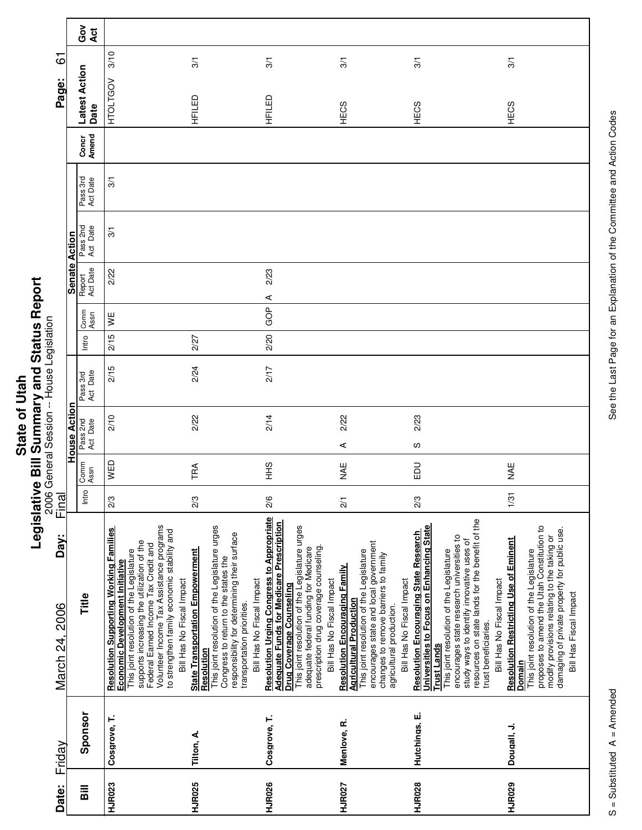|            | l              |
|------------|----------------|
|            |                |
|            | ζ<br>ς         |
| <b>Jia</b> |                |
|            |                |
|            | ויים היה האי ה |
|            |                |
| ō          |                |
|            |                |
|            |                |
|            |                |
| State      | ة              |
|            |                |
|            | Ξ<br>ī         |
|            | ĺ              |
|            |                |
|            |                |
|            |                |

| Date:                              | Friday        | Day:<br>March 24, 2006                                                                                                                                                                                                                                                                                                                                       | Final           |              |                      |                      |       |              |                    |                      |                      |                | 67<br>Page:             |                 |
|------------------------------------|---------------|--------------------------------------------------------------------------------------------------------------------------------------------------------------------------------------------------------------------------------------------------------------------------------------------------------------------------------------------------------------|-----------------|--------------|----------------------|----------------------|-------|--------------|--------------------|----------------------|----------------------|----------------|-------------------------|-----------------|
|                                    |               |                                                                                                                                                                                                                                                                                                                                                              |                 |              | House Action         |                      |       |              |                    | Senate Action        |                      |                |                         |                 |
| $\overline{\overline{\mathbf{a}}}$ | Sponsor       | Title                                                                                                                                                                                                                                                                                                                                                        | Intro           | Comm<br>Assn | Pass 2nd<br>Act Date | Act Date<br>Pass 3rd | Intro | Comm<br>Assn | Act Date<br>Report | Pass 2nd<br>Act Date | Pass 3rd<br>Act Date | Amend<br>Concr | Latest Action<br>Date   | ဝိ<br>ပိ<br>Act |
| HJR023                             | Cosgrove, T.  | Volunteer Income Tax Assistance programs<br><b>Resolution Supporting Working Families</b><br>to strengthen family economic stability and<br>supports increasing the utilization of the<br>Federal Earned Income Tax Credit and<br>This joint resolution of the Legislature<br>Economic Development Initiative<br>Bill Has No Fiscal Impact                   | 2/3             | WED          | 2/10                 | 2/15                 | 2/15  | ¥≣           | 2/22               | 3/1                  | 3/1                  |                | 3/10<br><b>HTOLTGOV</b> |                 |
| <b>HJR025</b>                      | Tilton, A.    | This joint resolution of the Legislature urges<br>responsibility for determining their surface<br><b>State Transportation Empowerment</b><br>Congress to return to the states the<br>Bill Has No Fiscal Impact<br>transportation priorities.<br>Resolution                                                                                                   | 2/3             | TRA          | 2/22                 | 2/24                 | 2/27  |              |                    |                      |                      |                | 3/1<br>HFILED           |                 |
| <b>HJR026</b>                      | Cosgrove, T.  | <b>Resolution Urging Congress to Appropriate</b><br><b>Adequate Funds for Medicare Prescription</b><br>This joint resolution of the Legislature urges<br>prescription drug coverage counseling.<br>adequate federal funding for Medicare<br>Bill Has No Fiscal Impact<br>Drug Coverage Counseling                                                            | 2/6             | $rac{9}{5}$  | 2/14                 | 217                  | 2/20  | GOP          | 2/23<br>⋖          |                      |                      |                | 3/1<br>HFILED           |                 |
| <b>HJR027</b>                      | Menlove, R.   | encourages state and local government<br>This joint resolution of the Legislature<br>changes to remove barriers to family<br><b>Resolution Encouraging Family</b><br>Bill Has No Fiscal Impact<br><b>Agricultural Production</b><br>agricultural production.                                                                                                 | $\overline{21}$ | ¥¥           | 2/22<br>⋖            |                      |       |              |                    |                      |                      |                | $\overline{3}$<br>HECS  |                 |
| <b>HJR028</b>                      | Hutchings, E. | resources on state lands for the benefit of the<br>Universities to Focus on Enhancing State<br><b>Resolution Encouraging State Research</b><br>encourages state research universities to<br>study ways to identify innovative uses of<br>This joint resolution of the Legislature<br>Bill Has No Fiscal Impact<br>trust beneficiaries.<br><b>Trust Lands</b> | 2/3             | 品            | 2/23<br>လ            |                      |       |              |                    |                      |                      |                | $\frac{1}{3}$<br>HECS   |                 |
| HJR029                             | Dougall, J.   | proposes to amend the Utah Constitution to<br>damaging of private property for public use.<br>modify provisions relating to the taking or<br><b>Resolution Restricting Use of Eminent</b><br>This joint resolution of the Legislature<br>Bill Has Fiscal Impact<br>Domain                                                                                    | 1/31            | ¥<br>≫       |                      |                      |       |              |                    |                      |                      |                | 3/1<br><b>HECS</b>      |                 |